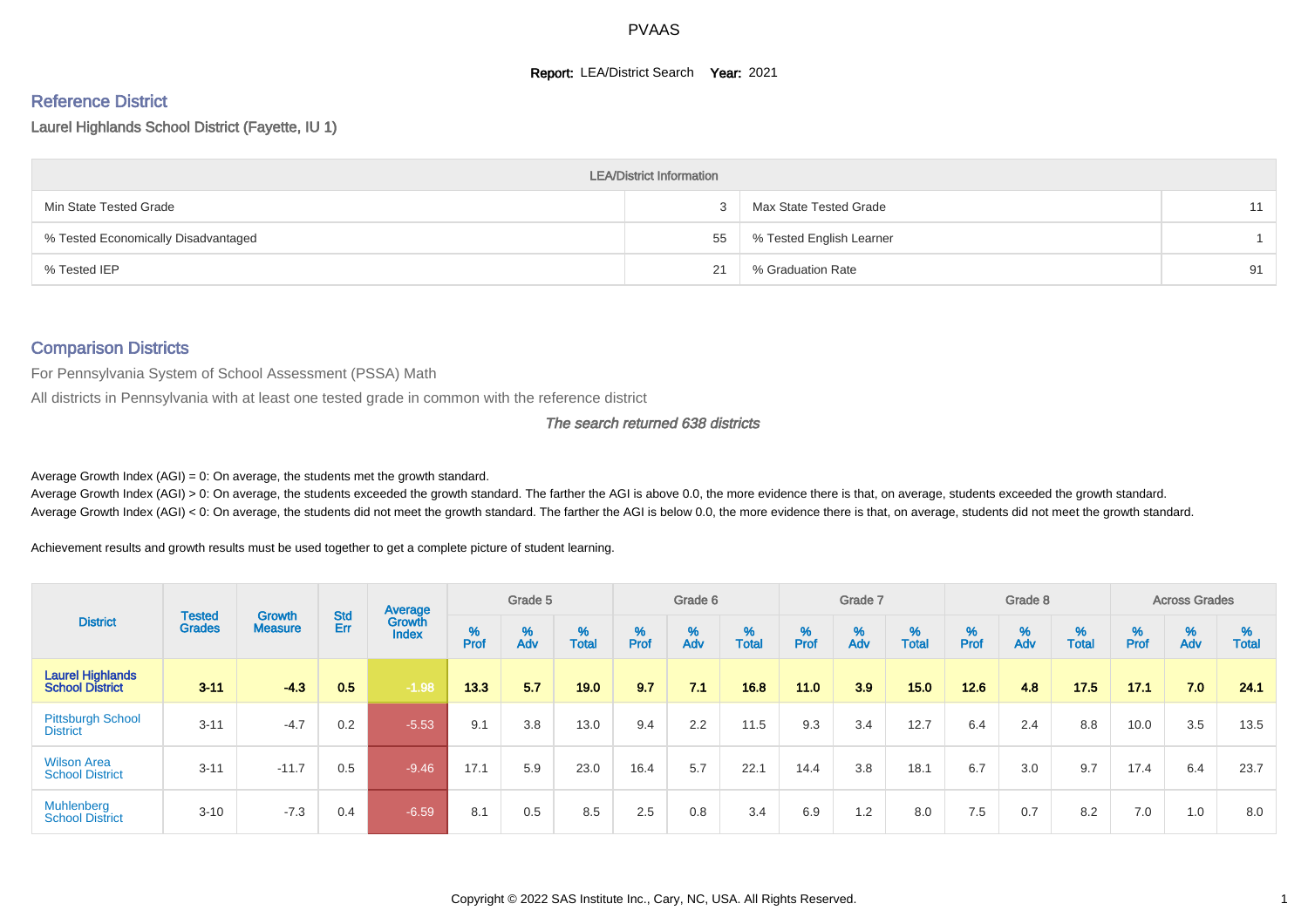#### **Report: LEA/District Search Year: 2021**

# Reference District

Laurel Highlands School District (Fayette, IU 1)

|                                     | <b>LEA/District Information</b> |                          |    |
|-------------------------------------|---------------------------------|--------------------------|----|
| Min State Tested Grade              |                                 | Max State Tested Grade   | 11 |
| % Tested Economically Disadvantaged | 55                              | % Tested English Learner |    |
| % Tested IEP                        | 21                              | % Graduation Rate        | 91 |

#### Comparison Districts

For Pennsylvania System of School Assessment (PSSA) Math

All districts in Pennsylvania with at least one tested grade in common with the reference district

The search returned 638 districts

Average Growth Index  $(AGI) = 0$ : On average, the students met the growth standard.

Average Growth Index (AGI) > 0: On average, the students exceeded the growth standard. The farther the AGI is above 0.0, the more evidence there is that, on average, students exceeded the growth standard. Average Growth Index (AGI) < 0: On average, the students did not meet the growth standard. The farther the AGI is below 0.0, the more evidence there is that, on average, students did not meet the growth standard.

Achievement results and growth results must be used together to get a complete picture of student learning.

|                                                   |                                |                                 |            | Average                |        | Grade 5  |                   |        | Grade 6  |            |           | Grade 7  |            |           | Grade 8                       |                           |          | <b>Across Grades</b> |                   |
|---------------------------------------------------|--------------------------------|---------------------------------|------------|------------------------|--------|----------|-------------------|--------|----------|------------|-----------|----------|------------|-----------|-------------------------------|---------------------------|----------|----------------------|-------------------|
| <b>District</b>                                   | <b>Tested</b><br><b>Grades</b> | <b>Growth</b><br><b>Measure</b> | Std<br>Err | Growth<br><b>Index</b> | % Pref | %<br>Adv | %<br><b>Total</b> | % Pref | %<br>Adv | %<br>Total | %<br>Prof | %<br>Adv | %<br>Total | %<br>Prof | $\stackrel{\%}{\mathsf{Adv}}$ | $\frac{\%}{\text{Total}}$ | $%$ Prof | %<br>Adv             | %<br><b>Total</b> |
| <b>Laurel Highlands</b><br><b>School District</b> | $3 - 11$                       | $-4.3$                          | 0.5        | $-1.98$                | 13.3   | 5.7      | 19.0              | 9.7    | 7.1      | 16.8       | 11.0      | 3.9      | 15.0       | 12.6      | 4.8                           | 17.5                      | 17.1     | 7.0                  | 24.1              |
| <b>Pittsburgh School</b><br><b>District</b>       | $3 - 11$                       | $-4.7$                          | 0.2        | $-5.53$                | 9.1    | 3.8      | 13.0              | 9.4    | 2.2      | 11.5       | 9.3       | 3.4      | 12.7       | 6.4       | 2.4                           | 8.8                       | 10.0     | 3.5                  | 13.5              |
| <b>Wilson Area</b><br><b>School District</b>      | $3 - 11$                       | $-11.7$                         | 0.5        | $-9.46$                | 17.1   | 5.9      | 23.0              | 16.4   | 5.7      | 22.1       | 14.4      | 3.8      | 18.1       | 6.7       | 3.0                           | 9.7                       | 17.4     | 6.4                  | 23.7              |
| Muhlenberg<br><b>School District</b>              | $3 - 10$                       | $-7.3$                          | 0.4        | $-6.59$                | 8.1    | 0.5      | 8.5               | 2.5    | 0.8      | 3.4        | 6.9       | 1.2      | 8.0        | 7.5       | 0.7                           | 8.2                       | 7.0      | 1.0                  | 8.0               |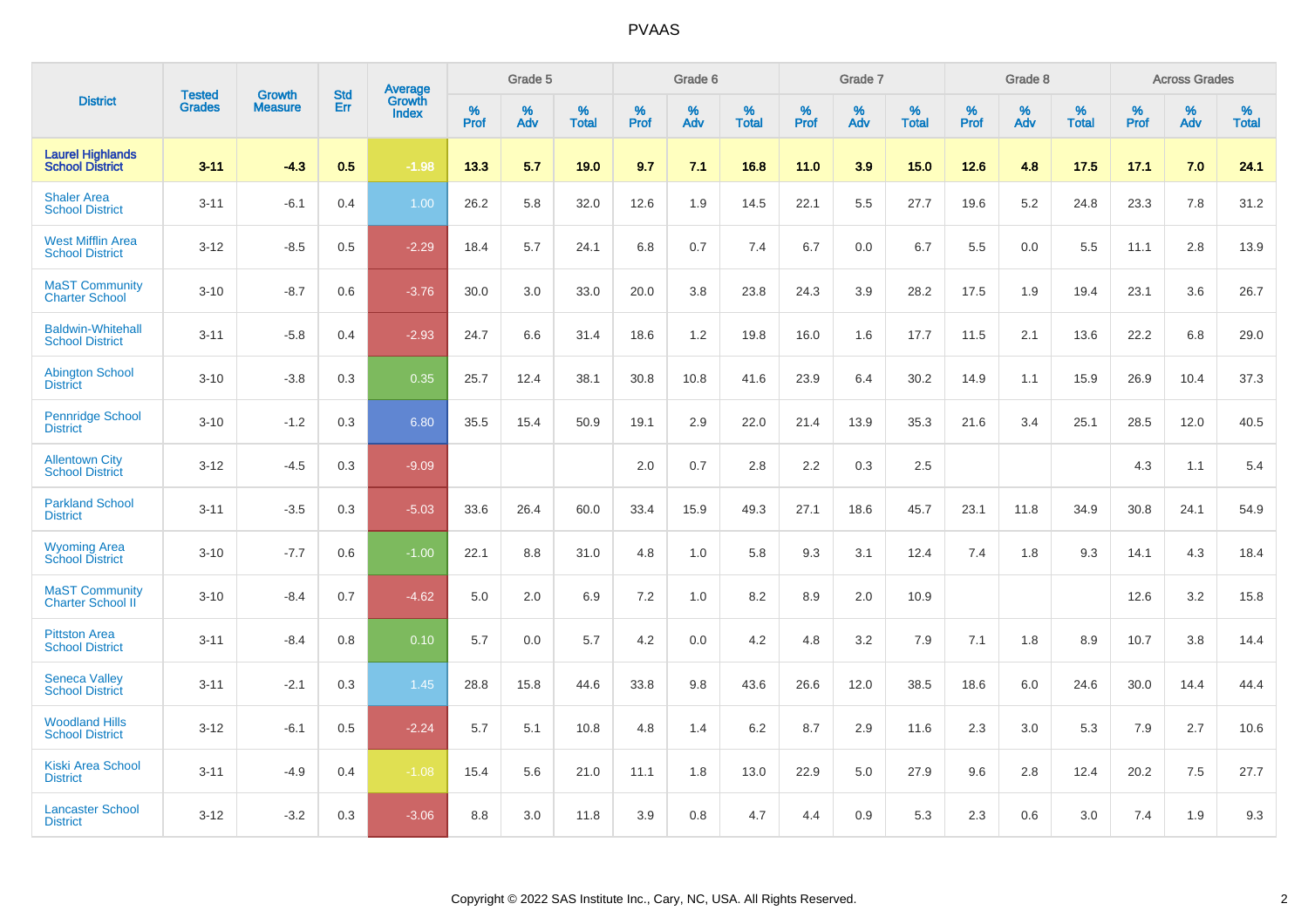|                                                    |                                |                                 | <b>Std</b> | Average                |           | Grade 5  |                   |           | Grade 6  |                   |           | Grade 7  |                   |           | Grade 8  |                   |           | <b>Across Grades</b> |                   |
|----------------------------------------------------|--------------------------------|---------------------------------|------------|------------------------|-----------|----------|-------------------|-----------|----------|-------------------|-----------|----------|-------------------|-----------|----------|-------------------|-----------|----------------------|-------------------|
| <b>District</b>                                    | <b>Tested</b><br><b>Grades</b> | <b>Growth</b><br><b>Measure</b> | Err        | Growth<br><b>Index</b> | %<br>Prof | %<br>Adv | %<br><b>Total</b> | %<br>Prof | %<br>Adv | %<br><b>Total</b> | %<br>Prof | %<br>Adv | %<br><b>Total</b> | %<br>Prof | %<br>Adv | %<br><b>Total</b> | %<br>Prof | %<br>Adv             | %<br><b>Total</b> |
| <b>Laurel Highlands</b><br><b>School District</b>  | $3 - 11$                       | $-4.3$                          | 0.5        | $-1.98$                | 13.3      | 5.7      | 19.0              | 9.7       | 7.1      | 16.8              | 11.0      | 3.9      | 15.0              | 12.6      | 4.8      | 17.5              | 17.1      | 7.0                  | 24.1              |
| <b>Shaler Area</b><br><b>School District</b>       | $3 - 11$                       | $-6.1$                          | 0.4        | 1.00                   | 26.2      | 5.8      | 32.0              | 12.6      | 1.9      | 14.5              | 22.1      | 5.5      | 27.7              | 19.6      | 5.2      | 24.8              | 23.3      | 7.8                  | 31.2              |
| <b>West Mifflin Area</b><br><b>School District</b> | $3 - 12$                       | $-8.5$                          | 0.5        | $-2.29$                | 18.4      | 5.7      | 24.1              | 6.8       | 0.7      | 7.4               | 6.7       | 0.0      | 6.7               | 5.5       | 0.0      | 5.5               | 11.1      | 2.8                  | 13.9              |
| <b>MaST Community</b><br><b>Charter School</b>     | $3 - 10$                       | $-8.7$                          | 0.6        | $-3.76$                | 30.0      | 3.0      | 33.0              | 20.0      | 3.8      | 23.8              | 24.3      | 3.9      | 28.2              | 17.5      | 1.9      | 19.4              | 23.1      | 3.6                  | 26.7              |
| <b>Baldwin-Whitehall</b><br><b>School District</b> | $3 - 11$                       | $-5.8$                          | 0.4        | $-2.93$                | 24.7      | 6.6      | 31.4              | 18.6      | $1.2$    | 19.8              | 16.0      | 1.6      | 17.7              | 11.5      | 2.1      | 13.6              | 22.2      | 6.8                  | 29.0              |
| <b>Abington School</b><br><b>District</b>          | $3 - 10$                       | $-3.8$                          | 0.3        | 0.35                   | 25.7      | 12.4     | 38.1              | 30.8      | 10.8     | 41.6              | 23.9      | 6.4      | 30.2              | 14.9      | 1.1      | 15.9              | 26.9      | 10.4                 | 37.3              |
| <b>Pennridge School</b><br><b>District</b>         | $3 - 10$                       | $-1.2$                          | 0.3        | 6.80                   | 35.5      | 15.4     | 50.9              | 19.1      | 2.9      | 22.0              | 21.4      | 13.9     | 35.3              | 21.6      | 3.4      | 25.1              | 28.5      | 12.0                 | 40.5              |
| <b>Allentown City</b><br><b>School District</b>    | $3 - 12$                       | $-4.5$                          | 0.3        | $-9.09$                |           |          |                   | 2.0       | 0.7      | 2.8               | 2.2       | 0.3      | 2.5               |           |          |                   | 4.3       | 1.1                  | 5.4               |
| <b>Parkland School</b><br><b>District</b>          | $3 - 11$                       | $-3.5$                          | 0.3        | $-5.03$                | 33.6      | 26.4     | 60.0              | 33.4      | 15.9     | 49.3              | 27.1      | 18.6     | 45.7              | 23.1      | 11.8     | 34.9              | 30.8      | 24.1                 | 54.9              |
| <b>Wyoming Area</b><br><b>School District</b>      | $3 - 10$                       | $-7.7$                          | 0.6        | $-1.00$                | 22.1      | 8.8      | 31.0              | 4.8       | 1.0      | 5.8               | 9.3       | 3.1      | 12.4              | 7.4       | 1.8      | 9.3               | 14.1      | 4.3                  | 18.4              |
| <b>MaST Community</b><br><b>Charter School II</b>  | $3 - 10$                       | $-8.4$                          | 0.7        | $-4.62$                | 5.0       | 2.0      | 6.9               | 7.2       | 1.0      | 8.2               | 8.9       | 2.0      | 10.9              |           |          |                   | 12.6      | 3.2                  | 15.8              |
| <b>Pittston Area</b><br><b>School District</b>     | $3 - 11$                       | $-8.4$                          | 0.8        | 0.10                   | 5.7       | 0.0      | 5.7               | 4.2       | 0.0      | 4.2               | 4.8       | 3.2      | 7.9               | 7.1       | 1.8      | 8.9               | 10.7      | 3.8                  | 14.4              |
| <b>Seneca Valley</b><br><b>School District</b>     | $3 - 11$                       | $-2.1$                          | 0.3        | 1.45                   | 28.8      | 15.8     | 44.6              | 33.8      | 9.8      | 43.6              | 26.6      | 12.0     | 38.5              | 18.6      | 6.0      | 24.6              | 30.0      | 14.4                 | 44.4              |
| <b>Woodland Hills</b><br><b>School District</b>    | $3 - 12$                       | $-6.1$                          | 0.5        | $-2.24$                | 5.7       | 5.1      | 10.8              | 4.8       | 1.4      | 6.2               | 8.7       | 2.9      | 11.6              | 2.3       | 3.0      | 5.3               | 7.9       | 2.7                  | 10.6              |
| <b>Kiski Area School</b><br><b>District</b>        | $3 - 11$                       | $-4.9$                          | 0.4        | $-1.08$                | 15.4      | 5.6      | 21.0              | 11.1      | 1.8      | 13.0              | 22.9      | 5.0      | 27.9              | 9.6       | 2.8      | 12.4              | 20.2      | 7.5                  | 27.7              |
| <b>Lancaster School</b><br><b>District</b>         | $3 - 12$                       | $-3.2$                          | 0.3        | $-3.06$                | 8.8       | 3.0      | 11.8              | 3.9       | 0.8      | 4.7               | 4.4       | 0.9      | 5.3               | 2.3       | 0.6      | 3.0               | 7.4       | 1.9                  | 9.3               |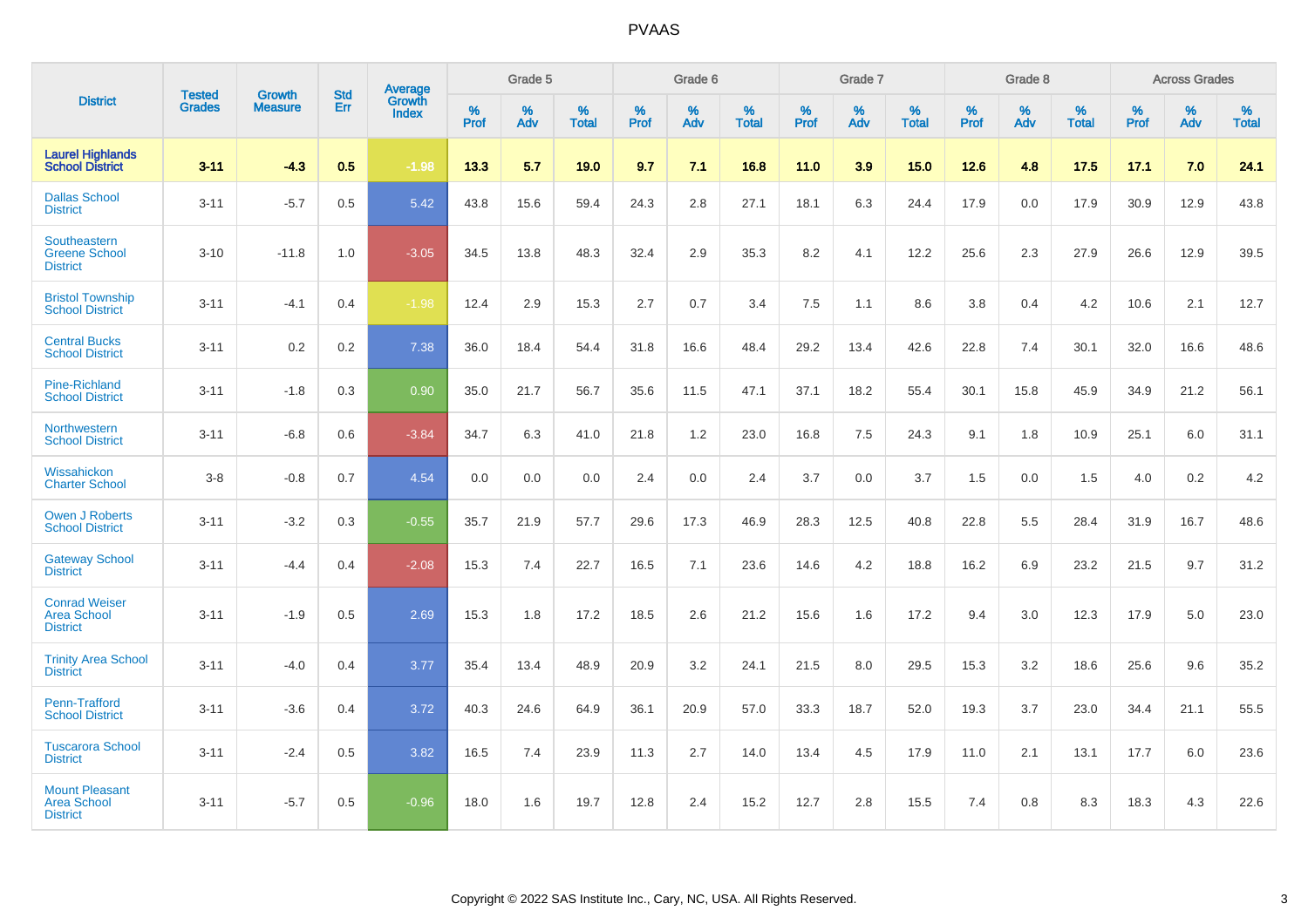|                                                                |                                |                          | <b>Std</b> | Average                |           | Grade 5  |                   |           | Grade 6  |                   |           | Grade 7  |                   |           | Grade 8  |                   |           | <b>Across Grades</b> |                   |
|----------------------------------------------------------------|--------------------------------|--------------------------|------------|------------------------|-----------|----------|-------------------|-----------|----------|-------------------|-----------|----------|-------------------|-----------|----------|-------------------|-----------|----------------------|-------------------|
| <b>District</b>                                                | <b>Tested</b><br><b>Grades</b> | Growth<br><b>Measure</b> | Err        | Growth<br><b>Index</b> | %<br>Prof | %<br>Adv | %<br><b>Total</b> | %<br>Prof | %<br>Adv | %<br><b>Total</b> | %<br>Prof | %<br>Adv | %<br><b>Total</b> | %<br>Prof | %<br>Adv | %<br><b>Total</b> | %<br>Prof | %<br>Adv             | %<br><b>Total</b> |
| <b>Laurel Highlands</b><br><b>School District</b>              | $3 - 11$                       | $-4.3$                   | 0.5        | $-1.98$                | 13.3      | 5.7      | 19.0              | 9.7       | 7.1      | 16.8              | 11.0      | 3.9      | 15.0              | 12.6      | 4.8      | 17.5              | 17.1      | 7.0                  | 24.1              |
| <b>Dallas School</b><br><b>District</b>                        | $3 - 11$                       | $-5.7$                   | 0.5        | 5.42                   | 43.8      | 15.6     | 59.4              | 24.3      | 2.8      | 27.1              | 18.1      | 6.3      | 24.4              | 17.9      | 0.0      | 17.9              | 30.9      | 12.9                 | 43.8              |
| Southeastern<br><b>Greene School</b><br><b>District</b>        | $3 - 10$                       | $-11.8$                  | 1.0        | $-3.05$                | 34.5      | 13.8     | 48.3              | 32.4      | 2.9      | 35.3              | 8.2       | 4.1      | 12.2              | 25.6      | 2.3      | 27.9              | 26.6      | 12.9                 | 39.5              |
| <b>Bristol Township</b><br><b>School District</b>              | $3 - 11$                       | $-4.1$                   | 0.4        | $-1.98$                | 12.4      | 2.9      | 15.3              | 2.7       | 0.7      | 3.4               | 7.5       | 1.1      | 8.6               | 3.8       | 0.4      | 4.2               | 10.6      | 2.1                  | 12.7              |
| <b>Central Bucks</b><br><b>School District</b>                 | $3 - 11$                       | 0.2                      | 0.2        | 7.38                   | 36.0      | 18.4     | 54.4              | 31.8      | 16.6     | 48.4              | 29.2      | 13.4     | 42.6              | 22.8      | 7.4      | 30.1              | 32.0      | 16.6                 | 48.6              |
| <b>Pine-Richland</b><br><b>School District</b>                 | $3 - 11$                       | $-1.8$                   | 0.3        | 0.90                   | 35.0      | 21.7     | 56.7              | 35.6      | 11.5     | 47.1              | 37.1      | 18.2     | 55.4              | 30.1      | 15.8     | 45.9              | 34.9      | 21.2                 | 56.1              |
| Northwestern<br><b>School District</b>                         | $3 - 11$                       | $-6.8$                   | 0.6        | $-3.84$                | 34.7      | 6.3      | 41.0              | 21.8      | 1.2      | 23.0              | 16.8      | 7.5      | 24.3              | 9.1       | 1.8      | 10.9              | 25.1      | 6.0                  | 31.1              |
| Wissahickon<br><b>Charter School</b>                           | $3-8$                          | $-0.8$                   | 0.7        | 4.54                   | 0.0       | 0.0      | 0.0               | 2.4       | 0.0      | 2.4               | 3.7       | 0.0      | 3.7               | 1.5       | 0.0      | 1.5               | 4.0       | $0.2\,$              | 4.2               |
| <b>Owen J Roberts</b><br><b>School District</b>                | $3 - 11$                       | $-3.2$                   | 0.3        | $-0.55$                | 35.7      | 21.9     | 57.7              | 29.6      | 17.3     | 46.9              | 28.3      | 12.5     | 40.8              | 22.8      | 5.5      | 28.4              | 31.9      | 16.7                 | 48.6              |
| <b>Gateway School</b><br><b>District</b>                       | $3 - 11$                       | $-4.4$                   | 0.4        | $-2.08$                | 15.3      | 7.4      | 22.7              | 16.5      | 7.1      | 23.6              | 14.6      | 4.2      | 18.8              | 16.2      | 6.9      | 23.2              | 21.5      | 9.7                  | 31.2              |
| <b>Conrad Weiser</b><br><b>Area School</b><br><b>District</b>  | $3 - 11$                       | $-1.9$                   | 0.5        | 2.69                   | 15.3      | 1.8      | 17.2              | 18.5      | 2.6      | 21.2              | 15.6      | 1.6      | 17.2              | 9.4       | 3.0      | 12.3              | 17.9      | 5.0                  | 23.0              |
| <b>Trinity Area School</b><br><b>District</b>                  | $3 - 11$                       | $-4.0$                   | 0.4        | 3.77                   | 35.4      | 13.4     | 48.9              | 20.9      | 3.2      | 24.1              | 21.5      | 8.0      | 29.5              | 15.3      | 3.2      | 18.6              | 25.6      | 9.6                  | 35.2              |
| Penn-Trafford<br><b>School District</b>                        | $3 - 11$                       | $-3.6$                   | 0.4        | 3.72                   | 40.3      | 24.6     | 64.9              | 36.1      | 20.9     | 57.0              | 33.3      | 18.7     | 52.0              | 19.3      | 3.7      | 23.0              | 34.4      | 21.1                 | 55.5              |
| <b>Tuscarora School</b><br><b>District</b>                     | $3 - 11$                       | $-2.4$                   | 0.5        | 3.82                   | 16.5      | 7.4      | 23.9              | 11.3      | 2.7      | 14.0              | 13.4      | 4.5      | 17.9              | 11.0      | 2.1      | 13.1              | 17.7      | 6.0                  | 23.6              |
| <b>Mount Pleasant</b><br><b>Area School</b><br><b>District</b> | $3 - 11$                       | $-5.7$                   | 0.5        | $-0.96$                | 18.0      | 1.6      | 19.7              | 12.8      | 2.4      | 15.2              | 12.7      | 2.8      | 15.5              | 7.4       | 0.8      | 8.3               | 18.3      | 4.3                  | 22.6              |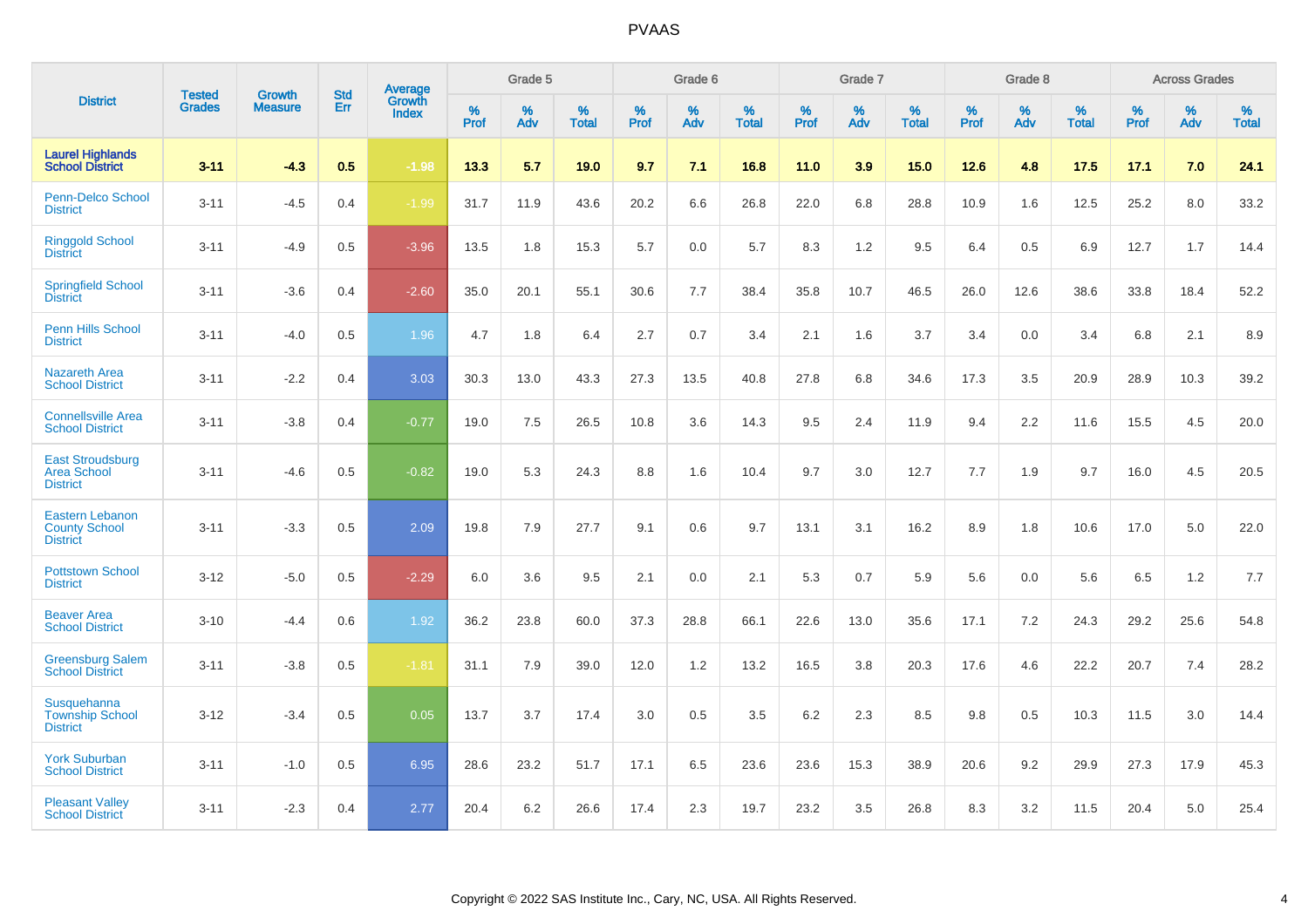|                                                                   |                                |                                 | <b>Std</b> | Average                       |           | Grade 5  |                   |           | Grade 6  |                   |           | Grade 7  |                   |           | Grade 8  |                   |           | <b>Across Grades</b> |                   |
|-------------------------------------------------------------------|--------------------------------|---------------------------------|------------|-------------------------------|-----------|----------|-------------------|-----------|----------|-------------------|-----------|----------|-------------------|-----------|----------|-------------------|-----------|----------------------|-------------------|
| <b>District</b>                                                   | <b>Tested</b><br><b>Grades</b> | <b>Growth</b><br><b>Measure</b> | Err        | <b>Growth</b><br><b>Index</b> | %<br>Prof | %<br>Adv | %<br><b>Total</b> | %<br>Prof | %<br>Adv | %<br><b>Total</b> | %<br>Prof | %<br>Adv | %<br><b>Total</b> | %<br>Prof | %<br>Adv | %<br><b>Total</b> | %<br>Prof | %<br>Adv             | %<br><b>Total</b> |
| <b>Laurel Highlands</b><br><b>School District</b>                 | $3 - 11$                       | $-4.3$                          | 0.5        | $-1.98$                       | 13.3      | 5.7      | 19.0              | 9.7       | 7.1      | 16.8              | 11.0      | 3.9      | 15.0              | 12.6      | 4.8      | 17.5              | 17.1      | 7.0                  | 24.1              |
| <b>Penn-Delco School</b><br><b>District</b>                       | $3 - 11$                       | $-4.5$                          | 0.4        | $-1.99$                       | 31.7      | 11.9     | 43.6              | 20.2      | 6.6      | 26.8              | 22.0      | 6.8      | 28.8              | 10.9      | 1.6      | 12.5              | 25.2      | 8.0                  | 33.2              |
| <b>Ringgold School</b><br><b>District</b>                         | $3 - 11$                       | $-4.9$                          | 0.5        | $-3.96$                       | 13.5      | 1.8      | 15.3              | 5.7       | 0.0      | 5.7               | 8.3       | 1.2      | 9.5               | 6.4       | 0.5      | 6.9               | 12.7      | 1.7                  | 14.4              |
| <b>Springfield School</b><br><b>District</b>                      | $3 - 11$                       | $-3.6$                          | 0.4        | $-2.60$                       | 35.0      | 20.1     | 55.1              | 30.6      | 7.7      | 38.4              | 35.8      | 10.7     | 46.5              | 26.0      | 12.6     | 38.6              | 33.8      | 18.4                 | 52.2              |
| Penn Hills School<br><b>District</b>                              | $3 - 11$                       | $-4.0$                          | 0.5        | 1.96                          | 4.7       | 1.8      | 6.4               | 2.7       | 0.7      | 3.4               | 2.1       | 1.6      | 3.7               | 3.4       | 0.0      | 3.4               | 6.8       | 2.1                  | 8.9               |
| <b>Nazareth Area</b><br><b>School District</b>                    | $3 - 11$                       | $-2.2$                          | 0.4        | 3.03                          | 30.3      | 13.0     | 43.3              | 27.3      | 13.5     | 40.8              | 27.8      | 6.8      | 34.6              | 17.3      | 3.5      | 20.9              | 28.9      | 10.3                 | 39.2              |
| <b>Connellsville Area</b><br><b>School District</b>               | $3 - 11$                       | $-3.8$                          | 0.4        | $-0.77$                       | 19.0      | 7.5      | 26.5              | 10.8      | 3.6      | 14.3              | 9.5       | 2.4      | 11.9              | 9.4       | 2.2      | 11.6              | 15.5      | 4.5                  | 20.0              |
| <b>East Stroudsburg</b><br><b>Area School</b><br><b>District</b>  | $3 - 11$                       | $-4.6$                          | 0.5        | $-0.82$                       | 19.0      | 5.3      | 24.3              | 8.8       | 1.6      | 10.4              | 9.7       | 3.0      | 12.7              | 7.7       | 1.9      | 9.7               | 16.0      | 4.5                  | 20.5              |
| <b>Eastern Lebanon</b><br><b>County School</b><br><b>District</b> | $3 - 11$                       | $-3.3$                          | 0.5        | 2.09                          | 19.8      | 7.9      | 27.7              | 9.1       | 0.6      | 9.7               | 13.1      | 3.1      | 16.2              | 8.9       | 1.8      | 10.6              | 17.0      | 5.0                  | 22.0              |
| <b>Pottstown School</b><br><b>District</b>                        | $3 - 12$                       | $-5.0$                          | 0.5        | $-2.29$                       | 6.0       | 3.6      | 9.5               | 2.1       | 0.0      | 2.1               | 5.3       | 0.7      | 5.9               | 5.6       | 0.0      | 5.6               | 6.5       | 1.2                  | 7.7               |
| <b>Beaver Area</b><br><b>School District</b>                      | $3 - 10$                       | $-4.4$                          | 0.6        | 1.92                          | 36.2      | 23.8     | 60.0              | 37.3      | 28.8     | 66.1              | 22.6      | 13.0     | 35.6              | 17.1      | 7.2      | 24.3              | 29.2      | 25.6                 | 54.8              |
| <b>Greensburg Salem</b><br><b>School District</b>                 | $3 - 11$                       | $-3.8$                          | 0.5        | $-1.81$                       | 31.1      | 7.9      | 39.0              | 12.0      | 1.2      | 13.2              | 16.5      | 3.8      | 20.3              | 17.6      | 4.6      | 22.2              | 20.7      | 7.4                  | 28.2              |
| Susquehanna<br><b>Township School</b><br><b>District</b>          | $3 - 12$                       | $-3.4$                          | 0.5        | 0.05                          | 13.7      | 3.7      | 17.4              | 3.0       | 0.5      | 3.5               | 6.2       | 2.3      | 8.5               | 9.8       | 0.5      | 10.3              | 11.5      | 3.0                  | 14.4              |
| <b>York Suburban</b><br><b>School District</b>                    | $3 - 11$                       | $-1.0$                          | 0.5        | 6.95                          | 28.6      | 23.2     | 51.7              | 17.1      | 6.5      | 23.6              | 23.6      | 15.3     | 38.9              | 20.6      | 9.2      | 29.9              | 27.3      | 17.9                 | 45.3              |
| <b>Pleasant Valley</b><br><b>School District</b>                  | $3 - 11$                       | $-2.3$                          | 0.4        | 2.77                          | 20.4      | 6.2      | 26.6              | 17.4      | 2.3      | 19.7              | 23.2      | 3.5      | 26.8              | 8.3       | 3.2      | 11.5              | 20.4      | 5.0                  | 25.4              |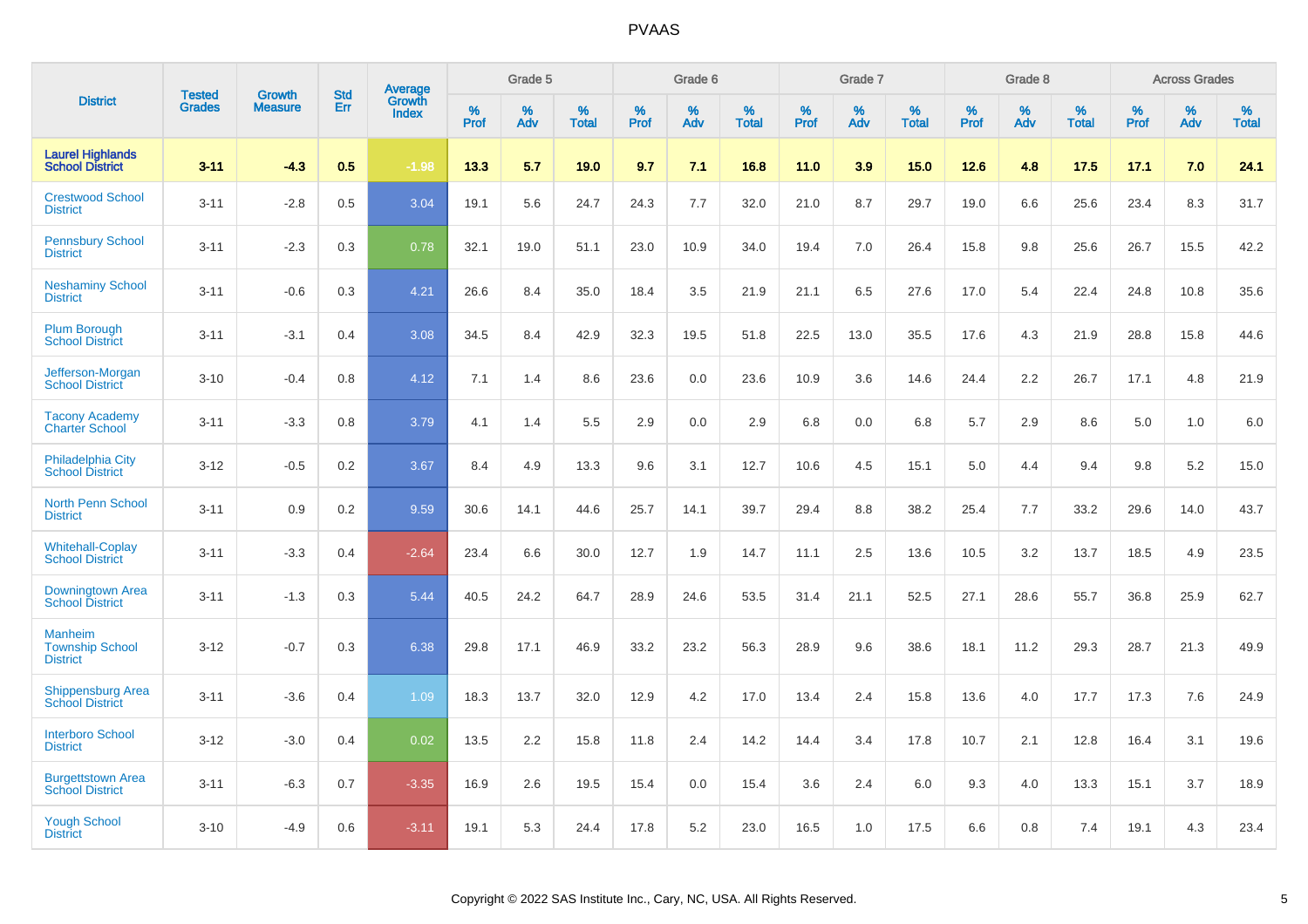|                                                             | <b>Tested</b> | <b>Growth</b>  | <b>Std</b> | Average                |              | Grade 5     |                      |              | Grade 6     |                      |              | Grade 7     |                   |              | Grade 8     |                   |                     | <b>Across Grades</b> |                      |
|-------------------------------------------------------------|---------------|----------------|------------|------------------------|--------------|-------------|----------------------|--------------|-------------|----------------------|--------------|-------------|-------------------|--------------|-------------|-------------------|---------------------|----------------------|----------------------|
| <b>District</b>                                             | <b>Grades</b> | <b>Measure</b> | Err        | Growth<br><b>Index</b> | $\%$<br>Prof | $\%$<br>Adv | $\%$<br><b>Total</b> | $\%$<br>Prof | $\%$<br>Adv | $\%$<br><b>Total</b> | $\%$<br>Prof | $\%$<br>Adv | %<br><b>Total</b> | $\%$<br>Prof | $\%$<br>Adv | %<br><b>Total</b> | $\%$<br><b>Prof</b> | $\%$<br>Adv          | $\%$<br><b>Total</b> |
| <b>Laurel Highlands</b><br><b>School District</b>           | $3 - 11$      | $-4.3$         | 0.5        | $-1.98$                | 13.3         | 5.7         | 19.0                 | 9.7          | 7.1         | 16.8                 | 11.0         | 3.9         | 15.0              | 12.6         | 4.8         | 17.5              | 17.1                | 7.0                  | 24.1                 |
| <b>Crestwood School</b><br><b>District</b>                  | $3 - 11$      | $-2.8$         | 0.5        | 3.04                   | 19.1         | 5.6         | 24.7                 | 24.3         | 7.7         | 32.0                 | 21.0         | 8.7         | 29.7              | 19.0         | 6.6         | 25.6              | 23.4                | 8.3                  | 31.7                 |
| <b>Pennsbury School</b><br><b>District</b>                  | $3 - 11$      | $-2.3$         | 0.3        | 0.78                   | 32.1         | 19.0        | 51.1                 | 23.0         | 10.9        | 34.0                 | 19.4         | 7.0         | 26.4              | 15.8         | 9.8         | 25.6              | 26.7                | 15.5                 | 42.2                 |
| <b>Neshaminy School</b><br><b>District</b>                  | $3 - 11$      | $-0.6$         | 0.3        | 4.21                   | 26.6         | 8.4         | 35.0                 | 18.4         | 3.5         | 21.9                 | 21.1         | 6.5         | 27.6              | 17.0         | 5.4         | 22.4              | 24.8                | 10.8                 | 35.6                 |
| <b>Plum Borough</b><br><b>School District</b>               | $3 - 11$      | $-3.1$         | 0.4        | 3.08                   | 34.5         | 8.4         | 42.9                 | 32.3         | 19.5        | 51.8                 | 22.5         | 13.0        | 35.5              | 17.6         | 4.3         | 21.9              | 28.8                | 15.8                 | 44.6                 |
| Jefferson-Morgan<br><b>School District</b>                  | $3 - 10$      | $-0.4$         | 0.8        | 4.12                   | 7.1          | 1.4         | 8.6                  | 23.6         | 0.0         | 23.6                 | 10.9         | 3.6         | 14.6              | 24.4         | 2.2         | 26.7              | 17.1                | 4.8                  | 21.9                 |
| <b>Tacony Academy</b><br><b>Charter School</b>              | $3 - 11$      | $-3.3$         | 0.8        | 3.79                   | 4.1          | 1.4         | 5.5                  | 2.9          | 0.0         | 2.9                  | 6.8          | 0.0         | 6.8               | 5.7          | 2.9         | 8.6               | 5.0                 | 1.0                  | 6.0                  |
| <b>Philadelphia City</b><br><b>School District</b>          | $3 - 12$      | $-0.5$         | 0.2        | 3.67                   | 8.4          | 4.9         | 13.3                 | 9.6          | 3.1         | 12.7                 | 10.6         | 4.5         | 15.1              | 5.0          | 4.4         | 9.4               | 9.8                 | 5.2                  | 15.0                 |
| <b>North Penn School</b><br><b>District</b>                 | $3 - 11$      | 0.9            | 0.2        | 9.59                   | 30.6         | 14.1        | 44.6                 | 25.7         | 14.1        | 39.7                 | 29.4         | 8.8         | 38.2              | 25.4         | 7.7         | 33.2              | 29.6                | 14.0                 | 43.7                 |
| <b>Whitehall-Coplay</b><br><b>School District</b>           | $3 - 11$      | $-3.3$         | 0.4        | $-2.64$                | 23.4         | 6.6         | 30.0                 | 12.7         | 1.9         | 14.7                 | 11.1         | 2.5         | 13.6              | 10.5         | 3.2         | 13.7              | 18.5                | 4.9                  | 23.5                 |
| Downingtown Area<br><b>School District</b>                  | $3 - 11$      | $-1.3$         | 0.3        | 5.44                   | 40.5         | 24.2        | 64.7                 | 28.9         | 24.6        | 53.5                 | 31.4         | 21.1        | 52.5              | 27.1         | 28.6        | 55.7              | 36.8                | 25.9                 | 62.7                 |
| <b>Manheim</b><br><b>Township School</b><br><b>District</b> | $3 - 12$      | $-0.7$         | 0.3        | 6.38                   | 29.8         | 17.1        | 46.9                 | 33.2         | 23.2        | 56.3                 | 28.9         | 9.6         | 38.6              | 18.1         | 11.2        | 29.3              | 28.7                | 21.3                 | 49.9                 |
| <b>Shippensburg Area</b><br><b>School District</b>          | $3 - 11$      | $-3.6$         | 0.4        | 1.09                   | 18.3         | 13.7        | 32.0                 | 12.9         | 4.2         | 17.0                 | 13.4         | 2.4         | 15.8              | 13.6         | 4.0         | 17.7              | 17.3                | 7.6                  | 24.9                 |
| <b>Interboro School</b><br><b>District</b>                  | $3 - 12$      | $-3.0$         | 0.4        | 0.02                   | 13.5         | 2.2         | 15.8                 | 11.8         | 2.4         | 14.2                 | 14.4         | 3.4         | 17.8              | 10.7         | 2.1         | 12.8              | 16.4                | 3.1                  | 19.6                 |
| <b>Burgettstown Area</b><br><b>School District</b>          | $3 - 11$      | $-6.3$         | 0.7        | $-3.35$                | 16.9         | 2.6         | 19.5                 | 15.4         | 0.0         | 15.4                 | 3.6          | 2.4         | 6.0               | 9.3          | 4.0         | 13.3              | 15.1                | 3.7                  | 18.9                 |
| <b>Yough School</b><br><b>District</b>                      | $3 - 10$      | $-4.9$         | 0.6        | $-3.11$                | 19.1         | 5.3         | 24.4                 | 17.8         | 5.2         | 23.0                 | 16.5         | 1.0         | 17.5              | 6.6          | 0.8         | 7.4               | 19.1                | 4.3                  | 23.4                 |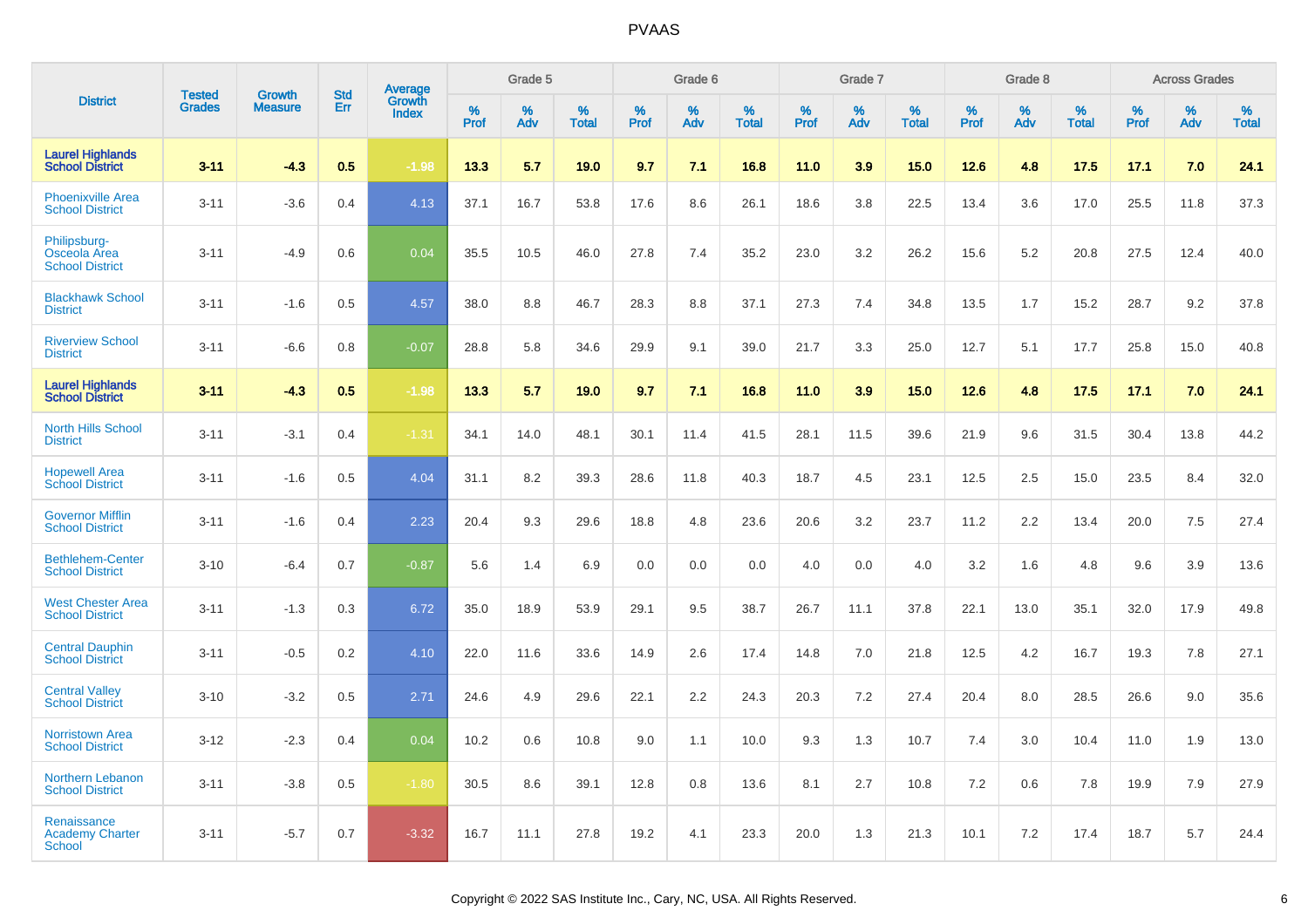|                                                        |                                |                                 |                   | Average                |                     | Grade 5  |                      |                     | Grade 6  |                      |                     | Grade 7  |                      |              | Grade 8  |                      |                     | <b>Across Grades</b> |                      |
|--------------------------------------------------------|--------------------------------|---------------------------------|-------------------|------------------------|---------------------|----------|----------------------|---------------------|----------|----------------------|---------------------|----------|----------------------|--------------|----------|----------------------|---------------------|----------------------|----------------------|
| <b>District</b>                                        | <b>Tested</b><br><b>Grades</b> | <b>Growth</b><br><b>Measure</b> | <b>Std</b><br>Err | Growth<br><b>Index</b> | $\%$<br><b>Prof</b> | %<br>Adv | $\%$<br><b>Total</b> | $\%$<br><b>Prof</b> | %<br>Adv | $\%$<br><b>Total</b> | $\%$<br><b>Prof</b> | %<br>Adv | $\%$<br><b>Total</b> | $\%$<br>Prof | %<br>Adv | $\%$<br><b>Total</b> | $\%$<br><b>Prof</b> | %<br>Adv             | $\%$<br><b>Total</b> |
| <b>Laurel Highlands</b><br><b>School District</b>      | $3 - 11$                       | $-4.3$                          | 0.5               | $-1.98$                | 13.3                | 5.7      | 19.0                 | 9.7                 | 7.1      | 16.8                 | 11.0                | 3.9      | 15.0                 | 12.6         | 4.8      | 17.5                 | 17.1                | 7.0                  | 24.1                 |
| <b>Phoenixville Area</b><br><b>School District</b>     | $3 - 11$                       | $-3.6$                          | 0.4               | 4.13                   | 37.1                | 16.7     | 53.8                 | 17.6                | 8.6      | 26.1                 | 18.6                | 3.8      | 22.5                 | 13.4         | 3.6      | 17.0                 | 25.5                | 11.8                 | 37.3                 |
| Philipsburg-<br>Osceola Area<br><b>School District</b> | $3 - 11$                       | $-4.9$                          | 0.6               | 0.04                   | 35.5                | 10.5     | 46.0                 | 27.8                | 7.4      | 35.2                 | 23.0                | 3.2      | 26.2                 | 15.6         | 5.2      | 20.8                 | 27.5                | 12.4                 | 40.0                 |
| <b>Blackhawk School</b><br><b>District</b>             | $3 - 11$                       | $-1.6$                          | 0.5               | 4.57                   | 38.0                | 8.8      | 46.7                 | 28.3                | 8.8      | 37.1                 | 27.3                | 7.4      | 34.8                 | 13.5         | 1.7      | 15.2                 | 28.7                | 9.2                  | 37.8                 |
| <b>Riverview School</b><br><b>District</b>             | $3 - 11$                       | $-6.6$                          | 0.8               | $-0.07$                | 28.8                | 5.8      | 34.6                 | 29.9                | 9.1      | 39.0                 | 21.7                | 3.3      | 25.0                 | 12.7         | 5.1      | 17.7                 | 25.8                | 15.0                 | 40.8                 |
| <b>Laurel Highlands</b><br>School District             | $3 - 11$                       | $-43$                           | 0.5               | $-1.98$                | 13.3                | 5.7      | 19.0                 | 9.7                 | 7.1      | 16.8                 | 11.0                | 3.9      | 15.0                 | 12.6         | 4.8      | 17.5                 | 17.1                | 7.0                  | 24.1                 |
| <b>North Hills School</b><br><b>District</b>           | $3 - 11$                       | $-3.1$                          | 0.4               | $-1.31$                | 34.1                | 14.0     | 48.1                 | 30.1                | 11.4     | 41.5                 | 28.1                | 11.5     | 39.6                 | 21.9         | 9.6      | 31.5                 | 30.4                | 13.8                 | 44.2                 |
| <b>Hopewell Area</b><br><b>School District</b>         | $3 - 11$                       | $-1.6$                          | 0.5               | 4.04                   | 31.1                | 8.2      | 39.3                 | 28.6                | 11.8     | 40.3                 | 18.7                | 4.5      | 23.1                 | 12.5         | 2.5      | 15.0                 | 23.5                | 8.4                  | 32.0                 |
| <b>Governor Mifflin</b><br><b>School District</b>      | $3 - 11$                       | $-1.6$                          | 0.4               | 2.23                   | 20.4                | 9.3      | 29.6                 | 18.8                | 4.8      | 23.6                 | 20.6                | 3.2      | 23.7                 | 11.2         | 2.2      | 13.4                 | 20.0                | 7.5                  | 27.4                 |
| <b>Bethlehem-Center</b><br><b>School District</b>      | $3 - 10$                       | $-6.4$                          | 0.7               | $-0.87$                | 5.6                 | 1.4      | 6.9                  | 0.0                 | 0.0      | 0.0                  | 4.0                 | 0.0      | 4.0                  | 3.2          | 1.6      | 4.8                  | 9.6                 | 3.9                  | 13.6                 |
| <b>West Chester Area</b><br><b>School District</b>     | $3 - 11$                       | $-1.3$                          | 0.3               | 6.72                   | 35.0                | 18.9     | 53.9                 | 29.1                | 9.5      | 38.7                 | 26.7                | 11.1     | 37.8                 | 22.1         | 13.0     | 35.1                 | 32.0                | 17.9                 | 49.8                 |
| <b>Central Dauphin</b><br><b>School District</b>       | $3 - 11$                       | $-0.5$                          | 0.2               | 4.10                   | 22.0                | 11.6     | 33.6                 | 14.9                | 2.6      | 17.4                 | 14.8                | 7.0      | 21.8                 | 12.5         | 4.2      | 16.7                 | 19.3                | 7.8                  | 27.1                 |
| <b>Central Valley</b><br><b>School District</b>        | $3 - 10$                       | $-3.2$                          | 0.5               | 2.71                   | 24.6                | 4.9      | 29.6                 | 22.1                | 2.2      | 24.3                 | 20.3                | 7.2      | 27.4                 | 20.4         | 8.0      | 28.5                 | 26.6                | 9.0                  | 35.6                 |
| <b>Norristown Area</b><br><b>School District</b>       | $3-12$                         | $-2.3$                          | 0.4               | 0.04                   | 10.2                | 0.6      | 10.8                 | 9.0                 | 1.1      | 10.0                 | 9.3                 | 1.3      | 10.7                 | 7.4          | 3.0      | 10.4                 | 11.0                | 1.9                  | 13.0                 |
| Northern Lebanon<br><b>School District</b>             | $3 - 11$                       | $-3.8$                          | 0.5               | $-1.80$                | 30.5                | 8.6      | 39.1                 | 12.8                | 0.8      | 13.6                 | 8.1                 | 2.7      | 10.8                 | 7.2          | 0.6      | 7.8                  | 19.9                | 7.9                  | 27.9                 |
| Renaissance<br><b>Academy Charter</b><br><b>School</b> | $3 - 11$                       | $-5.7$                          | 0.7               | $-3.32$                | 16.7                | 11.1     | 27.8                 | 19.2                | 4.1      | 23.3                 | 20.0                | 1.3      | 21.3                 | 10.1         | 7.2      | 17.4                 | 18.7                | 5.7                  | 24.4                 |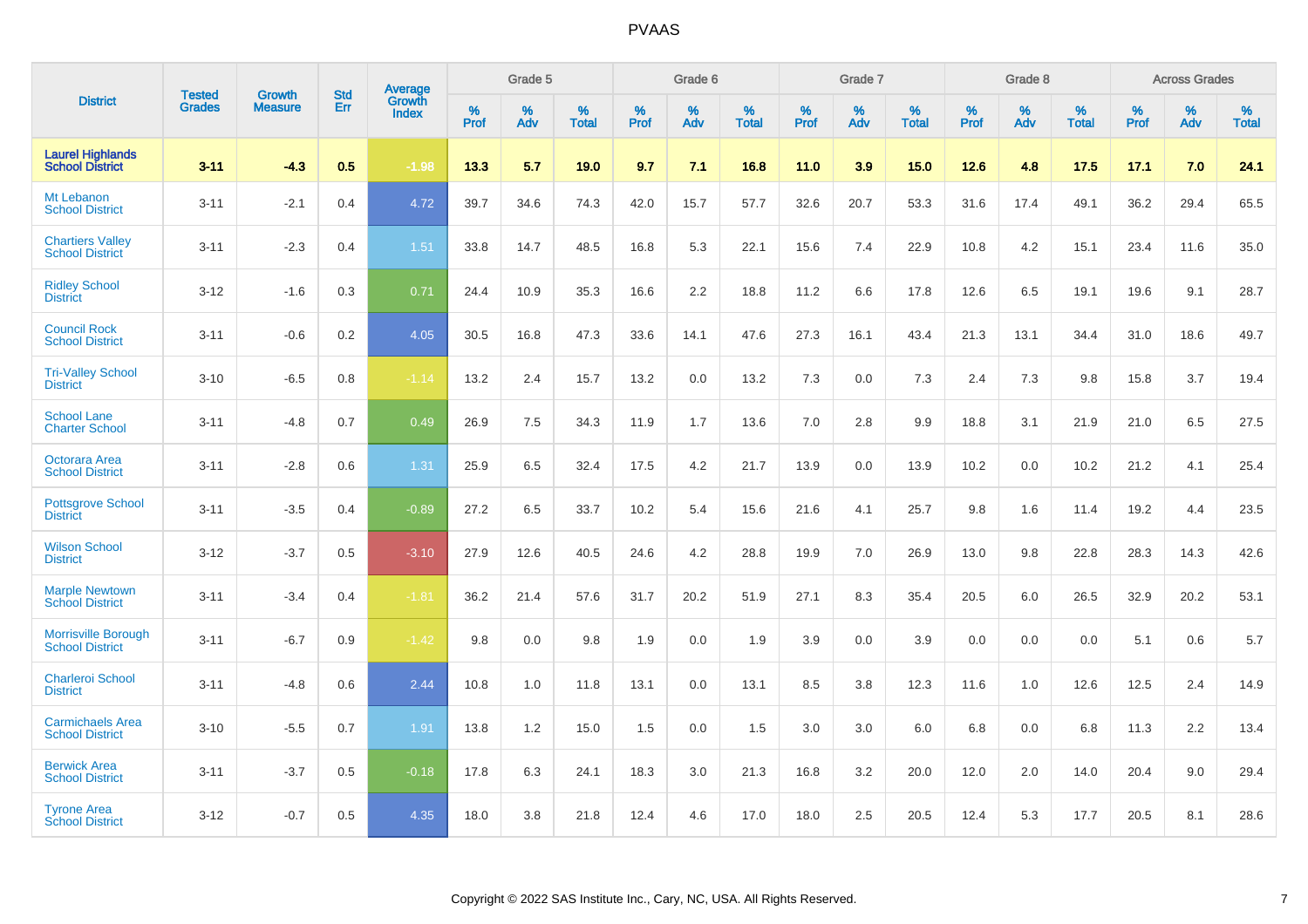|                                                      |                                |                                 | <b>Std</b> | <b>Average</b>         |           | Grade 5  |                   |           | Grade 6  |                   |           | Grade 7  |                   |           | Grade 8  |                   |              | <b>Across Grades</b> |                   |
|------------------------------------------------------|--------------------------------|---------------------------------|------------|------------------------|-----------|----------|-------------------|-----------|----------|-------------------|-----------|----------|-------------------|-----------|----------|-------------------|--------------|----------------------|-------------------|
| <b>District</b>                                      | <b>Tested</b><br><b>Grades</b> | <b>Growth</b><br><b>Measure</b> | Err        | Growth<br><b>Index</b> | %<br>Prof | %<br>Adv | %<br><b>Total</b> | %<br>Prof | %<br>Adv | %<br><b>Total</b> | %<br>Prof | %<br>Adv | %<br><b>Total</b> | %<br>Prof | %<br>Adv | %<br><b>Total</b> | $\%$<br>Prof | %<br>Adv             | %<br><b>Total</b> |
| <b>Laurel Highlands</b><br><b>School District</b>    | $3 - 11$                       | $-4.3$                          | 0.5        | $-1.98$                | 13.3      | 5.7      | 19.0              | 9.7       | 7.1      | 16.8              | 11.0      | 3.9      | 15.0              | 12.6      | 4.8      | 17.5              | 17.1         | 7.0                  | 24.1              |
| Mt Lebanon<br><b>School District</b>                 | $3 - 11$                       | $-2.1$                          | 0.4        | 4.72                   | 39.7      | 34.6     | 74.3              | 42.0      | 15.7     | 57.7              | 32.6      | 20.7     | 53.3              | 31.6      | 17.4     | 49.1              | 36.2         | 29.4                 | 65.5              |
| <b>Chartiers Valley</b><br><b>School District</b>    | $3 - 11$                       | $-2.3$                          | 0.4        | 1.51                   | 33.8      | 14.7     | 48.5              | 16.8      | 5.3      | 22.1              | 15.6      | 7.4      | 22.9              | 10.8      | 4.2      | 15.1              | 23.4         | 11.6                 | 35.0              |
| <b>Ridley School</b><br><b>District</b>              | $3 - 12$                       | $-1.6$                          | 0.3        | 0.71                   | 24.4      | 10.9     | 35.3              | 16.6      | 2.2      | 18.8              | 11.2      | 6.6      | 17.8              | 12.6      | 6.5      | 19.1              | 19.6         | 9.1                  | 28.7              |
| <b>Council Rock</b><br><b>School District</b>        | $3 - 11$                       | $-0.6$                          | 0.2        | 4.05                   | 30.5      | 16.8     | 47.3              | 33.6      | 14.1     | 47.6              | 27.3      | 16.1     | 43.4              | 21.3      | 13.1     | 34.4              | 31.0         | 18.6                 | 49.7              |
| <b>Tri-Valley School</b><br><b>District</b>          | $3 - 10$                       | $-6.5$                          | 0.8        | $-1.14$                | 13.2      | 2.4      | 15.7              | 13.2      | 0.0      | 13.2              | 7.3       | 0.0      | 7.3               | 2.4       | 7.3      | 9.8               | 15.8         | 3.7                  | 19.4              |
| <b>School Lane</b><br><b>Charter School</b>          | $3 - 11$                       | $-4.8$                          | 0.7        | 0.49                   | 26.9      | 7.5      | 34.3              | 11.9      | 1.7      | 13.6              | 7.0       | 2.8      | 9.9               | 18.8      | 3.1      | 21.9              | 21.0         | 6.5                  | 27.5              |
| Octorara Area<br><b>School District</b>              | $3 - 11$                       | $-2.8$                          | 0.6        | 1.31                   | 25.9      | 6.5      | 32.4              | 17.5      | 4.2      | 21.7              | 13.9      | 0.0      | 13.9              | 10.2      | 0.0      | 10.2              | 21.2         | 4.1                  | 25.4              |
| Pottsgrove School<br><b>District</b>                 | $3 - 11$                       | $-3.5$                          | 0.4        | $-0.89$                | 27.2      | 6.5      | 33.7              | 10.2      | 5.4      | 15.6              | 21.6      | 4.1      | 25.7              | 9.8       | 1.6      | 11.4              | 19.2         | 4.4                  | 23.5              |
| <b>Wilson School</b><br><b>District</b>              | $3 - 12$                       | $-3.7$                          | 0.5        | $-3.10$                | 27.9      | 12.6     | 40.5              | 24.6      | 4.2      | 28.8              | 19.9      | 7.0      | 26.9              | 13.0      | 9.8      | 22.8              | 28.3         | 14.3                 | 42.6              |
| <b>Marple Newtown</b><br><b>School District</b>      | $3 - 11$                       | $-3.4$                          | 0.4        | $-1.81$                | 36.2      | 21.4     | 57.6              | 31.7      | 20.2     | 51.9              | 27.1      | 8.3      | 35.4              | 20.5      | 6.0      | 26.5              | 32.9         | 20.2                 | 53.1              |
| <b>Morrisville Borough</b><br><b>School District</b> | $3 - 11$                       | $-6.7$                          | 0.9        | $-1.42$                | 9.8       | 0.0      | 9.8               | 1.9       | 0.0      | 1.9               | 3.9       | 0.0      | 3.9               | 0.0       | 0.0      | 0.0               | 5.1          | 0.6                  | 5.7               |
| <b>Charleroi School</b><br><b>District</b>           | $3 - 11$                       | $-4.8$                          | 0.6        | 2.44                   | 10.8      | 1.0      | 11.8              | 13.1      | 0.0      | 13.1              | 8.5       | 3.8      | 12.3              | 11.6      | 1.0      | 12.6              | 12.5         | 2.4                  | 14.9              |
| <b>Carmichaels Area</b><br><b>School District</b>    | $3 - 10$                       | $-5.5$                          | 0.7        | 1.91                   | 13.8      | 1.2      | 15.0              | 1.5       | 0.0      | 1.5               | 3.0       | 3.0      | 6.0               | 6.8       | 0.0      | 6.8               | 11.3         | 2.2                  | 13.4              |
| <b>Berwick Area</b><br><b>School District</b>        | $3 - 11$                       | $-3.7$                          | 0.5        | $-0.18$                | 17.8      | 6.3      | 24.1              | 18.3      | 3.0      | 21.3              | 16.8      | 3.2      | 20.0              | 12.0      | 2.0      | 14.0              | 20.4         | 9.0                  | 29.4              |
| <b>Tyrone Area</b><br><b>School District</b>         | $3 - 12$                       | $-0.7$                          | 0.5        | 4.35                   | 18.0      | 3.8      | 21.8              | 12.4      | 4.6      | 17.0              | 18.0      | 2.5      | 20.5              | 12.4      | 5.3      | 17.7              | 20.5         | 8.1                  | 28.6              |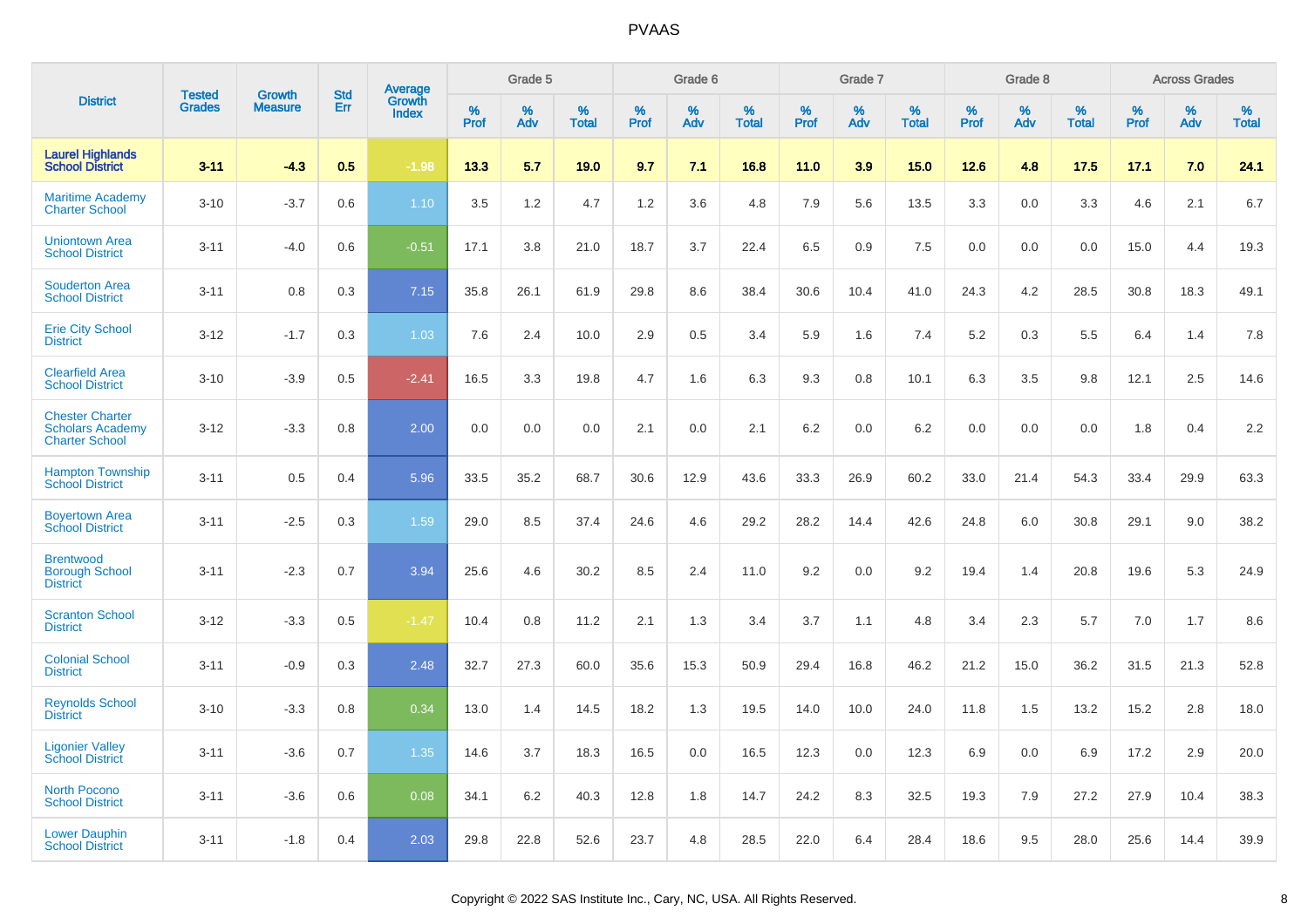|                                                                            | <b>Tested</b> | <b>Growth</b>  | <b>Std</b> | Average                |              | Grade 5  |                   |              | Grade 6  |                   |              | Grade 7  |                   |              | Grade 8  |                   |              | <b>Across Grades</b> |                   |
|----------------------------------------------------------------------------|---------------|----------------|------------|------------------------|--------------|----------|-------------------|--------------|----------|-------------------|--------------|----------|-------------------|--------------|----------|-------------------|--------------|----------------------|-------------------|
| <b>District</b>                                                            | <b>Grades</b> | <b>Measure</b> | Err        | Growth<br><b>Index</b> | $\%$<br>Prof | %<br>Adv | %<br><b>Total</b> | $\%$<br>Prof | %<br>Adv | %<br><b>Total</b> | $\%$<br>Prof | %<br>Adv | %<br><b>Total</b> | $\%$<br>Prof | %<br>Adv | %<br><b>Total</b> | $\%$<br>Prof | %<br>Adv             | %<br><b>Total</b> |
| <b>Laurel Highlands</b><br><b>School District</b>                          | $3 - 11$      | $-4.3$         | 0.5        | $-1.98$                | 13.3         | 5.7      | 19.0              | 9.7          | 7.1      | 16.8              | 11.0         | 3.9      | 15.0              | 12.6         | 4.8      | 17.5              | 17.1         | 7.0                  | 24.1              |
| <b>Maritime Academy</b><br><b>Charter School</b>                           | $3 - 10$      | $-3.7$         | 0.6        | 1.10                   | 3.5          | 1.2      | 4.7               | 1.2          | 3.6      | 4.8               | 7.9          | 5.6      | 13.5              | 3.3          | 0.0      | 3.3               | 4.6          | 2.1                  | 6.7               |
| <b>Uniontown Area</b><br><b>School District</b>                            | $3 - 11$      | $-4.0$         | 0.6        | $-0.51$                | 17.1         | 3.8      | 21.0              | 18.7         | 3.7      | 22.4              | 6.5          | 0.9      | 7.5               | 0.0          | 0.0      | 0.0               | 15.0         | 4.4                  | 19.3              |
| <b>Souderton Area</b><br><b>School District</b>                            | $3 - 11$      | 0.8            | 0.3        | 7.15                   | 35.8         | 26.1     | 61.9              | 29.8         | 8.6      | 38.4              | 30.6         | 10.4     | 41.0              | 24.3         | 4.2      | 28.5              | 30.8         | 18.3                 | 49.1              |
| <b>Erie City School</b><br><b>District</b>                                 | $3 - 12$      | $-1.7$         | 0.3        | 1.03                   | 7.6          | 2.4      | 10.0              | 2.9          | 0.5      | 3.4               | 5.9          | 1.6      | 7.4               | 5.2          | 0.3      | 5.5               | 6.4          | 1.4                  | 7.8               |
| <b>Clearfield Area</b><br><b>School District</b>                           | $3 - 10$      | $-3.9$         | 0.5        | $-2.41$                | 16.5         | 3.3      | 19.8              | 4.7          | 1.6      | 6.3               | 9.3          | 0.8      | 10.1              | 6.3          | 3.5      | 9.8               | 12.1         | 2.5                  | 14.6              |
| <b>Chester Charter</b><br><b>Scholars Academy</b><br><b>Charter School</b> | $3 - 12$      | $-3.3$         | 0.8        | 2.00                   | 0.0          | 0.0      | 0.0               | 2.1          | 0.0      | 2.1               | 6.2          | 0.0      | 6.2               | 0.0          | 0.0      | 0.0               | 1.8          | 0.4                  | 2.2               |
| <b>Hampton Township</b><br><b>School District</b>                          | $3 - 11$      | 0.5            | 0.4        | 5.96                   | 33.5         | 35.2     | 68.7              | 30.6         | 12.9     | 43.6              | 33.3         | 26.9     | 60.2              | 33.0         | 21.4     | 54.3              | 33.4         | 29.9                 | 63.3              |
| <b>Boyertown Area</b><br><b>School District</b>                            | $3 - 11$      | $-2.5$         | 0.3        | 1.59                   | 29.0         | 8.5      | 37.4              | 24.6         | 4.6      | 29.2              | 28.2         | 14.4     | 42.6              | 24.8         | 6.0      | 30.8              | 29.1         | 9.0                  | 38.2              |
| <b>Brentwood</b><br><b>Borough School</b><br><b>District</b>               | $3 - 11$      | $-2.3$         | 0.7        | 3.94                   | 25.6         | 4.6      | 30.2              | 8.5          | 2.4      | 11.0              | 9.2          | 0.0      | 9.2               | 19.4         | 1.4      | 20.8              | 19.6         | 5.3                  | 24.9              |
| <b>Scranton School</b><br><b>District</b>                                  | $3 - 12$      | $-3.3$         | 0.5        | $-1.47$                | 10.4         | 0.8      | 11.2              | 2.1          | 1.3      | 3.4               | 3.7          | 1.1      | 4.8               | 3.4          | 2.3      | 5.7               | 7.0          | 1.7                  | 8.6               |
| <b>Colonial School</b><br><b>District</b>                                  | $3 - 11$      | $-0.9$         | 0.3        | 2.48                   | 32.7         | 27.3     | 60.0              | 35.6         | 15.3     | 50.9              | 29.4         | 16.8     | 46.2              | 21.2         | 15.0     | 36.2              | 31.5         | 21.3                 | 52.8              |
| <b>Reynolds School</b><br><b>District</b>                                  | $3 - 10$      | $-3.3$         | 0.8        | 0.34                   | 13.0         | 1.4      | 14.5              | 18.2         | 1.3      | 19.5              | 14.0         | 10.0     | 24.0              | 11.8         | 1.5      | 13.2              | 15.2         | 2.8                  | 18.0              |
| <b>Ligonier Valley</b><br><b>School District</b>                           | $3 - 11$      | $-3.6$         | 0.7        | 1.35                   | 14.6         | 3.7      | 18.3              | 16.5         | 0.0      | 16.5              | 12.3         | 0.0      | 12.3              | 6.9          | 0.0      | 6.9               | 17.2         | 2.9                  | 20.0              |
| <b>North Pocono</b><br><b>School District</b>                              | $3 - 11$      | $-3.6$         | 0.6        | 0.08                   | 34.1         | 6.2      | 40.3              | 12.8         | 1.8      | 14.7              | 24.2         | 8.3      | 32.5              | 19.3         | 7.9      | 27.2              | 27.9         | 10.4                 | 38.3              |
| <b>Lower Dauphin</b><br><b>School District</b>                             | $3 - 11$      | $-1.8$         | 0.4        | 2.03                   | 29.8         | 22.8     | 52.6              | 23.7         | 4.8      | 28.5              | 22.0         | 6.4      | 28.4              | 18.6         | 9.5      | 28.0              | 25.6         | 14.4                 | 39.9              |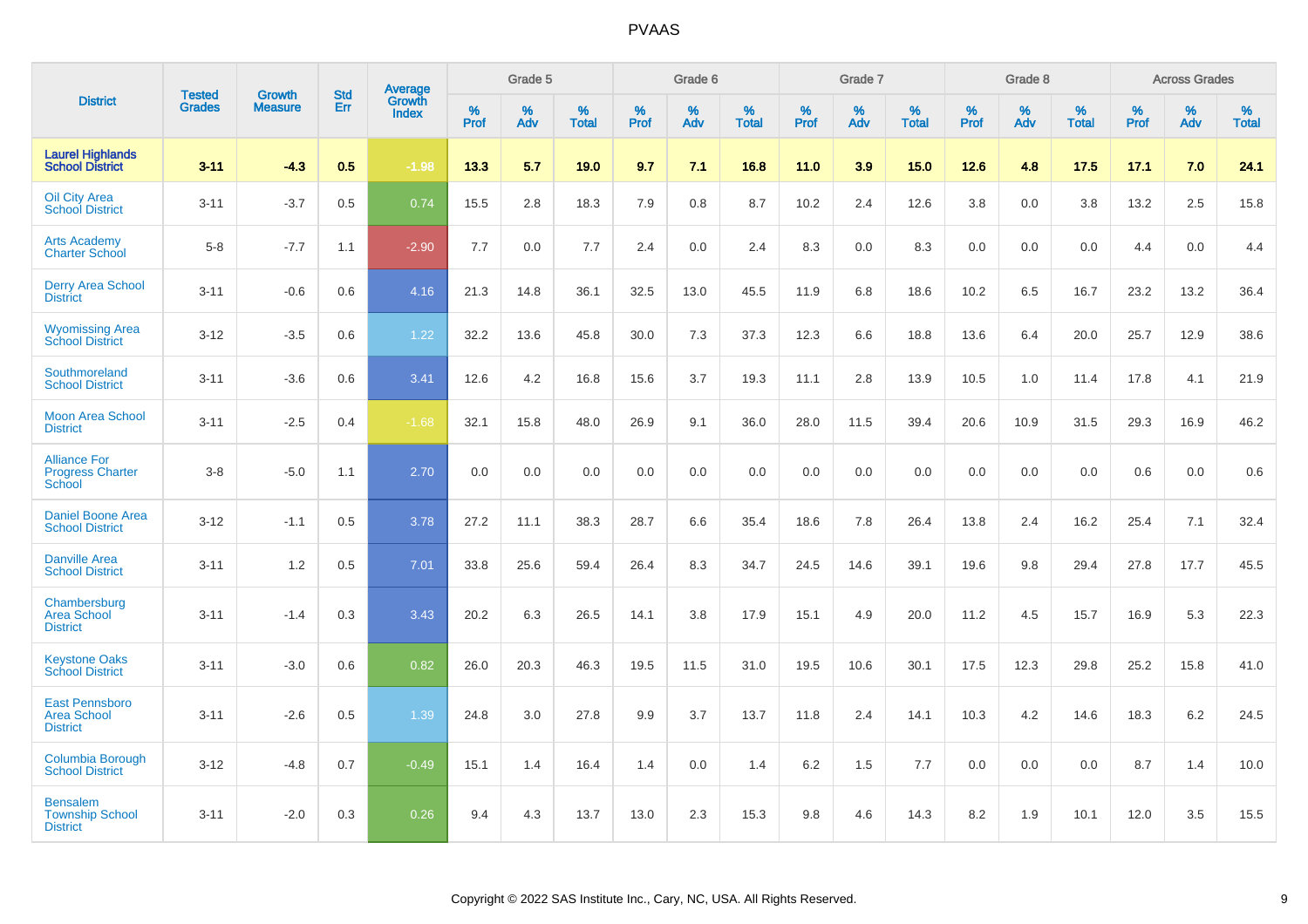|                                                                 |                                |                                 | <b>Std</b> | Average                |           | Grade 5  |                   |           | Grade 6  |                   |           | Grade 7  |                   |           | Grade 8  |                   |           | <b>Across Grades</b> |                   |
|-----------------------------------------------------------------|--------------------------------|---------------------------------|------------|------------------------|-----------|----------|-------------------|-----------|----------|-------------------|-----------|----------|-------------------|-----------|----------|-------------------|-----------|----------------------|-------------------|
| <b>District</b>                                                 | <b>Tested</b><br><b>Grades</b> | <b>Growth</b><br><b>Measure</b> | Err        | Growth<br><b>Index</b> | %<br>Prof | %<br>Adv | %<br><b>Total</b> | %<br>Prof | %<br>Adv | %<br><b>Total</b> | %<br>Prof | %<br>Adv | %<br><b>Total</b> | %<br>Prof | %<br>Adv | %<br><b>Total</b> | %<br>Prof | %<br>Adv             | %<br><b>Total</b> |
| <b>Laurel Highlands</b><br><b>School District</b>               | $3 - 11$                       | $-4.3$                          | 0.5        | $-1.98$                | 13.3      | 5.7      | 19.0              | 9.7       | 7.1      | 16.8              | 11.0      | 3.9      | 15.0              | 12.6      | 4.8      | 17.5              | 17.1      | 7.0                  | 24.1              |
| <b>Oil City Area</b><br><b>School District</b>                  | $3 - 11$                       | $-3.7$                          | 0.5        | 0.74                   | 15.5      | 2.8      | 18.3              | 7.9       | 0.8      | 8.7               | 10.2      | 2.4      | 12.6              | 3.8       | 0.0      | 3.8               | 13.2      | 2.5                  | 15.8              |
| <b>Arts Academy</b><br><b>Charter School</b>                    | $5-8$                          | $-7.7$                          | 1.1        | $-2.90$                | 7.7       | 0.0      | 7.7               | 2.4       | 0.0      | 2.4               | 8.3       | 0.0      | 8.3               | 0.0       | 0.0      | 0.0               | 4.4       | 0.0                  | 4.4               |
| <b>Derry Area School</b><br><b>District</b>                     | $3 - 11$                       | $-0.6$                          | 0.6        | 4.16                   | 21.3      | 14.8     | 36.1              | 32.5      | 13.0     | 45.5              | 11.9      | 6.8      | 18.6              | 10.2      | 6.5      | 16.7              | 23.2      | 13.2                 | 36.4              |
| <b>Wyomissing Area</b><br><b>School District</b>                | $3 - 12$                       | $-3.5$                          | 0.6        | 1.22                   | 32.2      | 13.6     | 45.8              | 30.0      | 7.3      | 37.3              | 12.3      | 6.6      | 18.8              | 13.6      | 6.4      | 20.0              | 25.7      | 12.9                 | 38.6              |
| Southmoreland<br><b>School District</b>                         | $3 - 11$                       | $-3.6$                          | 0.6        | 3.41                   | 12.6      | 4.2      | 16.8              | 15.6      | 3.7      | 19.3              | 11.1      | 2.8      | 13.9              | 10.5      | 1.0      | 11.4              | 17.8      | 4.1                  | 21.9              |
| <b>Moon Area School</b><br><b>District</b>                      | $3 - 11$                       | $-2.5$                          | 0.4        | $-1.68$                | 32.1      | 15.8     | 48.0              | 26.9      | 9.1      | 36.0              | 28.0      | 11.5     | 39.4              | 20.6      | 10.9     | 31.5              | 29.3      | 16.9                 | 46.2              |
| <b>Alliance For</b><br><b>Progress Charter</b><br><b>School</b> | $3 - 8$                        | $-5.0$                          | 1.1        | 2.70                   | 0.0       | 0.0      | 0.0               | 0.0       | 0.0      | 0.0               | 0.0       | 0.0      | 0.0               | 0.0       | 0.0      | 0.0               | 0.6       | 0.0                  | 0.6               |
| <b>Daniel Boone Area</b><br><b>School District</b>              | $3 - 12$                       | $-1.1$                          | 0.5        | 3.78                   | 27.2      | 11.1     | 38.3              | 28.7      | 6.6      | 35.4              | 18.6      | 7.8      | 26.4              | 13.8      | 2.4      | 16.2              | 25.4      | 7.1                  | 32.4              |
| <b>Danville Area</b><br><b>School District</b>                  | $3 - 11$                       | 1.2                             | 0.5        | 7.01                   | 33.8      | 25.6     | 59.4              | 26.4      | 8.3      | 34.7              | 24.5      | 14.6     | 39.1              | 19.6      | 9.8      | 29.4              | 27.8      | 17.7                 | 45.5              |
| Chambersburg<br><b>Area School</b><br><b>District</b>           | $3 - 11$                       | $-1.4$                          | 0.3        | 3.43                   | 20.2      | 6.3      | 26.5              | 14.1      | 3.8      | 17.9              | 15.1      | 4.9      | 20.0              | 11.2      | 4.5      | 15.7              | 16.9      | 5.3                  | 22.3              |
| <b>Keystone Oaks</b><br><b>School District</b>                  | $3 - 11$                       | $-3.0$                          | 0.6        | 0.82                   | 26.0      | 20.3     | 46.3              | 19.5      | 11.5     | 31.0              | 19.5      | 10.6     | 30.1              | 17.5      | 12.3     | 29.8              | 25.2      | 15.8                 | 41.0              |
| <b>East Pennsboro</b><br><b>Area School</b><br><b>District</b>  | $3 - 11$                       | $-2.6$                          | 0.5        | 1.39                   | 24.8      | 3.0      | 27.8              | 9.9       | 3.7      | 13.7              | 11.8      | 2.4      | 14.1              | 10.3      | 4.2      | 14.6              | 18.3      | $6.2\,$              | 24.5              |
| Columbia Borough<br><b>School District</b>                      | $3 - 12$                       | $-4.8$                          | 0.7        | $-0.49$                | 15.1      | 1.4      | 16.4              | 1.4       | 0.0      | 1.4               | 6.2       | 1.5      | 7.7               | 0.0       | 0.0      | 0.0               | 8.7       | 1.4                  | 10.0              |
| <b>Bensalem</b><br><b>Township School</b><br><b>District</b>    | $3 - 11$                       | $-2.0$                          | 0.3        | 0.26                   | 9.4       | 4.3      | 13.7              | 13.0      | 2.3      | 15.3              | 9.8       | 4.6      | 14.3              | 8.2       | 1.9      | 10.1              | 12.0      | 3.5                  | 15.5              |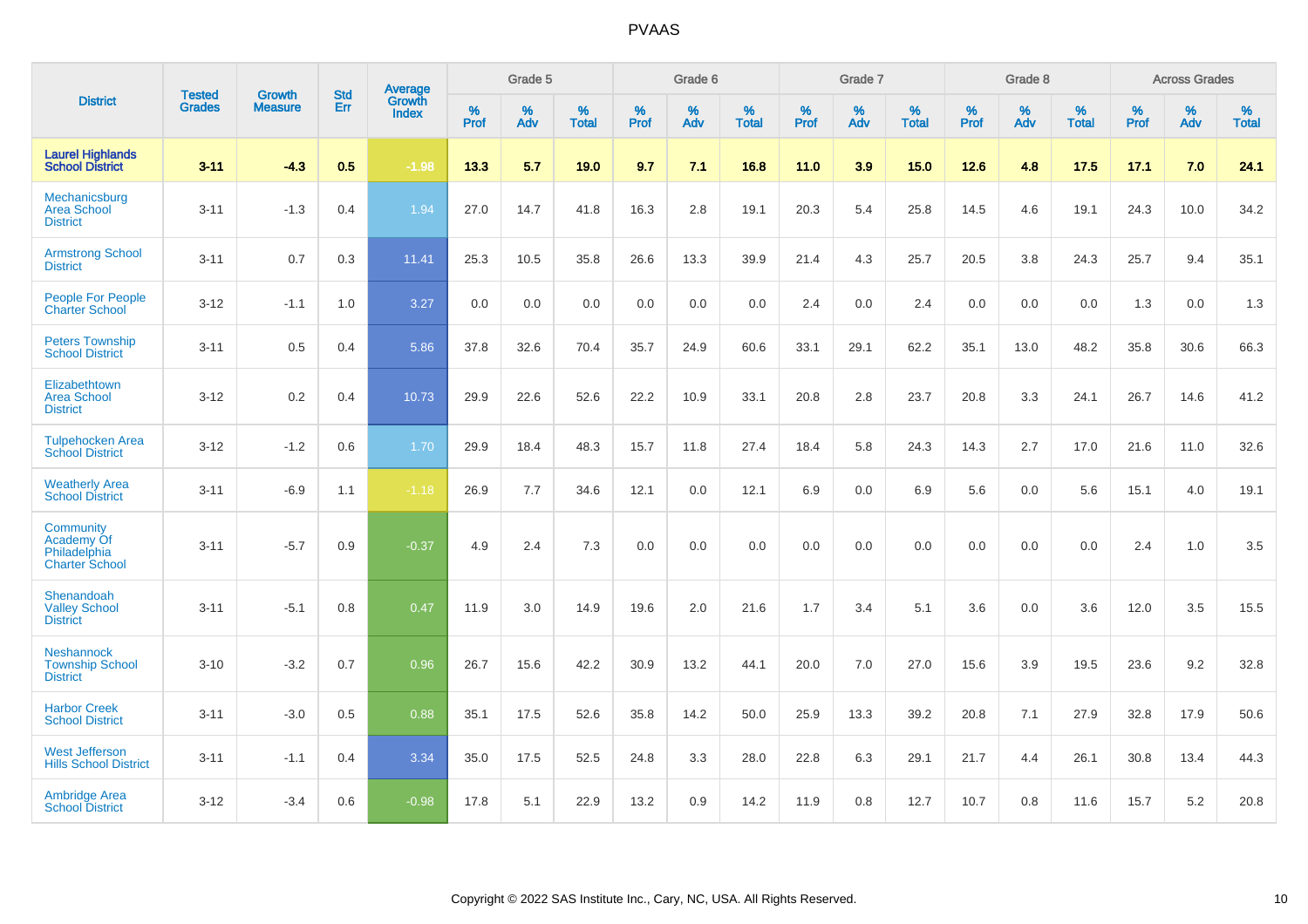|                                                                  |                                |                                 | <b>Std</b> | Average                |           | Grade 5  |                   |           | Grade 6  |                   |           | Grade 7  |                   |           | Grade 8  |                   |           | <b>Across Grades</b> |                   |
|------------------------------------------------------------------|--------------------------------|---------------------------------|------------|------------------------|-----------|----------|-------------------|-----------|----------|-------------------|-----------|----------|-------------------|-----------|----------|-------------------|-----------|----------------------|-------------------|
| <b>District</b>                                                  | <b>Tested</b><br><b>Grades</b> | <b>Growth</b><br><b>Measure</b> | Err        | Growth<br><b>Index</b> | %<br>Prof | %<br>Adv | %<br><b>Total</b> | %<br>Prof | %<br>Adv | %<br><b>Total</b> | %<br>Prof | %<br>Adv | %<br><b>Total</b> | %<br>Prof | %<br>Adv | %<br><b>Total</b> | %<br>Prof | %<br>Adv             | %<br><b>Total</b> |
| <b>Laurel Highlands</b><br><b>School District</b>                | $3 - 11$                       | $-4.3$                          | 0.5        | $-1.98$                | 13.3      | 5.7      | 19.0              | 9.7       | 7.1      | 16.8              | 11.0      | 3.9      | 15.0              | 12.6      | 4.8      | 17.5              | 17.1      | 7.0                  | 24.1              |
| Mechanicsburg<br><b>Area School</b><br><b>District</b>           | $3 - 11$                       | $-1.3$                          | 0.4        | 1.94                   | 27.0      | 14.7     | 41.8              | 16.3      | 2.8      | 19.1              | 20.3      | 5.4      | 25.8              | 14.5      | 4.6      | 19.1              | 24.3      | 10.0                 | 34.2              |
| <b>Armstrong School</b><br><b>District</b>                       | $3 - 11$                       | 0.7                             | 0.3        | 11.41                  | 25.3      | 10.5     | 35.8              | 26.6      | 13.3     | 39.9              | 21.4      | 4.3      | 25.7              | 20.5      | 3.8      | 24.3              | 25.7      | 9.4                  | 35.1              |
| <b>People For People</b><br><b>Charter School</b>                | $3 - 12$                       | $-1.1$                          | 1.0        | 3.27                   | 0.0       | 0.0      | 0.0               | 0.0       | 0.0      | 0.0               | 2.4       | 0.0      | 2.4               | 0.0       | 0.0      | 0.0               | 1.3       | 0.0                  | 1.3               |
| <b>Peters Township</b><br><b>School District</b>                 | $3 - 11$                       | 0.5                             | 0.4        | 5.86                   | 37.8      | 32.6     | 70.4              | 35.7      | 24.9     | 60.6              | 33.1      | 29.1     | 62.2              | 35.1      | 13.0     | 48.2              | 35.8      | 30.6                 | 66.3              |
| Elizabethtown<br><b>Area School</b><br><b>District</b>           | $3 - 12$                       | 0.2                             | 0.4        | 10.73                  | 29.9      | 22.6     | 52.6              | 22.2      | 10.9     | 33.1              | 20.8      | 2.8      | 23.7              | 20.8      | 3.3      | 24.1              | 26.7      | 14.6                 | 41.2              |
| <b>Tulpehocken Area</b><br><b>School District</b>                | $3 - 12$                       | $-1.2$                          | 0.6        | 1.70                   | 29.9      | 18.4     | 48.3              | 15.7      | 11.8     | 27.4              | 18.4      | 5.8      | 24.3              | 14.3      | 2.7      | 17.0              | 21.6      | 11.0                 | 32.6              |
| <b>Weatherly Area</b><br><b>School District</b>                  | $3 - 11$                       | $-6.9$                          | 1.1        | $-1.18$                | 26.9      | 7.7      | 34.6              | 12.1      | 0.0      | 12.1              | 6.9       | 0.0      | 6.9               | 5.6       | 0.0      | 5.6               | 15.1      | 4.0                  | 19.1              |
| Community<br>Academy Of<br>Philadelphia<br><b>Charter School</b> | $3 - 11$                       | $-5.7$                          | 0.9        | $-0.37$                | 4.9       | 2.4      | 7.3               | 0.0       | 0.0      | 0.0               | 0.0       | 0.0      | 0.0               | 0.0       | 0.0      | 0.0               | 2.4       | 1.0                  | 3.5               |
| Shenandoah<br><b>Valley School</b><br><b>District</b>            | $3 - 11$                       | $-5.1$                          | 0.8        | 0.47                   | 11.9      | 3.0      | 14.9              | 19.6      | 2.0      | 21.6              | 1.7       | 3.4      | 5.1               | 3.6       | 0.0      | 3.6               | 12.0      | 3.5                  | 15.5              |
| <b>Neshannock</b><br><b>Township School</b><br><b>District</b>   | $3 - 10$                       | $-3.2$                          | 0.7        | 0.96                   | 26.7      | 15.6     | 42.2              | 30.9      | 13.2     | 44.1              | 20.0      | 7.0      | 27.0              | 15.6      | 3.9      | 19.5              | 23.6      | 9.2                  | 32.8              |
| <b>Harbor Creek</b><br><b>School District</b>                    | $3 - 11$                       | $-3.0$                          | 0.5        | 0.88                   | 35.1      | 17.5     | 52.6              | 35.8      | 14.2     | 50.0              | 25.9      | 13.3     | 39.2              | 20.8      | 7.1      | 27.9              | 32.8      | 17.9                 | 50.6              |
| <b>West Jefferson</b><br><b>Hills School District</b>            | $3 - 11$                       | $-1.1$                          | 0.4        | 3.34                   | 35.0      | 17.5     | 52.5              | 24.8      | 3.3      | 28.0              | 22.8      | 6.3      | 29.1              | 21.7      | 4.4      | 26.1              | 30.8      | 13.4                 | 44.3              |
| <b>Ambridge Area</b><br><b>School District</b>                   | $3 - 12$                       | $-3.4$                          | 0.6        | $-0.98$                | 17.8      | 5.1      | 22.9              | 13.2      | 0.9      | 14.2              | 11.9      | 0.8      | 12.7              | 10.7      | 0.8      | 11.6              | 15.7      | 5.2                  | 20.8              |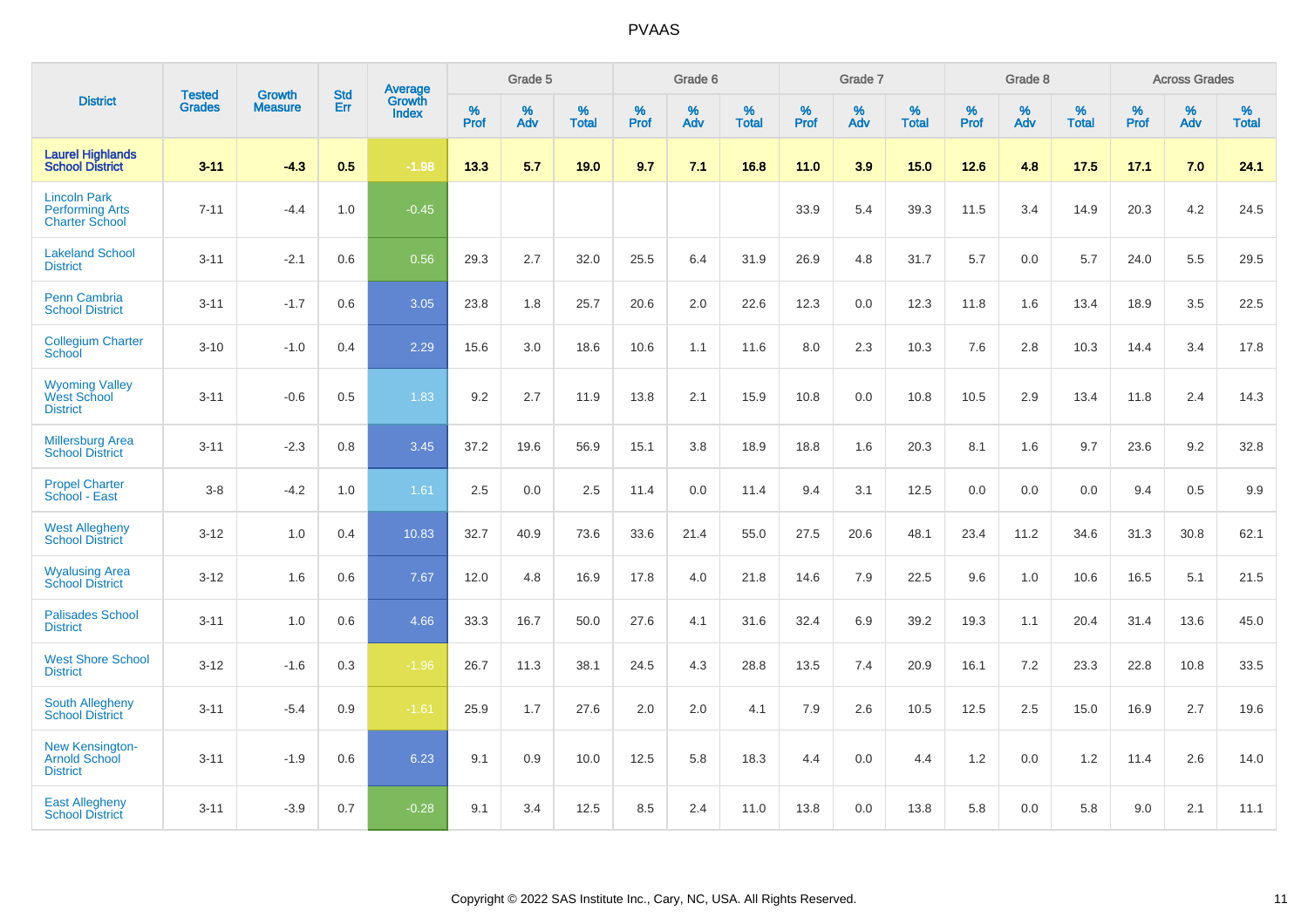|                                                                        | <b>Tested</b> | <b>Growth</b>  | <b>Std</b> | Average                       |           | Grade 5  |                   |           | Grade 6  |                   |           | Grade 7  |                   |           | Grade 8  |                   |           | <b>Across Grades</b> |                   |
|------------------------------------------------------------------------|---------------|----------------|------------|-------------------------------|-----------|----------|-------------------|-----------|----------|-------------------|-----------|----------|-------------------|-----------|----------|-------------------|-----------|----------------------|-------------------|
| <b>District</b>                                                        | <b>Grades</b> | <b>Measure</b> | Err        | <b>Growth</b><br><b>Index</b> | %<br>Prof | %<br>Adv | %<br><b>Total</b> | %<br>Prof | %<br>Adv | %<br><b>Total</b> | %<br>Prof | %<br>Adv | %<br><b>Total</b> | %<br>Prof | %<br>Adv | %<br><b>Total</b> | %<br>Prof | %<br>Adv             | %<br><b>Total</b> |
| <b>Laurel Highlands</b><br><b>School District</b>                      | $3 - 11$      | $-4.3$         | 0.5        | $-1.98$                       | 13.3      | 5.7      | 19.0              | 9.7       | 7.1      | 16.8              | 11.0      | 3.9      | 15.0              | 12.6      | 4.8      | 17.5              | 17.1      | 7.0                  | 24.1              |
| <b>Lincoln Park</b><br><b>Performing Arts</b><br><b>Charter School</b> | $7 - 11$      | $-4.4$         | 1.0        | $-0.45$                       |           |          |                   |           |          |                   | 33.9      | 5.4      | 39.3              | 11.5      | 3.4      | 14.9              | 20.3      | 4.2                  | 24.5              |
| <b>Lakeland School</b><br><b>District</b>                              | $3 - 11$      | $-2.1$         | 0.6        | 0.56                          | 29.3      | 2.7      | 32.0              | 25.5      | 6.4      | 31.9              | 26.9      | 4.8      | 31.7              | 5.7       | 0.0      | 5.7               | 24.0      | 5.5                  | 29.5              |
| <b>Penn Cambria</b><br><b>School District</b>                          | $3 - 11$      | $-1.7$         | 0.6        | 3.05                          | 23.8      | 1.8      | 25.7              | 20.6      | 2.0      | 22.6              | 12.3      | 0.0      | 12.3              | 11.8      | 1.6      | 13.4              | 18.9      | 3.5                  | 22.5              |
| <b>Collegium Charter</b><br>School                                     | $3 - 10$      | $-1.0$         | 0.4        | 2.29                          | 15.6      | 3.0      | 18.6              | 10.6      | 1.1      | 11.6              | 8.0       | 2.3      | 10.3              | 7.6       | 2.8      | 10.3              | 14.4      | 3.4                  | 17.8              |
| <b>Wyoming Valley</b><br>West School<br><b>District</b>                | $3 - 11$      | $-0.6$         | 0.5        | 1.83                          | 9.2       | 2.7      | 11.9              | 13.8      | 2.1      | 15.9              | 10.8      | 0.0      | 10.8              | 10.5      | 2.9      | 13.4              | 11.8      | 2.4                  | 14.3              |
| <b>Millersburg Area</b><br><b>School District</b>                      | $3 - 11$      | $-2.3$         | 0.8        | 3.45                          | 37.2      | 19.6     | 56.9              | 15.1      | 3.8      | 18.9              | 18.8      | 1.6      | 20.3              | 8.1       | 1.6      | 9.7               | 23.6      | 9.2                  | 32.8              |
| <b>Propel Charter</b><br>School - East                                 | $3 - 8$       | $-4.2$         | 1.0        | 1.61                          | 2.5       | 0.0      | 2.5               | 11.4      | 0.0      | 11.4              | 9.4       | 3.1      | 12.5              | 0.0       | 0.0      | 0.0               | 9.4       | 0.5                  | 9.9               |
| <b>West Allegheny</b><br><b>School District</b>                        | $3 - 12$      | 1.0            | 0.4        | 10.83                         | 32.7      | 40.9     | 73.6              | 33.6      | 21.4     | 55.0              | 27.5      | 20.6     | 48.1              | 23.4      | 11.2     | 34.6              | 31.3      | 30.8                 | 62.1              |
| <b>Wyalusing Area</b><br><b>School District</b>                        | $3 - 12$      | 1.6            | 0.6        | 7.67                          | 12.0      | 4.8      | 16.9              | 17.8      | 4.0      | 21.8              | 14.6      | 7.9      | 22.5              | 9.6       | 1.0      | 10.6              | 16.5      | 5.1                  | 21.5              |
| <b>Palisades School</b><br><b>District</b>                             | $3 - 11$      | 1.0            | 0.6        | 4.66                          | 33.3      | 16.7     | 50.0              | 27.6      | 4.1      | 31.6              | 32.4      | 6.9      | 39.2              | 19.3      | 1.1      | 20.4              | 31.4      | 13.6                 | 45.0              |
| <b>West Shore School</b><br><b>District</b>                            | $3 - 12$      | $-1.6$         | 0.3        | $-1.96$                       | 26.7      | 11.3     | 38.1              | 24.5      | 4.3      | 28.8              | 13.5      | 7.4      | 20.9              | 16.1      | 7.2      | 23.3              | 22.8      | 10.8                 | 33.5              |
| <b>South Allegheny</b><br><b>School District</b>                       | $3 - 11$      | $-5.4$         | 0.9        | $-1.61$                       | 25.9      | 1.7      | 27.6              | 2.0       | 2.0      | 4.1               | 7.9       | 2.6      | 10.5              | 12.5      | 2.5      | 15.0              | 16.9      | 2.7                  | 19.6              |
| <b>New Kensington-</b><br><b>Arnold School</b><br><b>District</b>      | $3 - 11$      | $-1.9$         | 0.6        | 6.23                          | 9.1       | 0.9      | 10.0              | 12.5      | 5.8      | 18.3              | 4.4       | $0.0\,$  | 4.4               | 1.2       | 0.0      | 1.2               | 11.4      | 2.6                  | 14.0              |
| <b>East Allegheny</b><br><b>School District</b>                        | $3 - 11$      | $-3.9$         | 0.7        | $-0.28$                       | 9.1       | 3.4      | 12.5              | 8.5       | 2.4      | 11.0              | 13.8      | 0.0      | 13.8              | 5.8       | 0.0      | 5.8               | 9.0       | 2.1                  | 11.1              |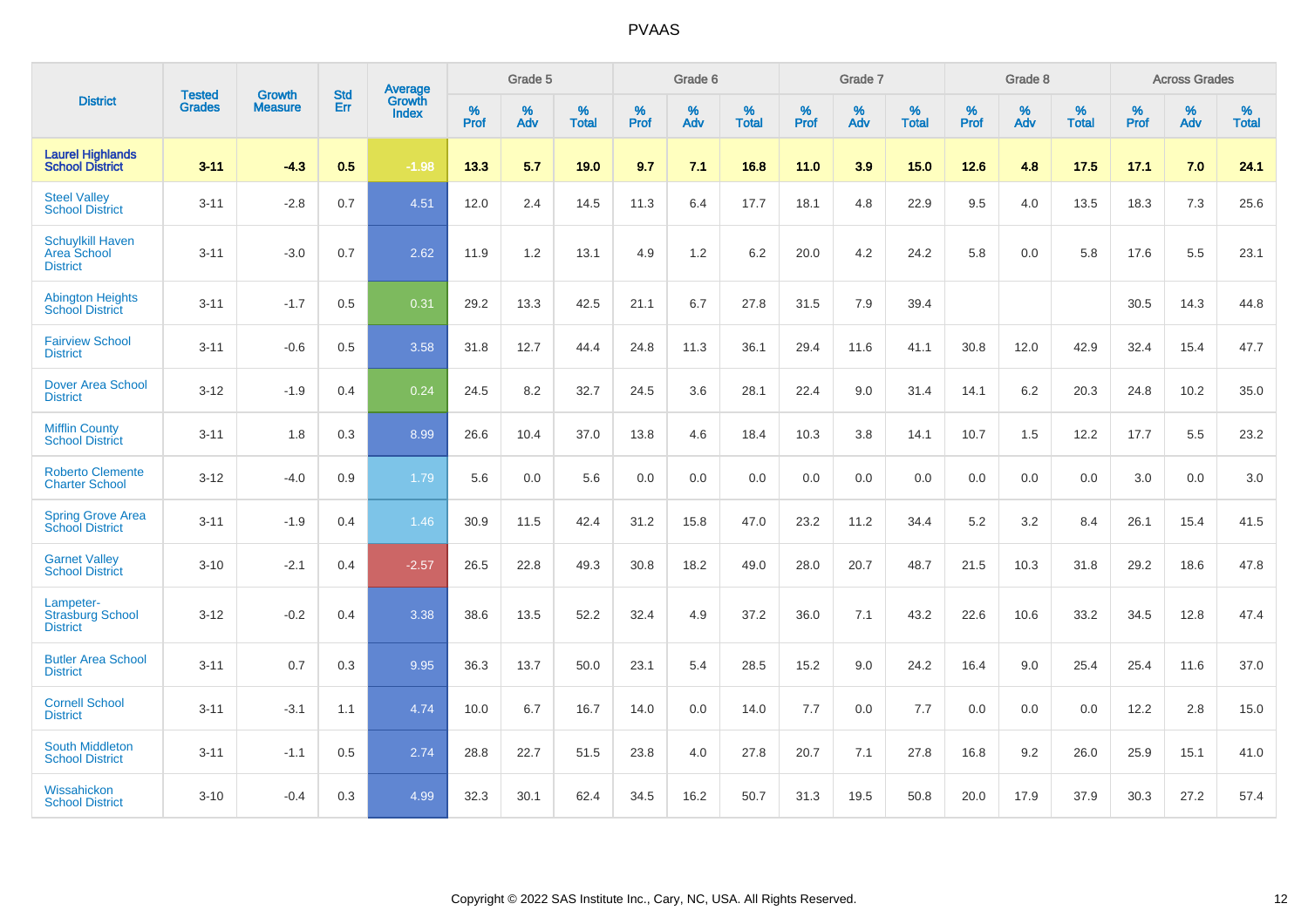|                                                                  | <b>Tested</b> | <b>Growth</b>  | <b>Std</b> | <b>Average</b>         |           | Grade 5  |                   |           | Grade 6  |                   |           | Grade 7  |                   |           | Grade 8  |                   |           | <b>Across Grades</b> |                   |
|------------------------------------------------------------------|---------------|----------------|------------|------------------------|-----------|----------|-------------------|-----------|----------|-------------------|-----------|----------|-------------------|-----------|----------|-------------------|-----------|----------------------|-------------------|
| <b>District</b>                                                  | <b>Grades</b> | <b>Measure</b> | Err        | Growth<br><b>Index</b> | %<br>Prof | %<br>Adv | %<br><b>Total</b> | %<br>Prof | %<br>Adv | %<br><b>Total</b> | %<br>Prof | %<br>Adv | %<br><b>Total</b> | %<br>Prof | %<br>Adv | %<br><b>Total</b> | %<br>Prof | %<br>Adv             | %<br><b>Total</b> |
| <b>Laurel Highlands</b><br><b>School District</b>                | $3 - 11$      | $-4.3$         | 0.5        | $-1.98$                | 13.3      | 5.7      | 19.0              | 9.7       | 7.1      | 16.8              | $11.0$    | 3.9      | 15.0              | 12.6      | 4.8      | 17.5              | 17.1      | 7.0                  | 24.1              |
| <b>Steel Valley</b><br><b>School District</b>                    | $3 - 11$      | $-2.8$         | 0.7        | 4.51                   | 12.0      | 2.4      | 14.5              | 11.3      | 6.4      | 17.7              | 18.1      | 4.8      | 22.9              | 9.5       | 4.0      | 13.5              | 18.3      | 7.3                  | 25.6              |
| <b>Schuylkill Haven</b><br><b>Area School</b><br><b>District</b> | $3 - 11$      | $-3.0$         | 0.7        | 2.62                   | 11.9      | 1.2      | 13.1              | 4.9       | 1.2      | 6.2               | 20.0      | 4.2      | 24.2              | 5.8       | 0.0      | 5.8               | 17.6      | 5.5                  | 23.1              |
| <b>Abington Heights</b><br><b>School District</b>                | $3 - 11$      | $-1.7$         | 0.5        | 0.31                   | 29.2      | 13.3     | 42.5              | 21.1      | 6.7      | 27.8              | 31.5      | 7.9      | 39.4              |           |          |                   | 30.5      | 14.3                 | 44.8              |
| <b>Fairview School</b><br><b>District</b>                        | $3 - 11$      | $-0.6$         | 0.5        | 3.58                   | 31.8      | 12.7     | 44.4              | 24.8      | 11.3     | 36.1              | 29.4      | 11.6     | 41.1              | 30.8      | 12.0     | 42.9              | 32.4      | 15.4                 | 47.7              |
| <b>Dover Area School</b><br><b>District</b>                      | $3 - 12$      | $-1.9$         | 0.4        | 0.24                   | 24.5      | 8.2      | 32.7              | 24.5      | 3.6      | 28.1              | 22.4      | 9.0      | 31.4              | 14.1      | $6.2\,$  | 20.3              | 24.8      | 10.2                 | 35.0              |
| <b>Mifflin County</b><br><b>School District</b>                  | $3 - 11$      | 1.8            | 0.3        | 8.99                   | 26.6      | 10.4     | 37.0              | 13.8      | 4.6      | 18.4              | 10.3      | 3.8      | 14.1              | 10.7      | 1.5      | 12.2              | 17.7      | 5.5                  | 23.2              |
| <b>Roberto Clemente</b><br><b>Charter School</b>                 | $3 - 12$      | $-4.0$         | 0.9        | 1.79                   | 5.6       | 0.0      | 5.6               | 0.0       | 0.0      | 0.0               | 0.0       | 0.0      | 0.0               | 0.0       | 0.0      | 0.0               | 3.0       | 0.0                  | 3.0               |
| <b>Spring Grove Area</b><br><b>School District</b>               | $3 - 11$      | $-1.9$         | 0.4        | 1.46                   | 30.9      | 11.5     | 42.4              | 31.2      | 15.8     | 47.0              | 23.2      | 11.2     | 34.4              | $5.2\,$   | 3.2      | 8.4               | 26.1      | 15.4                 | 41.5              |
| <b>Garnet Valley</b><br><b>School District</b>                   | $3 - 10$      | $-2.1$         | 0.4        | $-2.57$                | 26.5      | 22.8     | 49.3              | 30.8      | 18.2     | 49.0              | 28.0      | 20.7     | 48.7              | 21.5      | 10.3     | 31.8              | 29.2      | 18.6                 | 47.8              |
| Lampeter-<br><b>Strasburg School</b><br><b>District</b>          | $3 - 12$      | $-0.2$         | 0.4        | 3.38                   | 38.6      | 13.5     | 52.2              | 32.4      | 4.9      | 37.2              | 36.0      | 7.1      | 43.2              | 22.6      | 10.6     | 33.2              | 34.5      | 12.8                 | 47.4              |
| <b>Butler Area School</b><br><b>District</b>                     | $3 - 11$      | 0.7            | 0.3        | 9.95                   | 36.3      | 13.7     | 50.0              | 23.1      | 5.4      | 28.5              | 15.2      | 9.0      | 24.2              | 16.4      | 9.0      | 25.4              | 25.4      | 11.6                 | 37.0              |
| <b>Cornell School</b><br><b>District</b>                         | $3 - 11$      | $-3.1$         | 1.1        | 4.74                   | 10.0      | 6.7      | 16.7              | 14.0      | 0.0      | 14.0              | 7.7       | 0.0      | 7.7               | 0.0       | 0.0      | 0.0               | 12.2      | 2.8                  | 15.0              |
| <b>South Middleton</b><br><b>School District</b>                 | $3 - 11$      | $-1.1$         | 0.5        | 2.74                   | 28.8      | 22.7     | 51.5              | 23.8      | 4.0      | 27.8              | 20.7      | 7.1      | 27.8              | 16.8      | 9.2      | 26.0              | 25.9      | 15.1                 | 41.0              |
| Wissahickon<br><b>School District</b>                            | $3 - 10$      | $-0.4$         | 0.3        | 4.99                   | 32.3      | 30.1     | 62.4              | 34.5      | 16.2     | 50.7              | 31.3      | 19.5     | 50.8              | 20.0      | 17.9     | 37.9              | 30.3      | 27.2                 | 57.4              |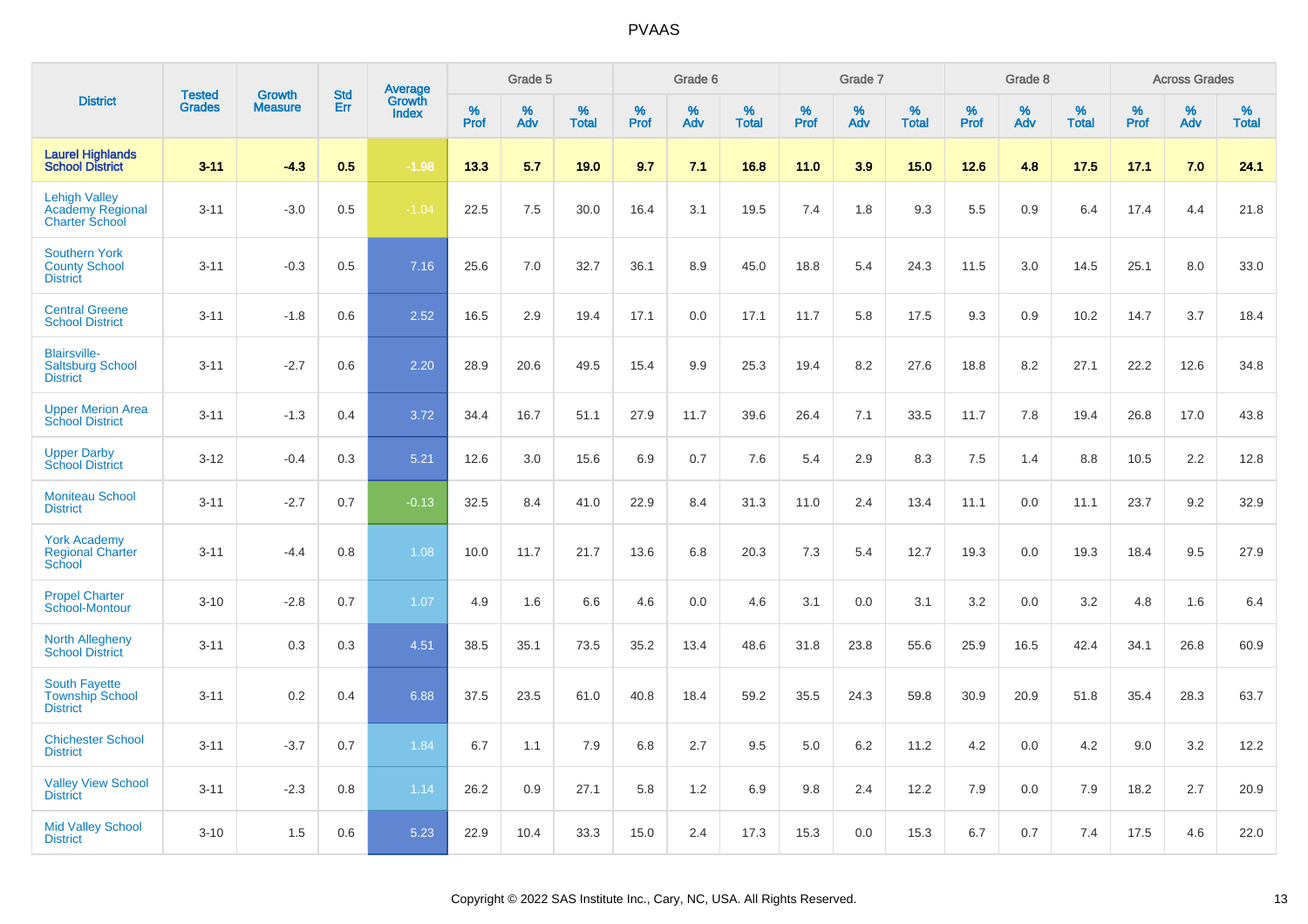|                                                                          | <b>Tested</b> | <b>Growth</b>  | <b>Std</b> | Average                |           | Grade 5  |                   |           | Grade 6  |                   |           | Grade 7  |                   |           | Grade 8  |                   |              | <b>Across Grades</b> |                   |
|--------------------------------------------------------------------------|---------------|----------------|------------|------------------------|-----------|----------|-------------------|-----------|----------|-------------------|-----------|----------|-------------------|-----------|----------|-------------------|--------------|----------------------|-------------------|
| <b>District</b>                                                          | <b>Grades</b> | <b>Measure</b> | Err        | Growth<br><b>Index</b> | %<br>Prof | %<br>Adv | %<br><b>Total</b> | %<br>Prof | %<br>Adv | %<br><b>Total</b> | %<br>Prof | %<br>Adv | %<br><b>Total</b> | %<br>Prof | %<br>Adv | %<br><b>Total</b> | $\%$<br>Prof | %<br>Adv             | %<br><b>Total</b> |
| <b>Laurel Highlands</b><br><b>School District</b>                        | $3 - 11$      | $-4.3$         | 0.5        | $-1.98$                | 13.3      | 5.7      | 19.0              | 9.7       | 7.1      | 16.8              | 11.0      | 3.9      | 15.0              | 12.6      | 4.8      | 17.5              | 17.1         | 7.0                  | 24.1              |
| <b>Lehigh Valley</b><br><b>Academy Regional</b><br><b>Charter School</b> | $3 - 11$      | $-3.0$         | 0.5        | $-1.04$                | 22.5      | 7.5      | 30.0              | 16.4      | 3.1      | 19.5              | 7.4       | 1.8      | 9.3               | 5.5       | 0.9      | 6.4               | 17.4         | 4.4                  | 21.8              |
| <b>Southern York</b><br><b>County School</b><br><b>District</b>          | $3 - 11$      | $-0.3$         | 0.5        | 7.16                   | 25.6      | 7.0      | 32.7              | 36.1      | 8.9      | 45.0              | 18.8      | 5.4      | 24.3              | 11.5      | 3.0      | 14.5              | 25.1         | 8.0                  | 33.0              |
| <b>Central Greene</b><br><b>School District</b>                          | $3 - 11$      | $-1.8$         | 0.6        | 2.52                   | 16.5      | 2.9      | 19.4              | 17.1      | 0.0      | 17.1              | 11.7      | 5.8      | 17.5              | 9.3       | 0.9      | 10.2              | 14.7         | 3.7                  | 18.4              |
| <b>Blairsville-</b><br><b>Saltsburg School</b><br><b>District</b>        | $3 - 11$      | $-2.7$         | 0.6        | 2.20                   | 28.9      | 20.6     | 49.5              | 15.4      | 9.9      | 25.3              | 19.4      | 8.2      | 27.6              | 18.8      | 8.2      | 27.1              | 22.2         | 12.6                 | 34.8              |
| <b>Upper Merion Area</b><br><b>School District</b>                       | $3 - 11$      | $-1.3$         | 0.4        | 3.72                   | 34.4      | 16.7     | 51.1              | 27.9      | 11.7     | 39.6              | 26.4      | 7.1      | 33.5              | 11.7      | 7.8      | 19.4              | 26.8         | 17.0                 | 43.8              |
| <b>Upper Darby</b><br><b>School District</b>                             | $3 - 12$      | $-0.4$         | 0.3        | 5.21                   | 12.6      | 3.0      | 15.6              | 6.9       | 0.7      | 7.6               | 5.4       | 2.9      | 8.3               | 7.5       | 1.4      | 8.8               | 10.5         | 2.2                  | 12.8              |
| <b>Moniteau School</b><br><b>District</b>                                | $3 - 11$      | $-2.7$         | 0.7        | $-0.13$                | 32.5      | 8.4      | 41.0              | 22.9      | 8.4      | 31.3              | 11.0      | 2.4      | 13.4              | 11.1      | 0.0      | 11.1              | 23.7         | 9.2                  | 32.9              |
| <b>York Academy</b><br><b>Regional Charter</b><br>School                 | $3 - 11$      | $-4.4$         | 0.8        | 1.08                   | 10.0      | 11.7     | 21.7              | 13.6      | 6.8      | 20.3              | 7.3       | 5.4      | 12.7              | 19.3      | 0.0      | 19.3              | 18.4         | 9.5                  | 27.9              |
| <b>Propel Charter</b><br>School-Montour                                  | $3 - 10$      | $-2.8$         | 0.7        | 1.07                   | 4.9       | 1.6      | 6.6               | 4.6       | 0.0      | 4.6               | 3.1       | 0.0      | 3.1               | 3.2       | 0.0      | 3.2               | 4.8          | 1.6                  | 6.4               |
| <b>North Allegheny</b><br><b>School District</b>                         | $3 - 11$      | 0.3            | 0.3        | 4.51                   | 38.5      | 35.1     | 73.5              | 35.2      | 13.4     | 48.6              | 31.8      | 23.8     | 55.6              | 25.9      | 16.5     | 42.4              | 34.1         | 26.8                 | 60.9              |
| <b>South Fayette</b><br><b>Township School</b><br><b>District</b>        | $3 - 11$      | 0.2            | 0.4        | 6.88                   | 37.5      | 23.5     | 61.0              | 40.8      | 18.4     | 59.2              | 35.5      | 24.3     | 59.8              | 30.9      | 20.9     | 51.8              | 35.4         | 28.3                 | 63.7              |
| <b>Chichester School</b><br><b>District</b>                              | $3 - 11$      | $-3.7$         | 0.7        | 1.84                   | 6.7       | 1.1      | 7.9               | 6.8       | 2.7      | 9.5               | 5.0       | 6.2      | 11.2              | 4.2       | 0.0      | 4.2               | 9.0          | 3.2                  | 12.2              |
| <b>Valley View School</b><br><b>District</b>                             | $3 - 11$      | $-2.3$         | 0.8        | 1.14                   | 26.2      | 0.9      | 27.1              | 5.8       | 1.2      | 6.9               | 9.8       | 2.4      | 12.2              | 7.9       | 0.0      | 7.9               | 18.2         | 2.7                  | 20.9              |
| <b>Mid Valley School</b><br><b>District</b>                              | $3 - 10$      | 1.5            | 0.6        | 5.23                   | 22.9      | 10.4     | 33.3              | 15.0      | 2.4      | 17.3              | 15.3      | 0.0      | 15.3              | 6.7       | 0.7      | 7.4               | 17.5         | 4.6                  | 22.0              |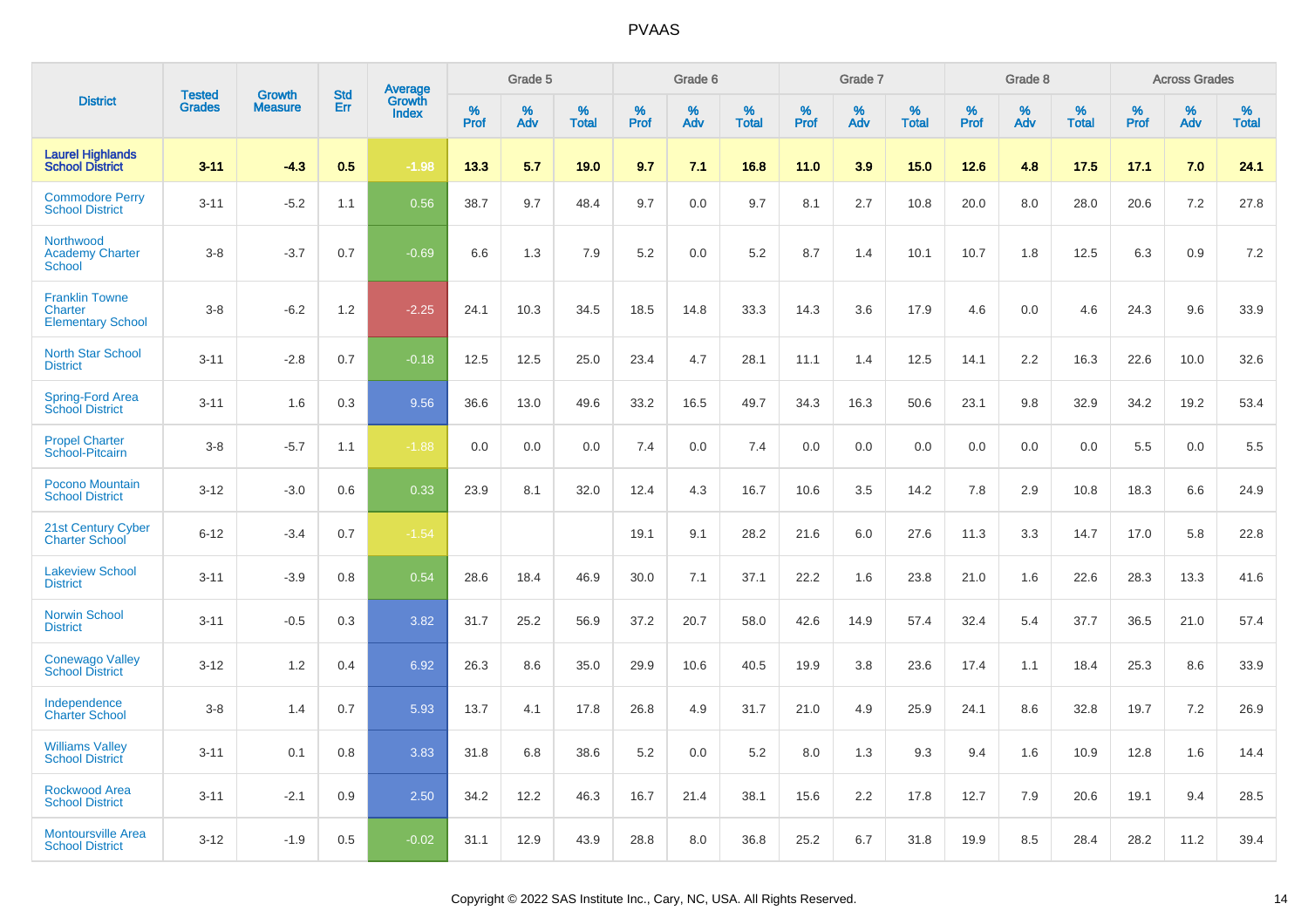|                                                              | <b>Tested</b> | <b>Growth</b>  | <b>Std</b> |                                          |              | Grade 5  |                   |              | Grade 6  |                   |              | Grade 7  |                   |              | Grade 8  |                   |              | <b>Across Grades</b> |                   |
|--------------------------------------------------------------|---------------|----------------|------------|------------------------------------------|--------------|----------|-------------------|--------------|----------|-------------------|--------------|----------|-------------------|--------------|----------|-------------------|--------------|----------------------|-------------------|
| <b>District</b>                                              | <b>Grades</b> | <b>Measure</b> | Err        | <b>Average</b><br>Growth<br><b>Index</b> | $\%$<br>Prof | %<br>Adv | %<br><b>Total</b> | $\%$<br>Prof | %<br>Adv | %<br><b>Total</b> | $\%$<br>Prof | %<br>Adv | %<br><b>Total</b> | $\%$<br>Prof | %<br>Adv | %<br><b>Total</b> | $\%$<br>Prof | %<br>Adv             | %<br><b>Total</b> |
| <b>Laurel Highlands</b><br><b>School District</b>            | $3 - 11$      | $-4.3$         | 0.5        | $-1.98$                                  | 13.3         | 5.7      | 19.0              | 9.7          | 7.1      | 16.8              | 11.0         | 3.9      | 15.0              | 12.6         | 4.8      | 17.5              | 17.1         | 7.0                  | 24.1              |
| <b>Commodore Perry</b><br><b>School District</b>             | $3 - 11$      | $-5.2$         | 1.1        | 0.56                                     | 38.7         | 9.7      | 48.4              | 9.7          | 0.0      | 9.7               | 8.1          | 2.7      | 10.8              | 20.0         | 8.0      | 28.0              | 20.6         | 7.2                  | 27.8              |
| Northwood<br><b>Academy Charter</b><br><b>School</b>         | $3 - 8$       | $-3.7$         | 0.7        | $-0.69$                                  | 6.6          | 1.3      | 7.9               | 5.2          | 0.0      | 5.2               | 8.7          | 1.4      | 10.1              | 10.7         | 1.8      | 12.5              | 6.3          | 0.9                  | 7.2               |
| <b>Franklin Towne</b><br>Charter<br><b>Elementary School</b> | $3 - 8$       | $-6.2$         | 1.2        | $-2.25$                                  | 24.1         | 10.3     | 34.5              | 18.5         | 14.8     | 33.3              | 14.3         | 3.6      | 17.9              | 4.6          | 0.0      | 4.6               | 24.3         | 9.6                  | 33.9              |
| <b>North Star School</b><br><b>District</b>                  | $3 - 11$      | $-2.8$         | 0.7        | $-0.18$                                  | 12.5         | 12.5     | 25.0              | 23.4         | 4.7      | 28.1              | 11.1         | 1.4      | 12.5              | 14.1         | 2.2      | 16.3              | 22.6         | 10.0                 | 32.6              |
| Spring-Ford Area<br><b>School District</b>                   | $3 - 11$      | 1.6            | 0.3        | 9.56                                     | 36.6         | 13.0     | 49.6              | 33.2         | 16.5     | 49.7              | 34.3         | 16.3     | 50.6              | 23.1         | 9.8      | 32.9              | 34.2         | 19.2                 | 53.4              |
| <b>Propel Charter</b><br>School-Pitcairn                     | $3 - 8$       | $-5.7$         | 1.1        | $-1.88$                                  | 0.0          | 0.0      | 0.0               | 7.4          | 0.0      | 7.4               | 0.0          | 0.0      | 0.0               | 0.0          | 0.0      | 0.0               | 5.5          | 0.0                  | 5.5               |
| Pocono Mountain<br><b>School District</b>                    | $3 - 12$      | $-3.0$         | 0.6        | 0.33                                     | 23.9         | 8.1      | 32.0              | 12.4         | 4.3      | 16.7              | 10.6         | 3.5      | 14.2              | 7.8          | 2.9      | 10.8              | 18.3         | 6.6                  | 24.9              |
| 21st Century Cyber<br><b>Charter School</b>                  | $6 - 12$      | $-3.4$         | 0.7        | $-1.54$                                  |              |          |                   | 19.1         | 9.1      | 28.2              | 21.6         | 6.0      | 27.6              | 11.3         | 3.3      | 14.7              | 17.0         | 5.8                  | 22.8              |
| <b>Lakeview School</b><br><b>District</b>                    | $3 - 11$      | $-3.9$         | 0.8        | 0.54                                     | 28.6         | 18.4     | 46.9              | 30.0         | 7.1      | 37.1              | 22.2         | 1.6      | 23.8              | 21.0         | 1.6      | 22.6              | 28.3         | 13.3                 | 41.6              |
| <b>Norwin School</b><br><b>District</b>                      | $3 - 11$      | $-0.5$         | 0.3        | 3.82                                     | 31.7         | 25.2     | 56.9              | 37.2         | 20.7     | 58.0              | 42.6         | 14.9     | 57.4              | 32.4         | 5.4      | 37.7              | 36.5         | 21.0                 | 57.4              |
| <b>Conewago Valley</b><br><b>School District</b>             | $3 - 12$      | 1.2            | 0.4        | 6.92                                     | 26.3         | 8.6      | 35.0              | 29.9         | 10.6     | 40.5              | 19.9         | 3.8      | 23.6              | 17.4         | 1.1      | 18.4              | 25.3         | 8.6                  | 33.9              |
| Independence<br><b>Charter School</b>                        | $3 - 8$       | 1.4            | 0.7        | 5.93                                     | 13.7         | 4.1      | 17.8              | 26.8         | 4.9      | 31.7              | 21.0         | 4.9      | 25.9              | 24.1         | 8.6      | 32.8              | 19.7         | 7.2                  | 26.9              |
| <b>Williams Valley</b><br><b>School District</b>             | $3 - 11$      | 0.1            | 0.8        | 3.83                                     | 31.8         | 6.8      | 38.6              | 5.2          | 0.0      | 5.2               | 8.0          | 1.3      | 9.3               | 9.4          | 1.6      | 10.9              | 12.8         | 1.6                  | 14.4              |
| <b>Rockwood Area</b><br><b>School District</b>               | $3 - 11$      | $-2.1$         | 0.9        | 2.50                                     | 34.2         | 12.2     | 46.3              | 16.7         | 21.4     | 38.1              | 15.6         | 2.2      | 17.8              | 12.7         | 7.9      | 20.6              | 19.1         | 9.4                  | 28.5              |
| <b>Montoursville Area</b><br><b>School District</b>          | $3 - 12$      | $-1.9$         | 0.5        | $-0.02$                                  | 31.1         | 12.9     | 43.9              | 28.8         | 8.0      | 36.8              | 25.2         | 6.7      | 31.8              | 19.9         | 8.5      | 28.4              | 28.2         | 11.2                 | 39.4              |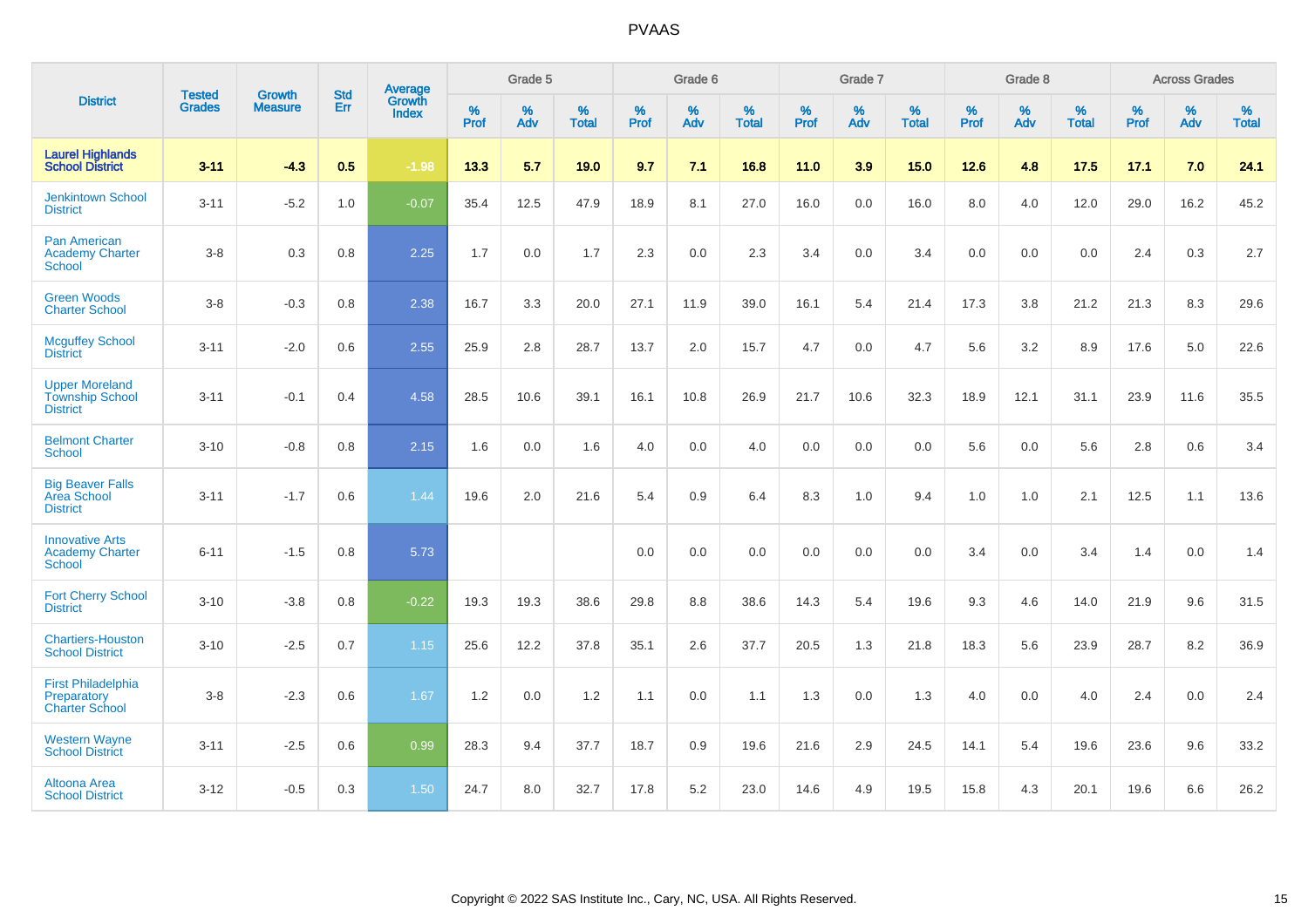|                                                                    | <b>Tested</b> | <b>Growth</b>  | <b>Std</b> | Average                |              | Grade 5  |                   |              | Grade 6  |                   |              | Grade 7  |                      |              | Grade 8  |                      |              | <b>Across Grades</b> |                   |
|--------------------------------------------------------------------|---------------|----------------|------------|------------------------|--------------|----------|-------------------|--------------|----------|-------------------|--------------|----------|----------------------|--------------|----------|----------------------|--------------|----------------------|-------------------|
| <b>District</b>                                                    | <b>Grades</b> | <b>Measure</b> | <b>Err</b> | Growth<br><b>Index</b> | $\%$<br>Prof | %<br>Adv | %<br><b>Total</b> | $\%$<br>Prof | %<br>Adv | %<br><b>Total</b> | $\%$<br>Prof | %<br>Adv | $\%$<br><b>Total</b> | $\%$<br>Prof | %<br>Adv | $\%$<br><b>Total</b> | $\%$<br>Prof | $\%$<br>Adv          | %<br><b>Total</b> |
| <b>Laurel Highlands</b><br>School District                         | $3 - 11$      | $-4.3$         | 0.5        | $-1.98$                | 13.3         | 5.7      | 19.0              | 9.7          | 7.1      | 16.8              | 11.0         | 3.9      | 15.0                 | 12.6         | 4.8      | 17.5                 | 17.1         | 7.0                  | 24.1              |
| <b>Jenkintown School</b><br><b>District</b>                        | $3 - 11$      | $-5.2$         | 1.0        | $-0.07$                | 35.4         | 12.5     | 47.9              | 18.9         | 8.1      | 27.0              | 16.0         | 0.0      | 16.0                 | 8.0          | 4.0      | 12.0                 | 29.0         | 16.2                 | 45.2              |
| <b>Pan American</b><br><b>Academy Charter</b><br><b>School</b>     | $3-8$         | 0.3            | 0.8        | 2.25                   | 1.7          | 0.0      | 1.7               | 2.3          | 0.0      | 2.3               | 3.4          | 0.0      | 3.4                  | 0.0          | 0.0      | 0.0                  | 2.4          | 0.3                  | 2.7               |
| <b>Green Woods</b><br><b>Charter School</b>                        | $3-8$         | $-0.3$         | 0.8        | 2.38                   | 16.7         | 3.3      | 20.0              | 27.1         | 11.9     | 39.0              | 16.1         | 5.4      | 21.4                 | 17.3         | 3.8      | 21.2                 | 21.3         | 8.3                  | 29.6              |
| <b>Mcguffey School</b><br><b>District</b>                          | $3 - 11$      | $-2.0$         | 0.6        | 2.55                   | 25.9         | 2.8      | 28.7              | 13.7         | 2.0      | 15.7              | 4.7          | 0.0      | 4.7                  | 5.6          | 3.2      | 8.9                  | 17.6         | 5.0                  | 22.6              |
| <b>Upper Moreland</b><br><b>Township School</b><br><b>District</b> | $3 - 11$      | $-0.1$         | 0.4        | 4.58                   | 28.5         | 10.6     | 39.1              | 16.1         | 10.8     | 26.9              | 21.7         | 10.6     | 32.3                 | 18.9         | 12.1     | 31.1                 | 23.9         | 11.6                 | 35.5              |
| <b>Belmont Charter</b><br><b>School</b>                            | $3 - 10$      | $-0.8$         | 0.8        | 2.15                   | 1.6          | 0.0      | 1.6               | 4.0          | 0.0      | 4.0               | 0.0          | 0.0      | 0.0                  | 5.6          | 0.0      | 5.6                  | 2.8          | 0.6                  | 3.4               |
| <b>Big Beaver Falls</b><br>Area School<br><b>District</b>          | $3 - 11$      | $-1.7$         | 0.6        | 1.44                   | 19.6         | 2.0      | 21.6              | 5.4          | 0.9      | 6.4               | 8.3          | 1.0      | 9.4                  | 1.0          | 1.0      | 2.1                  | 12.5         | 1.1                  | 13.6              |
| <b>Innovative Arts</b><br><b>Academy Charter</b><br><b>School</b>  | $6 - 11$      | $-1.5$         | 0.8        | 5.73                   |              |          |                   | 0.0          | 0.0      | 0.0               | 0.0          | 0.0      | 0.0                  | 3.4          | 0.0      | 3.4                  | 1.4          | 0.0                  | 1.4               |
| <b>Fort Cherry School</b><br><b>District</b>                       | $3 - 10$      | $-3.8$         | 0.8        | $-0.22$                | 19.3         | 19.3     | 38.6              | 29.8         | 8.8      | 38.6              | 14.3         | 5.4      | 19.6                 | 9.3          | 4.6      | 14.0                 | 21.9         | 9.6                  | 31.5              |
| <b>Chartiers-Houston</b><br><b>School District</b>                 | $3 - 10$      | $-2.5$         | 0.7        | 1.15                   | 25.6         | 12.2     | 37.8              | 35.1         | 2.6      | 37.7              | 20.5         | 1.3      | 21.8                 | 18.3         | 5.6      | 23.9                 | 28.7         | 8.2                  | 36.9              |
| <b>First Philadelphia</b><br>Preparatory<br><b>Charter School</b>  | $3 - 8$       | $-2.3$         | 0.6        | 1.67                   | 1.2          | 0.0      | 1.2               | 1.1          | 0.0      | 1.1               | 1.3          | 0.0      | 1.3                  | 4.0          | 0.0      | 4.0                  | 2.4          | 0.0                  | 2.4               |
| <b>Western Wayne</b><br><b>School District</b>                     | $3 - 11$      | $-2.5$         | 0.6        | 0.99                   | 28.3         | 9.4      | 37.7              | 18.7         | 0.9      | 19.6              | 21.6         | 2.9      | 24.5                 | 14.1         | 5.4      | 19.6                 | 23.6         | 9.6                  | 33.2              |
| Altoona Area<br><b>School District</b>                             | $3 - 12$      | $-0.5$         | 0.3        | 1.50                   | 24.7         | 8.0      | 32.7              | 17.8         | 5.2      | 23.0              | 14.6         | 4.9      | 19.5                 | 15.8         | 4.3      | 20.1                 | 19.6         | 6.6                  | 26.2              |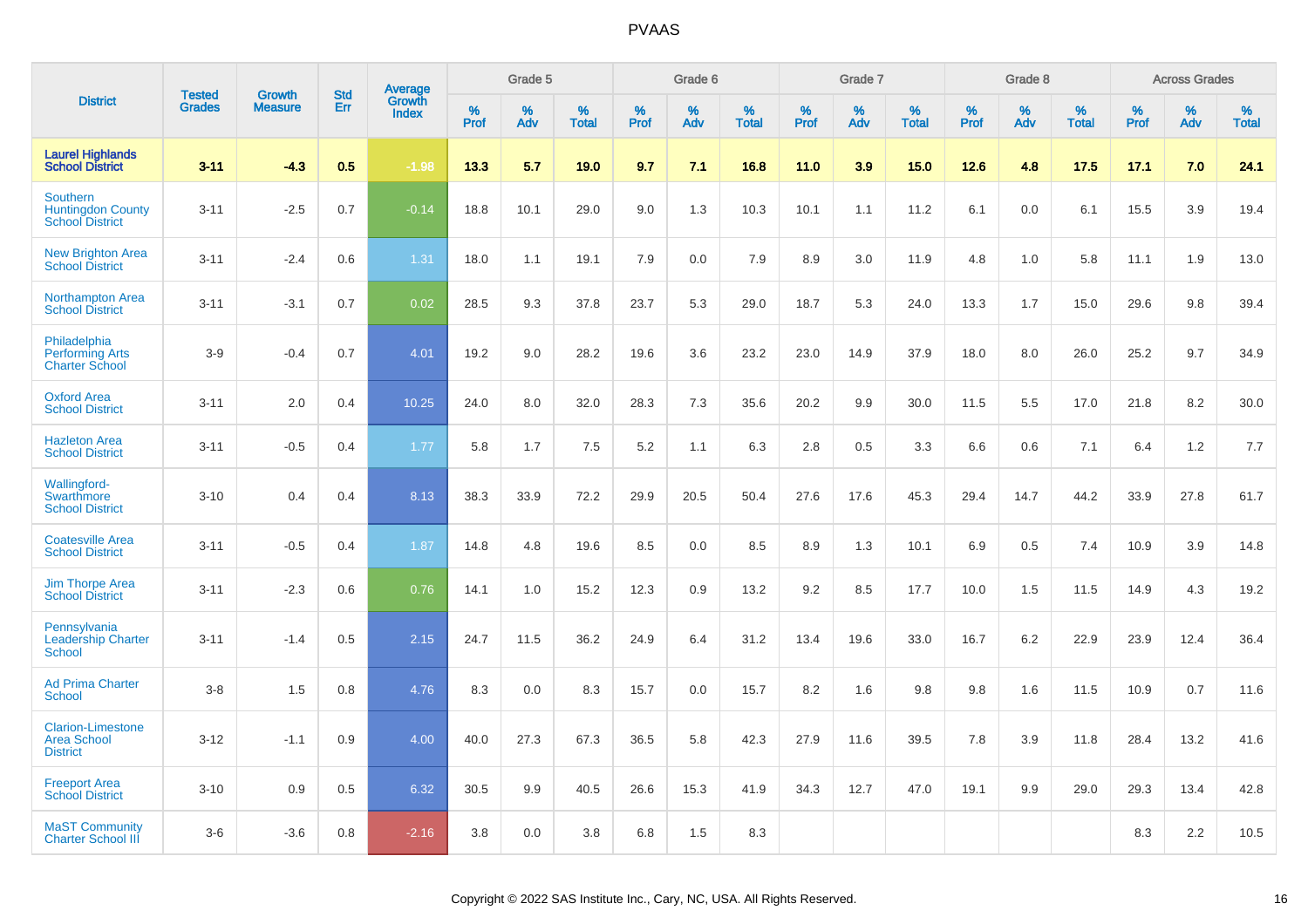|                                                                   | <b>Tested</b> | <b>Growth</b>  | <b>Std</b> | Average                |              | Grade 5  |                   |              | Grade 6  |                   |           | Grade 7  |                   |           | Grade 8  |                   |              | <b>Across Grades</b> |                   |
|-------------------------------------------------------------------|---------------|----------------|------------|------------------------|--------------|----------|-------------------|--------------|----------|-------------------|-----------|----------|-------------------|-----------|----------|-------------------|--------------|----------------------|-------------------|
| <b>District</b>                                                   | <b>Grades</b> | <b>Measure</b> | Err        | Growth<br><b>Index</b> | $\%$<br>Prof | %<br>Adv | %<br><b>Total</b> | $\%$<br>Prof | %<br>Adv | %<br><b>Total</b> | %<br>Prof | %<br>Adv | %<br><b>Total</b> | %<br>Prof | %<br>Adv | %<br><b>Total</b> | $\%$<br>Prof | %<br>Adv             | %<br><b>Total</b> |
| <b>Laurel Highlands</b><br><b>School District</b>                 | $3 - 11$      | $-4.3$         | 0.5        | $-1.98$                | 13.3         | 5.7      | 19.0              | 9.7          | 7.1      | 16.8              | 11.0      | 3.9      | 15.0              | 12.6      | 4.8      | 17.5              | 17.1         | 7.0                  | 24.1              |
| Southern<br><b>Huntingdon County</b><br><b>School District</b>    | $3 - 11$      | $-2.5$         | 0.7        | $-0.14$                | 18.8         | 10.1     | 29.0              | 9.0          | 1.3      | 10.3              | 10.1      | 1.1      | 11.2              | 6.1       | 0.0      | 6.1               | 15.5         | 3.9                  | 19.4              |
| <b>New Brighton Area</b><br><b>School District</b>                | $3 - 11$      | $-2.4$         | 0.6        | 1.31                   | 18.0         | 1.1      | 19.1              | 7.9          | 0.0      | 7.9               | 8.9       | 3.0      | 11.9              | 4.8       | 1.0      | 5.8               | 11.1         | 1.9                  | 13.0              |
| <b>Northampton Area</b><br><b>School District</b>                 | $3 - 11$      | $-3.1$         | 0.7        | 0.02                   | 28.5         | 9.3      | 37.8              | 23.7         | 5.3      | 29.0              | 18.7      | 5.3      | 24.0              | 13.3      | 1.7      | 15.0              | 29.6         | 9.8                  | 39.4              |
| Philadelphia<br><b>Performing Arts</b><br><b>Charter School</b>   | $3-9$         | $-0.4$         | 0.7        | 4.01                   | 19.2         | 9.0      | 28.2              | 19.6         | 3.6      | 23.2              | 23.0      | 14.9     | 37.9              | 18.0      | 8.0      | 26.0              | 25.2         | 9.7                  | 34.9              |
| <b>Oxford Area</b><br><b>School District</b>                      | $3 - 11$      | 2.0            | 0.4        | 10.25                  | 24.0         | 8.0      | 32.0              | 28.3         | 7.3      | 35.6              | 20.2      | 9.9      | 30.0              | 11.5      | 5.5      | 17.0              | 21.8         | 8.2                  | 30.0              |
| <b>Hazleton Area</b><br><b>School District</b>                    | $3 - 11$      | $-0.5$         | 0.4        | 1.77                   | 5.8          | 1.7      | 7.5               | 5.2          | 1.1      | 6.3               | 2.8       | 0.5      | 3.3               | 6.6       | 0.6      | 7.1               | 6.4          | 1.2                  | 7.7               |
| <b>Wallingford-</b><br>Swarthmore<br><b>School District</b>       | $3 - 10$      | 0.4            | 0.4        | 8.13                   | 38.3         | 33.9     | 72.2              | 29.9         | 20.5     | 50.4              | 27.6      | 17.6     | 45.3              | 29.4      | 14.7     | 44.2              | 33.9         | 27.8                 | 61.7              |
| <b>Coatesville Area</b><br><b>School District</b>                 | $3 - 11$      | $-0.5$         | 0.4        | 1.87                   | 14.8         | 4.8      | 19.6              | 8.5          | 0.0      | 8.5               | 8.9       | 1.3      | 10.1              | 6.9       | 0.5      | 7.4               | 10.9         | 3.9                  | 14.8              |
| <b>Jim Thorpe Area</b><br><b>School District</b>                  | $3 - 11$      | $-2.3$         | 0.6        | 0.76                   | 14.1         | 1.0      | 15.2              | 12.3         | 0.9      | 13.2              | 9.2       | 8.5      | 17.7              | 10.0      | 1.5      | 11.5              | 14.9         | 4.3                  | 19.2              |
| Pennsylvania<br><b>Leadership Charter</b><br><b>School</b>        | $3 - 11$      | $-1.4$         | 0.5        | 2.15                   | 24.7         | 11.5     | 36.2              | 24.9         | 6.4      | 31.2              | 13.4      | 19.6     | 33.0              | 16.7      | 6.2      | 22.9              | 23.9         | 12.4                 | 36.4              |
| <b>Ad Prima Charter</b><br><b>School</b>                          | $3-8$         | 1.5            | 0.8        | 4.76                   | 8.3          | 0.0      | 8.3               | 15.7         | 0.0      | 15.7              | 8.2       | 1.6      | 9.8               | 9.8       | 1.6      | 11.5              | 10.9         | 0.7                  | 11.6              |
| <b>Clarion-Limestone</b><br><b>Area School</b><br><b>District</b> | $3 - 12$      | $-1.1$         | 0.9        | 4.00                   | 40.0         | 27.3     | 67.3              | 36.5         | 5.8      | 42.3              | 27.9      | 11.6     | 39.5              | 7.8       | 3.9      | 11.8              | 28.4         | 13.2                 | 41.6              |
| <b>Freeport Area</b><br><b>School District</b>                    | $3 - 10$      | 0.9            | 0.5        | 6.32                   | 30.5         | 9.9      | 40.5              | 26.6         | 15.3     | 41.9              | 34.3      | 12.7     | 47.0              | 19.1      | 9.9      | 29.0              | 29.3         | 13.4                 | 42.8              |
| <b>MaST Community</b><br><b>Charter School III</b>                | $3-6$         | $-3.6$         | 0.8        | $-2.16$                | 3.8          | 0.0      | 3.8               | 6.8          | 1.5      | 8.3               |           |          |                   |           |          |                   | 8.3          | 2.2                  | 10.5              |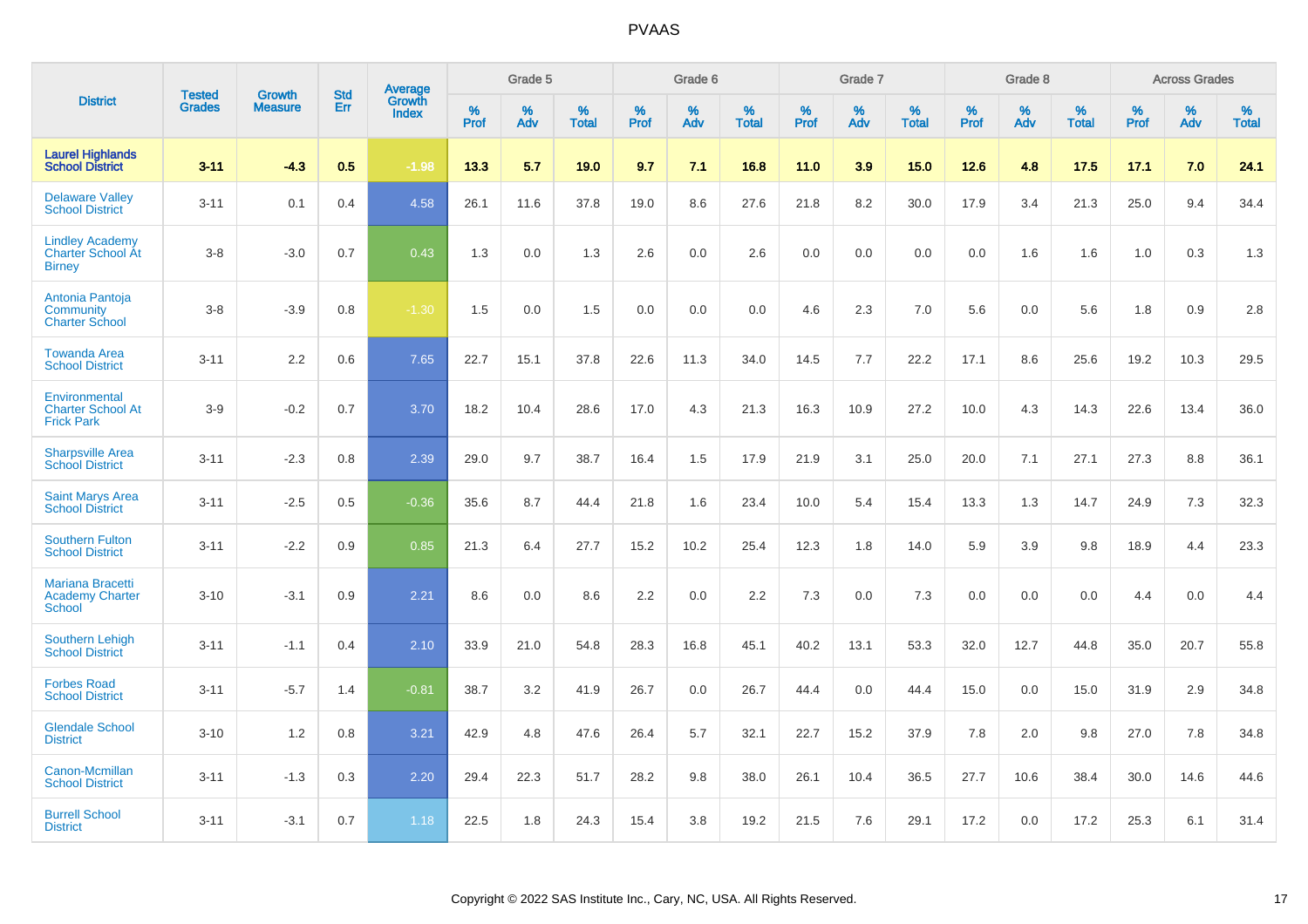|                                                                     | <b>Tested</b> | <b>Growth</b>  | <b>Std</b> | Average                |           | Grade 5  |                   |           | Grade 6  |                   |           | Grade 7  |                   |           | Grade 8  |                   |           | <b>Across Grades</b> |                   |
|---------------------------------------------------------------------|---------------|----------------|------------|------------------------|-----------|----------|-------------------|-----------|----------|-------------------|-----------|----------|-------------------|-----------|----------|-------------------|-----------|----------------------|-------------------|
| <b>District</b>                                                     | <b>Grades</b> | <b>Measure</b> | Err        | Growth<br><b>Index</b> | %<br>Prof | %<br>Adv | %<br><b>Total</b> | %<br>Prof | %<br>Adv | %<br><b>Total</b> | %<br>Prof | %<br>Adv | %<br><b>Total</b> | %<br>Prof | %<br>Adv | %<br><b>Total</b> | %<br>Prof | %<br>Adv             | %<br><b>Total</b> |
| <b>Laurel Highlands</b><br><b>School District</b>                   | $3 - 11$      | $-4.3$         | 0.5        | $-1.98$                | 13.3      | 5.7      | 19.0              | 9.7       | 7.1      | 16.8              | 11.0      | 3.9      | 15.0              | 12.6      | 4.8      | 17.5              | 17.1      | 7.0                  | 24.1              |
| <b>Delaware Valley</b><br><b>School District</b>                    | $3 - 11$      | 0.1            | 0.4        | 4.58                   | 26.1      | 11.6     | 37.8              | 19.0      | 8.6      | 27.6              | 21.8      | 8.2      | 30.0              | 17.9      | 3.4      | 21.3              | 25.0      | 9.4                  | 34.4              |
| <b>Lindley Academy</b><br><b>Charter School At</b><br><b>Birney</b> | $3 - 8$       | $-3.0$         | 0.7        | 0.43                   | 1.3       | 0.0      | 1.3               | 2.6       | 0.0      | 2.6               | 0.0       | 0.0      | 0.0               | 0.0       | 1.6      | 1.6               | 1.0       | 0.3                  | 1.3               |
| Antonia Pantoja<br>Community<br><b>Charter School</b>               | $3 - 8$       | $-3.9$         | 0.8        | $-1.30$                | 1.5       | 0.0      | 1.5               | 0.0       | 0.0      | 0.0               | 4.6       | 2.3      | 7.0               | 5.6       | 0.0      | 5.6               | 1.8       | 0.9                  | 2.8               |
| <b>Towanda Area</b><br><b>School District</b>                       | $3 - 11$      | 2.2            | 0.6        | 7.65                   | 22.7      | 15.1     | 37.8              | 22.6      | 11.3     | 34.0              | 14.5      | 7.7      | 22.2              | 17.1      | 8.6      | 25.6              | 19.2      | 10.3                 | 29.5              |
| Environmental<br><b>Charter School At</b><br><b>Frick Park</b>      | $3-9$         | $-0.2$         | 0.7        | 3.70                   | 18.2      | 10.4     | 28.6              | 17.0      | 4.3      | 21.3              | 16.3      | 10.9     | 27.2              | 10.0      | 4.3      | 14.3              | 22.6      | 13.4                 | 36.0              |
| <b>Sharpsville Area</b><br><b>School District</b>                   | $3 - 11$      | $-2.3$         | 0.8        | 2.39                   | 29.0      | 9.7      | 38.7              | 16.4      | 1.5      | 17.9              | 21.9      | 3.1      | 25.0              | 20.0      | 7.1      | 27.1              | 27.3      | 8.8                  | 36.1              |
| <b>Saint Marys Area</b><br><b>School District</b>                   | $3 - 11$      | $-2.5$         | 0.5        | $-0.36$                | 35.6      | 8.7      | 44.4              | 21.8      | 1.6      | 23.4              | 10.0      | 5.4      | 15.4              | 13.3      | 1.3      | 14.7              | 24.9      | 7.3                  | 32.3              |
| <b>Southern Fulton</b><br><b>School District</b>                    | $3 - 11$      | $-2.2$         | 0.9        | 0.85                   | 21.3      | 6.4      | 27.7              | 15.2      | 10.2     | 25.4              | 12.3      | 1.8      | 14.0              | 5.9       | 3.9      | 9.8               | 18.9      | 4.4                  | 23.3              |
| <b>Mariana Bracetti</b><br><b>Academy Charter</b><br><b>School</b>  | $3 - 10$      | $-3.1$         | 0.9        | 2.21                   | 8.6       | 0.0      | 8.6               | 2.2       | 0.0      | 2.2               | 7.3       | 0.0      | 7.3               | 0.0       | 0.0      | 0.0               | 4.4       | 0.0                  | 4.4               |
| <b>Southern Lehigh</b><br><b>School District</b>                    | $3 - 11$      | $-1.1$         | 0.4        | 2.10                   | 33.9      | 21.0     | 54.8              | 28.3      | 16.8     | 45.1              | 40.2      | 13.1     | 53.3              | 32.0      | 12.7     | 44.8              | 35.0      | 20.7                 | 55.8              |
| <b>Forbes Road</b><br><b>School District</b>                        | $3 - 11$      | $-5.7$         | 1.4        | $-0.81$                | 38.7      | 3.2      | 41.9              | 26.7      | 0.0      | 26.7              | 44.4      | 0.0      | 44.4              | 15.0      | 0.0      | 15.0              | 31.9      | 2.9                  | 34.8              |
| <b>Glendale School</b><br><b>District</b>                           | $3 - 10$      | 1.2            | 0.8        | 3.21                   | 42.9      | 4.8      | 47.6              | 26.4      | 5.7      | 32.1              | 22.7      | 15.2     | 37.9              | 7.8       | 2.0      | 9.8               | 27.0      | 7.8                  | 34.8              |
| Canon-Mcmillan<br><b>School District</b>                            | $3 - 11$      | $-1.3$         | 0.3        | 2.20                   | 29.4      | 22.3     | 51.7              | 28.2      | 9.8      | 38.0              | 26.1      | 10.4     | 36.5              | 27.7      | 10.6     | 38.4              | 30.0      | 14.6                 | 44.6              |
| <b>Burrell School</b><br><b>District</b>                            | $3 - 11$      | $-3.1$         | 0.7        | 1.18                   | 22.5      | 1.8      | 24.3              | 15.4      | 3.8      | 19.2              | 21.5      | 7.6      | 29.1              | 17.2      | 0.0      | 17.2              | 25.3      | 6.1                  | 31.4              |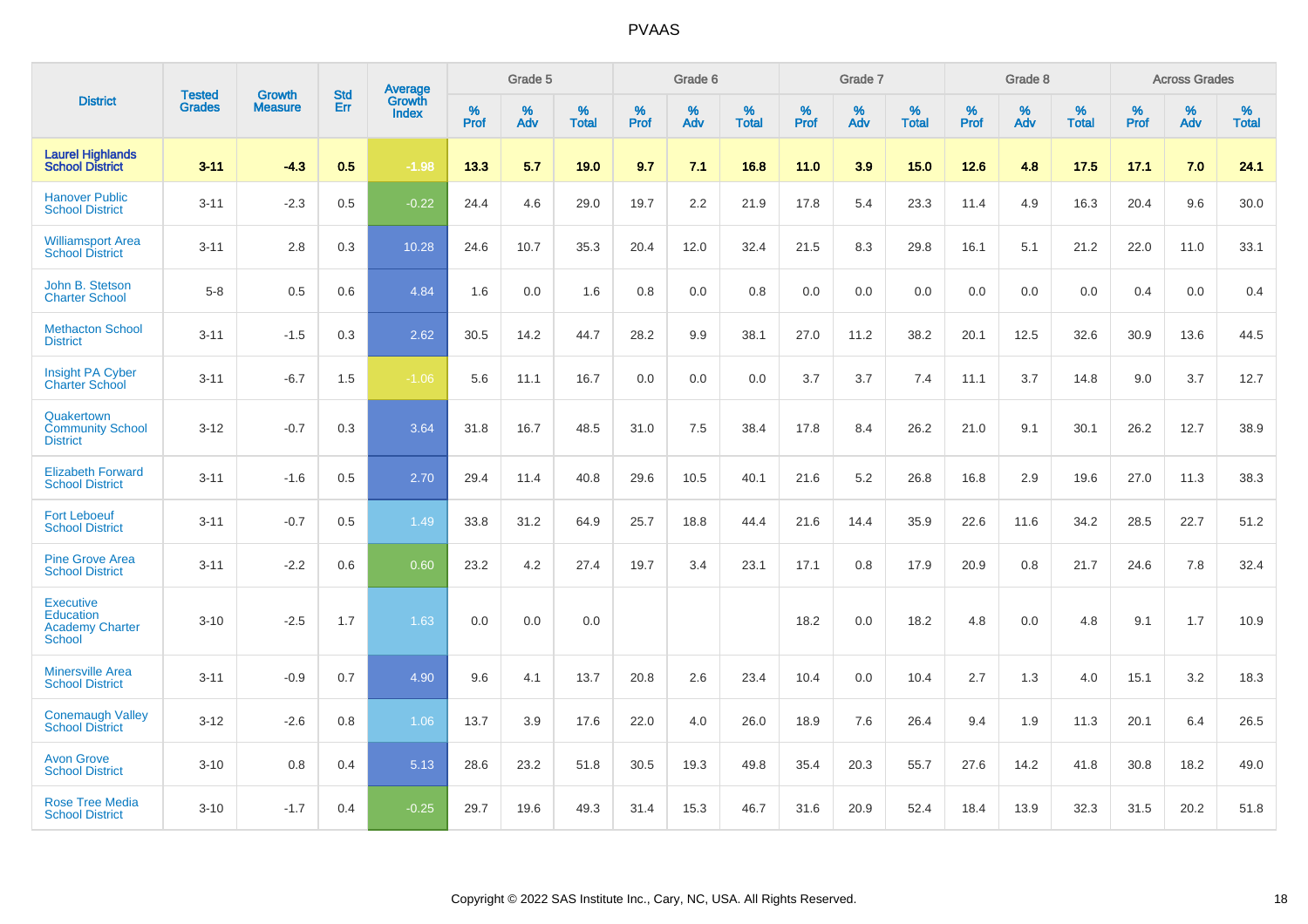|                                                                   |                                | <b>Growth</b>  | <b>Std</b> | Average         |              | Grade 5  |                   |           | Grade 6  |                   |           | Grade 7  |                   |           | Grade 8  |                   |           | <b>Across Grades</b> |                   |
|-------------------------------------------------------------------|--------------------------------|----------------|------------|-----------------|--------------|----------|-------------------|-----------|----------|-------------------|-----------|----------|-------------------|-----------|----------|-------------------|-----------|----------------------|-------------------|
| <b>District</b>                                                   | <b>Tested</b><br><b>Grades</b> | <b>Measure</b> | Err        | Growth<br>Index | $\%$<br>Prof | %<br>Adv | %<br><b>Total</b> | %<br>Prof | %<br>Adv | %<br><b>Total</b> | %<br>Prof | %<br>Adv | %<br><b>Total</b> | %<br>Prof | %<br>Adv | %<br><b>Total</b> | %<br>Prof | $\%$<br>Adv          | %<br><b>Total</b> |
| <b>Laurel Highlands</b><br><b>School District</b>                 | $3 - 11$                       | $-4.3$         | 0.5        | $-1.98$         | 13.3         | 5.7      | 19.0              | 9.7       | 7.1      | 16.8              | 11.0      | 3.9      | 15.0              | 12.6      | 4.8      | 17.5              | 17.1      | 7.0                  | 24.1              |
| <b>Hanover Public</b><br><b>School District</b>                   | $3 - 11$                       | $-2.3$         | 0.5        | $-0.22$         | 24.4         | 4.6      | 29.0              | 19.7      | 2.2      | 21.9              | 17.8      | 5.4      | 23.3              | 11.4      | 4.9      | 16.3              | 20.4      | 9.6                  | 30.0              |
| <b>Williamsport Area</b><br><b>School District</b>                | $3 - 11$                       | 2.8            | 0.3        | 10.28           | 24.6         | 10.7     | 35.3              | 20.4      | 12.0     | 32.4              | 21.5      | 8.3      | 29.8              | 16.1      | 5.1      | 21.2              | 22.0      | 11.0                 | 33.1              |
| John B. Stetson<br><b>Charter School</b>                          | $5 - 8$                        | 0.5            | 0.6        | 4.84            | 1.6          | 0.0      | 1.6               | 0.8       | 0.0      | 0.8               | 0.0       | 0.0      | 0.0               | 0.0       | 0.0      | 0.0               | 0.4       | 0.0                  | 0.4               |
| <b>Methacton School</b><br><b>District</b>                        | $3 - 11$                       | $-1.5$         | 0.3        | 2.62            | 30.5         | 14.2     | 44.7              | 28.2      | 9.9      | 38.1              | 27.0      | 11.2     | 38.2              | 20.1      | 12.5     | 32.6              | 30.9      | 13.6                 | 44.5              |
| <b>Insight PA Cyber</b><br><b>Charter School</b>                  | $3 - 11$                       | $-6.7$         | 1.5        | $-1.06$         | 5.6          | 11.1     | 16.7              | 0.0       | 0.0      | 0.0               | 3.7       | 3.7      | 7.4               | 11.1      | 3.7      | 14.8              | 9.0       | 3.7                  | 12.7              |
| Quakertown<br><b>Community School</b><br><b>District</b>          | $3 - 12$                       | $-0.7$         | 0.3        | 3.64            | 31.8         | 16.7     | 48.5              | 31.0      | 7.5      | 38.4              | 17.8      | 8.4      | 26.2              | 21.0      | 9.1      | 30.1              | 26.2      | 12.7                 | 38.9              |
| <b>Elizabeth Forward</b><br><b>School District</b>                | $3 - 11$                       | $-1.6$         | 0.5        | 2.70            | 29.4         | 11.4     | 40.8              | 29.6      | 10.5     | 40.1              | 21.6      | 5.2      | 26.8              | 16.8      | 2.9      | 19.6              | 27.0      | 11.3                 | 38.3              |
| <b>Fort Leboeuf</b><br><b>School District</b>                     | $3 - 11$                       | $-0.7$         | 0.5        | 1.49            | 33.8         | 31.2     | 64.9              | 25.7      | 18.8     | 44.4              | 21.6      | 14.4     | 35.9              | 22.6      | 11.6     | 34.2              | 28.5      | 22.7                 | 51.2              |
| <b>Pine Grove Area</b><br><b>School District</b>                  | $3 - 11$                       | $-2.2$         | 0.6        | 0.60            | 23.2         | 4.2      | 27.4              | 19.7      | 3.4      | 23.1              | 17.1      | 0.8      | 17.9              | 20.9      | 0.8      | 21.7              | 24.6      | 7.8                  | 32.4              |
| <b>Executive</b><br>Education<br><b>Academy Charter</b><br>School | $3 - 10$                       | $-2.5$         | 1.7        | 1.63            | 0.0          | 0.0      | 0.0               |           |          |                   | 18.2      | 0.0      | 18.2              | 4.8       | 0.0      | 4.8               | 9.1       | 1.7                  | 10.9              |
| <b>Minersville Area</b><br><b>School District</b>                 | $3 - 11$                       | $-0.9$         | 0.7        | 4.90            | 9.6          | 4.1      | 13.7              | 20.8      | 2.6      | 23.4              | 10.4      | 0.0      | 10.4              | 2.7       | 1.3      | 4.0               | 15.1      | 3.2                  | 18.3              |
| <b>Conemaugh Valley</b><br><b>School District</b>                 | $3 - 12$                       | $-2.6$         | 0.8        | 1.06            | 13.7         | 3.9      | 17.6              | 22.0      | 4.0      | 26.0              | 18.9      | 7.6      | 26.4              | 9.4       | 1.9      | 11.3              | 20.1      | 6.4                  | 26.5              |
| <b>Avon Grove</b><br><b>School District</b>                       | $3 - 10$                       | 0.8            | 0.4        | 5.13            | 28.6         | 23.2     | 51.8              | 30.5      | 19.3     | 49.8              | 35.4      | 20.3     | 55.7              | 27.6      | 14.2     | 41.8              | 30.8      | 18.2                 | 49.0              |
| <b>Rose Tree Media</b><br><b>School District</b>                  | $3 - 10$                       | $-1.7$         | 0.4        | $-0.25$         | 29.7         | 19.6     | 49.3              | 31.4      | 15.3     | 46.7              | 31.6      | 20.9     | 52.4              | 18.4      | 13.9     | 32.3              | 31.5      | 20.2                 | 51.8              |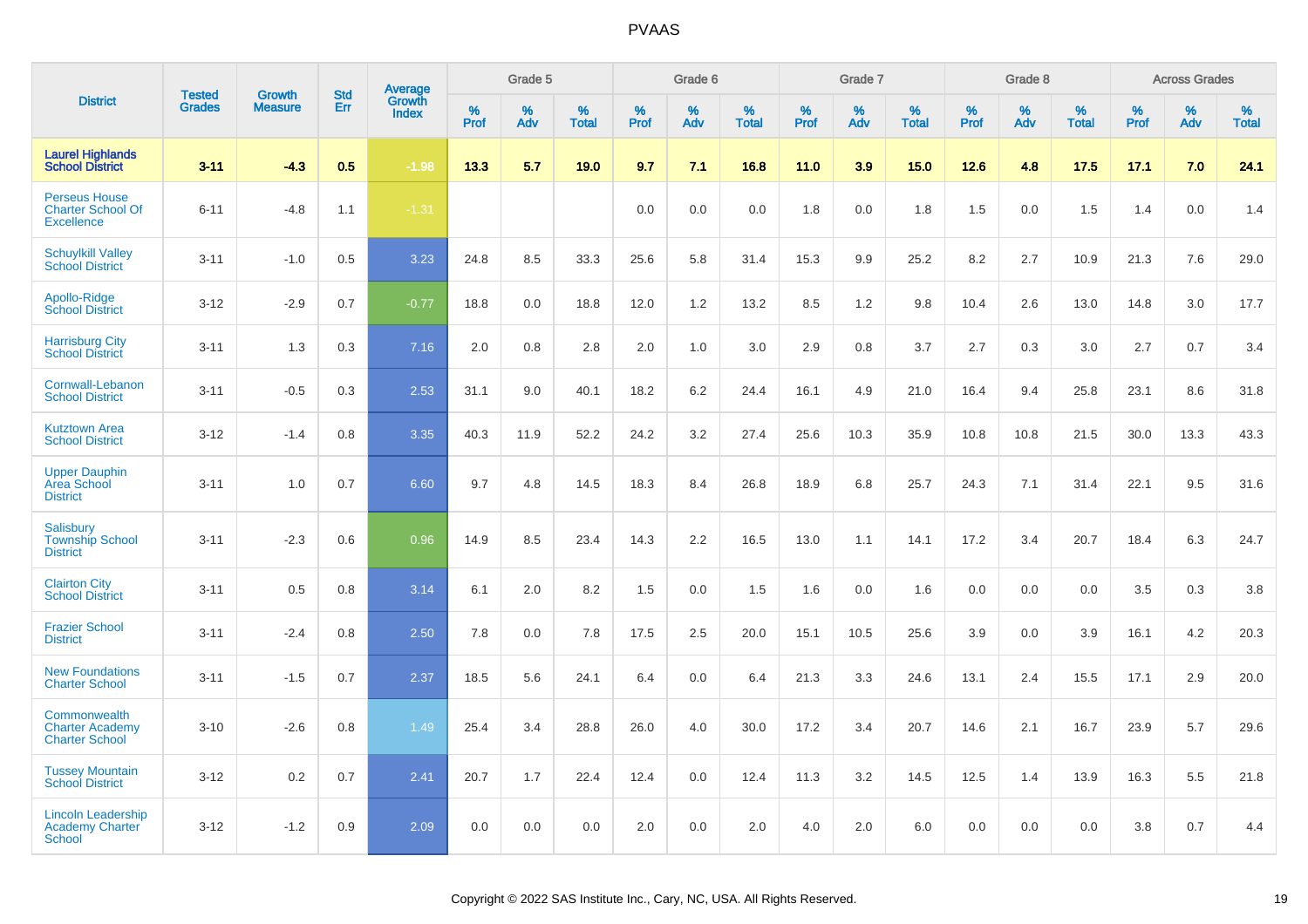|                                                                       |                                |                                 | <b>Std</b> | Average                |                     | Grade 5  |                   |           | Grade 6  |                   |           | Grade 7  |                   |           | Grade 8  |                   |           | <b>Across Grades</b> |                   |
|-----------------------------------------------------------------------|--------------------------------|---------------------------------|------------|------------------------|---------------------|----------|-------------------|-----------|----------|-------------------|-----------|----------|-------------------|-----------|----------|-------------------|-----------|----------------------|-------------------|
| <b>District</b>                                                       | <b>Tested</b><br><b>Grades</b> | <b>Growth</b><br><b>Measure</b> | Err        | Growth<br><b>Index</b> | $\%$<br><b>Prof</b> | %<br>Adv | %<br><b>Total</b> | %<br>Prof | %<br>Adv | %<br><b>Total</b> | %<br>Prof | %<br>Adv | %<br><b>Total</b> | %<br>Prof | %<br>Adv | %<br><b>Total</b> | %<br>Prof | %<br>Adv             | %<br><b>Total</b> |
| <b>Laurel Highlands</b><br><b>School District</b>                     | $3 - 11$                       | $-4.3$                          | 0.5        | $-1.98$                | 13.3                | 5.7      | 19.0              | 9.7       | 7.1      | 16.8              | 11.0      | 3.9      | 15.0              | $12.6$    | 4.8      | 17.5              | 17.1      | 7.0                  | 24.1              |
| <b>Perseus House</b><br><b>Charter School Of</b><br><b>Excellence</b> | $6 - 11$                       | $-4.8$                          | 1.1        | $-1.31$                |                     |          |                   | 0.0       | 0.0      | 0.0               | 1.8       | 0.0      | 1.8               | 1.5       | 0.0      | 1.5               | 1.4       | 0.0                  | 1.4               |
| <b>Schuylkill Valley</b><br><b>School District</b>                    | $3 - 11$                       | $-1.0$                          | 0.5        | 3.23                   | 24.8                | 8.5      | 33.3              | 25.6      | 5.8      | 31.4              | 15.3      | 9.9      | 25.2              | 8.2       | 2.7      | 10.9              | 21.3      | 7.6                  | 29.0              |
| Apollo-Ridge<br><b>School District</b>                                | $3 - 12$                       | $-2.9$                          | 0.7        | $-0.77$                | 18.8                | 0.0      | 18.8              | 12.0      | 1.2      | 13.2              | 8.5       | 1.2      | 9.8               | 10.4      | 2.6      | 13.0              | 14.8      | 3.0                  | 17.7              |
| <b>Harrisburg City</b><br><b>School District</b>                      | $3 - 11$                       | 1.3                             | 0.3        | 7.16                   | 2.0                 | 0.8      | 2.8               | 2.0       | 1.0      | 3.0               | 2.9       | 0.8      | 3.7               | 2.7       | 0.3      | 3.0               | 2.7       | 0.7                  | 3.4               |
| Cornwall-Lebanon<br><b>School District</b>                            | $3 - 11$                       | $-0.5$                          | 0.3        | 2.53                   | 31.1                | 9.0      | 40.1              | 18.2      | 6.2      | 24.4              | 16.1      | 4.9      | 21.0              | 16.4      | 9.4      | 25.8              | 23.1      | 8.6                  | 31.8              |
| <b>Kutztown Area</b><br><b>School District</b>                        | $3 - 12$                       | $-1.4$                          | 0.8        | 3.35                   | 40.3                | 11.9     | 52.2              | 24.2      | 3.2      | 27.4              | 25.6      | 10.3     | 35.9              | 10.8      | 10.8     | 21.5              | 30.0      | 13.3                 | 43.3              |
| <b>Upper Dauphin</b><br>Area School<br><b>District</b>                | $3 - 11$                       | 1.0                             | 0.7        | 6.60                   | 9.7                 | 4.8      | 14.5              | 18.3      | 8.4      | 26.8              | 18.9      | 6.8      | 25.7              | 24.3      | 7.1      | 31.4              | 22.1      | 9.5                  | 31.6              |
| Salisbury<br><b>Township School</b><br><b>District</b>                | $3 - 11$                       | $-2.3$                          | 0.6        | 0.96                   | 14.9                | 8.5      | 23.4              | 14.3      | 2.2      | 16.5              | 13.0      | 1.1      | 14.1              | 17.2      | 3.4      | 20.7              | 18.4      | 6.3                  | 24.7              |
| <b>Clairton City</b><br><b>School District</b>                        | $3 - 11$                       | 0.5                             | 0.8        | 3.14                   | 6.1                 | 2.0      | 8.2               | 1.5       | 0.0      | 1.5               | 1.6       | 0.0      | 1.6               | 0.0       | 0.0      | 0.0               | 3.5       | 0.3                  | 3.8               |
| <b>Frazier School</b><br><b>District</b>                              | $3 - 11$                       | $-2.4$                          | 0.8        | 2.50                   | 7.8                 | 0.0      | 7.8               | 17.5      | 2.5      | 20.0              | 15.1      | 10.5     | 25.6              | 3.9       | 0.0      | 3.9               | 16.1      | 4.2                  | 20.3              |
| <b>New Foundations</b><br><b>Charter School</b>                       | $3 - 11$                       | $-1.5$                          | 0.7        | 2.37                   | 18.5                | 5.6      | 24.1              | 6.4       | 0.0      | 6.4               | 21.3      | 3.3      | 24.6              | 13.1      | 2.4      | 15.5              | 17.1      | 2.9                  | 20.0              |
| Commonwealth<br><b>Charter Academy</b><br><b>Charter School</b>       | $3 - 10$                       | $-2.6$                          | 0.8        | 1.49                   | 25.4                | 3.4      | 28.8              | 26.0      | 4.0      | 30.0              | 17.2      | 3.4      | 20.7              | 14.6      | 2.1      | 16.7              | 23.9      | 5.7                  | 29.6              |
| <b>Tussey Mountain</b><br><b>School District</b>                      | $3 - 12$                       | 0.2                             | 0.7        | 2.41                   | 20.7                | 1.7      | 22.4              | 12.4      | 0.0      | 12.4              | 11.3      | 3.2      | 14.5              | 12.5      | 1.4      | 13.9              | 16.3      | 5.5                  | 21.8              |
| <b>Lincoln Leadership</b><br><b>Academy Charter</b><br><b>School</b>  | $3 - 12$                       | $-1.2$                          | 0.9        | 2.09                   | 0.0                 | 0.0      | 0.0               | 2.0       | 0.0      | 2.0               | 4.0       | 2.0      | 6.0               | 0.0       | 0.0      | 0.0               | 3.8       | 0.7                  | 4.4               |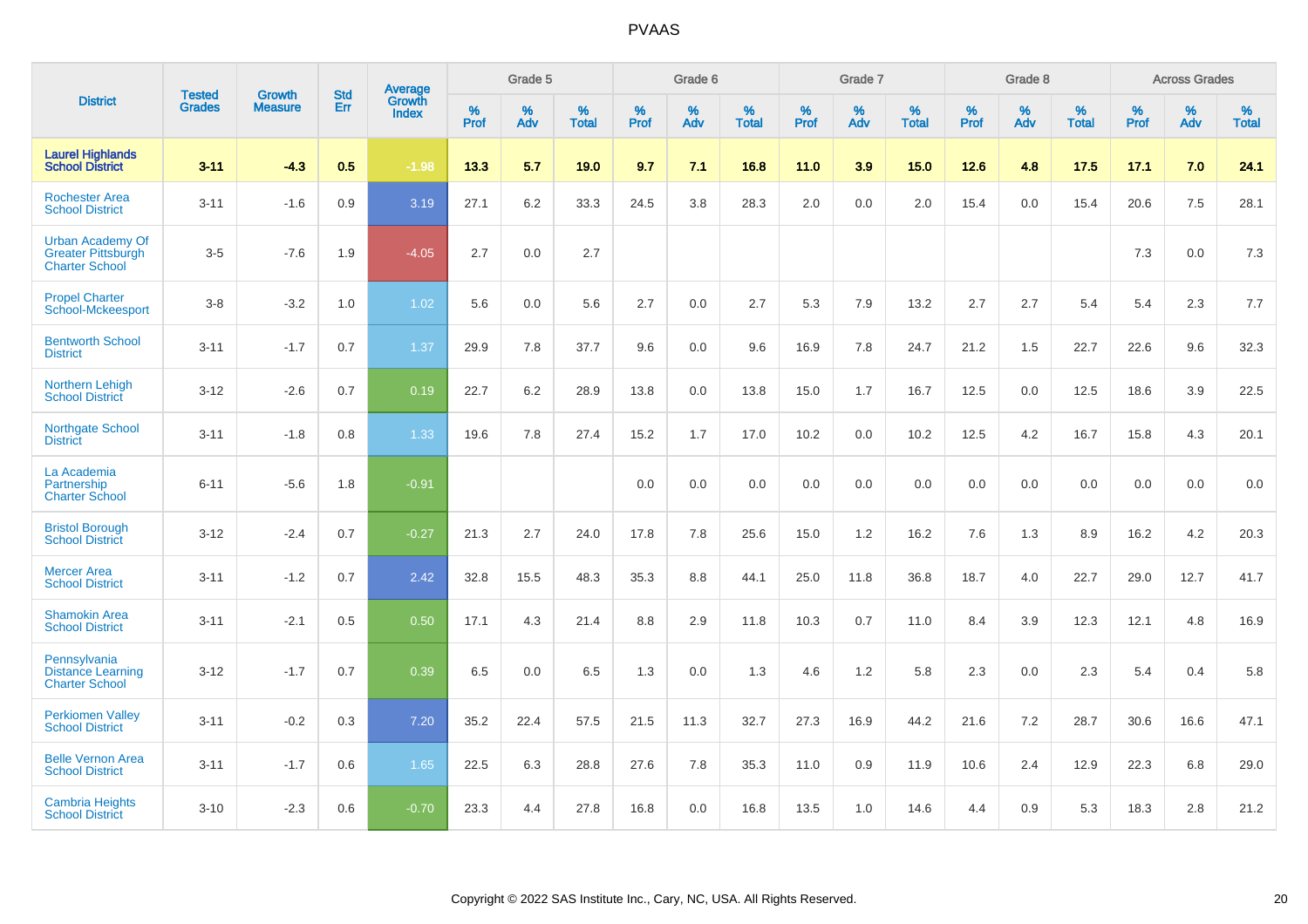|                                                                               | <b>Tested</b> | <b>Growth</b>  | <b>Std</b> | Average                       |           | Grade 5  |                   |           | Grade 6  |                   |           | Grade 7  |                   |           | Grade 8  |                   |           | <b>Across Grades</b> |                   |
|-------------------------------------------------------------------------------|---------------|----------------|------------|-------------------------------|-----------|----------|-------------------|-----------|----------|-------------------|-----------|----------|-------------------|-----------|----------|-------------------|-----------|----------------------|-------------------|
| <b>District</b>                                                               | <b>Grades</b> | <b>Measure</b> | Err        | <b>Growth</b><br><b>Index</b> | %<br>Prof | %<br>Adv | %<br><b>Total</b> | %<br>Prof | %<br>Adv | %<br><b>Total</b> | %<br>Prof | %<br>Adv | %<br><b>Total</b> | %<br>Prof | %<br>Adv | %<br><b>Total</b> | %<br>Prof | %<br>Adv             | %<br><b>Total</b> |
| <b>Laurel Highlands</b><br><b>School District</b>                             | $3 - 11$      | $-4.3$         | 0.5        | $-1.98$                       | 13.3      | 5.7      | 19.0              | 9.7       | 7.1      | 16.8              | 11.0      | 3.9      | 15.0              | 12.6      | 4.8      | 17.5              | 17.1      | 7.0                  | 24.1              |
| <b>Rochester Area</b><br><b>School District</b>                               | $3 - 11$      | $-1.6$         | 0.9        | 3.19                          | 27.1      | $6.2\,$  | 33.3              | 24.5      | 3.8      | 28.3              | 2.0       | 0.0      | 2.0               | 15.4      | 0.0      | 15.4              | 20.6      | $7.5\,$              | 28.1              |
| <b>Urban Academy Of</b><br><b>Greater Pittsburgh</b><br><b>Charter School</b> | $3-5$         | $-7.6$         | 1.9        | $-4.05$                       | 2.7       | 0.0      | 2.7               |           |          |                   |           |          |                   |           |          |                   | 7.3       | 0.0                  | 7.3               |
| <b>Propel Charter</b><br><b>School-Mckeesport</b>                             | $3 - 8$       | $-3.2$         | 1.0        | 1.02                          | 5.6       | 0.0      | 5.6               | 2.7       | 0.0      | 2.7               | 5.3       | 7.9      | 13.2              | 2.7       | 2.7      | 5.4               | 5.4       | 2.3                  | 7.7               |
| <b>Bentworth School</b><br><b>District</b>                                    | $3 - 11$      | $-1.7$         | 0.7        | 1.37                          | 29.9      | 7.8      | 37.7              | 9.6       | 0.0      | 9.6               | 16.9      | 7.8      | 24.7              | 21.2      | 1.5      | 22.7              | 22.6      | 9.6                  | 32.3              |
| <b>Northern Lehigh</b><br><b>School District</b>                              | $3 - 12$      | $-2.6$         | 0.7        | 0.19                          | 22.7      | 6.2      | 28.9              | 13.8      | 0.0      | 13.8              | 15.0      | 1.7      | 16.7              | 12.5      | 0.0      | 12.5              | 18.6      | 3.9                  | 22.5              |
| <b>Northgate School</b><br><b>District</b>                                    | $3 - 11$      | $-1.8$         | 0.8        | 1.33                          | 19.6      | 7.8      | 27.4              | 15.2      | 1.7      | 17.0              | 10.2      | 0.0      | 10.2              | 12.5      | 4.2      | 16.7              | 15.8      | 4.3                  | 20.1              |
| La Academia<br>Partnership<br><b>Charter School</b>                           | $6 - 11$      | $-5.6$         | 1.8        | $-0.91$                       |           |          |                   | 0.0       | 0.0      | 0.0               | 0.0       | 0.0      | 0.0               | 0.0       | 0.0      | 0.0               | 0.0       | 0.0                  | 0.0               |
| <b>Bristol Borough</b><br><b>School District</b>                              | $3 - 12$      | $-2.4$         | 0.7        | $-0.27$                       | 21.3      | 2.7      | 24.0              | 17.8      | 7.8      | 25.6              | 15.0      | 1.2      | 16.2              | 7.6       | 1.3      | 8.9               | 16.2      | 4.2                  | 20.3              |
| <b>Mercer Area</b><br><b>School District</b>                                  | $3 - 11$      | $-1.2$         | 0.7        | 2.42                          | 32.8      | 15.5     | 48.3              | 35.3      | 8.8      | 44.1              | 25.0      | 11.8     | 36.8              | 18.7      | 4.0      | 22.7              | 29.0      | 12.7                 | 41.7              |
| <b>Shamokin Area</b><br><b>School District</b>                                | $3 - 11$      | $-2.1$         | 0.5        | 0.50                          | 17.1      | 4.3      | 21.4              | 8.8       | 2.9      | 11.8              | 10.3      | 0.7      | 11.0              | 8.4       | 3.9      | 12.3              | 12.1      | 4.8                  | 16.9              |
| Pennsylvania<br><b>Distance Learning</b><br><b>Charter School</b>             | $3 - 12$      | $-1.7$         | 0.7        | 0.39                          | 6.5       | 0.0      | 6.5               | 1.3       | 0.0      | 1.3               | 4.6       | 1.2      | 5.8               | 2.3       | 0.0      | 2.3               | 5.4       | 0.4                  | 5.8               |
| <b>Perkiomen Valley</b><br><b>School District</b>                             | $3 - 11$      | $-0.2$         | 0.3        | 7.20                          | 35.2      | 22.4     | 57.5              | 21.5      | 11.3     | 32.7              | 27.3      | 16.9     | 44.2              | 21.6      | 7.2      | 28.7              | 30.6      | 16.6                 | 47.1              |
| <b>Belle Vernon Area</b><br><b>School District</b>                            | $3 - 11$      | $-1.7$         | 0.6        | 1.65                          | 22.5      | 6.3      | 28.8              | 27.6      | 7.8      | 35.3              | 11.0      | 0.9      | 11.9              | 10.6      | 2.4      | 12.9              | 22.3      | 6.8                  | 29.0              |
| <b>Cambria Heights</b><br><b>School District</b>                              | $3 - 10$      | $-2.3$         | 0.6        | $-0.70$                       | 23.3      | 4.4      | 27.8              | 16.8      | 0.0      | 16.8              | 13.5      | 1.0      | 14.6              | 4.4       | 0.9      | 5.3               | 18.3      | 2.8                  | 21.2              |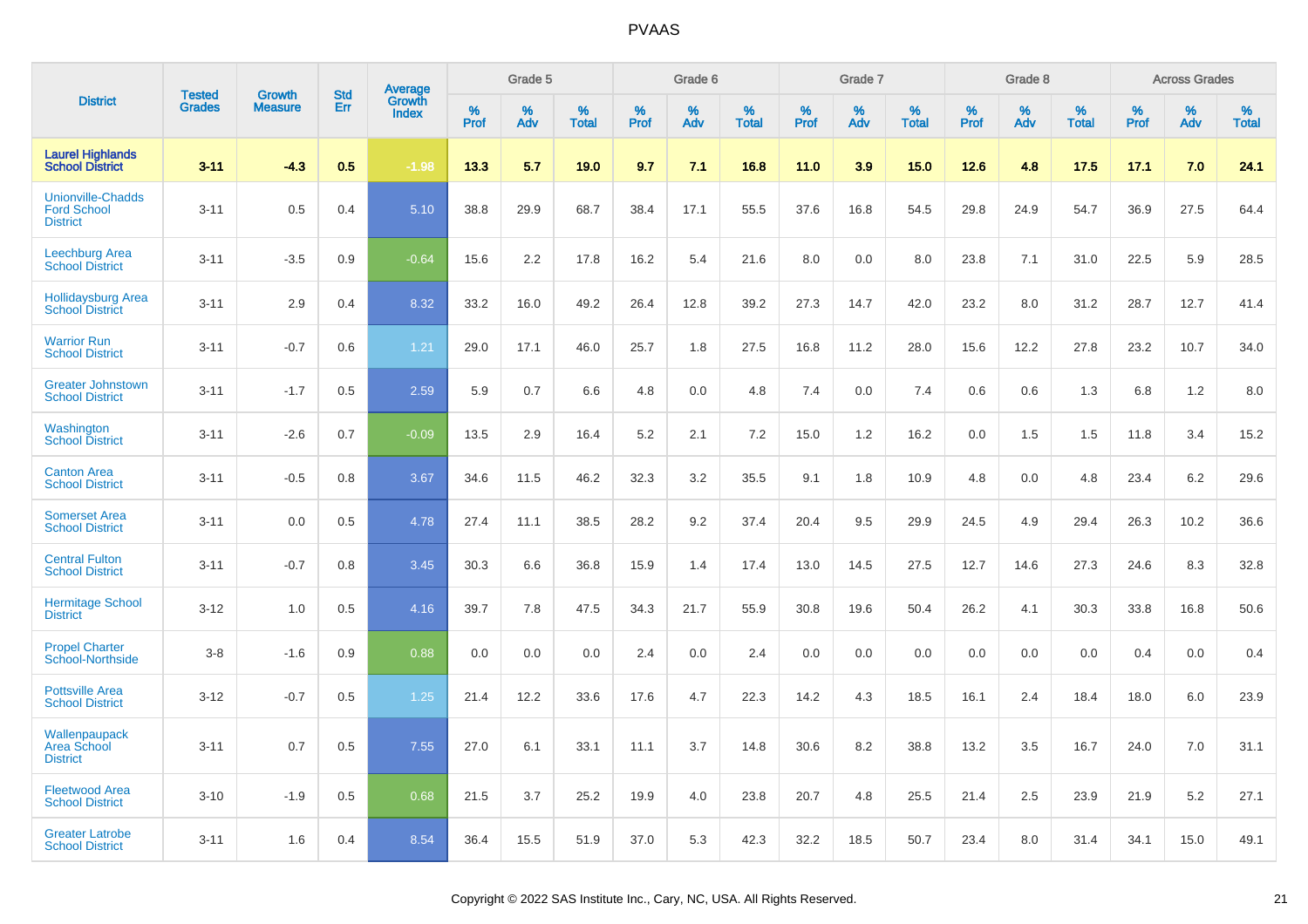|                                                                   | <b>Tested</b> |                                 | <b>Std</b> | Average                |              | Grade 5  |                   |              | Grade 6  |                   |              | Grade 7  |                   |              | Grade 8  |                   |              | <b>Across Grades</b> |                   |
|-------------------------------------------------------------------|---------------|---------------------------------|------------|------------------------|--------------|----------|-------------------|--------------|----------|-------------------|--------------|----------|-------------------|--------------|----------|-------------------|--------------|----------------------|-------------------|
| <b>District</b>                                                   | <b>Grades</b> | <b>Growth</b><br><b>Measure</b> | Err        | Growth<br><b>Index</b> | $\%$<br>Prof | %<br>Adv | %<br><b>Total</b> | $\%$<br>Prof | %<br>Adv | %<br><b>Total</b> | $\%$<br>Prof | %<br>Adv | %<br><b>Total</b> | $\%$<br>Prof | %<br>Adv | %<br><b>Total</b> | $\%$<br>Prof | %<br>Adv             | %<br><b>Total</b> |
| <b>Laurel Highlands</b><br><b>School District</b>                 | $3 - 11$      | $-4.3$                          | 0.5        | $-1.98$                | 13.3         | 5.7      | 19.0              | 9.7          | 7.1      | 16.8              | 11.0         | 3.9      | 15.0              | 12.6         | 4.8      | 17.5              | 17.1         | 7.0                  | 24.1              |
| <b>Unionville-Chadds</b><br><b>Ford School</b><br><b>District</b> | $3 - 11$      | 0.5                             | 0.4        | 5.10                   | 38.8         | 29.9     | 68.7              | 38.4         | 17.1     | 55.5              | 37.6         | 16.8     | 54.5              | 29.8         | 24.9     | 54.7              | 36.9         | 27.5                 | 64.4              |
| <b>Leechburg Area</b><br><b>School District</b>                   | $3 - 11$      | $-3.5$                          | 0.9        | $-0.64$                | 15.6         | 2.2      | 17.8              | 16.2         | 5.4      | 21.6              | 8.0          | 0.0      | 8.0               | 23.8         | 7.1      | 31.0              | 22.5         | 5.9                  | 28.5              |
| <b>Hollidaysburg Area</b><br><b>School District</b>               | $3 - 11$      | 2.9                             | 0.4        | 8.32                   | 33.2         | 16.0     | 49.2              | 26.4         | 12.8     | 39.2              | 27.3         | 14.7     | 42.0              | 23.2         | 8.0      | 31.2              | 28.7         | 12.7                 | 41.4              |
| <b>Warrior Run</b><br><b>School District</b>                      | $3 - 11$      | $-0.7$                          | 0.6        | 1.21                   | 29.0         | 17.1     | 46.0              | 25.7         | 1.8      | 27.5              | 16.8         | 11.2     | 28.0              | 15.6         | 12.2     | 27.8              | 23.2         | 10.7                 | 34.0              |
| <b>Greater Johnstown</b><br><b>School District</b>                | $3 - 11$      | $-1.7$                          | 0.5        | 2.59                   | 5.9          | 0.7      | 6.6               | 4.8          | 0.0      | 4.8               | 7.4          | 0.0      | 7.4               | 0.6          | 0.6      | 1.3               | 6.8          | 1.2                  | 8.0               |
| Washington<br><b>School District</b>                              | $3 - 11$      | $-2.6$                          | 0.7        | $-0.09$                | 13.5         | 2.9      | 16.4              | 5.2          | 2.1      | 7.2               | 15.0         | 1.2      | 16.2              | 0.0          | 1.5      | 1.5               | 11.8         | 3.4                  | 15.2              |
| <b>Canton Area</b><br><b>School District</b>                      | $3 - 11$      | $-0.5$                          | 0.8        | 3.67                   | 34.6         | 11.5     | 46.2              | 32.3         | 3.2      | 35.5              | 9.1          | 1.8      | 10.9              | 4.8          | 0.0      | 4.8               | 23.4         | 6.2                  | 29.6              |
| <b>Somerset Area</b><br><b>School District</b>                    | $3 - 11$      | 0.0                             | 0.5        | 4.78                   | 27.4         | 11.1     | 38.5              | 28.2         | 9.2      | 37.4              | 20.4         | 9.5      | 29.9              | 24.5         | 4.9      | 29.4              | 26.3         | 10.2                 | 36.6              |
| <b>Central Fulton</b><br><b>School District</b>                   | $3 - 11$      | $-0.7$                          | 0.8        | 3.45                   | 30.3         | 6.6      | 36.8              | 15.9         | 1.4      | 17.4              | 13.0         | 14.5     | 27.5              | 12.7         | 14.6     | 27.3              | 24.6         | 8.3                  | 32.8              |
| <b>Hermitage School</b><br><b>District</b>                        | $3 - 12$      | 1.0                             | 0.5        | 4.16                   | 39.7         | 7.8      | 47.5              | 34.3         | 21.7     | 55.9              | 30.8         | 19.6     | 50.4              | 26.2         | 4.1      | 30.3              | 33.8         | 16.8                 | 50.6              |
| <b>Propel Charter</b><br><b>School-Northside</b>                  | $3 - 8$       | $-1.6$                          | 0.9        | 0.88                   | 0.0          | 0.0      | 0.0               | 2.4          | 0.0      | 2.4               | 0.0          | 0.0      | 0.0               | 0.0          | 0.0      | 0.0               | 0.4          | 0.0                  | 0.4               |
| <b>Pottsville Area</b><br><b>School District</b>                  | $3 - 12$      | $-0.7$                          | 0.5        | 1.25                   | 21.4         | 12.2     | 33.6              | 17.6         | 4.7      | 22.3              | 14.2         | 4.3      | 18.5              | 16.1         | 2.4      | 18.4              | 18.0         | 6.0                  | 23.9              |
| Wallenpaupack<br><b>Area School</b><br><b>District</b>            | $3 - 11$      | 0.7                             | 0.5        | 7.55                   | 27.0         | 6.1      | 33.1              | 11.1         | 3.7      | 14.8              | 30.6         | 8.2      | 38.8              | 13.2         | 3.5      | 16.7              | 24.0         | 7.0                  | 31.1              |
| <b>Fleetwood Area</b><br><b>School District</b>                   | $3 - 10$      | $-1.9$                          | 0.5        | 0.68                   | 21.5         | 3.7      | 25.2              | 19.9         | 4.0      | 23.8              | 20.7         | 4.8      | 25.5              | 21.4         | 2.5      | 23.9              | 21.9         | 5.2                  | 27.1              |
| <b>Greater Latrobe</b><br><b>School District</b>                  | $3 - 11$      | 1.6                             | 0.4        | 8.54                   | 36.4         | 15.5     | 51.9              | 37.0         | 5.3      | 42.3              | 32.2         | 18.5     | 50.7              | 23.4         | 8.0      | 31.4              | 34.1         | 15.0                 | 49.1              |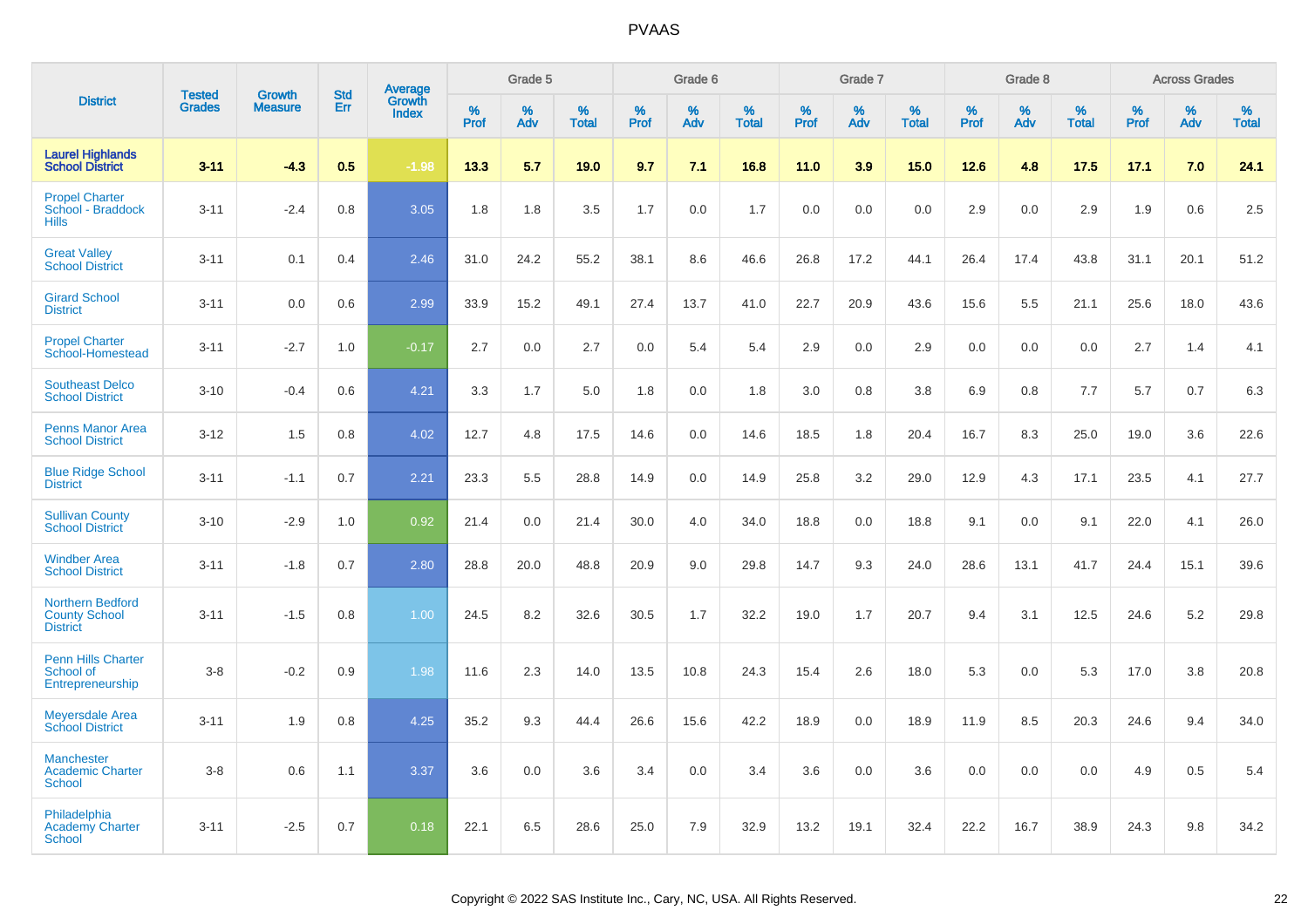|                                                                    |                                |                                 | <b>Std</b> | Average                |                  | Grade 5  |                   |           | Grade 6  |                   |           | Grade 7  |                   |                  | Grade 8  |                   |           | <b>Across Grades</b> |                   |
|--------------------------------------------------------------------|--------------------------------|---------------------------------|------------|------------------------|------------------|----------|-------------------|-----------|----------|-------------------|-----------|----------|-------------------|------------------|----------|-------------------|-----------|----------------------|-------------------|
| <b>District</b>                                                    | <b>Tested</b><br><b>Grades</b> | <b>Growth</b><br><b>Measure</b> | Err        | Growth<br><b>Index</b> | %<br><b>Prof</b> | %<br>Adv | %<br><b>Total</b> | %<br>Prof | %<br>Adv | %<br><b>Total</b> | %<br>Prof | %<br>Adv | %<br><b>Total</b> | %<br><b>Prof</b> | %<br>Adv | %<br><b>Total</b> | %<br>Prof | %<br>Adv             | %<br><b>Total</b> |
| <b>Laurel Highlands</b><br><b>School District</b>                  | $3 - 11$                       | $-4.3$                          | 0.5        | $-1.98$                | 13.3             | 5.7      | 19.0              | 9.7       | 7.1      | 16.8              | 11.0      | 3.9      | 15.0              | 12.6             | 4.8      | 17.5              | 17.1      | 7.0                  | 24.1              |
| <b>Propel Charter</b><br>School - Braddock<br><b>Hills</b>         | $3 - 11$                       | $-2.4$                          | 0.8        | 3.05                   | 1.8              | 1.8      | 3.5               | 1.7       | 0.0      | 1.7               | 0.0       | 0.0      | 0.0               | 2.9              | 0.0      | 2.9               | 1.9       | 0.6                  | 2.5               |
| <b>Great Valley</b><br><b>School District</b>                      | $3 - 11$                       | 0.1                             | 0.4        | 2.46                   | 31.0             | 24.2     | 55.2              | 38.1      | 8.6      | 46.6              | 26.8      | 17.2     | 44.1              | 26.4             | 17.4     | 43.8              | 31.1      | 20.1                 | 51.2              |
| <b>Girard School</b><br><b>District</b>                            | $3 - 11$                       | 0.0                             | 0.6        | 2.99                   | 33.9             | 15.2     | 49.1              | 27.4      | 13.7     | 41.0              | 22.7      | 20.9     | 43.6              | 15.6             | $5.5\,$  | 21.1              | 25.6      | 18.0                 | 43.6              |
| <b>Propel Charter</b><br>School-Homestead                          | $3 - 11$                       | $-2.7$                          | 1.0        | $-0.17$                | 2.7              | 0.0      | 2.7               | 0.0       | 5.4      | 5.4               | 2.9       | 0.0      | 2.9               | 0.0              | 0.0      | 0.0               | 2.7       | 1.4                  | 4.1               |
| <b>Southeast Delco</b><br><b>School District</b>                   | $3 - 10$                       | $-0.4$                          | 0.6        | 4.21                   | 3.3              | 1.7      | 5.0               | 1.8       | 0.0      | 1.8               | 3.0       | 0.8      | 3.8               | 6.9              | 0.8      | 7.7               | 5.7       | 0.7                  | 6.3               |
| <b>Penns Manor Area</b><br><b>School District</b>                  | $3 - 12$                       | 1.5                             | 0.8        | 4.02                   | 12.7             | 4.8      | 17.5              | 14.6      | 0.0      | 14.6              | 18.5      | 1.8      | 20.4              | 16.7             | 8.3      | 25.0              | 19.0      | 3.6                  | 22.6              |
| <b>Blue Ridge School</b><br><b>District</b>                        | $3 - 11$                       | $-1.1$                          | 0.7        | 2.21                   | 23.3             | 5.5      | 28.8              | 14.9      | 0.0      | 14.9              | 25.8      | 3.2      | 29.0              | 12.9             | 4.3      | 17.1              | 23.5      | 4.1                  | 27.7              |
| <b>Sullivan County</b><br><b>School District</b>                   | $3 - 10$                       | $-2.9$                          | 1.0        | 0.92                   | 21.4             | 0.0      | 21.4              | 30.0      | 4.0      | 34.0              | 18.8      | 0.0      | 18.8              | 9.1              | 0.0      | 9.1               | 22.0      | 4.1                  | 26.0              |
| <b>Windber Area</b><br><b>School District</b>                      | $3 - 11$                       | $-1.8$                          | 0.7        | 2.80                   | 28.8             | 20.0     | 48.8              | 20.9      | 9.0      | 29.8              | 14.7      | 9.3      | 24.0              | 28.6             | 13.1     | 41.7              | 24.4      | 15.1                 | 39.6              |
| <b>Northern Bedford</b><br><b>County School</b><br><b>District</b> | $3 - 11$                       | $-1.5$                          | 0.8        | 1.00                   | 24.5             | 8.2      | 32.6              | 30.5      | 1.7      | 32.2              | 19.0      | 1.7      | 20.7              | 9.4              | 3.1      | 12.5              | 24.6      | 5.2                  | 29.8              |
| <b>Penn Hills Charter</b><br>School of<br>Entrepreneurship         | $3 - 8$                        | $-0.2$                          | 0.9        | 1.98                   | 11.6             | 2.3      | 14.0              | 13.5      | 10.8     | 24.3              | 15.4      | 2.6      | 18.0              | 5.3              | 0.0      | 5.3               | 17.0      | 3.8                  | 20.8              |
| <b>Meyersdale Area</b><br><b>School District</b>                   | $3 - 11$                       | 1.9                             | 0.8        | 4.25                   | 35.2             | 9.3      | 44.4              | 26.6      | 15.6     | 42.2              | 18.9      | 0.0      | 18.9              | 11.9             | 8.5      | 20.3              | 24.6      | 9.4                  | 34.0              |
| <b>Manchester</b><br><b>Academic Charter</b><br><b>School</b>      | $3-8$                          | 0.6                             | 1.1        | 3.37                   | 3.6              | 0.0      | 3.6               | 3.4       | 0.0      | 3.4               | 3.6       | 0.0      | 3.6               | 0.0              | 0.0      | 0.0               | 4.9       | 0.5                  | 5.4               |
| Philadelphia<br><b>Academy Charter</b><br><b>School</b>            | $3 - 11$                       | $-2.5$                          | 0.7        | 0.18                   | 22.1             | 6.5      | 28.6              | 25.0      | 7.9      | 32.9              | 13.2      | 19.1     | 32.4              | 22.2             | 16.7     | 38.9              | 24.3      | 9.8                  | 34.2              |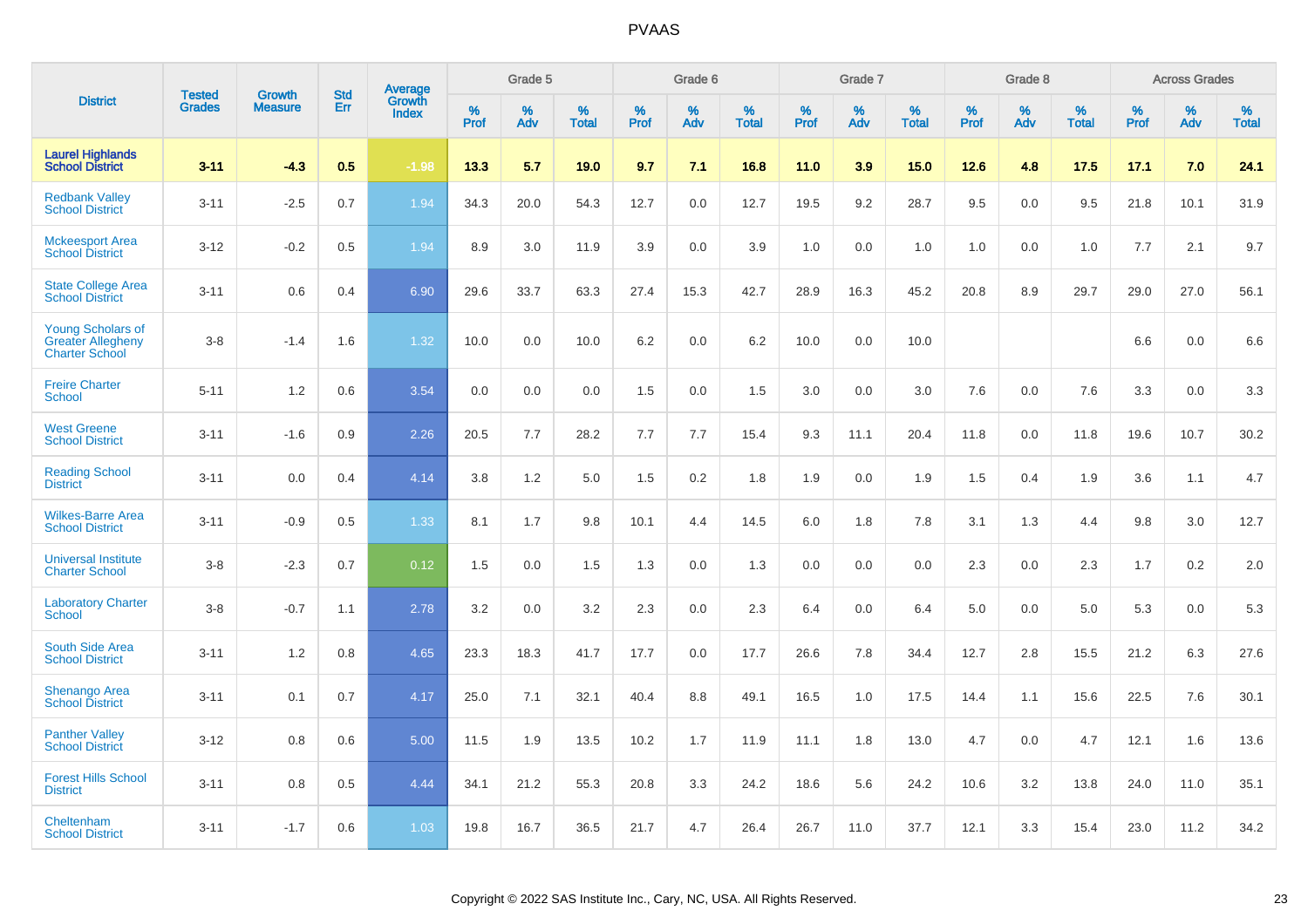|                                                                               |                                | <b>Growth</b>  | <b>Std</b> | Average                |                     | Grade 5  |                      |                     | Grade 6  |                      |                     | Grade 7  |                      |              | Grade 8  |                      |                  | <b>Across Grades</b> |                      |
|-------------------------------------------------------------------------------|--------------------------------|----------------|------------|------------------------|---------------------|----------|----------------------|---------------------|----------|----------------------|---------------------|----------|----------------------|--------------|----------|----------------------|------------------|----------------------|----------------------|
| <b>District</b>                                                               | <b>Tested</b><br><b>Grades</b> | <b>Measure</b> | Err        | Growth<br><b>Index</b> | $\%$<br><b>Prof</b> | %<br>Adv | $\%$<br><b>Total</b> | $\%$<br><b>Prof</b> | %<br>Adv | $\%$<br><b>Total</b> | $\%$<br><b>Prof</b> | %<br>Adv | $\%$<br><b>Total</b> | $\%$<br>Prof | %<br>Adv | $\%$<br><b>Total</b> | %<br><b>Prof</b> | %<br>Adv             | $\%$<br><b>Total</b> |
| <b>Laurel Highlands</b><br><b>School District</b>                             | $3 - 11$                       | $-4.3$         | 0.5        | $-1.98$                | 13.3                | 5.7      | 19.0                 | 9.7                 | 7.1      | 16.8                 | 11.0                | 3.9      | 15.0                 | 12.6         | 4.8      | 17.5                 | 17.1             | 7.0                  | 24.1                 |
| <b>Redbank Valley</b><br><b>School District</b>                               | $3 - 11$                       | $-2.5$         | 0.7        | 1.94                   | 34.3                | 20.0     | 54.3                 | 12.7                | 0.0      | 12.7                 | 19.5                | 9.2      | 28.7                 | 9.5          | 0.0      | 9.5                  | 21.8             | 10.1                 | 31.9                 |
| <b>Mckeesport Area</b><br><b>School District</b>                              | $3 - 12$                       | $-0.2$         | 0.5        | 1.94                   | 8.9                 | 3.0      | 11.9                 | 3.9                 | 0.0      | 3.9                  | 1.0                 | 0.0      | 1.0                  | 1.0          | 0.0      | 1.0                  | 7.7              | 2.1                  | 9.7                  |
| <b>State College Area</b><br><b>School District</b>                           | $3 - 11$                       | 0.6            | 0.4        | 6.90                   | 29.6                | 33.7     | 63.3                 | 27.4                | 15.3     | 42.7                 | 28.9                | 16.3     | 45.2                 | 20.8         | 8.9      | 29.7                 | 29.0             | 27.0                 | 56.1                 |
| <b>Young Scholars of</b><br><b>Greater Allegheny</b><br><b>Charter School</b> | $3-8$                          | $-1.4$         | 1.6        | 1.32                   | 10.0                | 0.0      | 10.0                 | $6.2\,$             | 0.0      | 6.2                  | 10.0                | 0.0      | 10.0                 |              |          |                      | 6.6              | 0.0                  | 6.6                  |
| <b>Freire Charter</b><br><b>School</b>                                        | $5 - 11$                       | 1.2            | 0.6        | 3.54                   | 0.0                 | 0.0      | 0.0                  | 1.5                 | 0.0      | 1.5                  | 3.0                 | 0.0      | 3.0                  | 7.6          | 0.0      | 7.6                  | 3.3              | 0.0                  | 3.3                  |
| <b>West Greene</b><br><b>School District</b>                                  | $3 - 11$                       | $-1.6$         | 0.9        | 2.26                   | 20.5                | 7.7      | 28.2                 | 7.7                 | 7.7      | 15.4                 | 9.3                 | 11.1     | 20.4                 | 11.8         | 0.0      | 11.8                 | 19.6             | 10.7                 | 30.2                 |
| <b>Reading School</b><br><b>District</b>                                      | $3 - 11$                       | 0.0            | 0.4        | 4.14                   | 3.8                 | 1.2      | 5.0                  | 1.5                 | 0.2      | 1.8                  | 1.9                 | 0.0      | 1.9                  | 1.5          | 0.4      | 1.9                  | 3.6              | 1.1                  | 4.7                  |
| <b>Wilkes-Barre Area</b><br><b>School District</b>                            | $3 - 11$                       | $-0.9$         | 0.5        | 1.33                   | 8.1                 | 1.7      | 9.8                  | 10.1                | 4.4      | 14.5                 | $6.0\,$             | 1.8      | 7.8                  | 3.1          | 1.3      | 4.4                  | 9.8              | 3.0                  | 12.7                 |
| <b>Universal Institute</b><br><b>Charter School</b>                           | $3-8$                          | $-2.3$         | 0.7        | 0.12                   | 1.5                 | 0.0      | 1.5                  | 1.3                 | 0.0      | 1.3                  | 0.0                 | 0.0      | 0.0                  | 2.3          | 0.0      | 2.3                  | 1.7              | $0.2\,$              | 2.0                  |
| <b>Laboratory Charter</b><br><b>School</b>                                    | $3-8$                          | $-0.7$         | 1.1        | 2.78                   | 3.2                 | 0.0      | 3.2                  | 2.3                 | 0.0      | 2.3                  | 6.4                 | 0.0      | 6.4                  | 5.0          | 0.0      | 5.0                  | 5.3              | 0.0                  | 5.3                  |
| South Side Area<br><b>School District</b>                                     | $3 - 11$                       | 1.2            | 0.8        | 4.65                   | 23.3                | 18.3     | 41.7                 | 17.7                | 0.0      | 17.7                 | 26.6                | 7.8      | 34.4                 | 12.7         | 2.8      | 15.5                 | 21.2             | 6.3                  | 27.6                 |
| <b>Shenango Area</b><br><b>School District</b>                                | $3 - 11$                       | 0.1            | 0.7        | 4.17                   | 25.0                | 7.1      | 32.1                 | 40.4                | 8.8      | 49.1                 | 16.5                | 1.0      | 17.5                 | 14.4         | 1.1      | 15.6                 | 22.5             | 7.6                  | 30.1                 |
| <b>Panther Valley</b><br><b>School District</b>                               | $3 - 12$                       | 0.8            | 0.6        | 5.00                   | 11.5                | 1.9      | 13.5                 | 10.2                | 1.7      | 11.9                 | 11.1                | 1.8      | 13.0                 | 4.7          | 0.0      | 4.7                  | 12.1             | 1.6                  | 13.6                 |
| <b>Forest Hills School</b><br><b>District</b>                                 | $3 - 11$                       | 0.8            | 0.5        | 4.44                   | 34.1                | 21.2     | 55.3                 | 20.8                | 3.3      | 24.2                 | 18.6                | 5.6      | 24.2                 | 10.6         | 3.2      | 13.8                 | 24.0             | 11.0                 | 35.1                 |
| Cheltenham<br><b>School District</b>                                          | $3 - 11$                       | $-1.7$         | 0.6        | 1.03                   | 19.8                | 16.7     | 36.5                 | 21.7                | 4.7      | 26.4                 | 26.7                | 11.0     | 37.7                 | 12.1         | 3.3      | 15.4                 | 23.0             | 11.2                 | 34.2                 |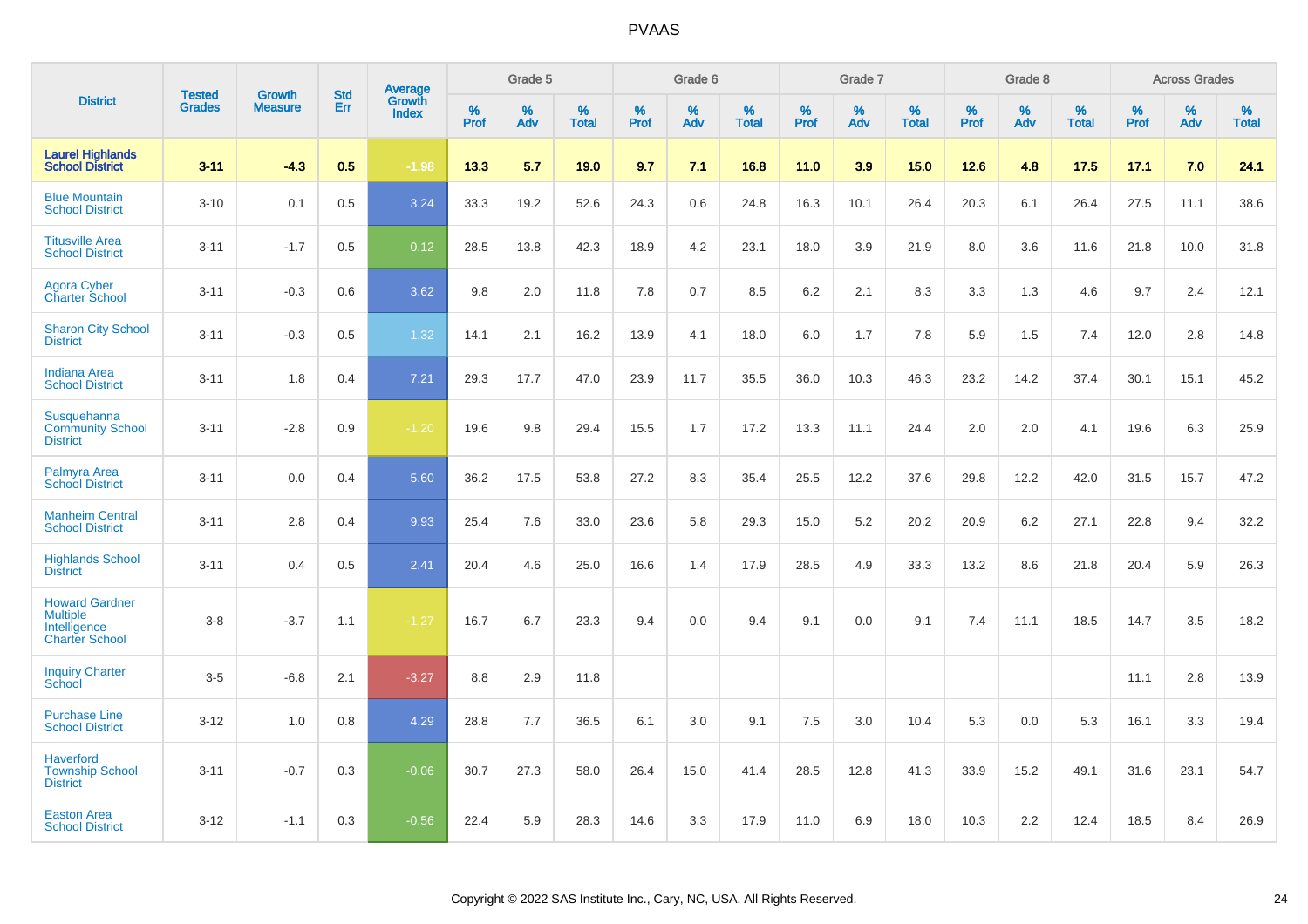|                                                                                   | <b>Tested</b> | <b>Growth</b>  | <b>Std</b> |                                          |              | Grade 5  |                   |              | Grade 6  |                   |           | Grade 7  |                   |           | Grade 8  |                   |                  | <b>Across Grades</b> |                   |
|-----------------------------------------------------------------------------------|---------------|----------------|------------|------------------------------------------|--------------|----------|-------------------|--------------|----------|-------------------|-----------|----------|-------------------|-----------|----------|-------------------|------------------|----------------------|-------------------|
| <b>District</b>                                                                   | <b>Grades</b> | <b>Measure</b> | Err        | <b>Average</b><br>Growth<br><b>Index</b> | $\%$<br>Prof | %<br>Adv | %<br><b>Total</b> | $\%$<br>Prof | %<br>Adv | %<br><b>Total</b> | %<br>Prof | %<br>Adv | %<br><b>Total</b> | %<br>Prof | %<br>Adv | %<br><b>Total</b> | %<br><b>Prof</b> | $\%$<br>Adv          | %<br><b>Total</b> |
| <b>Laurel Highlands</b><br><b>School District</b>                                 | $3 - 11$      | $-4.3$         | 0.5        | $-1.98$                                  | 13.3         | 5.7      | 19.0              | 9.7          | 7.1      | 16.8              | 11.0      | 3.9      | 15.0              | 12.6      | 4.8      | 17.5              | 17.1             | 7.0                  | 24.1              |
| <b>Blue Mountain</b><br><b>School District</b>                                    | $3 - 10$      | 0.1            | 0.5        | 3.24                                     | 33.3         | 19.2     | 52.6              | 24.3         | 0.6      | 24.8              | 16.3      | 10.1     | 26.4              | 20.3      | 6.1      | 26.4              | 27.5             | 11.1                 | 38.6              |
| <b>Titusville Area</b><br><b>School District</b>                                  | $3 - 11$      | $-1.7$         | 0.5        | 0.12                                     | 28.5         | 13.8     | 42.3              | 18.9         | 4.2      | 23.1              | 18.0      | 3.9      | 21.9              | 8.0       | 3.6      | 11.6              | 21.8             | 10.0                 | 31.8              |
| <b>Agora Cyber</b><br><b>Charter School</b>                                       | $3 - 11$      | $-0.3$         | 0.6        | 3.62                                     | 9.8          | 2.0      | 11.8              | 7.8          | 0.7      | 8.5               | 6.2       | 2.1      | 8.3               | 3.3       | 1.3      | 4.6               | 9.7              | 2.4                  | 12.1              |
| <b>Sharon City School</b><br><b>District</b>                                      | $3 - 11$      | $-0.3$         | 0.5        | 1.32                                     | 14.1         | 2.1      | 16.2              | 13.9         | 4.1      | 18.0              | 6.0       | 1.7      | 7.8               | 5.9       | 1.5      | 7.4               | 12.0             | 2.8                  | 14.8              |
| <b>Indiana Area</b><br><b>School District</b>                                     | $3 - 11$      | 1.8            | 0.4        | $7.21$                                   | 29.3         | 17.7     | 47.0              | 23.9         | 11.7     | 35.5              | 36.0      | 10.3     | 46.3              | 23.2      | 14.2     | 37.4              | 30.1             | 15.1                 | 45.2              |
| Susquehanna<br><b>Community School</b><br><b>District</b>                         | $3 - 11$      | $-2.8$         | 0.9        | $-1.20$                                  | 19.6         | 9.8      | 29.4              | 15.5         | 1.7      | 17.2              | 13.3      | 11.1     | 24.4              | 2.0       | 2.0      | 4.1               | 19.6             | 6.3                  | 25.9              |
| Palmyra Area<br><b>School District</b>                                            | $3 - 11$      | 0.0            | 0.4        | 5.60                                     | 36.2         | 17.5     | 53.8              | 27.2         | 8.3      | 35.4              | 25.5      | 12.2     | 37.6              | 29.8      | 12.2     | 42.0              | 31.5             | 15.7                 | 47.2              |
| <b>Manheim Central</b><br><b>School District</b>                                  | $3 - 11$      | 2.8            | 0.4        | 9.93                                     | 25.4         | 7.6      | 33.0              | 23.6         | 5.8      | 29.3              | 15.0      | 5.2      | 20.2              | 20.9      | 6.2      | 27.1              | 22.8             | 9.4                  | 32.2              |
| <b>Highlands School</b><br><b>District</b>                                        | $3 - 11$      | 0.4            | 0.5        | 2.41                                     | 20.4         | 4.6      | 25.0              | 16.6         | 1.4      | 17.9              | 28.5      | 4.9      | 33.3              | 13.2      | 8.6      | 21.8              | 20.4             | 5.9                  | 26.3              |
| <b>Howard Gardner</b><br><b>Multiple</b><br>Intelligence<br><b>Charter School</b> | $3 - 8$       | $-3.7$         | 1.1        | $-1.27$                                  | 16.7         | 6.7      | 23.3              | 9.4          | 0.0      | 9.4               | 9.1       | 0.0      | 9.1               | 7.4       | 11.1     | 18.5              | 14.7             | 3.5                  | 18.2              |
| <b>Inquiry Charter</b><br>School                                                  | $3-5$         | $-6.8$         | 2.1        | $-3.27$                                  | 8.8          | 2.9      | 11.8              |              |          |                   |           |          |                   |           |          |                   | 11.1             | 2.8                  | 13.9              |
| <b>Purchase Line</b><br><b>School District</b>                                    | $3 - 12$      | 1.0            | 0.8        | 4.29                                     | 28.8         | 7.7      | 36.5              | 6.1          | 3.0      | 9.1               | 7.5       | 3.0      | 10.4              | 5.3       | 0.0      | 5.3               | 16.1             | 3.3                  | 19.4              |
| <b>Haverford</b><br><b>Township School</b><br><b>District</b>                     | $3 - 11$      | $-0.7$         | 0.3        | $-0.06$                                  | 30.7         | 27.3     | 58.0              | 26.4         | 15.0     | 41.4              | 28.5      | 12.8     | 41.3              | 33.9      | 15.2     | 49.1              | 31.6             | 23.1                 | 54.7              |
| <b>Easton Area</b><br><b>School District</b>                                      | $3 - 12$      | $-1.1$         | 0.3        | $-0.56$                                  | 22.4         | 5.9      | 28.3              | 14.6         | 3.3      | 17.9              | 11.0      | 6.9      | 18.0              | 10.3      | 2.2      | 12.4              | 18.5             | 8.4                  | 26.9              |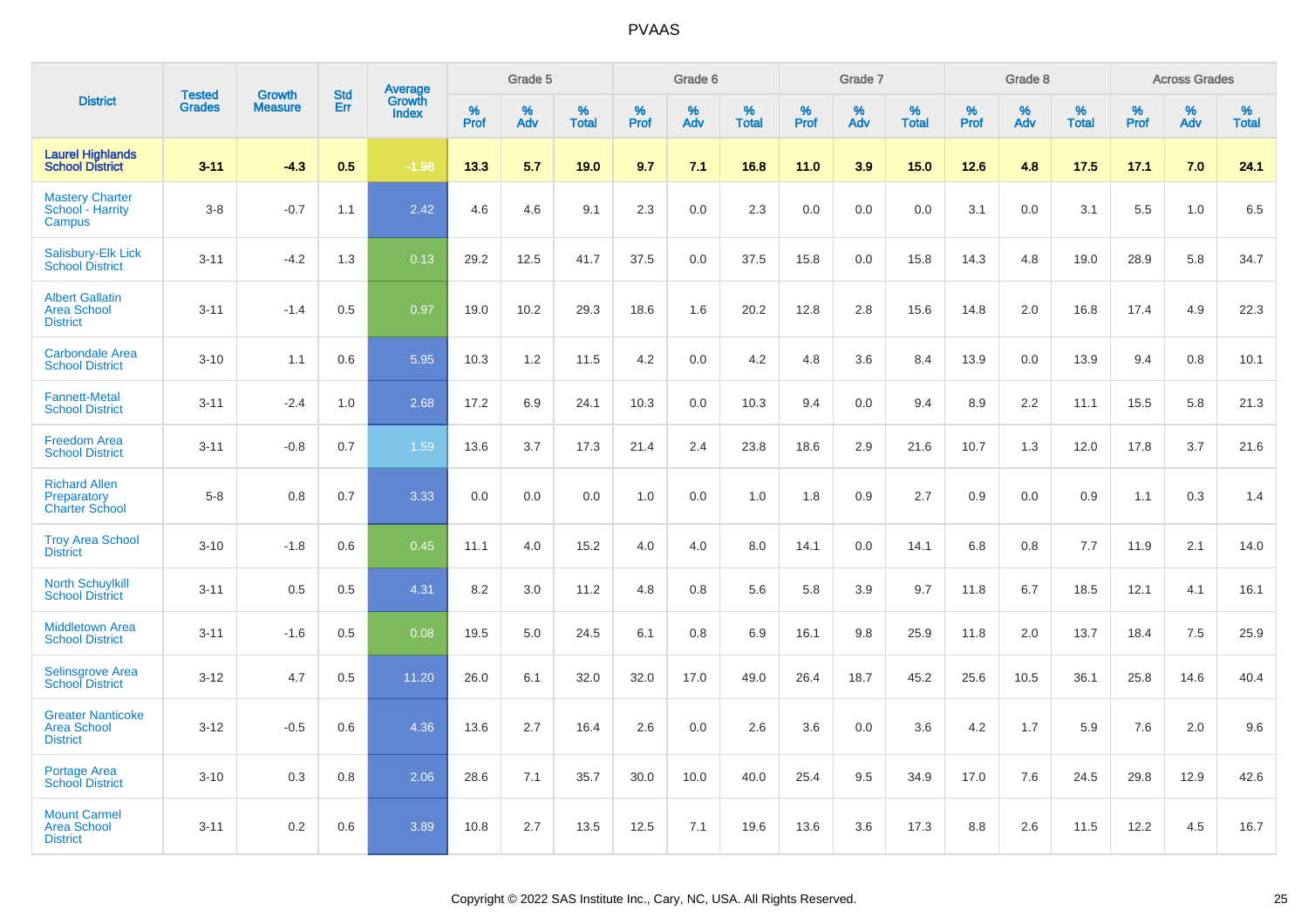|                                                                   |                                | <b>Growth</b>  |                          |                                   |           | Grade 5  |                   |                  | Grade 6  |                   |           | Grade 7  |                   |           | Grade 8  |                   |           | <b>Across Grades</b> |                   |
|-------------------------------------------------------------------|--------------------------------|----------------|--------------------------|-----------------------------------|-----------|----------|-------------------|------------------|----------|-------------------|-----------|----------|-------------------|-----------|----------|-------------------|-----------|----------------------|-------------------|
| <b>District</b>                                                   | <b>Tested</b><br><b>Grades</b> | <b>Measure</b> | <b>Std</b><br><b>Err</b> | Average<br>Growth<br><b>Index</b> | %<br>Prof | %<br>Adv | %<br><b>Total</b> | %<br><b>Prof</b> | %<br>Adv | %<br><b>Total</b> | %<br>Prof | %<br>Adv | %<br><b>Total</b> | %<br>Prof | %<br>Adv | %<br><b>Total</b> | %<br>Prof | %<br>Adv             | %<br><b>Total</b> |
| <b>Laurel Highlands</b><br><b>School District</b>                 | $3 - 11$                       | $-4.3$         | 0.5                      | $-1.98$                           | 13.3      | 5.7      | 19.0              | 9.7              | 7.1      | 16.8              | 11.0      | 3.9      | 15.0              | 12.6      | 4.8      | 17.5              | 17.1      | 7.0                  | 24.1              |
| <b>Mastery Charter</b><br>School - Harrity<br>Campus              | $3 - 8$                        | $-0.7$         | 1.1                      | 2.42                              | 4.6       | 4.6      | 9.1               | 2.3              | 0.0      | 2.3               | 0.0       | 0.0      | 0.0               | 3.1       | 0.0      | 3.1               | 5.5       | 1.0                  | 6.5               |
| <b>Salisbury-Elk Lick</b><br><b>School District</b>               | $3 - 11$                       | $-4.2$         | 1.3                      | 0.13                              | 29.2      | 12.5     | 41.7              | 37.5             | 0.0      | 37.5              | 15.8      | 0.0      | 15.8              | 14.3      | 4.8      | 19.0              | 28.9      | 5.8                  | 34.7              |
| <b>Albert Gallatin</b><br><b>Area School</b><br><b>District</b>   | $3 - 11$                       | $-1.4$         | 0.5                      | 0.97                              | 19.0      | 10.2     | 29.3              | 18.6             | 1.6      | 20.2              | 12.8      | 2.8      | 15.6              | 14.8      | 2.0      | 16.8              | 17.4      | 4.9                  | 22.3              |
| <b>Carbondale Area</b><br><b>School District</b>                  | $3 - 10$                       | 1.1            | 0.6                      | 5.95                              | 10.3      | 1.2      | 11.5              | 4.2              | 0.0      | 4.2               | 4.8       | 3.6      | 8.4               | 13.9      | 0.0      | 13.9              | 9.4       | 0.8                  | 10.1              |
| <b>Fannett-Metal</b><br><b>School District</b>                    | $3 - 11$                       | $-2.4$         | 1.0                      | 2.68                              | 17.2      | 6.9      | 24.1              | 10.3             | 0.0      | 10.3              | 9.4       | 0.0      | 9.4               | 8.9       | 2.2      | 11.1              | 15.5      | 5.8                  | 21.3              |
| <b>Freedom Area</b><br><b>School District</b>                     | $3 - 11$                       | $-0.8$         | 0.7                      | 1.59                              | 13.6      | 3.7      | 17.3              | 21.4             | 2.4      | 23.8              | 18.6      | 2.9      | 21.6              | 10.7      | 1.3      | 12.0              | 17.8      | 3.7                  | 21.6              |
| <b>Richard Allen</b><br>Preparatory<br><b>Charter School</b>      | $5 - 8$                        | 0.8            | 0.7                      | 3.33                              | 0.0       | 0.0      | 0.0               | 1.0              | 0.0      | 1.0               | 1.8       | 0.9      | 2.7               | 0.9       | 0.0      | 0.9               | 1.1       | 0.3                  | 1.4               |
| <b>Troy Area School</b><br><b>District</b>                        | $3 - 10$                       | $-1.8$         | 0.6                      | 0.45                              | 11.1      | 4.0      | 15.2              | 4.0              | 4.0      | 8.0               | 14.1      | 0.0      | 14.1              | 6.8       | 0.8      | 7.7               | 11.9      | 2.1                  | 14.0              |
| <b>North Schuylkill</b><br><b>School District</b>                 | $3 - 11$                       | 0.5            | 0.5                      | 4.31                              | 8.2       | 3.0      | 11.2              | 4.8              | 0.8      | 5.6               | 5.8       | 3.9      | 9.7               | 11.8      | 6.7      | 18.5              | 12.1      | 4.1                  | 16.1              |
| <b>Middletown Area</b><br><b>School District</b>                  | $3 - 11$                       | $-1.6$         | 0.5                      | 0.08                              | 19.5      | 5.0      | 24.5              | 6.1              | 0.8      | 6.9               | 16.1      | 9.8      | 25.9              | 11.8      | 2.0      | 13.7              | 18.4      | 7.5                  | 25.9              |
| <b>Selinsgrove Area</b><br><b>School District</b>                 | $3 - 12$                       | 4.7            | 0.5                      | 11.20                             | 26.0      | 6.1      | 32.0              | 32.0             | 17.0     | 49.0              | 26.4      | 18.7     | 45.2              | 25.6      | 10.5     | 36.1              | 25.8      | 14.6                 | 40.4              |
| <b>Greater Nanticoke</b><br><b>Area School</b><br><b>District</b> | $3 - 12$                       | $-0.5$         | 0.6                      | 4.36                              | 13.6      | 2.7      | 16.4              | 2.6              | 0.0      | 2.6               | 3.6       | 0.0      | 3.6               | 4.2       | 1.7      | 5.9               | 7.6       | 2.0                  | 9.6               |
| Portage Area<br><b>School District</b>                            | $3 - 10$                       | 0.3            | 0.8                      | 2.06                              | 28.6      | 7.1      | 35.7              | 30.0             | 10.0     | 40.0              | 25.4      | 9.5      | 34.9              | 17.0      | 7.6      | 24.5              | 29.8      | 12.9                 | 42.6              |
| <b>Mount Carmel</b><br><b>Area School</b><br><b>District</b>      | $3 - 11$                       | 0.2            | 0.6                      | 3.89                              | 10.8      | 2.7      | 13.5              | 12.5             | 7.1      | 19.6              | 13.6      | 3.6      | 17.3              | 8.8       | 2.6      | 11.5              | 12.2      | 4.5                  | 16.7              |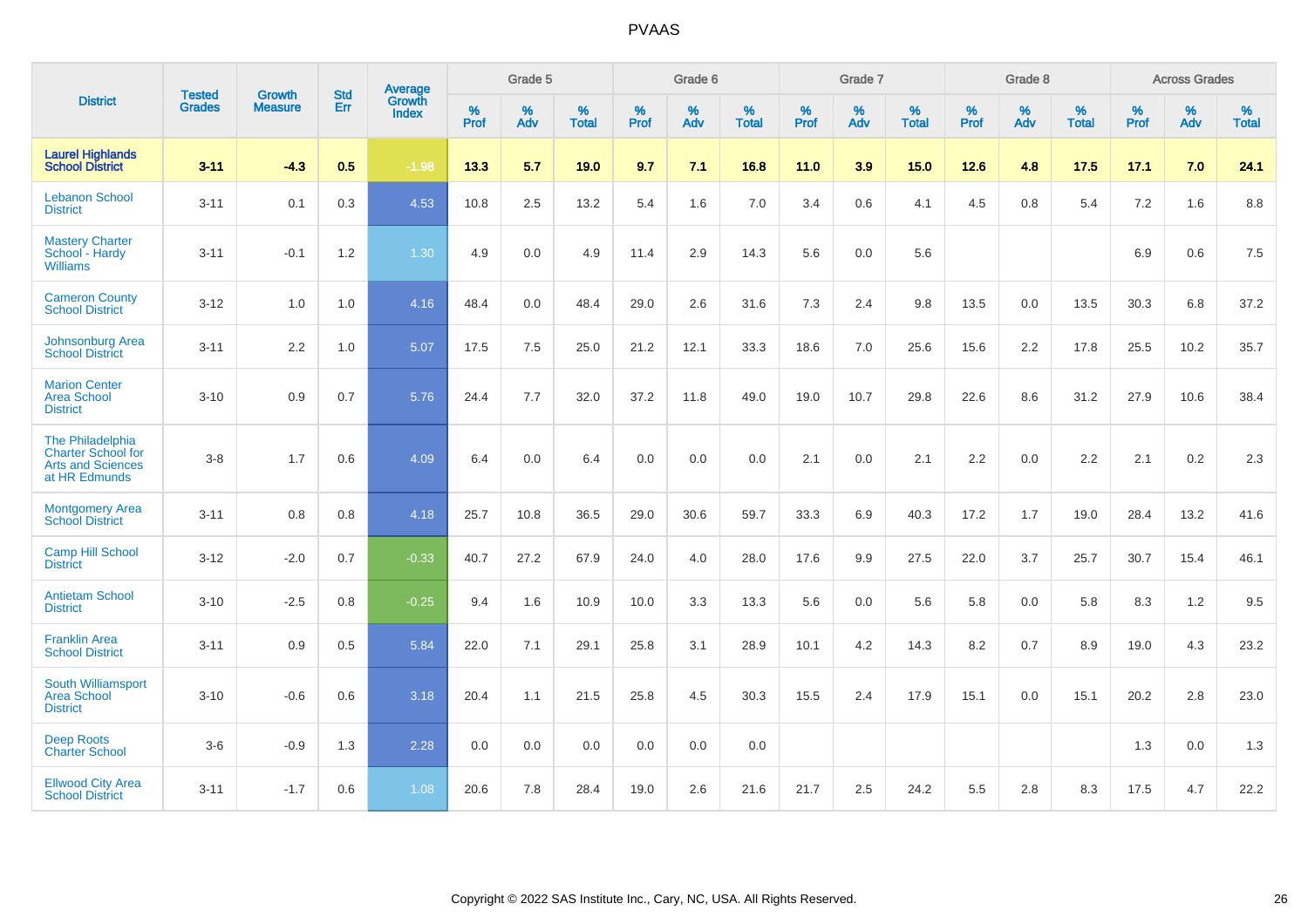|                                                                                            |                                |                                 | <b>Std</b> | Average                |              | Grade 5  |                   |              | Grade 6  |                   |              | Grade 7  |                   |                     | Grade 8  |                   |                     | <b>Across Grades</b> |                   |
|--------------------------------------------------------------------------------------------|--------------------------------|---------------------------------|------------|------------------------|--------------|----------|-------------------|--------------|----------|-------------------|--------------|----------|-------------------|---------------------|----------|-------------------|---------------------|----------------------|-------------------|
| <b>District</b>                                                                            | <b>Tested</b><br><b>Grades</b> | <b>Growth</b><br><b>Measure</b> | Err        | Growth<br><b>Index</b> | $\%$<br>Prof | %<br>Adv | %<br><b>Total</b> | $\%$<br>Prof | %<br>Adv | %<br><b>Total</b> | $\%$<br>Prof | %<br>Adv | %<br><b>Total</b> | $\%$<br><b>Prof</b> | %<br>Adv | %<br><b>Total</b> | $\%$<br><b>Prof</b> | $\%$<br>Adv          | %<br><b>Total</b> |
| <b>Laurel Highlands</b><br>School District                                                 | $3 - 11$                       | $-4.3$                          | 0.5        | $-1.98$                | 13.3         | 5.7      | 19.0              | 9.7          | 7.1      | 16.8              | 11.0         | 3.9      | 15.0              | 12.6                | 4.8      | 17.5              | 17.1                | 7.0                  | 24.1              |
| <b>Lebanon School</b><br><b>District</b>                                                   | $3 - 11$                       | 0.1                             | 0.3        | 4.53                   | 10.8         | 2.5      | 13.2              | 5.4          | 1.6      | 7.0               | 3.4          | 0.6      | 4.1               | 4.5                 | 0.8      | 5.4               | 7.2                 | 1.6                  | 8.8               |
| <b>Mastery Charter</b><br>School - Hardy<br><b>Williams</b>                                | $3 - 11$                       | $-0.1$                          | 1.2        | 1.30                   | 4.9          | 0.0      | 4.9               | 11.4         | 2.9      | 14.3              | 5.6          | 0.0      | 5.6               |                     |          |                   | 6.9                 | 0.6                  | 7.5               |
| <b>Cameron County</b><br><b>School District</b>                                            | $3 - 12$                       | 1.0                             | 1.0        | 4.16                   | 48.4         | 0.0      | 48.4              | 29.0         | 2.6      | 31.6              | 7.3          | 2.4      | 9.8               | 13.5                | 0.0      | 13.5              | 30.3                | 6.8                  | 37.2              |
| Johnsonburg Area<br><b>School District</b>                                                 | $3 - 11$                       | 2.2                             | 1.0        | 5.07                   | 17.5         | 7.5      | 25.0              | 21.2         | 12.1     | 33.3              | 18.6         | 7.0      | 25.6              | 15.6                | 2.2      | 17.8              | 25.5                | 10.2                 | 35.7              |
| <b>Marion Center</b><br><b>Area School</b><br><b>District</b>                              | $3 - 10$                       | 0.9                             | 0.7        | 5.76                   | 24.4         | 7.7      | 32.0              | 37.2         | 11.8     | 49.0              | 19.0         | 10.7     | 29.8              | 22.6                | 8.6      | 31.2              | 27.9                | 10.6                 | 38.4              |
| The Philadelphia<br><b>Charter School for</b><br><b>Arts and Sciences</b><br>at HR Edmunds | $3 - 8$                        | 1.7                             | 0.6        | 4.09                   | 6.4          | 0.0      | 6.4               | 0.0          | 0.0      | 0.0               | 2.1          | 0.0      | 2.1               | 2.2                 | 0.0      | 2.2               | 2.1                 | 0.2                  | 2.3               |
| <b>Montgomery Area</b><br><b>School District</b>                                           | $3 - 11$                       | 0.8                             | 0.8        | 4.18                   | 25.7         | 10.8     | 36.5              | 29.0         | 30.6     | 59.7              | 33.3         | 6.9      | 40.3              | 17.2                | 1.7      | 19.0              | 28.4                | 13.2                 | 41.6              |
| <b>Camp Hill School</b><br><b>District</b>                                                 | $3 - 12$                       | $-2.0$                          | 0.7        | $-0.33$                | 40.7         | 27.2     | 67.9              | 24.0         | 4.0      | 28.0              | 17.6         | 9.9      | 27.5              | 22.0                | 3.7      | 25.7              | 30.7                | 15.4                 | 46.1              |
| <b>Antietam School</b><br><b>District</b>                                                  | $3 - 10$                       | $-2.5$                          | 0.8        | $-0.25$                | 9.4          | 1.6      | 10.9              | 10.0         | 3.3      | 13.3              | 5.6          | 0.0      | 5.6               | 5.8                 | 0.0      | 5.8               | 8.3                 | 1.2                  | 9.5               |
| <b>Franklin Area</b><br><b>School District</b>                                             | $3 - 11$                       | 0.9                             | 0.5        | 5.84                   | 22.0         | 7.1      | 29.1              | 25.8         | 3.1      | 28.9              | 10.1         | 4.2      | 14.3              | 8.2                 | 0.7      | 8.9               | 19.0                | 4.3                  | 23.2              |
| South Williamsport<br><b>Area School</b><br><b>District</b>                                | $3 - 10$                       | $-0.6$                          | 0.6        | 3.18                   | 20.4         | 1.1      | 21.5              | 25.8         | 4.5      | 30.3              | 15.5         | 2.4      | 17.9              | 15.1                | 0.0      | 15.1              | 20.2                | 2.8                  | 23.0              |
| <b>Deep Roots</b><br><b>Charter School</b>                                                 | $3-6$                          | $-0.9$                          | 1.3        | 2.28                   | 0.0          | 0.0      | 0.0               | 0.0          | 0.0      | 0.0               |              |          |                   |                     |          |                   | 1.3                 | 0.0                  | 1.3               |
| <b>Ellwood City Area</b><br><b>School District</b>                                         | $3 - 11$                       | $-1.7$                          | 0.6        | 1.08                   | 20.6         | 7.8      | 28.4              | 19.0         | 2.6      | 21.6              | 21.7         | 2.5      | 24.2              | 5.5                 | 2.8      | 8.3               | 17.5                | 4.7                  | 22.2              |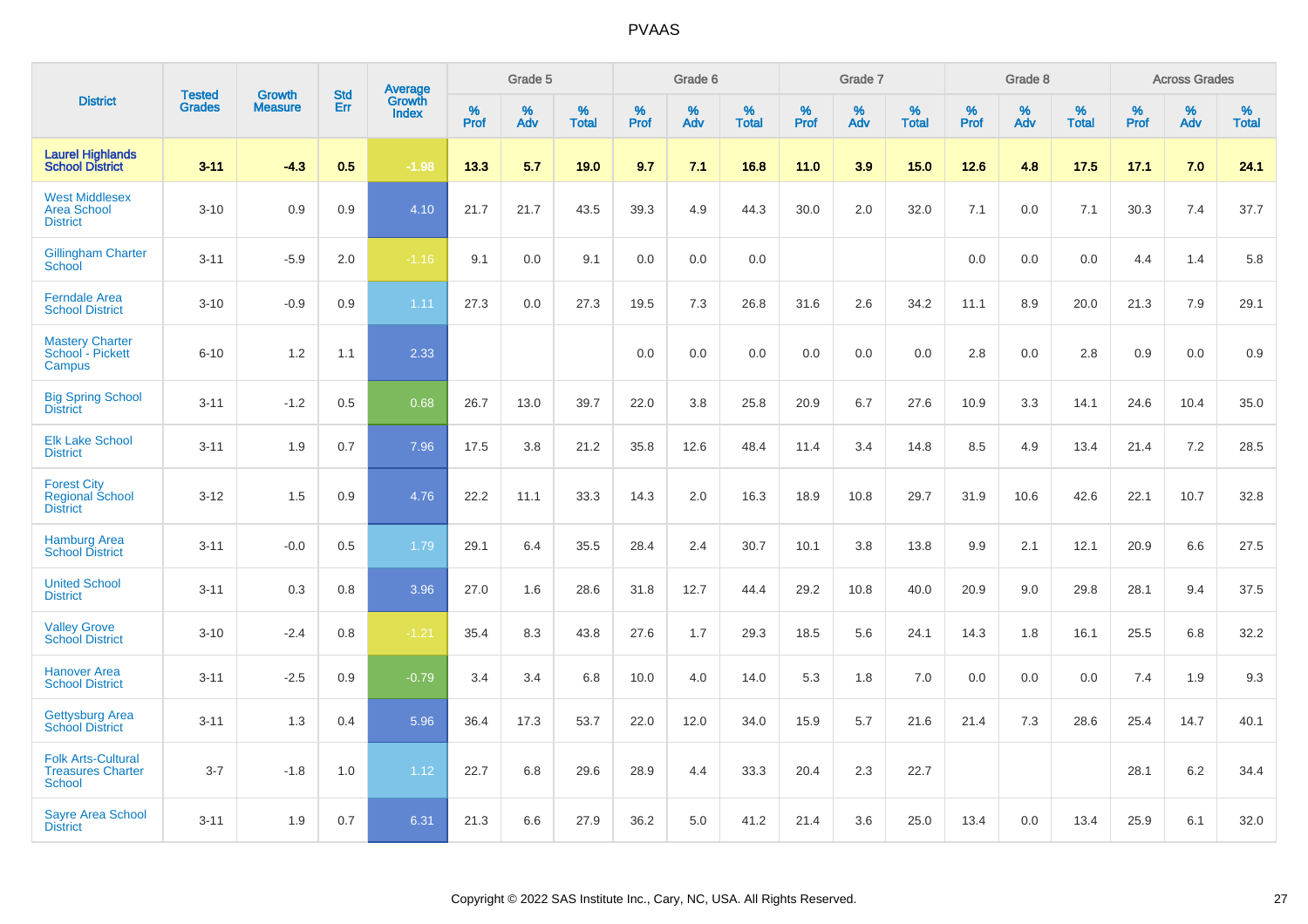|                                                                        |                                | <b>Growth</b>  | <b>Std</b> |                                          |              | Grade 5  |                   |              | Grade 6  |                   |              | Grade 7  |                   |              | Grade 8  |                   |              | <b>Across Grades</b> |                   |
|------------------------------------------------------------------------|--------------------------------|----------------|------------|------------------------------------------|--------------|----------|-------------------|--------------|----------|-------------------|--------------|----------|-------------------|--------------|----------|-------------------|--------------|----------------------|-------------------|
| <b>District</b>                                                        | <b>Tested</b><br><b>Grades</b> | <b>Measure</b> | Err        | <b>Average</b><br>Growth<br><b>Index</b> | $\%$<br>Prof | %<br>Adv | %<br><b>Total</b> | $\%$<br>Prof | %<br>Adv | %<br><b>Total</b> | $\%$<br>Prof | %<br>Adv | %<br><b>Total</b> | $\%$<br>Prof | %<br>Adv | %<br><b>Total</b> | $\%$<br>Prof | %<br>Adv             | %<br><b>Total</b> |
| <b>Laurel Highlands</b><br><b>School District</b>                      | $3 - 11$                       | $-4.3$         | 0.5        | $-1.98$                                  | 13.3         | 5.7      | 19.0              | 9.7          | 7.1      | 16.8              | 11.0         | 3.9      | 15.0              | 12.6         | 4.8      | 17.5              | 17.1         | 7.0                  | 24.1              |
| <b>West Middlesex</b><br><b>Area School</b><br><b>District</b>         | $3 - 10$                       | 0.9            | 0.9        | 4.10                                     | 21.7         | 21.7     | 43.5              | 39.3         | 4.9      | 44.3              | 30.0         | 2.0      | 32.0              | 7.1          | 0.0      | 7.1               | 30.3         | 7.4                  | 37.7              |
| <b>Gillingham Charter</b><br>School                                    | $3 - 11$                       | $-5.9$         | 2.0        | $-1.16$                                  | 9.1          | 0.0      | 9.1               | 0.0          | 0.0      | 0.0               |              |          |                   | 0.0          | 0.0      | 0.0               | 4.4          | 1.4                  | 5.8               |
| <b>Ferndale Area</b><br><b>School District</b>                         | $3 - 10$                       | $-0.9$         | 0.9        | 1.11                                     | 27.3         | 0.0      | 27.3              | 19.5         | 7.3      | 26.8              | 31.6         | 2.6      | 34.2              | 11.1         | 8.9      | 20.0              | 21.3         | 7.9                  | 29.1              |
| <b>Mastery Charter</b><br>School - Pickett<br>Campus                   | $6 - 10$                       | 1.2            | 1.1        | 2.33                                     |              |          |                   | 0.0          | 0.0      | 0.0               | 0.0          | 0.0      | 0.0               | 2.8          | 0.0      | 2.8               | 0.9          | 0.0                  | 0.9               |
| <b>Big Spring School</b><br><b>District</b>                            | $3 - 11$                       | $-1.2$         | 0.5        | 0.68                                     | 26.7         | 13.0     | 39.7              | 22.0         | 3.8      | 25.8              | 20.9         | 6.7      | 27.6              | 10.9         | 3.3      | 14.1              | 24.6         | 10.4                 | 35.0              |
| <b>Elk Lake School</b><br><b>District</b>                              | $3 - 11$                       | 1.9            | 0.7        | 7.96                                     | 17.5         | 3.8      | 21.2              | 35.8         | 12.6     | 48.4              | 11.4         | 3.4      | 14.8              | 8.5          | 4.9      | 13.4              | 21.4         | 7.2                  | 28.5              |
| <b>Forest City</b><br><b>Regional School</b><br><b>District</b>        | $3 - 12$                       | 1.5            | 0.9        | 4.76                                     | 22.2         | 11.1     | 33.3              | 14.3         | 2.0      | 16.3              | 18.9         | 10.8     | 29.7              | 31.9         | 10.6     | 42.6              | 22.1         | 10.7                 | 32.8              |
| <b>Hamburg Area</b><br><b>School District</b>                          | $3 - 11$                       | $-0.0$         | 0.5        | 1.79                                     | 29.1         | 6.4      | 35.5              | 28.4         | 2.4      | 30.7              | 10.1         | 3.8      | 13.8              | 9.9          | 2.1      | 12.1              | 20.9         | 6.6                  | 27.5              |
| <b>United School</b><br><b>District</b>                                | $3 - 11$                       | 0.3            | 0.8        | 3.96                                     | 27.0         | 1.6      | 28.6              | 31.8         | 12.7     | 44.4              | 29.2         | 10.8     | 40.0              | 20.9         | 9.0      | 29.8              | 28.1         | 9.4                  | 37.5              |
| <b>Valley Grove</b><br><b>School District</b>                          | $3 - 10$                       | $-2.4$         | 0.8        | $-1.21$                                  | 35.4         | 8.3      | 43.8              | 27.6         | 1.7      | 29.3              | 18.5         | 5.6      | 24.1              | 14.3         | 1.8      | 16.1              | 25.5         | 6.8                  | 32.2              |
| <b>Hanover Area</b><br><b>School District</b>                          | $3 - 11$                       | $-2.5$         | 0.9        | $-0.79$                                  | 3.4          | 3.4      | 6.8               | 10.0         | 4.0      | 14.0              | 5.3          | 1.8      | 7.0               | 0.0          | 0.0      | 0.0               | 7.4          | 1.9                  | 9.3               |
| <b>Gettysburg Area</b><br><b>School District</b>                       | $3 - 11$                       | 1.3            | 0.4        | 5.96                                     | 36.4         | 17.3     | 53.7              | 22.0         | 12.0     | 34.0              | 15.9         | 5.7      | 21.6              | 21.4         | 7.3      | 28.6              | 25.4         | 14.7                 | 40.1              |
| <b>Folk Arts-Cultural</b><br><b>Treasures Charter</b><br><b>School</b> | $3 - 7$                        | $-1.8$         | 1.0        | 1.12                                     | 22.7         | 6.8      | 29.6              | 28.9         | 4.4      | 33.3              | 20.4         | 2.3      | 22.7              |              |          |                   | 28.1         | $6.2\,$              | 34.4              |
| <b>Sayre Area School</b><br><b>District</b>                            | $3 - 11$                       | 1.9            | 0.7        | 6.31                                     | 21.3         | 6.6      | 27.9              | 36.2         | 5.0      | 41.2              | 21.4         | 3.6      | 25.0              | 13.4         | 0.0      | 13.4              | 25.9         | 6.1                  | 32.0              |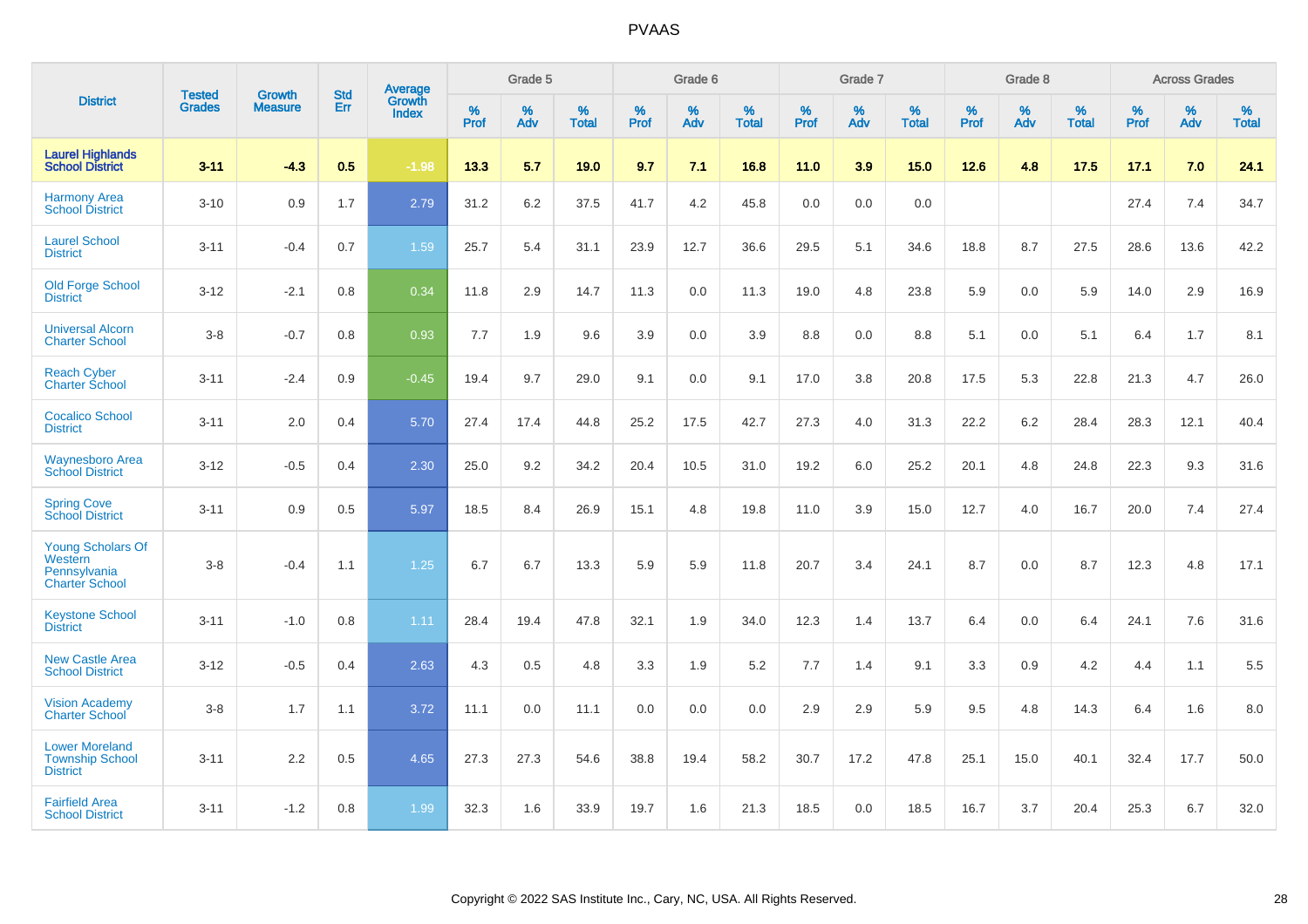|                                                                              |                                |                                 | <b>Std</b> | Average                       |           | Grade 5  |                   |           | Grade 6  |                   |           | Grade 7  |                   |           | Grade 8  |                   |           | <b>Across Grades</b> |                   |
|------------------------------------------------------------------------------|--------------------------------|---------------------------------|------------|-------------------------------|-----------|----------|-------------------|-----------|----------|-------------------|-----------|----------|-------------------|-----------|----------|-------------------|-----------|----------------------|-------------------|
| <b>District</b>                                                              | <b>Tested</b><br><b>Grades</b> | <b>Growth</b><br><b>Measure</b> | Err        | <b>Growth</b><br><b>Index</b> | %<br>Prof | %<br>Adv | %<br><b>Total</b> | %<br>Prof | %<br>Adv | %<br><b>Total</b> | %<br>Prof | %<br>Adv | %<br><b>Total</b> | %<br>Prof | %<br>Adv | %<br><b>Total</b> | %<br>Prof | %<br>Adv             | %<br><b>Total</b> |
| <b>Laurel Highlands</b><br><b>School District</b>                            | $3 - 11$                       | $-4.3$                          | 0.5        | $-1.98$                       | 13.3      | 5.7      | 19.0              | 9.7       | 7.1      | 16.8              | 11.0      | 3.9      | 15.0              | 12.6      | 4.8      | 17.5              | 17.1      | 7.0                  | 24.1              |
| <b>Harmony Area</b><br><b>School District</b>                                | $3 - 10$                       | 0.9                             | 1.7        | 2.79                          | 31.2      | 6.2      | 37.5              | 41.7      | 4.2      | 45.8              | 0.0       | 0.0      | 0.0               |           |          |                   | 27.4      | 7.4                  | 34.7              |
| <b>Laurel School</b><br><b>District</b>                                      | $3 - 11$                       | $-0.4$                          | 0.7        | 1.59                          | 25.7      | 5.4      | 31.1              | 23.9      | 12.7     | 36.6              | 29.5      | 5.1      | 34.6              | 18.8      | 8.7      | 27.5              | 28.6      | 13.6                 | 42.2              |
| <b>Old Forge School</b><br><b>District</b>                                   | $3 - 12$                       | $-2.1$                          | 0.8        | 0.34                          | 11.8      | 2.9      | 14.7              | 11.3      | 0.0      | 11.3              | 19.0      | 4.8      | 23.8              | 5.9       | 0.0      | 5.9               | 14.0      | 2.9                  | 16.9              |
| <b>Universal Alcorn</b><br><b>Charter School</b>                             | $3 - 8$                        | $-0.7$                          | 0.8        | 0.93                          | 7.7       | 1.9      | 9.6               | 3.9       | 0.0      | 3.9               | 8.8       | 0.0      | 8.8               | 5.1       | 0.0      | 5.1               | 6.4       | 1.7                  | 8.1               |
| <b>Reach Cyber</b><br><b>Charter School</b>                                  | $3 - 11$                       | $-2.4$                          | 0.9        | $-0.45$                       | 19.4      | 9.7      | 29.0              | 9.1       | 0.0      | 9.1               | 17.0      | 3.8      | 20.8              | 17.5      | 5.3      | 22.8              | 21.3      | 4.7                  | 26.0              |
| <b>Cocalico School</b><br><b>District</b>                                    | $3 - 11$                       | 2.0                             | 0.4        | 5.70                          | 27.4      | 17.4     | 44.8              | 25.2      | 17.5     | 42.7              | 27.3      | 4.0      | 31.3              | 22.2      | $6.2\,$  | 28.4              | 28.3      | 12.1                 | 40.4              |
| <b>Waynesboro Area</b><br><b>School District</b>                             | $3 - 12$                       | $-0.5$                          | 0.4        | 2.30                          | 25.0      | 9.2      | 34.2              | 20.4      | 10.5     | 31.0              | 19.2      | 6.0      | 25.2              | 20.1      | 4.8      | 24.8              | 22.3      | 9.3                  | 31.6              |
| <b>Spring Cove</b><br><b>School District</b>                                 | $3 - 11$                       | 0.9                             | 0.5        | 5.97                          | 18.5      | 8.4      | 26.9              | 15.1      | 4.8      | 19.8              | 11.0      | 3.9      | 15.0              | 12.7      | 4.0      | 16.7              | 20.0      | 7.4                  | 27.4              |
| <b>Young Scholars Of</b><br>Western<br>Pennsylvania<br><b>Charter School</b> | $3 - 8$                        | $-0.4$                          | 1.1        | 1.25                          | 6.7       | 6.7      | 13.3              | 5.9       | 5.9      | 11.8              | 20.7      | 3.4      | 24.1              | 8.7       | 0.0      | 8.7               | 12.3      | 4.8                  | 17.1              |
| <b>Keystone School</b><br><b>District</b>                                    | $3 - 11$                       | $-1.0$                          | 0.8        | 1.11                          | 28.4      | 19.4     | 47.8              | 32.1      | 1.9      | 34.0              | 12.3      | 1.4      | 13.7              | 6.4       | 0.0      | 6.4               | 24.1      | 7.6                  | 31.6              |
| <b>New Castle Area</b><br><b>School District</b>                             | $3 - 12$                       | $-0.5$                          | 0.4        | 2.63                          | 4.3       | 0.5      | 4.8               | 3.3       | 1.9      | 5.2               | 7.7       | 1.4      | 9.1               | 3.3       | 0.9      | 4.2               | 4.4       | 1.1                  | 5.5               |
| <b>Vision Academy</b><br>Charter School                                      | $3 - 8$                        | 1.7                             | 1.1        | 3.72                          | 11.1      | 0.0      | 11.1              | 0.0       | 0.0      | 0.0               | 2.9       | 2.9      | 5.9               | 9.5       | 4.8      | 14.3              | 6.4       | 1.6                  | 8.0               |
| <b>Lower Moreland</b><br><b>Township School</b><br><b>District</b>           | $3 - 11$                       | 2.2                             | 0.5        | 4.65                          | 27.3      | 27.3     | 54.6              | 38.8      | 19.4     | 58.2              | 30.7      | 17.2     | 47.8              | 25.1      | 15.0     | 40.1              | 32.4      | 17.7                 | 50.0              |
| <b>Fairfield Area</b><br><b>School District</b>                              | $3 - 11$                       | $-1.2$                          | 0.8        | 1.99                          | 32.3      | 1.6      | 33.9              | 19.7      | 1.6      | 21.3              | 18.5      | 0.0      | 18.5              | 16.7      | 3.7      | 20.4              | 25.3      | 6.7                  | 32.0              |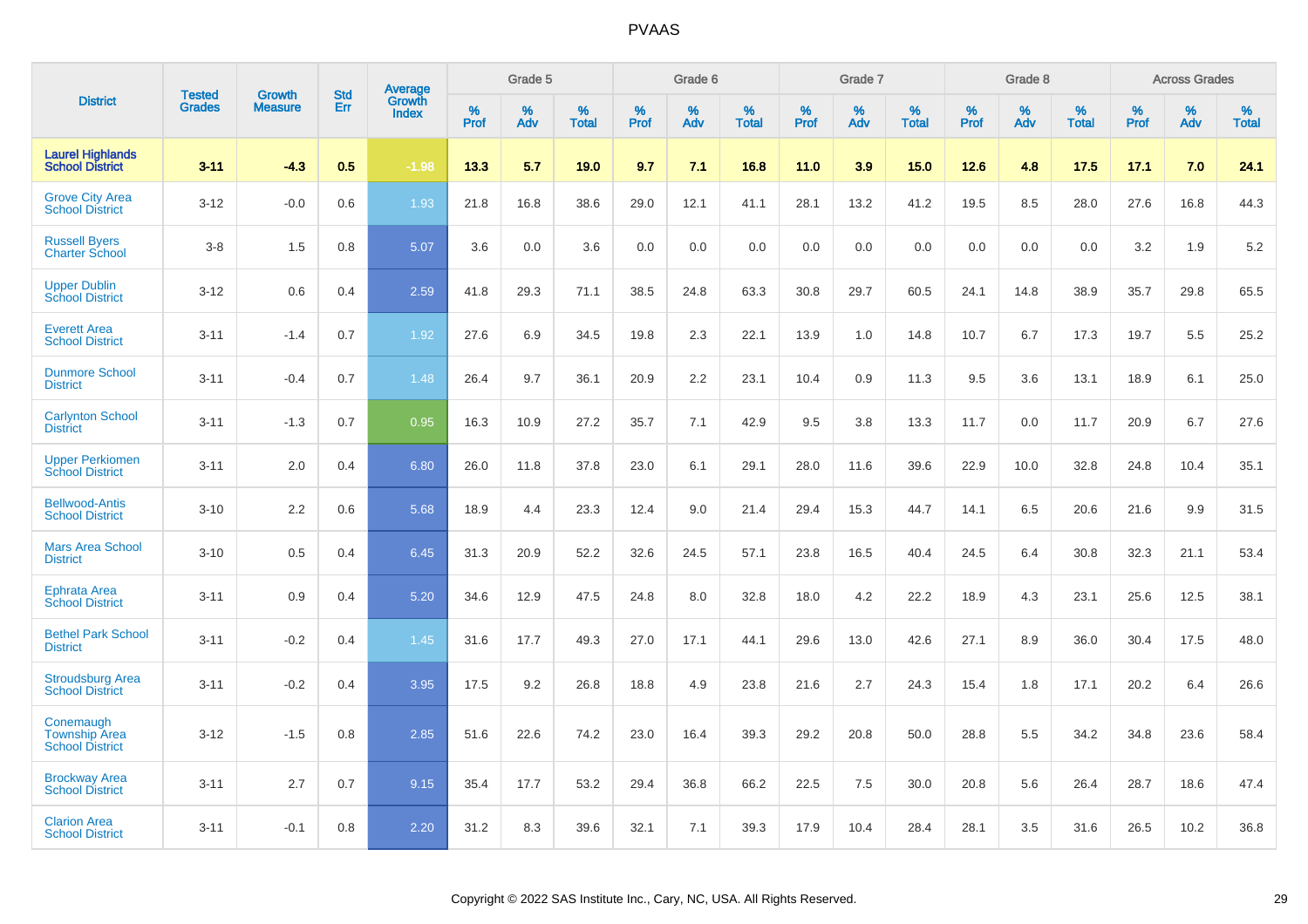|                                                             |                                | <b>Growth</b>  | <b>Std</b> | Average                |              | Grade 5     |                      |                     | Grade 6     |                      |              | Grade 7     |                      |              | Grade 8     |                   |                     | <b>Across Grades</b> |                      |
|-------------------------------------------------------------|--------------------------------|----------------|------------|------------------------|--------------|-------------|----------------------|---------------------|-------------|----------------------|--------------|-------------|----------------------|--------------|-------------|-------------------|---------------------|----------------------|----------------------|
| <b>District</b>                                             | <b>Tested</b><br><b>Grades</b> | <b>Measure</b> | Err        | Growth<br><b>Index</b> | $\%$<br>Prof | $\%$<br>Adv | $\%$<br><b>Total</b> | $\%$<br><b>Prof</b> | $\%$<br>Adv | $\%$<br><b>Total</b> | $\%$<br>Prof | $\%$<br>Adv | $\%$<br><b>Total</b> | $\%$<br>Prof | $\%$<br>Adv | %<br><b>Total</b> | $\%$<br><b>Prof</b> | $\%$<br>Adv          | $\%$<br><b>Total</b> |
| <b>Laurel Highlands</b><br><b>School District</b>           | $3 - 11$                       | $-4.3$         | 0.5        | $-1.98$                | 13.3         | 5.7         | 19.0                 | 9.7                 | 7.1         | 16.8                 | 11.0         | 3.9         | 15.0                 | 12.6         | 4.8         | 17.5              | 17.1                | 7.0                  | 24.1                 |
| <b>Grove City Area</b><br><b>School District</b>            | $3 - 12$                       | $-0.0$         | 0.6        | 1.93                   | 21.8         | 16.8        | 38.6                 | 29.0                | 12.1        | 41.1                 | 28.1         | 13.2        | 41.2                 | 19.5         | 8.5         | 28.0              | 27.6                | 16.8                 | 44.3                 |
| <b>Russell Byers</b><br><b>Charter School</b>               | $3 - 8$                        | 1.5            | 0.8        | 5.07                   | 3.6          | 0.0         | 3.6                  | 0.0                 | 0.0         | 0.0                  | 0.0          | 0.0         | 0.0                  | 0.0          | 0.0         | 0.0               | 3.2                 | 1.9                  | 5.2                  |
| <b>Upper Dublin</b><br><b>School District</b>               | $3 - 12$                       | 0.6            | 0.4        | 2.59                   | 41.8         | 29.3        | 71.1                 | 38.5                | 24.8        | 63.3                 | 30.8         | 29.7        | 60.5                 | 24.1         | 14.8        | 38.9              | 35.7                | 29.8                 | 65.5                 |
| <b>Everett Area</b><br><b>School District</b>               | $3 - 11$                       | $-1.4$         | 0.7        | 1.92                   | 27.6         | 6.9         | 34.5                 | 19.8                | 2.3         | 22.1                 | 13.9         | 1.0         | 14.8                 | 10.7         | 6.7         | 17.3              | 19.7                | 5.5                  | 25.2                 |
| <b>Dunmore School</b><br><b>District</b>                    | $3 - 11$                       | $-0.4$         | 0.7        | 1.48                   | 26.4         | 9.7         | 36.1                 | 20.9                | 2.2         | 23.1                 | 10.4         | 0.9         | 11.3                 | 9.5          | 3.6         | 13.1              | 18.9                | 6.1                  | 25.0                 |
| <b>Carlynton School</b><br><b>District</b>                  | $3 - 11$                       | $-1.3$         | 0.7        | 0.95                   | 16.3         | 10.9        | 27.2                 | 35.7                | 7.1         | 42.9                 | 9.5          | 3.8         | 13.3                 | 11.7         | 0.0         | 11.7              | 20.9                | 6.7                  | 27.6                 |
| <b>Upper Perkiomen</b><br><b>School District</b>            | $3 - 11$                       | 2.0            | 0.4        | 6.80                   | 26.0         | 11.8        | 37.8                 | 23.0                | 6.1         | 29.1                 | 28.0         | 11.6        | 39.6                 | 22.9         | 10.0        | 32.8              | 24.8                | 10.4                 | 35.1                 |
| <b>Bellwood-Antis</b><br><b>School District</b>             | $3 - 10$                       | 2.2            | 0.6        | 5.68                   | 18.9         | 4.4         | 23.3                 | 12.4                | 9.0         | 21.4                 | 29.4         | 15.3        | 44.7                 | 14.1         | 6.5         | 20.6              | 21.6                | 9.9                  | 31.5                 |
| <b>Mars Area School</b><br><b>District</b>                  | $3 - 10$                       | 0.5            | 0.4        | 6.45                   | 31.3         | 20.9        | 52.2                 | 32.6                | 24.5        | 57.1                 | 23.8         | 16.5        | 40.4                 | 24.5         | 6.4         | 30.8              | 32.3                | 21.1                 | 53.4                 |
| Ephrata Area<br><b>School District</b>                      | $3 - 11$                       | 0.9            | 0.4        | 5.20                   | 34.6         | 12.9        | 47.5                 | 24.8                | 8.0         | 32.8                 | 18.0         | 4.2         | 22.2                 | 18.9         | 4.3         | 23.1              | 25.6                | 12.5                 | 38.1                 |
| <b>Bethel Park School</b><br><b>District</b>                | $3 - 11$                       | $-0.2$         | 0.4        | 1.45                   | 31.6         | 17.7        | 49.3                 | 27.0                | 17.1        | 44.1                 | 29.6         | 13.0        | 42.6                 | 27.1         | 8.9         | 36.0              | 30.4                | 17.5                 | 48.0                 |
| <b>Stroudsburg Area</b><br><b>School District</b>           | $3 - 11$                       | $-0.2$         | 0.4        | 3.95                   | 17.5         | 9.2         | 26.8                 | 18.8                | 4.9         | 23.8                 | 21.6         | 2.7         | 24.3                 | 15.4         | 1.8         | 17.1              | 20.2                | 6.4                  | 26.6                 |
| Conemaugh<br><b>Township Area</b><br><b>School District</b> | $3 - 12$                       | $-1.5$         | 0.8        | 2.85                   | 51.6         | 22.6        | 74.2                 | 23.0                | 16.4        | 39.3                 | 29.2         | 20.8        | 50.0                 | 28.8         | 5.5         | 34.2              | 34.8                | 23.6                 | 58.4                 |
| <b>Brockway Area</b><br><b>School District</b>              | $3 - 11$                       | 2.7            | 0.7        | 9.15                   | 35.4         | 17.7        | 53.2                 | 29.4                | 36.8        | 66.2                 | 22.5         | 7.5         | 30.0                 | 20.8         | 5.6         | 26.4              | 28.7                | 18.6                 | 47.4                 |
| <b>Clarion Area</b><br><b>School District</b>               | $3 - 11$                       | $-0.1$         | 0.8        | 2.20                   | 31.2         | 8.3         | 39.6                 | 32.1                | 7.1         | 39.3                 | 17.9         | 10.4        | 28.4                 | 28.1         | 3.5         | 31.6              | 26.5                | 10.2                 | 36.8                 |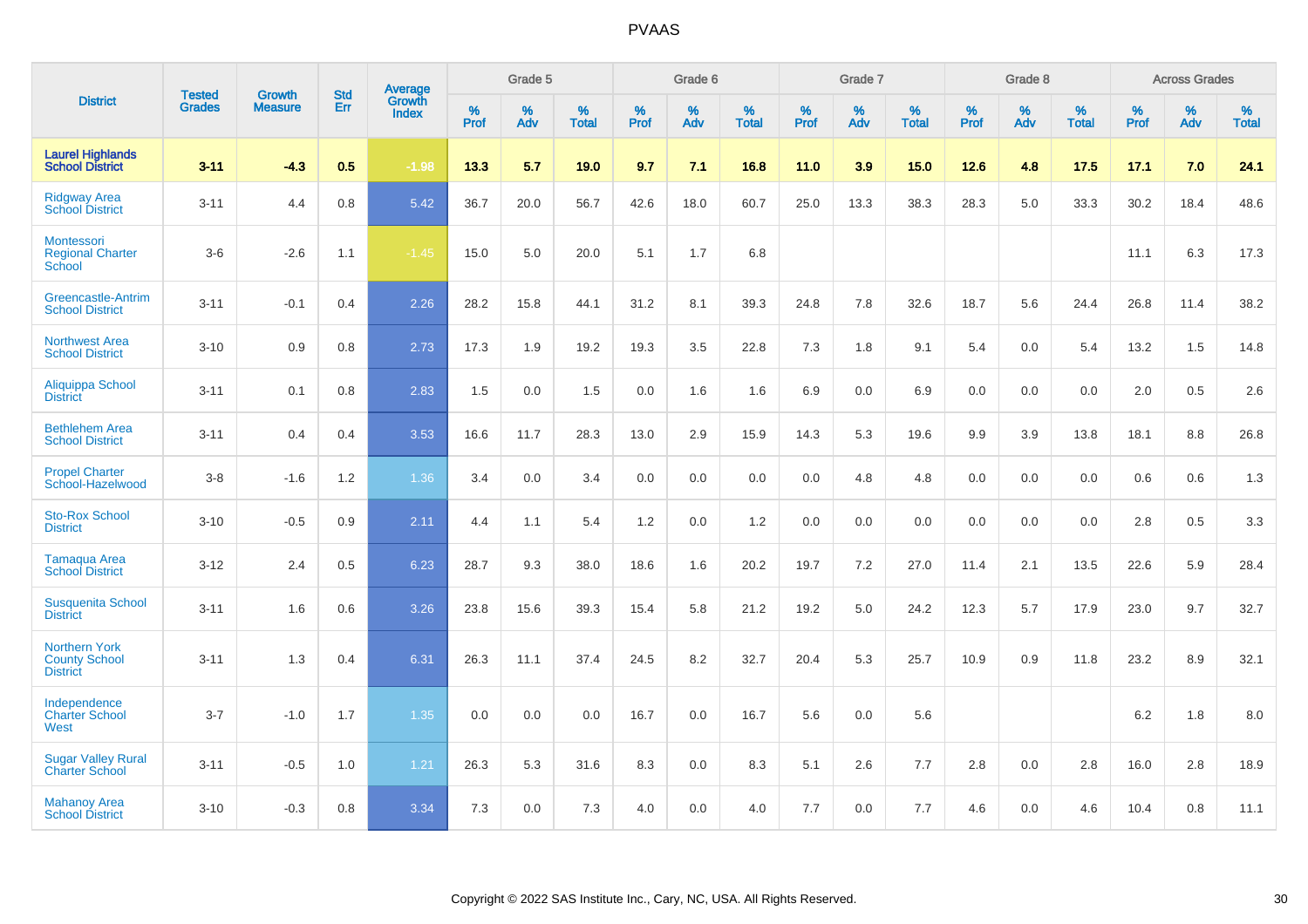|                                                                 | <b>Tested</b> | <b>Growth</b>  | <b>Std</b> | <b>Average</b>         |           | Grade 5  |                   |           | Grade 6  |                   |           | Grade 7  |                   |           | Grade 8  |                   |           | <b>Across Grades</b> |                   |
|-----------------------------------------------------------------|---------------|----------------|------------|------------------------|-----------|----------|-------------------|-----------|----------|-------------------|-----------|----------|-------------------|-----------|----------|-------------------|-----------|----------------------|-------------------|
| <b>District</b>                                                 | <b>Grades</b> | <b>Measure</b> | Err        | Growth<br><b>Index</b> | %<br>Prof | %<br>Adv | %<br><b>Total</b> | %<br>Prof | %<br>Adv | %<br><b>Total</b> | %<br>Prof | %<br>Adv | %<br><b>Total</b> | %<br>Prof | %<br>Adv | %<br><b>Total</b> | %<br>Prof | %<br>Adv             | %<br><b>Total</b> |
| <b>Laurel Highlands</b><br><b>School District</b>               | $3 - 11$      | $-4.3$         | 0.5        | $-1.98$                | 13.3      | 5.7      | 19.0              | 9.7       | 7.1      | 16.8              | 11.0      | 3.9      | 15.0              | 12.6      | 4.8      | 17.5              | 17.1      | 7.0                  | 24.1              |
| <b>Ridgway Area</b><br><b>School District</b>                   | $3 - 11$      | 4.4            | 0.8        | 5.42                   | 36.7      | 20.0     | 56.7              | 42.6      | 18.0     | 60.7              | 25.0      | 13.3     | 38.3              | 28.3      | 5.0      | 33.3              | 30.2      | 18.4                 | 48.6              |
| Montessori<br><b>Regional Charter</b><br>School                 | $3-6$         | $-2.6$         | 1.1        | $-1.45$                | 15.0      | 5.0      | 20.0              | 5.1       | 1.7      | 6.8               |           |          |                   |           |          |                   | 11.1      | 6.3                  | 17.3              |
| Greencastle-Antrim<br><b>School District</b>                    | $3 - 11$      | $-0.1$         | 0.4        | 2.26                   | 28.2      | 15.8     | 44.1              | 31.2      | 8.1      | 39.3              | 24.8      | 7.8      | 32.6              | 18.7      | 5.6      | 24.4              | 26.8      | 11.4                 | 38.2              |
| <b>Northwest Area</b><br><b>School District</b>                 | $3 - 10$      | 0.9            | 0.8        | 2.73                   | 17.3      | 1.9      | 19.2              | 19.3      | 3.5      | 22.8              | 7.3       | 1.8      | 9.1               | 5.4       | 0.0      | 5.4               | 13.2      | 1.5                  | 14.8              |
| <b>Aliquippa School</b><br><b>District</b>                      | $3 - 11$      | 0.1            | 0.8        | 2.83                   | 1.5       | 0.0      | 1.5               | 0.0       | 1.6      | 1.6               | 6.9       | 0.0      | 6.9               | 0.0       | 0.0      | 0.0               | 2.0       | 0.5                  | 2.6               |
| <b>Bethlehem Area</b><br><b>School District</b>                 | $3 - 11$      | 0.4            | 0.4        | 3.53                   | 16.6      | 11.7     | 28.3              | 13.0      | 2.9      | 15.9              | 14.3      | 5.3      | 19.6              | 9.9       | 3.9      | 13.8              | 18.1      | 8.8                  | 26.8              |
| <b>Propel Charter</b><br>School-Hazelwood                       | $3 - 8$       | $-1.6$         | 1.2        | 1.36                   | 3.4       | 0.0      | 3.4               | 0.0       | 0.0      | 0.0               | 0.0       | 4.8      | 4.8               | 0.0       | 0.0      | 0.0               | 0.6       | 0.6                  | 1.3               |
| <b>Sto-Rox School</b><br><b>District</b>                        | $3 - 10$      | $-0.5$         | 0.9        | 2.11                   | 4.4       | 1.1      | 5.4               | 1.2       | 0.0      | 1.2               | 0.0       | 0.0      | 0.0               | 0.0       | 0.0      | 0.0               | 2.8       | 0.5                  | 3.3               |
| Tamaqua Area<br><b>School District</b>                          | $3 - 12$      | 2.4            | 0.5        | 6.23                   | 28.7      | 9.3      | 38.0              | 18.6      | 1.6      | 20.2              | 19.7      | 7.2      | 27.0              | 11.4      | 2.1      | 13.5              | 22.6      | 5.9                  | 28.4              |
| <b>Susquenita School</b><br><b>District</b>                     | $3 - 11$      | 1.6            | 0.6        | 3.26                   | 23.8      | 15.6     | 39.3              | 15.4      | 5.8      | 21.2              | 19.2      | 5.0      | 24.2              | 12.3      | 5.7      | 17.9              | 23.0      | 9.7                  | 32.7              |
| <b>Northern York</b><br><b>County School</b><br><b>District</b> | $3 - 11$      | 1.3            | 0.4        | 6.31                   | 26.3      | 11.1     | 37.4              | 24.5      | 8.2      | 32.7              | 20.4      | 5.3      | 25.7              | 10.9      | 0.9      | 11.8              | 23.2      | 8.9                  | 32.1              |
| Independence<br><b>Charter School</b><br>West                   | $3 - 7$       | $-1.0$         | 1.7        | 1.35                   | 0.0       | 0.0      | 0.0               | 16.7      | 0.0      | 16.7              | 5.6       | 0.0      | 5.6               |           |          |                   | 6.2       | 1.8                  | 8.0               |
| <b>Sugar Valley Rural</b><br><b>Charter School</b>              | $3 - 11$      | $-0.5$         | 1.0        | 1.21                   | 26.3      | 5.3      | 31.6              | 8.3       | 0.0      | 8.3               | 5.1       | 2.6      | 7.7               | 2.8       | 0.0      | 2.8               | 16.0      | 2.8                  | 18.9              |
| <b>Mahanoy Area</b><br><b>School District</b>                   | $3 - 10$      | $-0.3$         | 0.8        | 3.34                   | 7.3       | 0.0      | 7.3               | 4.0       | 0.0      | 4.0               | 7.7       | 0.0      | 7.7               | 4.6       | 0.0      | 4.6               | 10.4      | 0.8                  | 11.1              |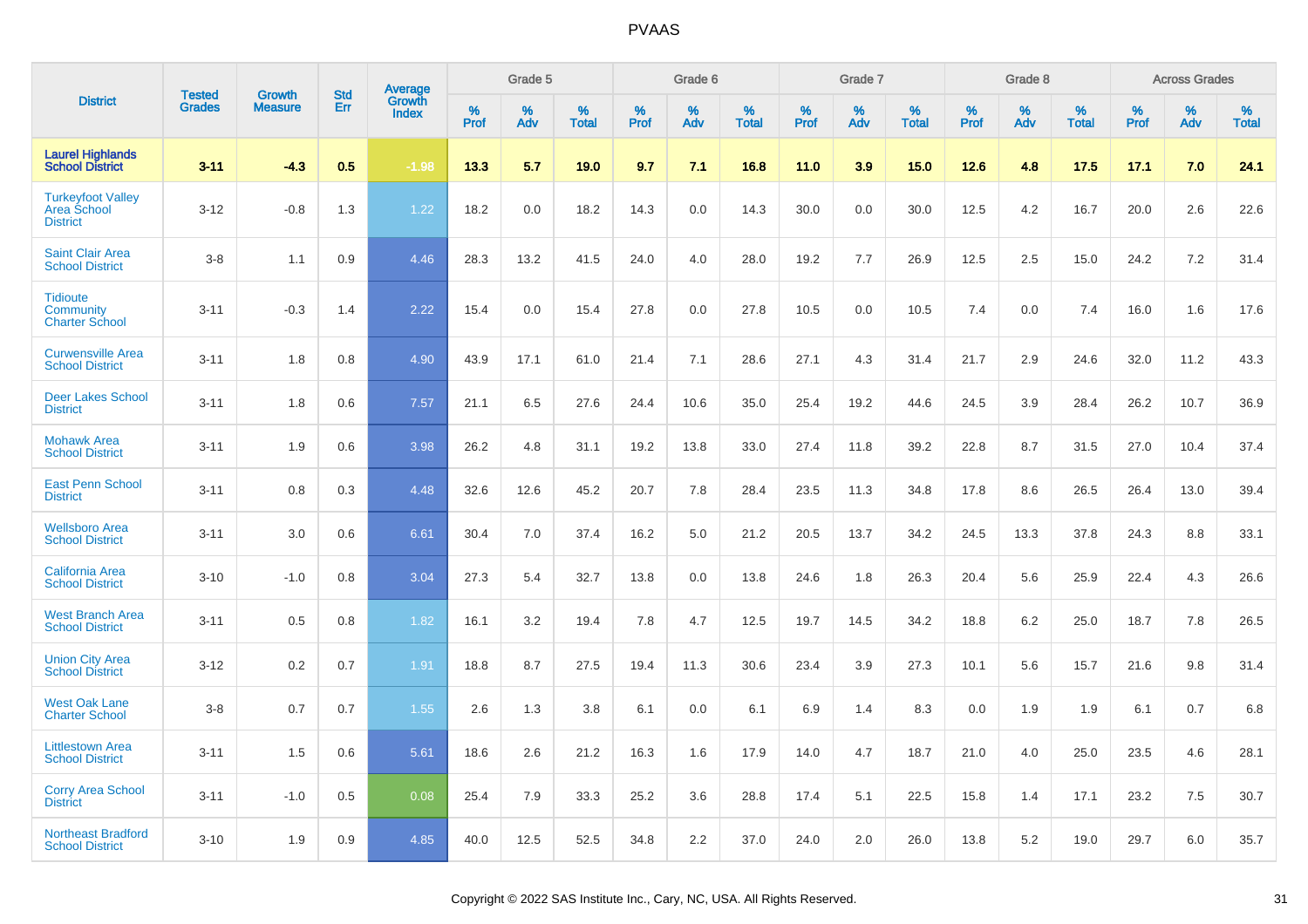|                                                                   |                                |                                 | <b>Std</b> |                                          |              | Grade 5  |                   |              | Grade 6  |                   |              | Grade 7  |                   |              | Grade 8  |                   |              | <b>Across Grades</b> |                   |
|-------------------------------------------------------------------|--------------------------------|---------------------------------|------------|------------------------------------------|--------------|----------|-------------------|--------------|----------|-------------------|--------------|----------|-------------------|--------------|----------|-------------------|--------------|----------------------|-------------------|
| <b>District</b>                                                   | <b>Tested</b><br><b>Grades</b> | <b>Growth</b><br><b>Measure</b> | Err        | <b>Average</b><br>Growth<br><b>Index</b> | $\%$<br>Prof | %<br>Adv | %<br><b>Total</b> | $\%$<br>Prof | %<br>Adv | %<br><b>Total</b> | $\%$<br>Prof | %<br>Adv | %<br><b>Total</b> | $\%$<br>Prof | %<br>Adv | %<br><b>Total</b> | $\%$<br>Prof | %<br>Adv             | %<br><b>Total</b> |
| <b>Laurel Highlands</b><br><b>School District</b>                 | $3 - 11$                       | $-4.3$                          | 0.5        | $-1.98$                                  | 13.3         | 5.7      | 19.0              | 9.7          | 7.1      | 16.8              | 11.0         | 3.9      | 15.0              | 12.6         | 4.8      | 17.5              | 17.1         | 7.0                  | 24.1              |
| <b>Turkeyfoot Valley</b><br><b>Area School</b><br><b>District</b> | $3 - 12$                       | $-0.8$                          | 1.3        | 1.22                                     | 18.2         | 0.0      | 18.2              | 14.3         | 0.0      | 14.3              | 30.0         | 0.0      | 30.0              | 12.5         | 4.2      | 16.7              | 20.0         | 2.6                  | 22.6              |
| <b>Saint Clair Area</b><br><b>School District</b>                 | $3 - 8$                        | 1.1                             | 0.9        | 4.46                                     | 28.3         | 13.2     | 41.5              | 24.0         | 4.0      | 28.0              | 19.2         | 7.7      | 26.9              | 12.5         | 2.5      | 15.0              | 24.2         | 7.2                  | 31.4              |
| <b>Tidioute</b><br>Community<br><b>Charter School</b>             | $3 - 11$                       | $-0.3$                          | 1.4        | 2.22                                     | 15.4         | 0.0      | 15.4              | 27.8         | 0.0      | 27.8              | 10.5         | 0.0      | 10.5              | 7.4          | 0.0      | 7.4               | 16.0         | 1.6                  | 17.6              |
| <b>Curwensville Area</b><br><b>School District</b>                | $3 - 11$                       | 1.8                             | 0.8        | 4.90                                     | 43.9         | 17.1     | 61.0              | 21.4         | 7.1      | 28.6              | 27.1         | 4.3      | 31.4              | 21.7         | 2.9      | 24.6              | 32.0         | 11.2                 | 43.3              |
| <b>Deer Lakes School</b><br><b>District</b>                       | $3 - 11$                       | 1.8                             | 0.6        | 7.57                                     | 21.1         | 6.5      | 27.6              | 24.4         | 10.6     | 35.0              | 25.4         | 19.2     | 44.6              | 24.5         | 3.9      | 28.4              | 26.2         | 10.7                 | 36.9              |
| <b>Mohawk Area</b><br><b>School District</b>                      | $3 - 11$                       | 1.9                             | 0.6        | 3.98                                     | 26.2         | 4.8      | 31.1              | 19.2         | 13.8     | 33.0              | 27.4         | 11.8     | 39.2              | 22.8         | 8.7      | 31.5              | 27.0         | 10.4                 | 37.4              |
| <b>East Penn School</b><br><b>District</b>                        | $3 - 11$                       | 0.8                             | 0.3        | 4.48                                     | 32.6         | 12.6     | 45.2              | 20.7         | 7.8      | 28.4              | 23.5         | 11.3     | 34.8              | 17.8         | 8.6      | 26.5              | 26.4         | 13.0                 | 39.4              |
| <b>Wellsboro Area</b><br><b>School District</b>                   | $3 - 11$                       | 3.0                             | 0.6        | 6.61                                     | 30.4         | 7.0      | 37.4              | 16.2         | 5.0      | 21.2              | 20.5         | 13.7     | 34.2              | 24.5         | 13.3     | 37.8              | 24.3         | 8.8                  | 33.1              |
| <b>California Area</b><br><b>School District</b>                  | $3 - 10$                       | $-1.0$                          | 0.8        | 3.04                                     | 27.3         | 5.4      | 32.7              | 13.8         | 0.0      | 13.8              | 24.6         | 1.8      | 26.3              | 20.4         | 5.6      | 25.9              | 22.4         | 4.3                  | 26.6              |
| <b>West Branch Area</b><br><b>School District</b>                 | $3 - 11$                       | 0.5                             | 0.8        | 1.82                                     | 16.1         | 3.2      | 19.4              | 7.8          | 4.7      | 12.5              | 19.7         | 14.5     | 34.2              | 18.8         | 6.2      | 25.0              | 18.7         | 7.8                  | 26.5              |
| <b>Union City Area</b><br><b>School District</b>                  | $3 - 12$                       | 0.2                             | 0.7        | 1.91                                     | 18.8         | 8.7      | 27.5              | 19.4         | 11.3     | 30.6              | 23.4         | 3.9      | 27.3              | 10.1         | 5.6      | 15.7              | 21.6         | 9.8                  | 31.4              |
| <b>West Oak Lane</b><br><b>Charter School</b>                     | $3 - 8$                        | 0.7                             | 0.7        | 1.55                                     | 2.6          | 1.3      | 3.8               | 6.1          | 0.0      | 6.1               | 6.9          | 1.4      | 8.3               | 0.0          | 1.9      | 1.9               | 6.1          | 0.7                  | 6.8               |
| <b>Littlestown Area</b><br><b>School District</b>                 | $3 - 11$                       | 1.5                             | 0.6        | 5.61                                     | 18.6         | 2.6      | 21.2              | 16.3         | 1.6      | 17.9              | 14.0         | 4.7      | 18.7              | 21.0         | 4.0      | 25.0              | 23.5         | 4.6                  | 28.1              |
| <b>Corry Area School</b><br><b>District</b>                       | $3 - 11$                       | $-1.0$                          | 0.5        | 0.08                                     | 25.4         | 7.9      | 33.3              | 25.2         | 3.6      | 28.8              | 17.4         | 5.1      | 22.5              | 15.8         | 1.4      | 17.1              | 23.2         | 7.5                  | 30.7              |
| <b>Northeast Bradford</b><br><b>School District</b>               | $3 - 10$                       | 1.9                             | 0.9        | 4.85                                     | 40.0         | 12.5     | 52.5              | 34.8         | 2.2      | 37.0              | 24.0         | 2.0      | 26.0              | 13.8         | 5.2      | 19.0              | 29.7         | 6.0                  | 35.7              |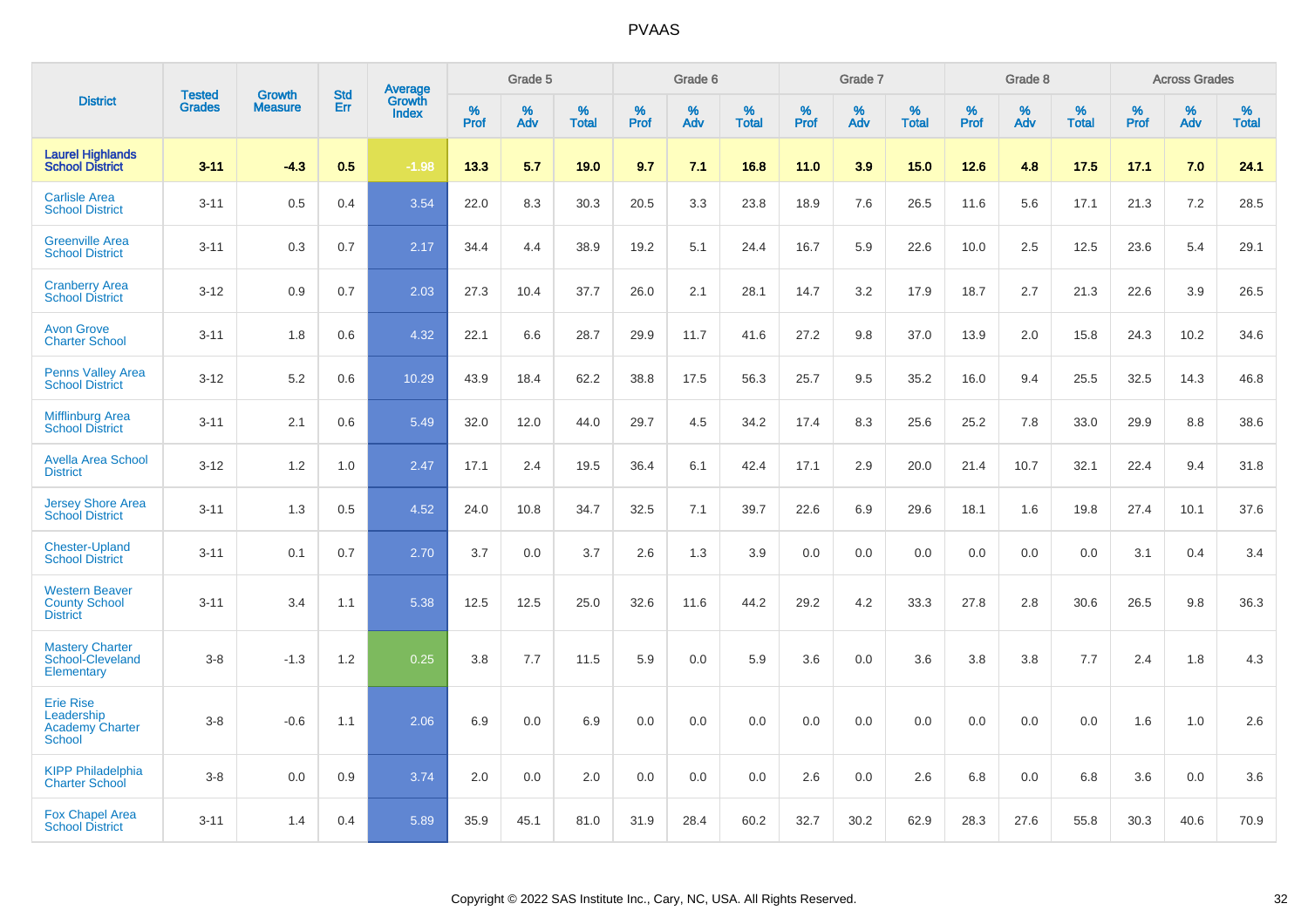|                                                                    | <b>Tested</b> | <b>Growth</b>  | <b>Std</b> | Average                |              | Grade 5  |                   |              | Grade 6  |                   |           | Grade 7  |                   |           | Grade 8  |                   |              | <b>Across Grades</b> |                   |
|--------------------------------------------------------------------|---------------|----------------|------------|------------------------|--------------|----------|-------------------|--------------|----------|-------------------|-----------|----------|-------------------|-----------|----------|-------------------|--------------|----------------------|-------------------|
| <b>District</b>                                                    | <b>Grades</b> | <b>Measure</b> | Err        | Growth<br><b>Index</b> | $\%$<br>Prof | %<br>Adv | %<br><b>Total</b> | $\%$<br>Prof | %<br>Adv | %<br><b>Total</b> | %<br>Prof | %<br>Adv | %<br><b>Total</b> | %<br>Prof | %<br>Adv | %<br><b>Total</b> | $\%$<br>Prof | $\%$<br>Adv          | %<br><b>Total</b> |
| <b>Laurel Highlands</b><br><b>School District</b>                  | $3 - 11$      | $-4.3$         | 0.5        | $-1.98$                | 13.3         | 5.7      | 19.0              | 9.7          | 7.1      | 16.8              | 11.0      | 3.9      | 15.0              | 12.6      | 4.8      | 17.5              | 17.1         | 7.0                  | 24.1              |
| <b>Carlisle Area</b><br><b>School District</b>                     | $3 - 11$      | 0.5            | 0.4        | 3.54                   | 22.0         | 8.3      | 30.3              | 20.5         | 3.3      | 23.8              | 18.9      | 7.6      | 26.5              | 11.6      | 5.6      | 17.1              | 21.3         | 7.2                  | 28.5              |
| <b>Greenville Area</b><br><b>School District</b>                   | $3 - 11$      | 0.3            | 0.7        | 2.17                   | 34.4         | 4.4      | 38.9              | 19.2         | 5.1      | 24.4              | 16.7      | 5.9      | 22.6              | 10.0      | 2.5      | 12.5              | 23.6         | 5.4                  | 29.1              |
| <b>Cranberry Area</b><br><b>School District</b>                    | $3 - 12$      | 0.9            | 0.7        | 2.03                   | 27.3         | 10.4     | 37.7              | 26.0         | 2.1      | 28.1              | 14.7      | 3.2      | 17.9              | 18.7      | 2.7      | 21.3              | 22.6         | 3.9                  | 26.5              |
| <b>Avon Grove</b><br><b>Charter School</b>                         | $3 - 11$      | 1.8            | 0.6        | 4.32                   | 22.1         | 6.6      | 28.7              | 29.9         | 11.7     | 41.6              | 27.2      | 9.8      | 37.0              | 13.9      | 2.0      | 15.8              | 24.3         | 10.2                 | 34.6              |
| <b>Penns Valley Area</b><br><b>School District</b>                 | $3 - 12$      | 5.2            | 0.6        | 10.29                  | 43.9         | 18.4     | 62.2              | 38.8         | 17.5     | 56.3              | 25.7      | 9.5      | 35.2              | 16.0      | 9.4      | 25.5              | 32.5         | 14.3                 | 46.8              |
| <b>Mifflinburg Area</b><br><b>School District</b>                  | $3 - 11$      | 2.1            | 0.6        | 5.49                   | 32.0         | 12.0     | 44.0              | 29.7         | 4.5      | 34.2              | 17.4      | 8.3      | 25.6              | 25.2      | 7.8      | 33.0              | 29.9         | 8.8                  | 38.6              |
| <b>Avella Area School</b><br><b>District</b>                       | $3 - 12$      | 1.2            | 1.0        | 2.47                   | 17.1         | 2.4      | 19.5              | 36.4         | 6.1      | 42.4              | 17.1      | 2.9      | 20.0              | 21.4      | 10.7     | 32.1              | 22.4         | 9.4                  | 31.8              |
| <b>Jersey Shore Area</b><br><b>School District</b>                 | $3 - 11$      | 1.3            | 0.5        | 4.52                   | 24.0         | 10.8     | 34.7              | 32.5         | 7.1      | 39.7              | 22.6      | 6.9      | 29.6              | 18.1      | 1.6      | 19.8              | 27.4         | 10.1                 | 37.6              |
| <b>Chester-Upland</b><br><b>School District</b>                    | $3 - 11$      | 0.1            | 0.7        | 2.70                   | 3.7          | 0.0      | 3.7               | 2.6          | 1.3      | 3.9               | 0.0       | 0.0      | 0.0               | 0.0       | 0.0      | 0.0               | 3.1          | 0.4                  | 3.4               |
| <b>Western Beaver</b><br><b>County School</b><br><b>District</b>   | $3 - 11$      | 3.4            | 1.1        | 5.38                   | 12.5         | 12.5     | 25.0              | 32.6         | 11.6     | 44.2              | 29.2      | 4.2      | 33.3              | 27.8      | 2.8      | 30.6              | 26.5         | 9.8                  | 36.3              |
| <b>Mastery Charter</b><br>School-Cleveland<br>Elementary           | $3 - 8$       | $-1.3$         | 1.2        | 0.25                   | 3.8          | 7.7      | 11.5              | 5.9          | 0.0      | 5.9               | 3.6       | 0.0      | 3.6               | 3.8       | 3.8      | 7.7               | 2.4          | 1.8                  | 4.3               |
| <b>Erie Rise</b><br>Leadership<br><b>Academy Charter</b><br>School | $3 - 8$       | $-0.6$         | 1.1        | 2.06                   | 6.9          | 0.0      | 6.9               | 0.0          | 0.0      | 0.0               | 0.0       | 0.0      | 0.0               | 0.0       | 0.0      | 0.0               | 1.6          | 1.0                  | 2.6               |
| <b>KIPP Philadelphia</b><br><b>Charter School</b>                  | $3 - 8$       | 0.0            | 0.9        | 3.74                   | 2.0          | 0.0      | 2.0               | 0.0          | 0.0      | 0.0               | 2.6       | 0.0      | 2.6               | 6.8       | 0.0      | 6.8               | 3.6          | 0.0                  | 3.6               |
| <b>Fox Chapel Area</b><br><b>School District</b>                   | $3 - 11$      | 1.4            | 0.4        | 5.89                   | 35.9         | 45.1     | 81.0              | 31.9         | 28.4     | 60.2              | 32.7      | 30.2     | 62.9              | 28.3      | 27.6     | 55.8              | 30.3         | 40.6                 | 70.9              |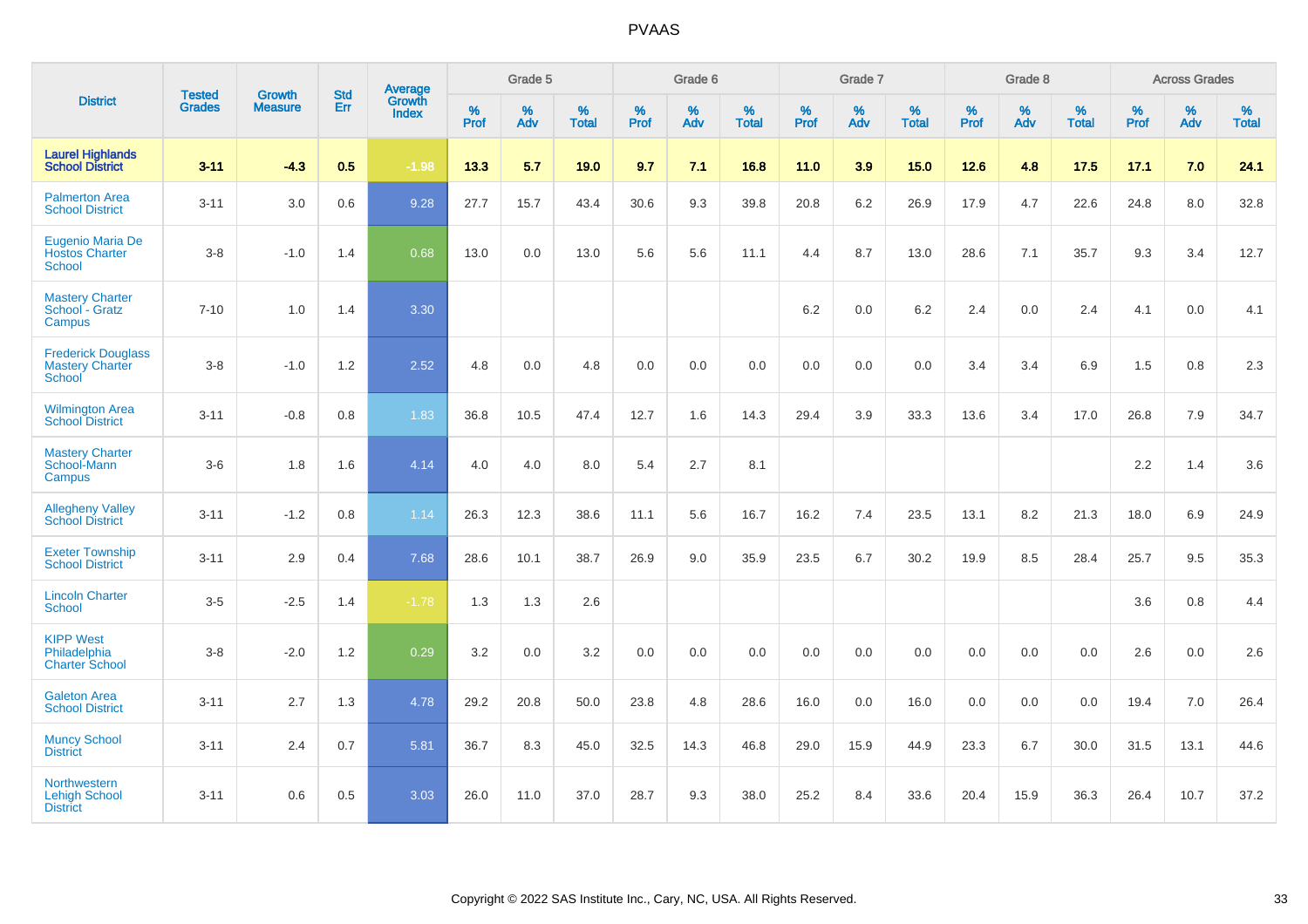|                                                               | <b>Tested</b> | <b>Growth</b>  | <b>Std</b> | Average                       |              | Grade 5  |                   |              | Grade 6  |                   |              | Grade 7  |                   |              | Grade 8  |                   |           | <b>Across Grades</b> |                   |
|---------------------------------------------------------------|---------------|----------------|------------|-------------------------------|--------------|----------|-------------------|--------------|----------|-------------------|--------------|----------|-------------------|--------------|----------|-------------------|-----------|----------------------|-------------------|
| <b>District</b>                                               | <b>Grades</b> | <b>Measure</b> | Err        | <b>Growth</b><br><b>Index</b> | $\%$<br>Prof | %<br>Adv | %<br><b>Total</b> | $\%$<br>Prof | %<br>Adv | %<br><b>Total</b> | $\%$<br>Prof | %<br>Adv | %<br><b>Total</b> | $\%$<br>Prof | %<br>Adv | %<br><b>Total</b> | %<br>Prof | %<br>Adv             | %<br><b>Total</b> |
| <b>Laurel Highlands</b><br><b>School District</b>             | $3 - 11$      | $-4.3$         | 0.5        | $-1.98$                       | 13.3         | 5.7      | 19.0              | 9.7          | 7.1      | 16.8              | 11.0         | 3.9      | 15.0              | 12.6         | 4.8      | 17.5              | 17.1      | 7.0                  | 24.1              |
| <b>Palmerton Area</b><br><b>School District</b>               | $3 - 11$      | 3.0            | 0.6        | 9.28                          | 27.7         | 15.7     | 43.4              | 30.6         | 9.3      | 39.8              | 20.8         | 6.2      | 26.9              | 17.9         | 4.7      | 22.6              | 24.8      | 8.0                  | 32.8              |
| Eugenio Maria De<br><b>Hostos Charter</b><br><b>School</b>    | $3 - 8$       | $-1.0$         | 1.4        | 0.68                          | 13.0         | 0.0      | 13.0              | 5.6          | 5.6      | 11.1              | 4.4          | 8.7      | 13.0              | 28.6         | 7.1      | 35.7              | 9.3       | 3.4                  | 12.7              |
| <b>Mastery Charter</b><br>School - Gratz<br>Campus            | $7 - 10$      | 1.0            | 1.4        | 3.30                          |              |          |                   |              |          |                   | 6.2          | 0.0      | 6.2               | 2.4          | 0.0      | 2.4               | 4.1       | $0.0\,$              | 4.1               |
| <b>Frederick Douglass</b><br><b>Mastery Charter</b><br>School | $3-8$         | $-1.0$         | 1.2        | 2.52                          | 4.8          | 0.0      | 4.8               | 0.0          | 0.0      | 0.0               | $0.0\,$      | 0.0      | 0.0               | 3.4          | 3.4      | 6.9               | 1.5       | 0.8                  | 2.3               |
| <b>Wilmington Area</b><br><b>School District</b>              | $3 - 11$      | $-0.8$         | 0.8        | 1.83                          | 36.8         | 10.5     | 47.4              | 12.7         | 1.6      | 14.3              | 29.4         | 3.9      | 33.3              | 13.6         | 3.4      | 17.0              | 26.8      | 7.9                  | 34.7              |
| <b>Mastery Charter</b><br>School-Mann<br>Campus               | $3-6$         | 1.8            | 1.6        | 4.14                          | 4.0          | 4.0      | 8.0               | 5.4          | 2.7      | 8.1               |              |          |                   |              |          |                   | 2.2       | 1.4                  | 3.6               |
| <b>Allegheny Valley</b><br><b>School District</b>             | $3 - 11$      | $-1.2$         | 0.8        | 1.14                          | 26.3         | 12.3     | 38.6              | 11.1         | 5.6      | 16.7              | 16.2         | 7.4      | 23.5              | 13.1         | 8.2      | 21.3              | 18.0      | 6.9                  | 24.9              |
| <b>Exeter Township</b><br><b>School District</b>              | $3 - 11$      | 2.9            | 0.4        | 7.68                          | 28.6         | 10.1     | 38.7              | 26.9         | 9.0      | 35.9              | 23.5         | 6.7      | 30.2              | 19.9         | 8.5      | 28.4              | 25.7      | 9.5                  | 35.3              |
| <b>Lincoln Charter</b><br><b>School</b>                       | $3-5$         | $-2.5$         | 1.4        | $-1.78$                       | 1.3          | 1.3      | 2.6               |              |          |                   |              |          |                   |              |          |                   | 3.6       | 0.8                  | 4.4               |
| <b>KIPP West</b><br>Philadelphia<br><b>Charter School</b>     | $3 - 8$       | $-2.0$         | 1.2        | 0.29                          | 3.2          | 0.0      | 3.2               | 0.0          | 0.0      | 0.0               | 0.0          | 0.0      | 0.0               | 0.0          | 0.0      | 0.0               | 2.6       | 0.0                  | 2.6               |
| <b>Galeton Area</b><br><b>School District</b>                 | $3 - 11$      | 2.7            | 1.3        | 4.78                          | 29.2         | 20.8     | 50.0              | 23.8         | 4.8      | 28.6              | 16.0         | 0.0      | 16.0              | 0.0          | 0.0      | 0.0               | 19.4      | 7.0                  | 26.4              |
| <b>Muncy School</b><br><b>District</b>                        | $3 - 11$      | 2.4            | 0.7        | 5.81                          | 36.7         | 8.3      | 45.0              | 32.5         | 14.3     | 46.8              | 29.0         | 15.9     | 44.9              | 23.3         | 6.7      | 30.0              | 31.5      | 13.1                 | 44.6              |
| Northwestern<br><b>Lehigh School</b><br><b>District</b>       | $3 - 11$      | 0.6            | 0.5        | 3.03                          | 26.0         | 11.0     | 37.0              | 28.7         | 9.3      | 38.0              | 25.2         | 8.4      | 33.6              | 20.4         | 15.9     | 36.3              | 26.4      | 10.7                 | 37.2              |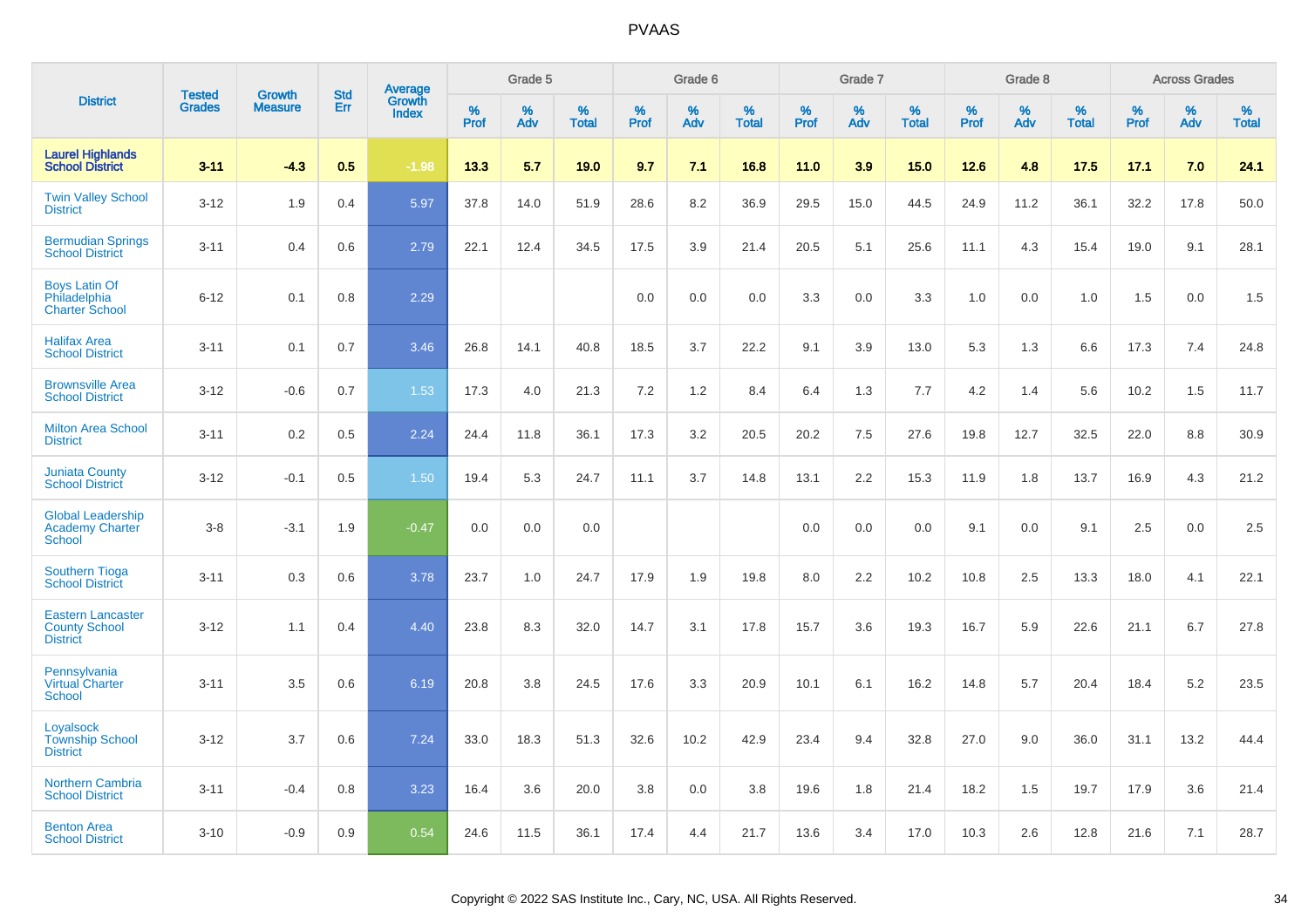|                                                                     |                                |                                 | <b>Std</b> | Average         |                     | Grade 5  |                   |                     | Grade 6  |                      |              | Grade 7  |                   |              | Grade 8  |                   |              | <b>Across Grades</b> |                   |
|---------------------------------------------------------------------|--------------------------------|---------------------------------|------------|-----------------|---------------------|----------|-------------------|---------------------|----------|----------------------|--------------|----------|-------------------|--------------|----------|-------------------|--------------|----------------------|-------------------|
| <b>District</b>                                                     | <b>Tested</b><br><b>Grades</b> | <b>Growth</b><br><b>Measure</b> | Err        | Growth<br>Index | $\%$<br><b>Prof</b> | %<br>Adv | %<br><b>Total</b> | $\%$<br><b>Prof</b> | %<br>Adv | $\%$<br><b>Total</b> | $\%$<br>Prof | %<br>Adv | %<br><b>Total</b> | $\%$<br>Prof | %<br>Adv | %<br><b>Total</b> | $\%$<br>Prof | $\%$<br>Adv          | %<br><b>Total</b> |
| <b>Laurel Highlands</b><br><b>School District</b>                   | $3 - 11$                       | $-4.3$                          | 0.5        | $-1.98$         | 13.3                | 5.7      | 19.0              | 9.7                 | 7.1      | 16.8                 | 11.0         | 3.9      | 15.0              | 12.6         | 4.8      | 17.5              | 17.1         | 7.0                  | 24.1              |
| <b>Twin Valley School</b><br><b>District</b>                        | $3 - 12$                       | 1.9                             | 0.4        | 5.97            | 37.8                | 14.0     | 51.9              | 28.6                | 8.2      | 36.9                 | 29.5         | 15.0     | 44.5              | 24.9         | 11.2     | 36.1              | 32.2         | 17.8                 | 50.0              |
| <b>Bermudian Springs</b><br><b>School District</b>                  | $3 - 11$                       | 0.4                             | 0.6        | 2.79            | 22.1                | 12.4     | 34.5              | 17.5                | 3.9      | 21.4                 | 20.5         | 5.1      | 25.6              | 11.1         | 4.3      | 15.4              | 19.0         | 9.1                  | 28.1              |
| <b>Boys Latin Of</b><br>Philadelphia<br><b>Charter School</b>       | $6 - 12$                       | 0.1                             | 0.8        | 2.29            |                     |          |                   | 0.0                 | 0.0      | 0.0                  | 3.3          | 0.0      | 3.3               | 1.0          | 0.0      | 1.0               | 1.5          | 0.0                  | 1.5               |
| <b>Halifax Area</b><br><b>School District</b>                       | $3 - 11$                       | 0.1                             | 0.7        | 3.46            | 26.8                | 14.1     | 40.8              | 18.5                | 3.7      | 22.2                 | 9.1          | 3.9      | 13.0              | 5.3          | 1.3      | 6.6               | 17.3         | 7.4                  | 24.8              |
| <b>Brownsville Area</b><br><b>School District</b>                   | $3 - 12$                       | $-0.6$                          | 0.7        | 1.53            | 17.3                | 4.0      | 21.3              | 7.2                 | 1.2      | 8.4                  | 6.4          | 1.3      | 7.7               | 4.2          | 1.4      | 5.6               | 10.2         | 1.5                  | 11.7              |
| <b>Milton Area School</b><br><b>District</b>                        | $3 - 11$                       | 0.2                             | 0.5        | 2.24            | 24.4                | 11.8     | 36.1              | 17.3                | 3.2      | 20.5                 | 20.2         | 7.5      | 27.6              | 19.8         | 12.7     | 32.5              | 22.0         | 8.8                  | 30.9              |
| <b>Juniata County</b><br><b>School District</b>                     | $3 - 12$                       | $-0.1$                          | 0.5        | 1.50            | 19.4                | 5.3      | 24.7              | 11.1                | 3.7      | 14.8                 | 13.1         | 2.2      | 15.3              | 11.9         | 1.8      | 13.7              | 16.9         | 4.3                  | 21.2              |
| <b>Global Leadership</b><br><b>Academy Charter</b><br>School        | $3 - 8$                        | $-3.1$                          | 1.9        | $-0.47$         | 0.0                 | 0.0      | 0.0               |                     |          |                      | 0.0          | 0.0      | 0.0               | 9.1          | 0.0      | 9.1               | 2.5          | 0.0                  | 2.5               |
| <b>Southern Tioga</b><br><b>School District</b>                     | $3 - 11$                       | 0.3                             | 0.6        | 3.78            | 23.7                | 1.0      | 24.7              | 17.9                | 1.9      | 19.8                 | 8.0          | 2.2      | 10.2              | 10.8         | 2.5      | 13.3              | 18.0         | 4.1                  | 22.1              |
| <b>Eastern Lancaster</b><br><b>County School</b><br><b>District</b> | $3 - 12$                       | 1.1                             | 0.4        | 4.40            | 23.8                | 8.3      | 32.0              | 14.7                | 3.1      | 17.8                 | 15.7         | 3.6      | 19.3              | 16.7         | 5.9      | 22.6              | 21.1         | 6.7                  | 27.8              |
| Pennsylvania<br><b>Virtual Charter</b><br><b>School</b>             | $3 - 11$                       | 3.5                             | 0.6        | 6.19            | 20.8                | 3.8      | 24.5              | 17.6                | 3.3      | 20.9                 | 10.1         | 6.1      | 16.2              | 14.8         | 5.7      | 20.4              | 18.4         | 5.2                  | 23.5              |
| Loyalsock<br><b>Township School</b><br><b>District</b>              | $3 - 12$                       | 3.7                             | 0.6        | 7.24            | 33.0                | 18.3     | 51.3              | 32.6                | 10.2     | 42.9                 | 23.4         | 9.4      | 32.8              | 27.0         | 9.0      | 36.0              | 31.1         | 13.2                 | 44.4              |
| <b>Northern Cambria</b><br><b>School District</b>                   | $3 - 11$                       | $-0.4$                          | 0.8        | 3.23            | 16.4                | 3.6      | 20.0              | 3.8                 | 0.0      | 3.8                  | 19.6         | 1.8      | 21.4              | 18.2         | 1.5      | 19.7              | 17.9         | 3.6                  | 21.4              |
| <b>Benton Area</b><br><b>School District</b>                        | $3 - 10$                       | $-0.9$                          | 0.9        | 0.54            | 24.6                | 11.5     | 36.1              | 17.4                | 4.4      | 21.7                 | 13.6         | 3.4      | 17.0              | 10.3         | 2.6      | 12.8              | 21.6         | 7.1                  | 28.7              |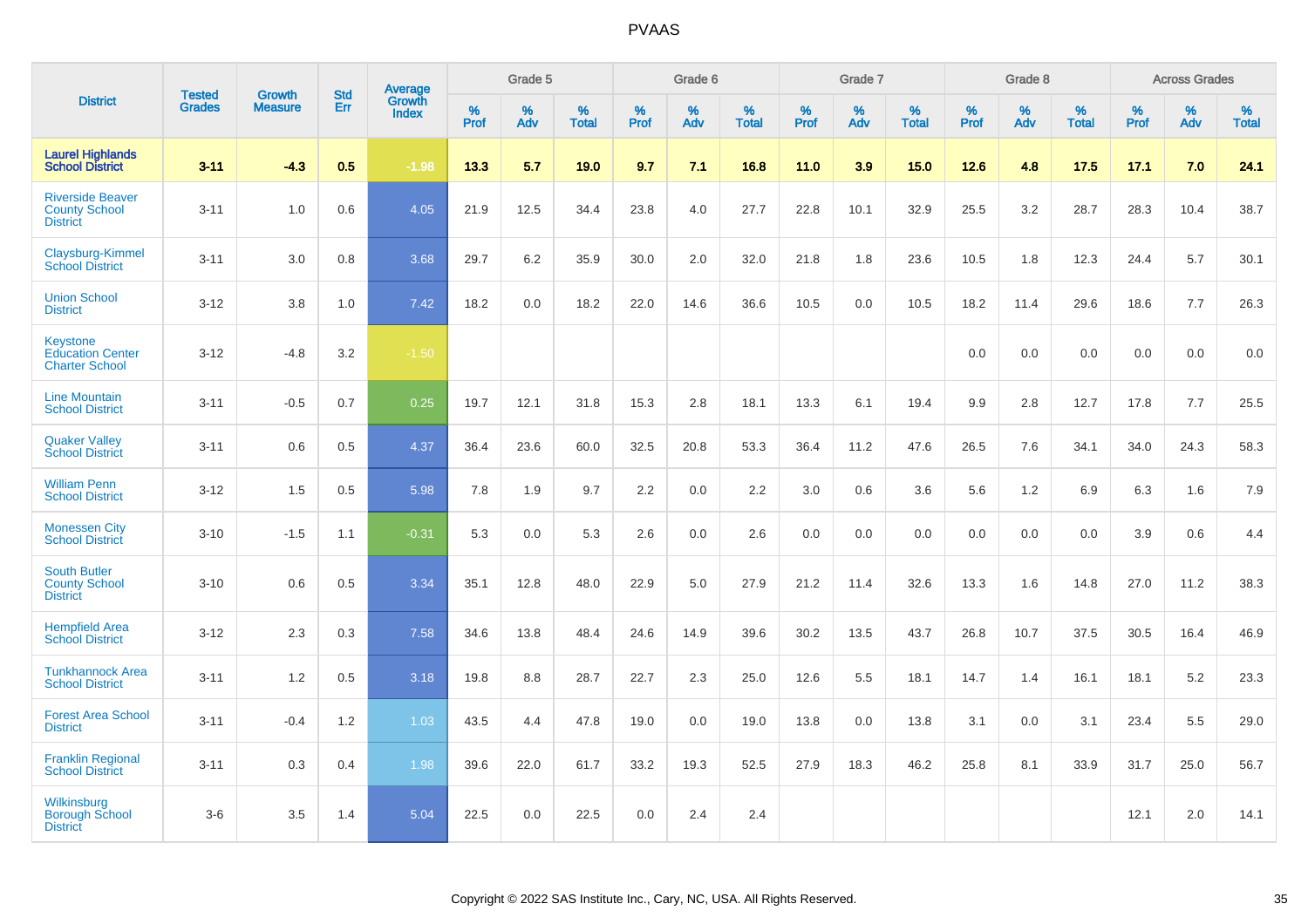|                                                                     |                                |                                 | <b>Std</b> | Average                |              | Grade 5  |                   |           | Grade 6  |                   |           | Grade 7  |                   |           | Grade 8  |                   |           | <b>Across Grades</b> |                   |
|---------------------------------------------------------------------|--------------------------------|---------------------------------|------------|------------------------|--------------|----------|-------------------|-----------|----------|-------------------|-----------|----------|-------------------|-----------|----------|-------------------|-----------|----------------------|-------------------|
| <b>District</b>                                                     | <b>Tested</b><br><b>Grades</b> | <b>Growth</b><br><b>Measure</b> | Err        | Growth<br><b>Index</b> | $\%$<br>Prof | %<br>Adv | %<br><b>Total</b> | %<br>Prof | %<br>Adv | %<br><b>Total</b> | %<br>Prof | %<br>Adv | %<br><b>Total</b> | %<br>Prof | %<br>Adv | %<br><b>Total</b> | %<br>Prof | %<br>Adv             | %<br><b>Total</b> |
| <b>Laurel Highlands</b><br><b>School District</b>                   | $3 - 11$                       | $-4.3$                          | 0.5        | $-1.98$                | 13.3         | 5.7      | 19.0              | 9.7       | 7.1      | 16.8              | 11.0      | 3.9      | 15.0              | 12.6      | 4.8      | 17.5              | 17.1      | 7.0                  | 24.1              |
| <b>Riverside Beaver</b><br><b>County School</b><br><b>District</b>  | $3 - 11$                       | 1.0                             | 0.6        | 4.05                   | 21.9         | 12.5     | 34.4              | 23.8      | 4.0      | 27.7              | 22.8      | 10.1     | 32.9              | 25.5      | 3.2      | 28.7              | 28.3      | 10.4                 | 38.7              |
| Claysburg-Kimmel<br><b>School District</b>                          | $3 - 11$                       | 3.0                             | 0.8        | 3.68                   | 29.7         | 6.2      | 35.9              | 30.0      | 2.0      | 32.0              | 21.8      | 1.8      | 23.6              | 10.5      | 1.8      | 12.3              | 24.4      | 5.7                  | 30.1              |
| <b>Union School</b><br><b>District</b>                              | $3 - 12$                       | 3.8                             | 1.0        | 7.42                   | 18.2         | 0.0      | 18.2              | 22.0      | 14.6     | 36.6              | 10.5      | 0.0      | 10.5              | 18.2      | 11.4     | 29.6              | 18.6      | 7.7                  | 26.3              |
| <b>Keystone</b><br><b>Education Center</b><br><b>Charter School</b> | $3 - 12$                       | $-4.8$                          | 3.2        | $-1.50$                |              |          |                   |           |          |                   |           |          |                   | 0.0       | 0.0      | 0.0               | 0.0       | 0.0                  | 0.0               |
| <b>Line Mountain</b><br><b>School District</b>                      | $3 - 11$                       | $-0.5$                          | 0.7        | 0.25                   | 19.7         | 12.1     | 31.8              | 15.3      | 2.8      | 18.1              | 13.3      | 6.1      | 19.4              | 9.9       | 2.8      | 12.7              | 17.8      | 7.7                  | 25.5              |
| <b>Quaker Valley</b><br><b>School District</b>                      | $3 - 11$                       | 0.6                             | 0.5        | 4.37                   | 36.4         | 23.6     | 60.0              | 32.5      | 20.8     | 53.3              | 36.4      | 11.2     | 47.6              | 26.5      | 7.6      | 34.1              | 34.0      | 24.3                 | 58.3              |
| <b>William Penn</b><br><b>School District</b>                       | $3 - 12$                       | 1.5                             | 0.5        | 5.98                   | 7.8          | 1.9      | 9.7               | 2.2       | 0.0      | 2.2               | 3.0       | 0.6      | 3.6               | 5.6       | 1.2      | 6.9               | 6.3       | 1.6                  | 7.9               |
| <b>Monessen City</b><br><b>School District</b>                      | $3 - 10$                       | $-1.5$                          | 1.1        | $-0.31$                | 5.3          | 0.0      | 5.3               | 2.6       | 0.0      | 2.6               | 0.0       | 0.0      | 0.0               | 0.0       | 0.0      | 0.0               | 3.9       | 0.6                  | 4.4               |
| <b>South Butler</b><br><b>County School</b><br><b>District</b>      | $3 - 10$                       | 0.6                             | 0.5        | 3.34                   | 35.1         | 12.8     | 48.0              | 22.9      | 5.0      | 27.9              | 21.2      | 11.4     | 32.6              | 13.3      | 1.6      | 14.8              | 27.0      | 11.2                 | 38.3              |
| <b>Hempfield Area</b><br><b>School District</b>                     | $3 - 12$                       | 2.3                             | 0.3        | 7.58                   | 34.6         | 13.8     | 48.4              | 24.6      | 14.9     | 39.6              | 30.2      | 13.5     | 43.7              | 26.8      | 10.7     | 37.5              | 30.5      | 16.4                 | 46.9              |
| <b>Tunkhannock Area</b><br><b>School District</b>                   | $3 - 11$                       | 1.2                             | 0.5        | 3.18                   | 19.8         | 8.8      | 28.7              | 22.7      | 2.3      | 25.0              | 12.6      | 5.5      | 18.1              | 14.7      | 1.4      | 16.1              | 18.1      | 5.2                  | 23.3              |
| <b>Forest Area School</b><br><b>District</b>                        | $3 - 11$                       | $-0.4$                          | 1.2        | 1.03                   | 43.5         | 4.4      | 47.8              | 19.0      | 0.0      | 19.0              | 13.8      | 0.0      | 13.8              | 3.1       | 0.0      | 3.1               | 23.4      | 5.5                  | 29.0              |
| <b>Franklin Regional</b><br><b>School District</b>                  | $3 - 11$                       | 0.3                             | 0.4        | 1.98                   | 39.6         | 22.0     | 61.7              | 33.2      | 19.3     | 52.5              | 27.9      | 18.3     | 46.2              | 25.8      | 8.1      | 33.9              | 31.7      | 25.0                 | 56.7              |
| Wilkinsburg<br><b>Borough School</b><br><b>District</b>             | $3 - 6$                        | 3.5                             | 1.4        | 5.04                   | 22.5         | 0.0      | 22.5              | 0.0       | 2.4      | 2.4               |           |          |                   |           |          |                   | 12.1      | 2.0                  | 14.1              |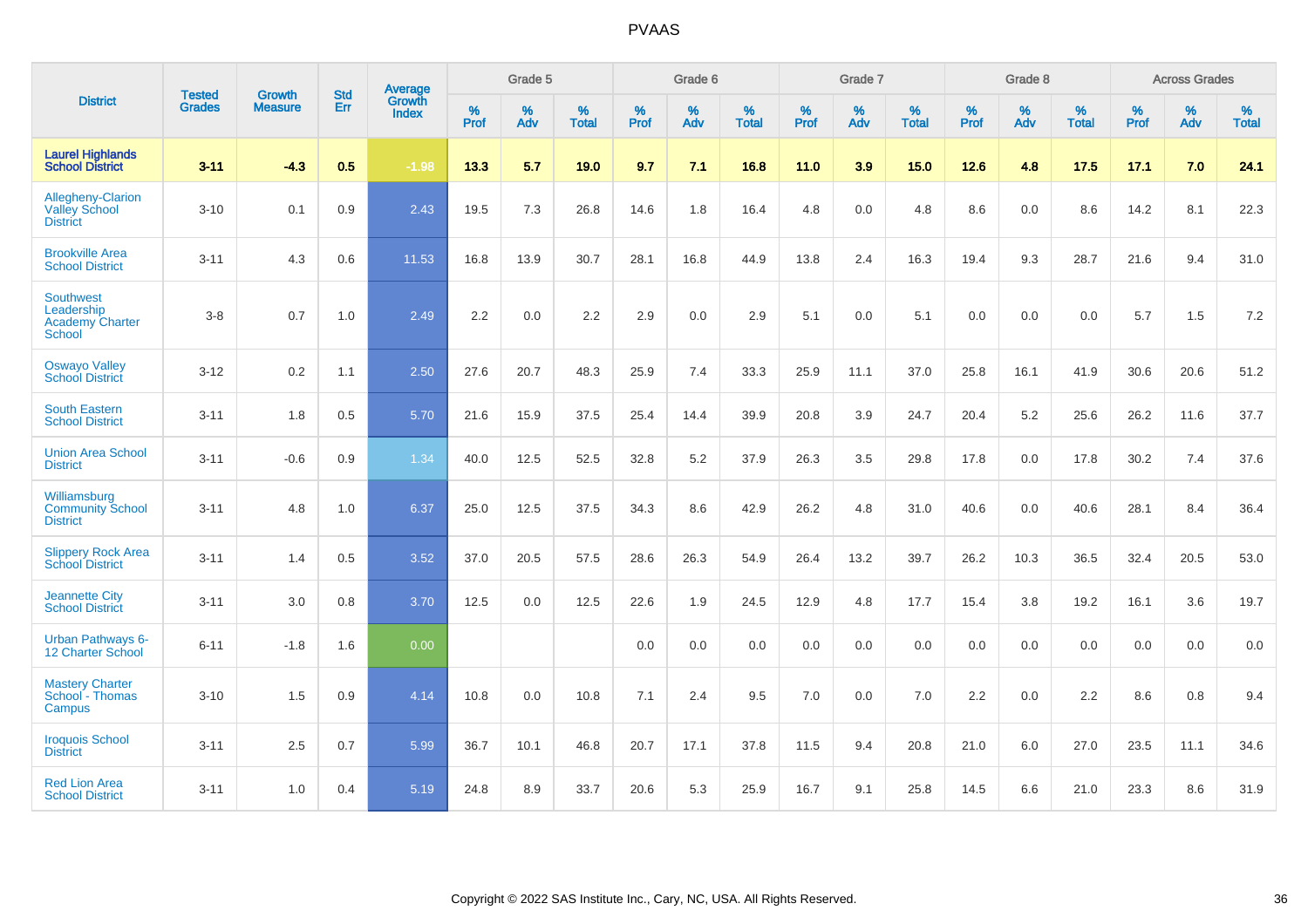|                                                                           | <b>Tested</b> | <b>Growth</b>  | <b>Std</b> | Average                |                     | Grade 5     |                   |                     | Grade 6  |                   |                     | Grade 7  |                   |              | Grade 8  |                   |                     | <b>Across Grades</b> |                   |
|---------------------------------------------------------------------------|---------------|----------------|------------|------------------------|---------------------|-------------|-------------------|---------------------|----------|-------------------|---------------------|----------|-------------------|--------------|----------|-------------------|---------------------|----------------------|-------------------|
| <b>District</b>                                                           | <b>Grades</b> | <b>Measure</b> | Err        | Growth<br><b>Index</b> | $\%$<br><b>Prof</b> | $\%$<br>Adv | %<br><b>Total</b> | $\%$<br><b>Prof</b> | %<br>Adv | %<br><b>Total</b> | $\%$<br><b>Prof</b> | %<br>Adv | %<br><b>Total</b> | $\%$<br>Prof | %<br>Adv | %<br><b>Total</b> | $\%$<br><b>Prof</b> | %<br>Adv             | %<br><b>Total</b> |
| <b>Laurel Highlands</b><br>School District                                | $3 - 11$      | $-4.3$         | 0.5        | $-1.98$                | 13.3                | 5.7         | 19.0              | 9.7                 | 7.1      | 16.8              | 11.0                | 3.9      | 15.0              | 12.6         | 4.8      | 17.5              | 17.1                | 7.0                  | 24.1              |
| <b>Allegheny-Clarion</b><br><b>Valley School</b><br><b>District</b>       | $3 - 10$      | 0.1            | 0.9        | 2.43                   | 19.5                | 7.3         | 26.8              | 14.6                | 1.8      | 16.4              | 4.8                 | 0.0      | 4.8               | 8.6          | 0.0      | 8.6               | 14.2                | 8.1                  | 22.3              |
| <b>Brookville Area</b><br><b>School District</b>                          | $3 - 11$      | 4.3            | 0.6        | 11.53                  | 16.8                | 13.9        | 30.7              | 28.1                | 16.8     | 44.9              | 13.8                | 2.4      | 16.3              | 19.4         | 9.3      | 28.7              | 21.6                | 9.4                  | 31.0              |
| <b>Southwest</b><br>Leadership<br><b>Academy Charter</b><br><b>School</b> | $3-8$         | 0.7            | 1.0        | 2.49                   | 2.2                 | 0.0         | $2.2\,$           | 2.9                 | 0.0      | 2.9               | 5.1                 | 0.0      | 5.1               | 0.0          | 0.0      | 0.0               | 5.7                 | 1.5                  | $7.2\,$           |
| <b>Oswayo Valley</b><br><b>School District</b>                            | $3 - 12$      | 0.2            | 1.1        | 2.50                   | 27.6                | 20.7        | 48.3              | 25.9                | 7.4      | 33.3              | 25.9                | 11.1     | 37.0              | 25.8         | 16.1     | 41.9              | 30.6                | 20.6                 | 51.2              |
| <b>South Eastern</b><br><b>School District</b>                            | $3 - 11$      | 1.8            | 0.5        | 5.70                   | 21.6                | 15.9        | 37.5              | 25.4                | 14.4     | 39.9              | 20.8                | 3.9      | 24.7              | 20.4         | 5.2      | 25.6              | 26.2                | 11.6                 | 37.7              |
| <b>Union Area School</b><br><b>District</b>                               | $3 - 11$      | $-0.6$         | 0.9        | 1.34                   | 40.0                | 12.5        | 52.5              | 32.8                | 5.2      | 37.9              | 26.3                | 3.5      | 29.8              | 17.8         | 0.0      | 17.8              | 30.2                | 7.4                  | 37.6              |
| Williamsburg<br><b>Community School</b><br><b>District</b>                | $3 - 11$      | 4.8            | 1.0        | 6.37                   | 25.0                | 12.5        | 37.5              | 34.3                | 8.6      | 42.9              | 26.2                | 4.8      | 31.0              | 40.6         | 0.0      | 40.6              | 28.1                | 8.4                  | 36.4              |
| <b>Slippery Rock Area</b><br><b>School District</b>                       | $3 - 11$      | 1.4            | 0.5        | 3.52                   | 37.0                | 20.5        | 57.5              | 28.6                | 26.3     | 54.9              | 26.4                | 13.2     | 39.7              | 26.2         | 10.3     | 36.5              | 32.4                | 20.5                 | 53.0              |
| <b>Jeannette City</b><br><b>School District</b>                           | $3 - 11$      | 3.0            | 0.8        | 3.70                   | 12.5                | 0.0         | 12.5              | 22.6                | 1.9      | 24.5              | 12.9                | 4.8      | 17.7              | 15.4         | 3.8      | 19.2              | 16.1                | 3.6                  | 19.7              |
| Urban Pathways 6-<br>12 Charter School                                    | $6 - 11$      | $-1.8$         | 1.6        | 0.00                   |                     |             |                   | 0.0                 | $0.0\,$  | 0.0               | 0.0                 | $0.0\,$  | 0.0               | $0.0\,$      | $0.0\,$  | 0.0               | 0.0                 | $0.0\,$              | $0.0\,$           |
| <b>Mastery Charter</b><br>School - Thomas<br>Campus                       | $3 - 10$      | 1.5            | 0.9        | 4.14                   | 10.8                | 0.0         | 10.8              | 7.1                 | 2.4      | 9.5               | 7.0                 | 0.0      | 7.0               | 2.2          | 0.0      | 2.2               | 8.6                 | 0.8                  | 9.4               |
| <b>Iroquois School</b><br><b>District</b>                                 | $3 - 11$      | 2.5            | 0.7        | 5.99                   | 36.7                | 10.1        | 46.8              | 20.7                | 17.1     | 37.8              | 11.5                | 9.4      | 20.8              | 21.0         | 6.0      | 27.0              | 23.5                | 11.1                 | 34.6              |
| <b>Red Lion Area</b><br><b>School District</b>                            | $3 - 11$      | 1.0            | 0.4        | 5.19                   | 24.8                | 8.9         | 33.7              | 20.6                | 5.3      | 25.9              | 16.7                | 9.1      | 25.8              | 14.5         | 6.6      | 21.0              | 23.3                | 8.6                  | 31.9              |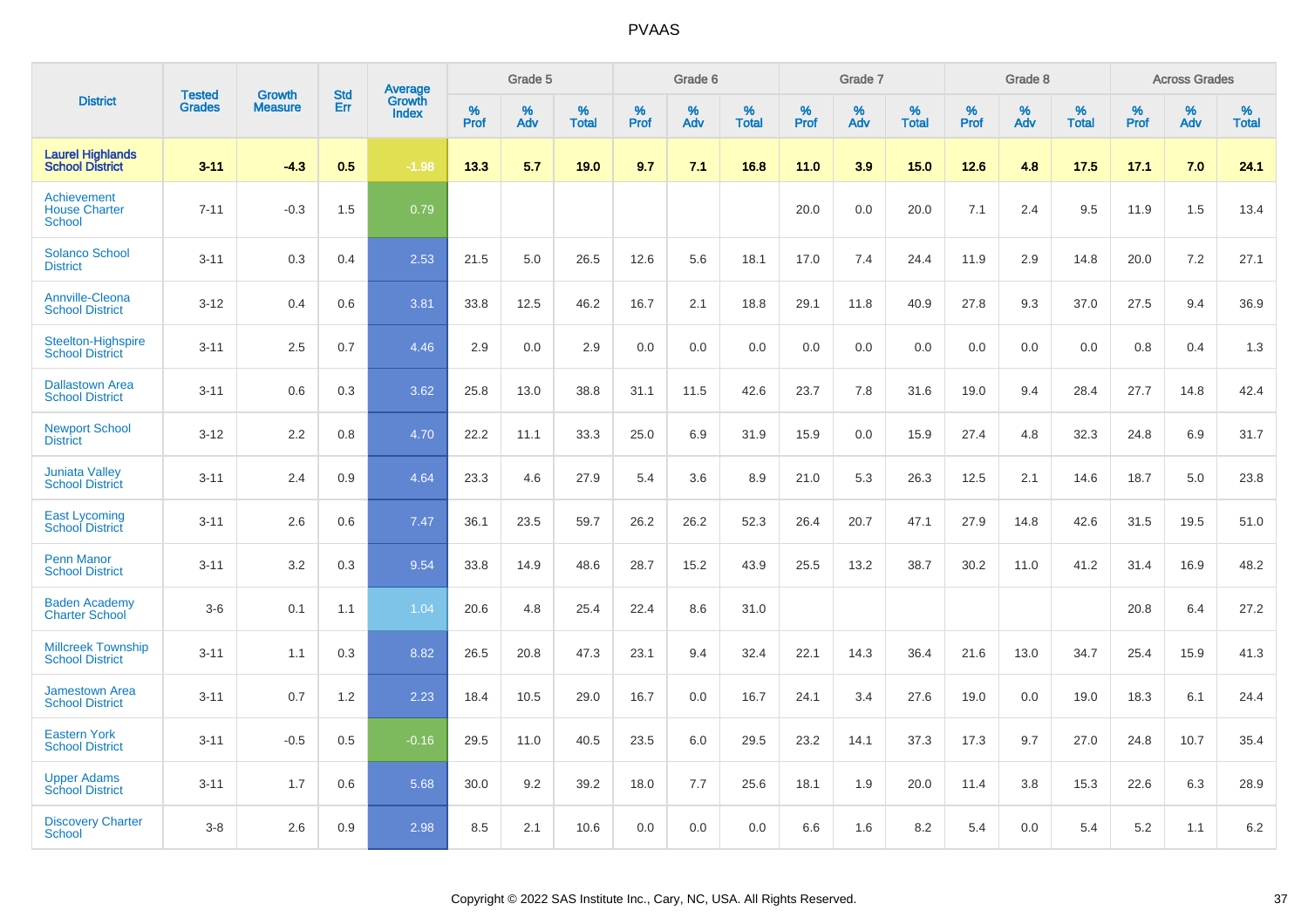|                                                      |                                |                                 | <b>Std</b> | Average                |           | Grade 5  |                      |                  | Grade 6  |                   |           | Grade 7  |                      |           | Grade 8  |                   |           | <b>Across Grades</b> |                   |
|------------------------------------------------------|--------------------------------|---------------------------------|------------|------------------------|-----------|----------|----------------------|------------------|----------|-------------------|-----------|----------|----------------------|-----------|----------|-------------------|-----------|----------------------|-------------------|
| <b>District</b>                                      | <b>Tested</b><br><b>Grades</b> | <b>Growth</b><br><b>Measure</b> | Err        | Growth<br><b>Index</b> | %<br>Prof | %<br>Adv | $\%$<br><b>Total</b> | %<br><b>Prof</b> | %<br>Adv | %<br><b>Total</b> | %<br>Prof | %<br>Adv | $\%$<br><b>Total</b> | %<br>Prof | %<br>Adv | %<br><b>Total</b> | %<br>Prof | %<br>Adv             | %<br><b>Total</b> |
| <b>Laurel Highlands</b><br><b>School District</b>    | $3 - 11$                       | $-4.3$                          | 0.5        | $-1.98$                | 13.3      | 5.7      | 19.0                 | 9.7              | 7.1      | 16.8              | 11.0      | 3.9      | 15.0                 | 12.6      | 4.8      | 17.5              | 17.1      | 7.0                  | 24.1              |
| Achievement<br><b>House Charter</b><br><b>School</b> | $7 - 11$                       | $-0.3$                          | 1.5        | 0.79                   |           |          |                      |                  |          |                   | 20.0      | 0.0      | 20.0                 | 7.1       | 2.4      | 9.5               | 11.9      | 1.5                  | 13.4              |
| <b>Solanco School</b><br><b>District</b>             | $3 - 11$                       | 0.3                             | 0.4        | 2.53                   | 21.5      | 5.0      | 26.5                 | 12.6             | 5.6      | 18.1              | 17.0      | 7.4      | 24.4                 | 11.9      | 2.9      | 14.8              | 20.0      | 7.2                  | 27.1              |
| <b>Annville-Cleona</b><br><b>School District</b>     | $3 - 12$                       | 0.4                             | 0.6        | 3.81                   | 33.8      | 12.5     | 46.2                 | 16.7             | 2.1      | 18.8              | 29.1      | 11.8     | 40.9                 | 27.8      | 9.3      | 37.0              | 27.5      | 9.4                  | 36.9              |
| <b>Steelton-Highspire</b><br><b>School District</b>  | $3 - 11$                       | 2.5                             | 0.7        | 4.46                   | 2.9       | 0.0      | 2.9                  | 0.0              | 0.0      | 0.0               | 0.0       | 0.0      | 0.0                  | 0.0       | 0.0      | 0.0               | 0.8       | 0.4                  | 1.3               |
| <b>Dallastown Area</b><br><b>School District</b>     | $3 - 11$                       | 0.6                             | 0.3        | 3.62                   | 25.8      | 13.0     | 38.8                 | 31.1             | 11.5     | 42.6              | 23.7      | 7.8      | 31.6                 | 19.0      | 9.4      | 28.4              | 27.7      | 14.8                 | 42.4              |
| <b>Newport School</b><br><b>District</b>             | $3 - 12$                       | 2.2                             | 0.8        | 4.70                   | 22.2      | 11.1     | 33.3                 | 25.0             | 6.9      | 31.9              | 15.9      | 0.0      | 15.9                 | 27.4      | 4.8      | 32.3              | 24.8      | 6.9                  | 31.7              |
| <b>Juniata Valley</b><br><b>School District</b>      | $3 - 11$                       | 2.4                             | 0.9        | 4.64                   | 23.3      | 4.6      | 27.9                 | 5.4              | 3.6      | 8.9               | 21.0      | 5.3      | 26.3                 | 12.5      | 2.1      | 14.6              | 18.7      | 5.0                  | 23.8              |
| <b>East Lycoming</b><br><b>School District</b>       | $3 - 11$                       | 2.6                             | 0.6        | 7.47                   | 36.1      | 23.5     | 59.7                 | 26.2             | 26.2     | 52.3              | 26.4      | 20.7     | 47.1                 | 27.9      | 14.8     | 42.6              | 31.5      | 19.5                 | 51.0              |
| <b>Penn Manor</b><br><b>School District</b>          | $3 - 11$                       | 3.2                             | 0.3        | 9.54                   | 33.8      | 14.9     | 48.6                 | 28.7             | 15.2     | 43.9              | 25.5      | 13.2     | 38.7                 | 30.2      | 11.0     | 41.2              | 31.4      | 16.9                 | 48.2              |
| <b>Baden Academy</b><br><b>Charter School</b>        | $3-6$                          | 0.1                             | 1.1        | 1.04                   | 20.6      | 4.8      | 25.4                 | 22.4             | 8.6      | 31.0              |           |          |                      |           |          |                   | 20.8      | 6.4                  | 27.2              |
| <b>Millcreek Township</b><br><b>School District</b>  | $3 - 11$                       | 1.1                             | 0.3        | 8.82                   | 26.5      | 20.8     | 47.3                 | 23.1             | 9.4      | 32.4              | 22.1      | 14.3     | 36.4                 | 21.6      | 13.0     | 34.7              | 25.4      | 15.9                 | 41.3              |
| <b>Jamestown Area</b><br><b>School District</b>      | $3 - 11$                       | 0.7                             | 1.2        | 2.23                   | 18.4      | 10.5     | 29.0                 | 16.7             | 0.0      | 16.7              | 24.1      | 3.4      | 27.6                 | 19.0      | 0.0      | 19.0              | 18.3      | 6.1                  | 24.4              |
| <b>Eastern York</b><br><b>School District</b>        | $3 - 11$                       | $-0.5$                          | 0.5        | $-0.16$                | 29.5      | 11.0     | 40.5                 | 23.5             | 6.0      | 29.5              | 23.2      | 14.1     | 37.3                 | 17.3      | 9.7      | 27.0              | 24.8      | 10.7                 | 35.4              |
| <b>Upper Adams</b><br><b>School District</b>         | $3 - 11$                       | 1.7                             | 0.6        | 5.68                   | 30.0      | 9.2      | 39.2                 | 18.0             | 7.7      | 25.6              | 18.1      | 1.9      | 20.0                 | 11.4      | 3.8      | 15.3              | 22.6      | 6.3                  | 28.9              |
| <b>Discovery Charter</b><br><b>School</b>            | $3 - 8$                        | 2.6                             | 0.9        | 2.98                   | 8.5       | 2.1      | 10.6                 | 0.0              | 0.0      | 0.0               | 6.6       | 1.6      | 8.2                  | 5.4       | $0.0\,$  | 5.4               | 5.2       | 1.1                  | 6.2               |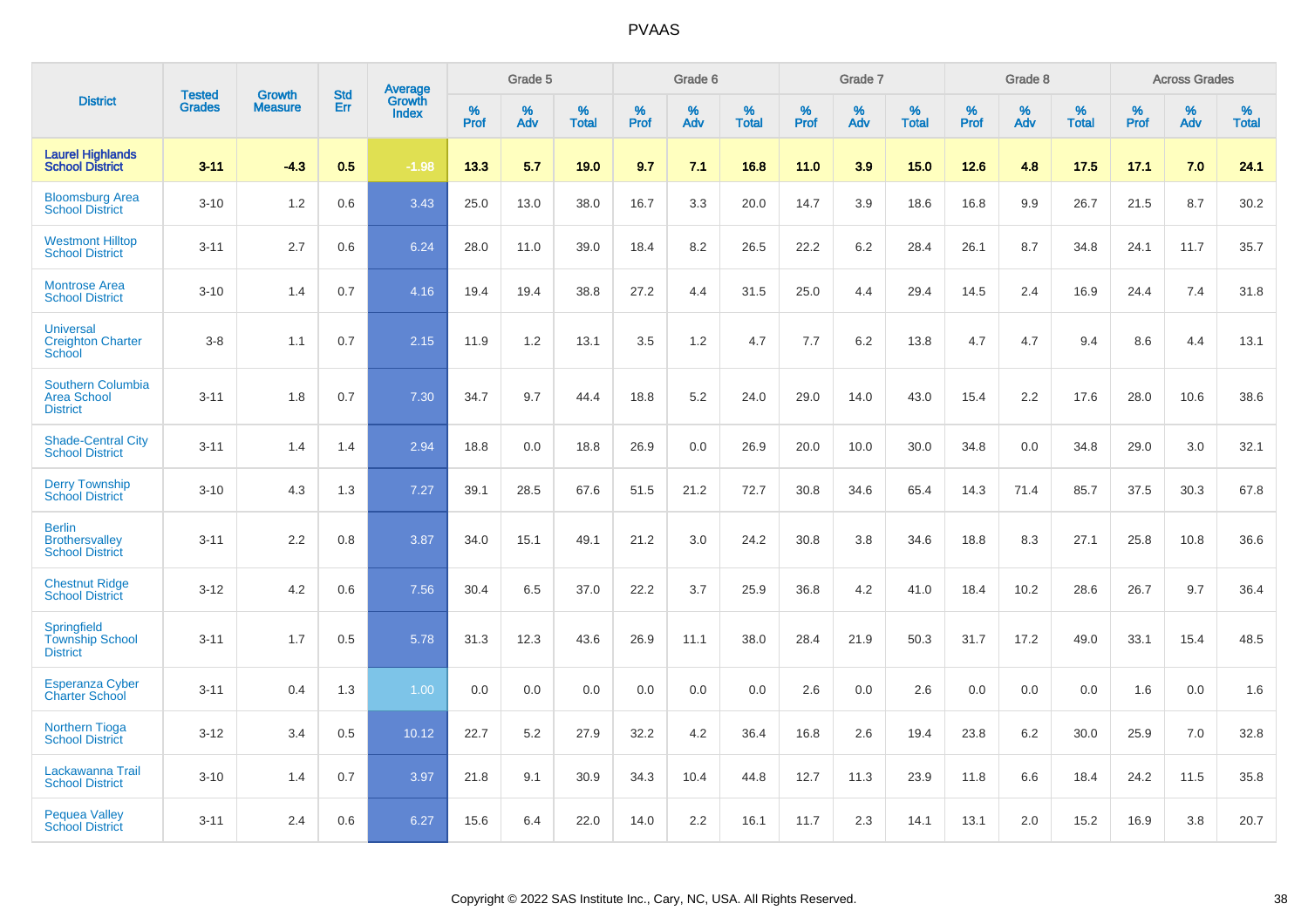|                                                                   | <b>Tested</b> | <b>Growth</b>  | <b>Std</b> | Average                |              | Grade 5  |                   |           | Grade 6  |                   |           | Grade 7  |                   |           | Grade 8  |                   |              | <b>Across Grades</b> |                   |
|-------------------------------------------------------------------|---------------|----------------|------------|------------------------|--------------|----------|-------------------|-----------|----------|-------------------|-----------|----------|-------------------|-----------|----------|-------------------|--------------|----------------------|-------------------|
| <b>District</b>                                                   | <b>Grades</b> | <b>Measure</b> | Err        | Growth<br><b>Index</b> | $\%$<br>Prof | %<br>Adv | %<br><b>Total</b> | %<br>Prof | %<br>Adv | %<br><b>Total</b> | %<br>Prof | %<br>Adv | %<br><b>Total</b> | %<br>Prof | %<br>Adv | %<br><b>Total</b> | $\%$<br>Prof | $\%$<br>Adv          | %<br><b>Total</b> |
| <b>Laurel Highlands</b><br><b>School District</b>                 | $3 - 11$      | $-4.3$         | 0.5        | $-1.98$                | 13.3         | 5.7      | 19.0              | 9.7       | 7.1      | 16.8              | 11.0      | 3.9      | 15.0              | 12.6      | 4.8      | 17.5              | 17.1         | 7.0                  | 24.1              |
| <b>Bloomsburg Area</b><br><b>School District</b>                  | $3 - 10$      | 1.2            | 0.6        | 3.43                   | 25.0         | 13.0     | 38.0              | 16.7      | 3.3      | 20.0              | 14.7      | 3.9      | 18.6              | 16.8      | 9.9      | 26.7              | 21.5         | 8.7                  | 30.2              |
| <b>Westmont Hilltop</b><br><b>School District</b>                 | $3 - 11$      | 2.7            | 0.6        | 6.24                   | 28.0         | 11.0     | 39.0              | 18.4      | 8.2      | 26.5              | 22.2      | 6.2      | 28.4              | 26.1      | 8.7      | 34.8              | 24.1         | 11.7                 | 35.7              |
| <b>Montrose Area</b><br><b>School District</b>                    | $3 - 10$      | 1.4            | 0.7        | 4.16                   | 19.4         | 19.4     | 38.8              | 27.2      | 4.4      | 31.5              | 25.0      | 4.4      | 29.4              | 14.5      | 2.4      | 16.9              | 24.4         | 7.4                  | 31.8              |
| <b>Universal</b><br><b>Creighton Charter</b><br>School            | $3 - 8$       | 1.1            | 0.7        | 2.15                   | 11.9         | 1.2      | 13.1              | 3.5       | 1.2      | 4.7               | 7.7       | 6.2      | 13.8              | 4.7       | 4.7      | 9.4               | 8.6          | 4.4                  | 13.1              |
| <b>Southern Columbia</b><br><b>Area School</b><br><b>District</b> | $3 - 11$      | 1.8            | 0.7        | 7.30                   | 34.7         | 9.7      | 44.4              | 18.8      | 5.2      | 24.0              | 29.0      | 14.0     | 43.0              | 15.4      | 2.2      | 17.6              | 28.0         | 10.6                 | 38.6              |
| <b>Shade-Central City</b><br><b>School District</b>               | $3 - 11$      | 1.4            | 1.4        | 2.94                   | 18.8         | 0.0      | 18.8              | 26.9      | 0.0      | 26.9              | 20.0      | 10.0     | 30.0              | 34.8      | 0.0      | 34.8              | 29.0         | 3.0                  | 32.1              |
| <b>Derry Township</b><br><b>School District</b>                   | $3 - 10$      | 4.3            | 1.3        | 7.27                   | 39.1         | 28.5     | 67.6              | 51.5      | 21.2     | 72.7              | 30.8      | 34.6     | 65.4              | 14.3      | 71.4     | 85.7              | 37.5         | 30.3                 | 67.8              |
| <b>Berlin</b><br><b>Brothersvalley</b><br><b>School District</b>  | $3 - 11$      | 2.2            | 0.8        | 3.87                   | 34.0         | 15.1     | 49.1              | 21.2      | 3.0      | 24.2              | 30.8      | 3.8      | 34.6              | 18.8      | 8.3      | 27.1              | 25.8         | 10.8                 | 36.6              |
| <b>Chestnut Ridge</b><br><b>School District</b>                   | $3 - 12$      | 4.2            | 0.6        | 7.56                   | 30.4         | 6.5      | 37.0              | 22.2      | 3.7      | 25.9              | 36.8      | 4.2      | 41.0              | 18.4      | 10.2     | 28.6              | 26.7         | 9.7                  | 36.4              |
| Springfield<br><b>Township School</b><br><b>District</b>          | $3 - 11$      | 1.7            | 0.5        | 5.78                   | 31.3         | 12.3     | 43.6              | 26.9      | 11.1     | 38.0              | 28.4      | 21.9     | 50.3              | 31.7      | 17.2     | 49.0              | 33.1         | 15.4                 | 48.5              |
| <b>Esperanza Cyber</b><br><b>Charter School</b>                   | $3 - 11$      | 0.4            | 1.3        | 1.00                   | 0.0          | 0.0      | 0.0               | 0.0       | 0.0      | 0.0               | 2.6       | 0.0      | 2.6               | 0.0       | 0.0      | 0.0               | 1.6          | 0.0                  | 1.6               |
| <b>Northern Tioga</b><br><b>School District</b>                   | $3 - 12$      | 3.4            | 0.5        | 10.12                  | 22.7         | 5.2      | 27.9              | 32.2      | 4.2      | 36.4              | 16.8      | 2.6      | 19.4              | 23.8      | 6.2      | 30.0              | 25.9         | 7.0                  | 32.8              |
| Lackawanna Trail<br><b>School District</b>                        | $3 - 10$      | 1.4            | 0.7        | 3.97                   | 21.8         | 9.1      | 30.9              | 34.3      | 10.4     | 44.8              | 12.7      | 11.3     | 23.9              | 11.8      | 6.6      | 18.4              | 24.2         | 11.5                 | 35.8              |
| <b>Pequea Valley</b><br><b>School District</b>                    | $3 - 11$      | 2.4            | 0.6        | 6.27                   | 15.6         | 6.4      | 22.0              | 14.0      | 2.2      | 16.1              | 11.7      | 2.3      | 14.1              | 13.1      | 2.0      | 15.2              | 16.9         | 3.8                  | 20.7              |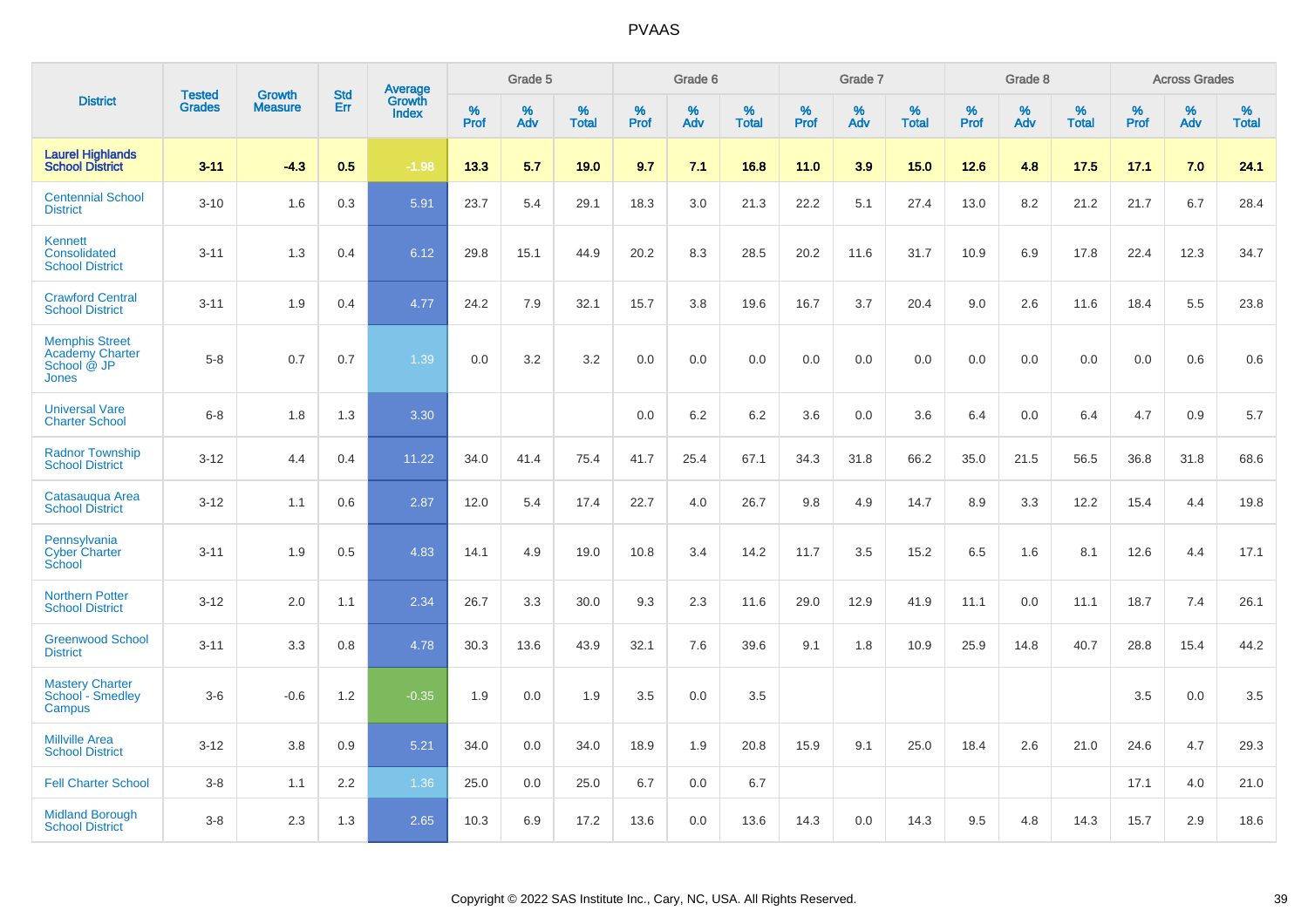|                                                                         |                                | <b>Growth</b>  | <b>Std</b> | Average                |           | Grade 5  |                   |           | Grade 6  |                   |           | Grade 7  |                   |           | Grade 8  |                   |           | <b>Across Grades</b> |                   |
|-------------------------------------------------------------------------|--------------------------------|----------------|------------|------------------------|-----------|----------|-------------------|-----------|----------|-------------------|-----------|----------|-------------------|-----------|----------|-------------------|-----------|----------------------|-------------------|
| <b>District</b>                                                         | <b>Tested</b><br><b>Grades</b> | <b>Measure</b> | Err        | Growth<br><b>Index</b> | %<br>Prof | %<br>Adv | %<br><b>Total</b> | %<br>Prof | %<br>Adv | %<br><b>Total</b> | %<br>Prof | %<br>Adv | %<br><b>Total</b> | %<br>Prof | %<br>Adv | %<br><b>Total</b> | %<br>Prof | %<br>Adv             | %<br><b>Total</b> |
| <b>Laurel Highlands</b><br><b>School District</b>                       | $3 - 11$                       | $-4.3$         | 0.5        | $-1.98$                | 13.3      | 5.7      | 19.0              | 9.7       | 7.1      | 16.8              | 11.0      | 3.9      | 15.0              | 12.6      | 4.8      | 17.5              | 17.1      | 7.0                  | 24.1              |
| <b>Centennial School</b><br><b>District</b>                             | $3 - 10$                       | 1.6            | 0.3        | 5.91                   | 23.7      | 5.4      | 29.1              | 18.3      | 3.0      | 21.3              | 22.2      | 5.1      | 27.4              | 13.0      | 8.2      | 21.2              | 21.7      | 6.7                  | 28.4              |
| Kennett<br>Consolidated<br><b>School District</b>                       | $3 - 11$                       | 1.3            | 0.4        | 6.12                   | 29.8      | 15.1     | 44.9              | 20.2      | 8.3      | 28.5              | 20.2      | 11.6     | 31.7              | 10.9      | 6.9      | 17.8              | 22.4      | 12.3                 | 34.7              |
| <b>Crawford Central</b><br><b>School District</b>                       | $3 - 11$                       | 1.9            | 0.4        | 4.77                   | 24.2      | 7.9      | 32.1              | 15.7      | 3.8      | 19.6              | 16.7      | 3.7      | 20.4              | 9.0       | 2.6      | 11.6              | 18.4      | 5.5                  | 23.8              |
| <b>Memphis Street</b><br><b>Academy Charter</b><br>School @ JP<br>Jones | $5 - 8$                        | 0.7            | 0.7        | 1.39                   | 0.0       | 3.2      | 3.2               | $0.0\,$   | 0.0      | 0.0               | 0.0       | 0.0      | 0.0               | 0.0       | 0.0      | 0.0               | 0.0       | 0.6                  | 0.6               |
| <b>Universal Vare</b><br><b>Charter School</b>                          | $6 - 8$                        | 1.8            | 1.3        | 3.30                   |           |          |                   | 0.0       | 6.2      | 6.2               | 3.6       | 0.0      | 3.6               | 6.4       | 0.0      | 6.4               | 4.7       | 0.9                  | 5.7               |
| <b>Radnor Township</b><br><b>School District</b>                        | $3 - 12$                       | 4.4            | 0.4        | 11.22                  | 34.0      | 41.4     | 75.4              | 41.7      | 25.4     | 67.1              | 34.3      | 31.8     | 66.2              | 35.0      | 21.5     | 56.5              | 36.8      | 31.8                 | 68.6              |
| Catasaugua Area<br><b>School District</b>                               | $3 - 12$                       | 1.1            | 0.6        | 2.87                   | 12.0      | 5.4      | 17.4              | 22.7      | 4.0      | 26.7              | 9.8       | 4.9      | 14.7              | 8.9       | 3.3      | 12.2              | 15.4      | 4.4                  | 19.8              |
| Pennsylvania<br><b>Cyber Charter</b><br>School                          | $3 - 11$                       | 1.9            | 0.5        | 4.83                   | 14.1      | 4.9      | 19.0              | 10.8      | 3.4      | 14.2              | 11.7      | 3.5      | 15.2              | 6.5       | 1.6      | 8.1               | 12.6      | 4.4                  | 17.1              |
| <b>Northern Potter</b><br><b>School District</b>                        | $3 - 12$                       | 2.0            | 1.1        | 2.34                   | 26.7      | 3.3      | 30.0              | 9.3       | 2.3      | 11.6              | 29.0      | 12.9     | 41.9              | 11.1      | 0.0      | 11.1              | 18.7      | 7.4                  | 26.1              |
| <b>Greenwood School</b><br><b>District</b>                              | $3 - 11$                       | 3.3            | 0.8        | 4.78                   | 30.3      | 13.6     | 43.9              | 32.1      | 7.6      | 39.6              | 9.1       | 1.8      | 10.9              | 25.9      | 14.8     | 40.7              | 28.8      | 15.4                 | 44.2              |
| <b>Mastery Charter</b><br>School - Smedley<br>Campus                    | $3-6$                          | $-0.6$         | 1.2        | $-0.35$                | 1.9       | 0.0      | 1.9               | 3.5       | 0.0      | 3.5               |           |          |                   |           |          |                   | 3.5       | 0.0                  | 3.5               |
| <b>Millville Area</b><br><b>School District</b>                         | $3 - 12$                       | 3.8            | 0.9        | 5.21                   | 34.0      | 0.0      | 34.0              | 18.9      | 1.9      | 20.8              | 15.9      | 9.1      | 25.0              | 18.4      | 2.6      | 21.0              | 24.6      | 4.7                  | 29.3              |
| <b>Fell Charter School</b>                                              | $3-8$                          | 1.1            | 2.2        | 1.36                   | 25.0      | 0.0      | 25.0              | 6.7       | 0.0      | 6.7               |           |          |                   |           |          |                   | 17.1      | 4.0                  | 21.0              |
| <b>Midland Borough</b><br><b>School District</b>                        | $3 - 8$                        | 2.3            | 1.3        | 2.65                   | 10.3      | 6.9      | 17.2              | 13.6      | 0.0      | 13.6              | 14.3      | 0.0      | 14.3              | 9.5       | 4.8      | 14.3              | 15.7      | 2.9                  | 18.6              |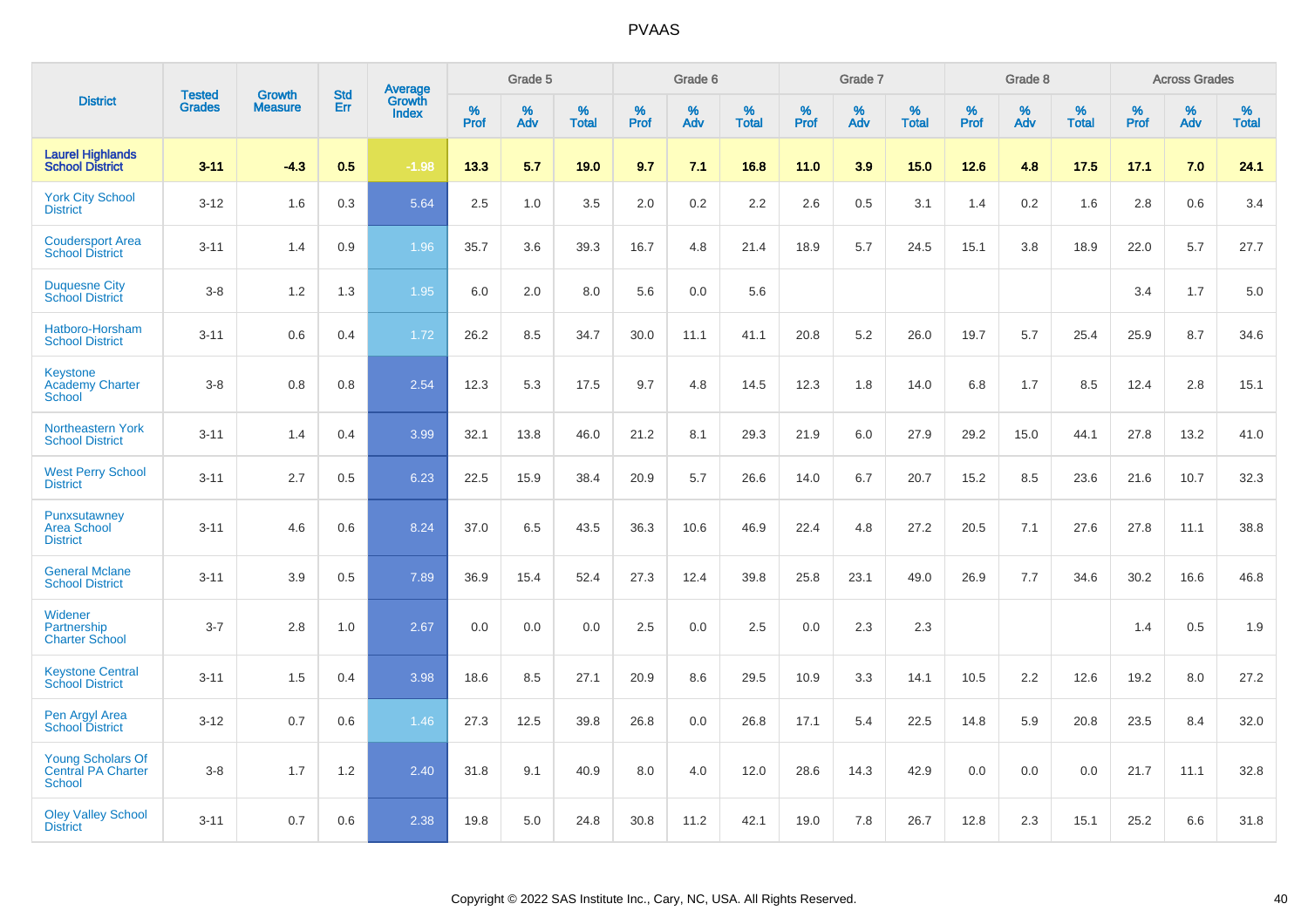|                                                          | <b>Tested</b> | <b>Growth</b>  | <b>Std</b> | Average                |              | Grade 5  |                   |           | Grade 6  |                   |              | Grade 7  |                   |              | Grade 8  |                   |              | <b>Across Grades</b> |                   |
|----------------------------------------------------------|---------------|----------------|------------|------------------------|--------------|----------|-------------------|-----------|----------|-------------------|--------------|----------|-------------------|--------------|----------|-------------------|--------------|----------------------|-------------------|
| <b>District</b>                                          | <b>Grades</b> | <b>Measure</b> | Err        | Growth<br><b>Index</b> | $\%$<br>Prof | %<br>Adv | %<br><b>Total</b> | %<br>Prof | %<br>Adv | %<br><b>Total</b> | $\%$<br>Prof | %<br>Adv | %<br><b>Total</b> | $\%$<br>Prof | %<br>Adv | %<br><b>Total</b> | $\%$<br>Prof | $\%$<br>Adv          | %<br><b>Total</b> |
| <b>Laurel Highlands</b><br><b>School District</b>        | $3 - 11$      | $-4.3$         | 0.5        | $-1.98$                | 13.3         | 5.7      | 19.0              | 9.7       | 7.1      | 16.8              | 11.0         | 3.9      | 15.0              | 12.6         | 4.8      | 17.5              | 17.1         | 7.0                  | 24.1              |
| <b>York City School</b><br><b>District</b>               | $3 - 12$      | 1.6            | 0.3        | 5.64                   | 2.5          | 1.0      | 3.5               | 2.0       | 0.2      | 2.2               | 2.6          | 0.5      | 3.1               | 1.4          | 0.2      | 1.6               | 2.8          | 0.6                  | 3.4               |
| <b>Coudersport Area</b><br><b>School District</b>        | $3 - 11$      | 1.4            | 0.9        | 1.96                   | 35.7         | 3.6      | 39.3              | 16.7      | 4.8      | 21.4              | 18.9         | 5.7      | 24.5              | 15.1         | 3.8      | 18.9              | 22.0         | 5.7                  | 27.7              |
| <b>Duquesne City</b><br><b>School District</b>           | $3-8$         | 1.2            | 1.3        | 1.95                   | 6.0          | 2.0      | 8.0               | 5.6       | 0.0      | 5.6               |              |          |                   |              |          |                   | 3.4          | 1.7                  | 5.0               |
| Hatboro-Horsham<br><b>School District</b>                | $3 - 11$      | 0.6            | 0.4        | 1.72                   | 26.2         | 8.5      | 34.7              | 30.0      | 11.1     | 41.1              | 20.8         | 5.2      | 26.0              | 19.7         | 5.7      | 25.4              | 25.9         | 8.7                  | 34.6              |
| Keystone<br><b>Academy Charter</b><br>School             | $3-8$         | 0.8            | 0.8        | 2.54                   | 12.3         | 5.3      | 17.5              | 9.7       | 4.8      | 14.5              | 12.3         | 1.8      | 14.0              | 6.8          | 1.7      | 8.5               | 12.4         | 2.8                  | 15.1              |
| <b>Northeastern York</b><br><b>School District</b>       | $3 - 11$      | 1.4            | 0.4        | 3.99                   | 32.1         | 13.8     | 46.0              | 21.2      | 8.1      | 29.3              | 21.9         | 6.0      | 27.9              | 29.2         | 15.0     | 44.1              | 27.8         | 13.2                 | 41.0              |
| <b>West Perry School</b><br><b>District</b>              | $3 - 11$      | 2.7            | 0.5        | 6.23                   | 22.5         | 15.9     | 38.4              | 20.9      | 5.7      | 26.6              | 14.0         | 6.7      | 20.7              | 15.2         | 8.5      | 23.6              | 21.6         | 10.7                 | 32.3              |
| Punxsutawney<br><b>Area School</b><br><b>District</b>    | $3 - 11$      | 4.6            | 0.6        | 8.24                   | 37.0         | 6.5      | 43.5              | 36.3      | 10.6     | 46.9              | 22.4         | 4.8      | 27.2              | 20.5         | 7.1      | 27.6              | 27.8         | 11.1                 | 38.8              |
| <b>General Mclane</b><br><b>School District</b>          | $3 - 11$      | 3.9            | 0.5        | 7.89                   | 36.9         | 15.4     | 52.4              | 27.3      | 12.4     | 39.8              | 25.8         | 23.1     | 49.0              | 26.9         | 7.7      | 34.6              | 30.2         | 16.6                 | 46.8              |
| Widener<br>Partnership<br><b>Charter School</b>          | $3 - 7$       | 2.8            | 1.0        | 2.67                   | 0.0          | 0.0      | 0.0               | 2.5       | 0.0      | 2.5               | 0.0          | 2.3      | 2.3               |              |          |                   | 1.4          | 0.5                  | 1.9               |
| <b>Keystone Central</b><br><b>School District</b>        | $3 - 11$      | 1.5            | 0.4        | 3.98                   | 18.6         | 8.5      | 27.1              | 20.9      | 8.6      | 29.5              | 10.9         | 3.3      | 14.1              | 10.5         | 2.2      | 12.6              | 19.2         | 8.0                  | 27.2              |
| Pen Argyl Area<br><b>School District</b>                 | $3 - 12$      | 0.7            | 0.6        | 1.46                   | 27.3         | 12.5     | 39.8              | 26.8      | 0.0      | 26.8              | 17.1         | 5.4      | 22.5              | 14.8         | 5.9      | 20.8              | 23.5         | 8.4                  | 32.0              |
| <b>Young Scholars Of</b><br>Central PA Charter<br>School | $3-8$         | 1.7            | 1.2        | 2.40                   | 31.8         | 9.1      | 40.9              | 8.0       | 4.0      | 12.0              | 28.6         | 14.3     | 42.9              | 0.0          | 0.0      | 0.0               | 21.7         | 11.1                 | 32.8              |
| <b>Oley Valley School</b><br><b>District</b>             | $3 - 11$      | 0.7            | 0.6        | 2.38                   | 19.8         | 5.0      | 24.8              | 30.8      | 11.2     | 42.1              | 19.0         | 7.8      | 26.7              | 12.8         | 2.3      | 15.1              | 25.2         | 6.6                  | 31.8              |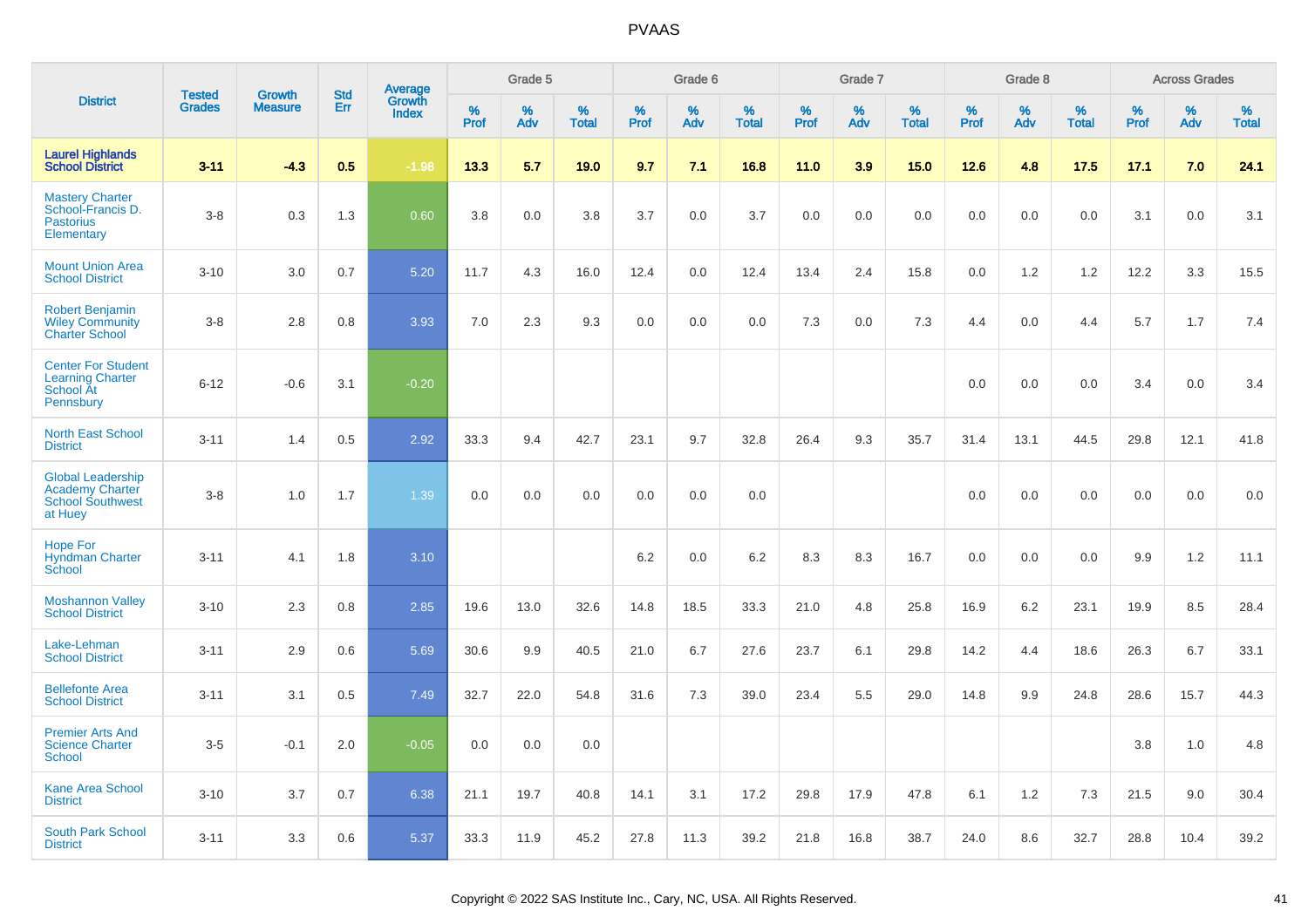|                                                                                          | <b>Tested</b> | <b>Growth</b>  | <b>Std</b> |                                   |                     | Grade 5  |                   |              | Grade 6  |                   |              | Grade 7  |                   |              | Grade 8  |                   |              | <b>Across Grades</b> |                   |
|------------------------------------------------------------------------------------------|---------------|----------------|------------|-----------------------------------|---------------------|----------|-------------------|--------------|----------|-------------------|--------------|----------|-------------------|--------------|----------|-------------------|--------------|----------------------|-------------------|
| <b>District</b>                                                                          | <b>Grades</b> | <b>Measure</b> | Err        | Average<br>Growth<br><b>Index</b> | $\%$<br><b>Prof</b> | %<br>Adv | %<br><b>Total</b> | $\%$<br>Prof | %<br>Adv | %<br><b>Total</b> | $\%$<br>Prof | %<br>Adv | %<br><b>Total</b> | $\%$<br>Prof | %<br>Adv | %<br><b>Total</b> | $\%$<br>Prof | %<br>Adv             | %<br><b>Total</b> |
| <b>Laurel Highlands</b><br><b>School District</b>                                        | $3 - 11$      | $-4.3$         | 0.5        | $-1.98$                           | 13.3                | 5.7      | 19.0              | 9.7          | 7.1      | 16.8              | 11.0         | 3.9      | 15.0              | 12.6         | 4.8      | 17.5              | 17.1         | 7.0                  | 24.1              |
| <b>Mastery Charter</b><br>School-Francis D.<br><b>Pastorius</b><br>Elementary            | $3-8$         | 0.3            | 1.3        | 0.60                              | 3.8                 | 0.0      | 3.8               | 3.7          | 0.0      | 3.7               | 0.0          | 0.0      | 0.0               | 0.0          | 0.0      | 0.0               | 3.1          | 0.0                  | 3.1               |
| <b>Mount Union Area</b><br><b>School District</b>                                        | $3 - 10$      | 3.0            | 0.7        | 5.20                              | 11.7                | 4.3      | 16.0              | 12.4         | 0.0      | 12.4              | 13.4         | 2.4      | 15.8              | 0.0          | 1.2      | 1.2               | 12.2         | 3.3                  | 15.5              |
| <b>Robert Benjamin</b><br><b>Wiley Community</b><br><b>Charter School</b>                | $3-8$         | 2.8            | 0.8        | 3.93                              | 7.0                 | 2.3      | 9.3               | 0.0          | 0.0      | 0.0               | 7.3          | 0.0      | 7.3               | 4.4          | 0.0      | 4.4               | 5.7          | 1.7                  | 7.4               |
| <b>Center For Student</b><br><b>Learning Charter</b><br>School At<br>Pennsbury           | $6 - 12$      | $-0.6$         | 3.1        | $-0.20$                           |                     |          |                   |              |          |                   |              |          |                   | 0.0          | 0.0      | 0.0               | 3.4          | 0.0                  | 3.4               |
| <b>North East School</b><br><b>District</b>                                              | $3 - 11$      | 1.4            | 0.5        | 2.92                              | 33.3                | 9.4      | 42.7              | 23.1         | 9.7      | 32.8              | 26.4         | 9.3      | 35.7              | 31.4         | 13.1     | 44.5              | 29.8         | 12.1                 | 41.8              |
| <b>Global Leadership</b><br><b>Academy Charter</b><br><b>School Southwest</b><br>at Huey | $3-8$         | 1.0            | 1.7        | 1.39                              | 0.0                 | 0.0      | 0.0               | 0.0          | 0.0      | 0.0               |              |          |                   | 0.0          | 0.0      | 0.0               | 0.0          | 0.0                  | 0.0               |
| <b>Hope For</b><br><b>Hyndman Charter</b><br>School                                      | $3 - 11$      | 4.1            | 1.8        | 3.10                              |                     |          |                   | $6.2\,$      | 0.0      | 6.2               | 8.3          | 8.3      | 16.7              | 0.0          | 0.0      | 0.0               | 9.9          | $1.2$                | 11.1              |
| <b>Moshannon Valley</b><br><b>School District</b>                                        | $3 - 10$      | 2.3            | 0.8        | 2.85                              | 19.6                | 13.0     | 32.6              | 14.8         | 18.5     | 33.3              | 21.0         | 4.8      | 25.8              | 16.9         | 6.2      | 23.1              | 19.9         | 8.5                  | 28.4              |
| Lake-Lehman<br><b>School District</b>                                                    | $3 - 11$      | 2.9            | 0.6        | 5.69                              | 30.6                | 9.9      | 40.5              | 21.0         | 6.7      | 27.6              | 23.7         | 6.1      | 29.8              | 14.2         | 4.4      | 18.6              | 26.3         | 6.7                  | 33.1              |
| <b>Bellefonte Area</b><br><b>School District</b>                                         | $3 - 11$      | 3.1            | 0.5        | 7.49                              | 32.7                | 22.0     | 54.8              | 31.6         | 7.3      | 39.0              | 23.4         | 5.5      | 29.0              | 14.8         | 9.9      | 24.8              | 28.6         | 15.7                 | 44.3              |
| <b>Premier Arts And</b><br><b>Science Charter</b><br>School                              | $3-5$         | $-0.1$         | 2.0        | $-0.05$                           | 0.0                 | 0.0      | 0.0               |              |          |                   |              |          |                   |              |          |                   | 3.8          | 1.0                  | 4.8               |
| <b>Kane Area School</b><br><b>District</b>                                               | $3 - 10$      | 3.7            | 0.7        | 6.38                              | 21.1                | 19.7     | 40.8              | 14.1         | 3.1      | 17.2              | 29.8         | 17.9     | 47.8              | 6.1          | 1.2      | 7.3               | 21.5         | 9.0                  | 30.4              |
| <b>South Park School</b><br><b>District</b>                                              | $3 - 11$      | 3.3            | 0.6        | 5.37                              | 33.3                | 11.9     | 45.2              | 27.8         | 11.3     | 39.2              | 21.8         | 16.8     | 38.7              | 24.0         | 8.6      | 32.7              | 28.8         | 10.4                 | 39.2              |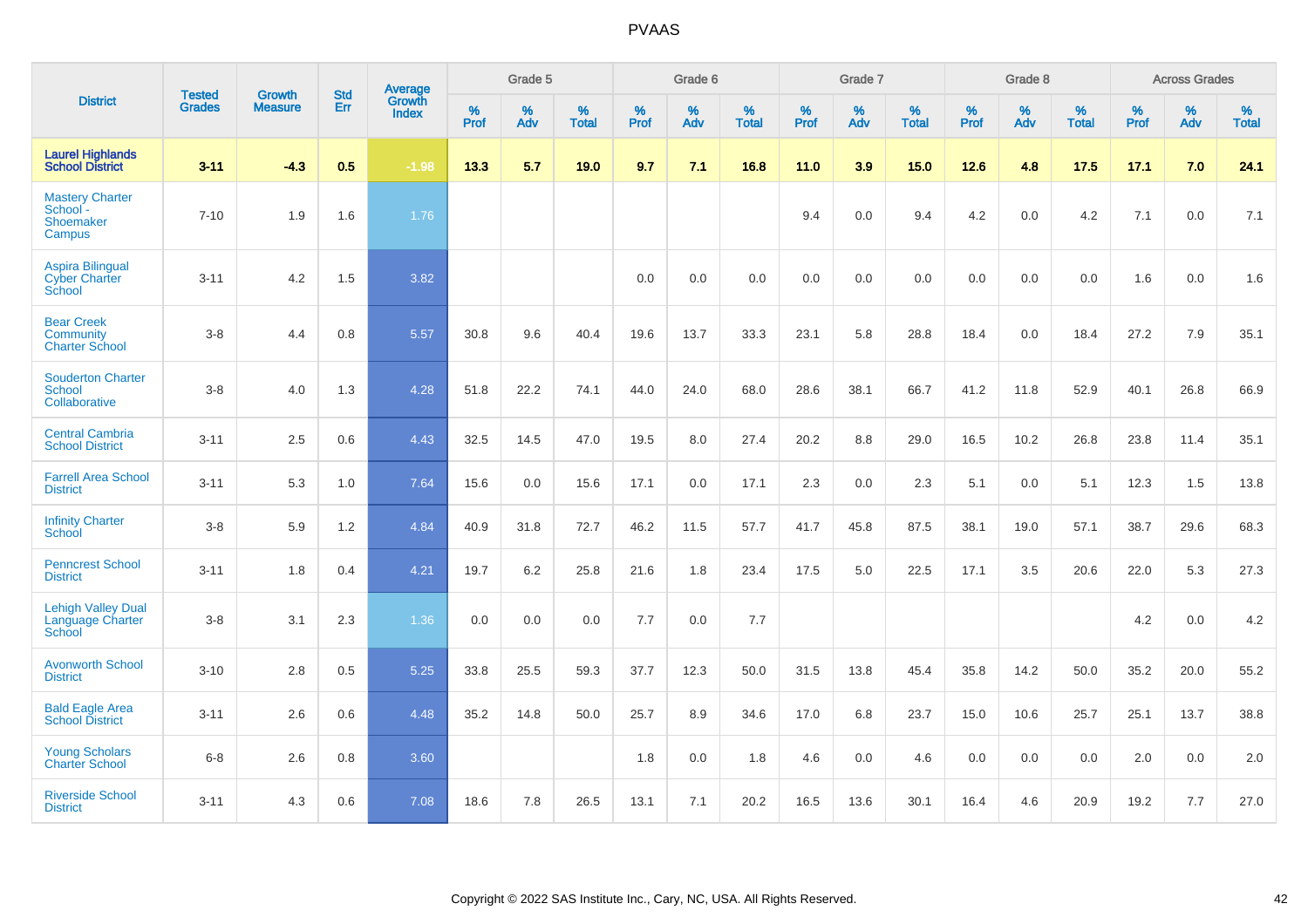|                                                           |                                |                                 | <b>Std</b> | Average                       |              | Grade 5  |                   |           | Grade 6  |                   |           | Grade 7  |                   |           | Grade 8  |                   |           | <b>Across Grades</b> |                   |
|-----------------------------------------------------------|--------------------------------|---------------------------------|------------|-------------------------------|--------------|----------|-------------------|-----------|----------|-------------------|-----------|----------|-------------------|-----------|----------|-------------------|-----------|----------------------|-------------------|
| <b>District</b>                                           | <b>Tested</b><br><b>Grades</b> | <b>Growth</b><br><b>Measure</b> | Err        | <b>Growth</b><br><b>Index</b> | $\%$<br>Prof | %<br>Adv | %<br><b>Total</b> | %<br>Prof | %<br>Adv | %<br><b>Total</b> | %<br>Prof | %<br>Adv | %<br><b>Total</b> | %<br>Prof | %<br>Adv | %<br><b>Total</b> | %<br>Prof | %<br>Adv             | %<br><b>Total</b> |
| <b>Laurel Highlands</b><br><b>School District</b>         | $3 - 11$                       | $-4.3$                          | 0.5        | $-1.98$                       | 13.3         | 5.7      | 19.0              | 9.7       | 7.1      | 16.8              | 11.0      | 3.9      | 15.0              | 12.6      | 4.8      | 17.5              | 17.1      | 7.0                  | 24.1              |
| <b>Mastery Charter</b><br>School -<br>Shoemaker<br>Campus | $7 - 10$                       | 1.9                             | 1.6        | 1.76                          |              |          |                   |           |          |                   | 9.4       | 0.0      | 9.4               | 4.2       | 0.0      | 4.2               | 7.1       | 0.0                  | 7.1               |
| <b>Aspira Bilingual</b><br><b>Cyber Charter</b><br>School | $3 - 11$                       | 4.2                             | 1.5        | 3.82                          |              |          |                   | 0.0       | 0.0      | 0.0               | 0.0       | 0.0      | 0.0               | 0.0       | 0.0      | 0.0               | 1.6       | 0.0                  | 1.6               |
| <b>Bear Creek</b><br>Community<br><b>Charter School</b>   | $3 - 8$                        | 4.4                             | 0.8        | 5.57                          | 30.8         | 9.6      | 40.4              | 19.6      | 13.7     | 33.3              | 23.1      | 5.8      | 28.8              | 18.4      | 0.0      | 18.4              | 27.2      | 7.9                  | 35.1              |
| <b>Souderton Charter</b><br>School<br>Collaborative       | $3-8$                          | 4.0                             | 1.3        | 4.28                          | 51.8         | 22.2     | 74.1              | 44.0      | 24.0     | 68.0              | 28.6      | 38.1     | 66.7              | 41.2      | 11.8     | 52.9              | 40.1      | 26.8                 | 66.9              |
| <b>Central Cambria</b><br><b>School District</b>          | $3 - 11$                       | 2.5                             | 0.6        | 4.43                          | 32.5         | 14.5     | 47.0              | 19.5      | 8.0      | 27.4              | 20.2      | 8.8      | 29.0              | 16.5      | 10.2     | 26.8              | 23.8      | 11.4                 | 35.1              |
| <b>Farrell Area School</b><br><b>District</b>             | $3 - 11$                       | 5.3                             | 1.0        | 7.64                          | 15.6         | 0.0      | 15.6              | 17.1      | 0.0      | 17.1              | 2.3       | 0.0      | 2.3               | 5.1       | 0.0      | 5.1               | 12.3      | 1.5                  | 13.8              |
| <b>Infinity Charter</b><br>School                         | $3 - 8$                        | 5.9                             | 1.2        | 4.84                          | 40.9         | 31.8     | 72.7              | 46.2      | 11.5     | 57.7              | 41.7      | 45.8     | 87.5              | 38.1      | 19.0     | 57.1              | 38.7      | 29.6                 | 68.3              |
| <b>Penncrest School</b><br><b>District</b>                | $3 - 11$                       | 1.8                             | 0.4        | 4.21                          | 19.7         | 6.2      | 25.8              | 21.6      | 1.8      | 23.4              | 17.5      | 5.0      | 22.5              | 17.1      | 3.5      | 20.6              | 22.0      | 5.3                  | 27.3              |
| <b>Lehigh Valley Dual</b><br>Language Charter<br>School   | $3 - 8$                        | 3.1                             | 2.3        | 1.36                          | 0.0          | 0.0      | 0.0               | 7.7       | 0.0      | 7.7               |           |          |                   |           |          |                   | 4.2       | 0.0                  | 4.2               |
| <b>Avonworth School</b><br><b>District</b>                | $3 - 10$                       | 2.8                             | 0.5        | 5.25                          | 33.8         | 25.5     | 59.3              | 37.7      | 12.3     | 50.0              | 31.5      | 13.8     | 45.4              | 35.8      | 14.2     | 50.0              | 35.2      | 20.0                 | 55.2              |
| <b>Bald Eagle Area</b><br><b>School District</b>          | $3 - 11$                       | 2.6                             | 0.6        | 4.48                          | 35.2         | 14.8     | 50.0              | 25.7      | 8.9      | 34.6              | 17.0      | 6.8      | 23.7              | 15.0      | 10.6     | 25.7              | 25.1      | 13.7                 | 38.8              |
| <b>Young Scholars</b><br><b>Charter School</b>            | $6-8$                          | 2.6                             | 0.8        | 3.60                          |              |          |                   | 1.8       | 0.0      | 1.8               | 4.6       | 0.0      | 4.6               | 0.0       | 0.0      | 0.0               | 2.0       | 0.0                  | 2.0               |
| <b>Riverside School</b><br><b>District</b>                | $3 - 11$                       | 4.3                             | 0.6        | 7.08                          | 18.6         | 7.8      | 26.5              | 13.1      | 7.1      | 20.2              | 16.5      | 13.6     | 30.1              | 16.4      | 4.6      | 20.9              | 19.2      | 7.7                  | 27.0              |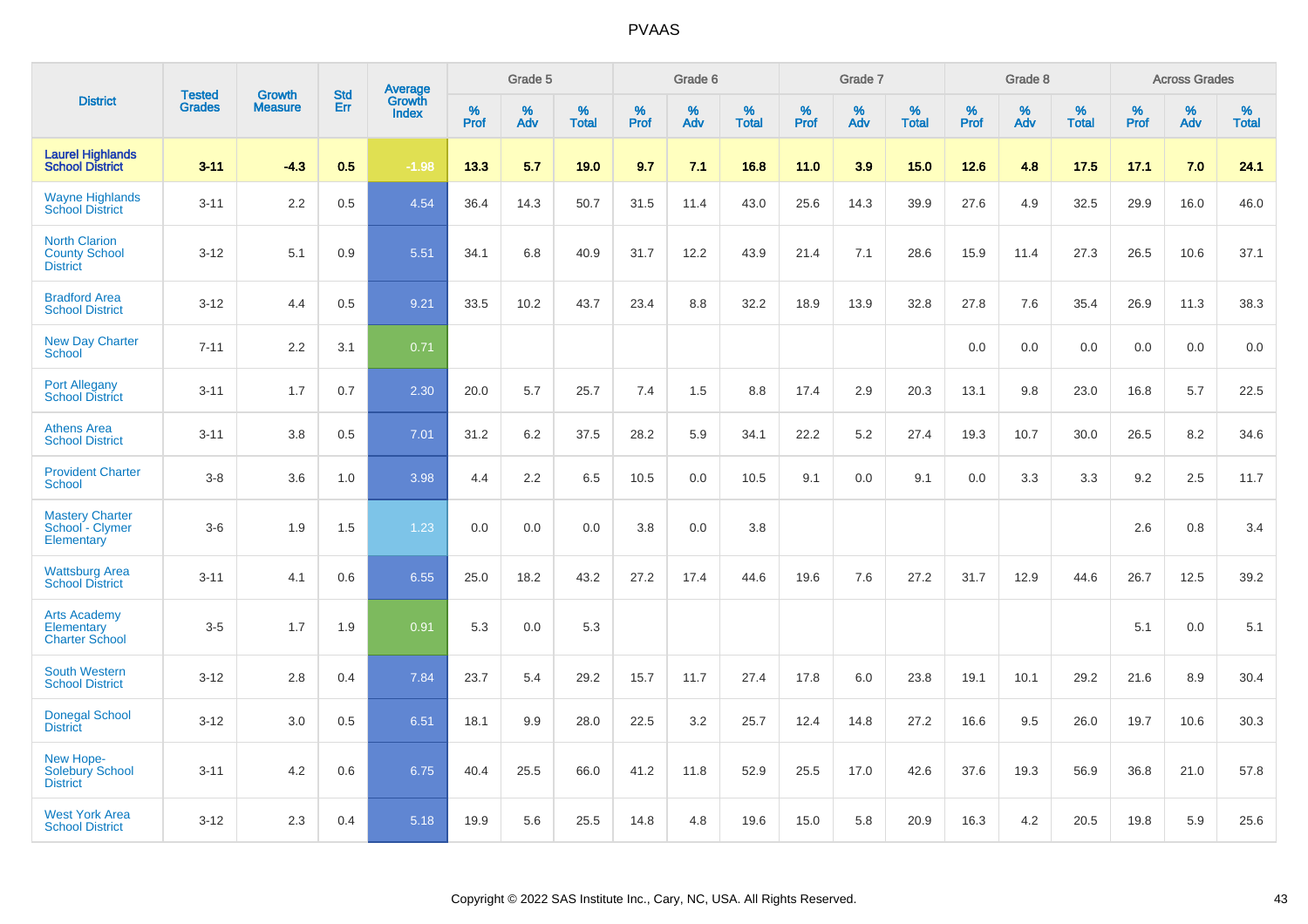|                                                                 |                                | <b>Growth</b>  | <b>Std</b> | Average                |              | Grade 5  |                   |           | Grade 6  |                   |           | Grade 7  |                   |           | Grade 8  |                   |           | <b>Across Grades</b> |                   |
|-----------------------------------------------------------------|--------------------------------|----------------|------------|------------------------|--------------|----------|-------------------|-----------|----------|-------------------|-----------|----------|-------------------|-----------|----------|-------------------|-----------|----------------------|-------------------|
| <b>District</b>                                                 | <b>Tested</b><br><b>Grades</b> | <b>Measure</b> | Err        | Growth<br><b>Index</b> | $\%$<br>Prof | %<br>Adv | %<br><b>Total</b> | %<br>Prof | %<br>Adv | %<br><b>Total</b> | %<br>Prof | %<br>Adv | %<br><b>Total</b> | %<br>Prof | %<br>Adv | %<br><b>Total</b> | %<br>Prof | %<br>Adv             | %<br><b>Total</b> |
| <b>Laurel Highlands</b><br><b>School District</b>               | $3 - 11$                       | $-4.3$         | 0.5        | $-1.98$                | 13.3         | 5.7      | 19.0              | 9.7       | 7.1      | 16.8              | 11.0      | 3.9      | 15.0              | 12.6      | 4.8      | 17.5              | 17.1      | 7.0                  | 24.1              |
| <b>Wayne Highlands</b><br><b>School District</b>                | $3 - 11$                       | 2.2            | 0.5        | 4.54                   | 36.4         | 14.3     | 50.7              | 31.5      | 11.4     | 43.0              | 25.6      | 14.3     | 39.9              | 27.6      | 4.9      | 32.5              | 29.9      | 16.0                 | 46.0              |
| <b>North Clarion</b><br><b>County School</b><br><b>District</b> | $3 - 12$                       | 5.1            | 0.9        | 5.51                   | 34.1         | 6.8      | 40.9              | 31.7      | 12.2     | 43.9              | 21.4      | 7.1      | 28.6              | 15.9      | 11.4     | 27.3              | 26.5      | 10.6                 | 37.1              |
| <b>Bradford Area</b><br><b>School District</b>                  | $3 - 12$                       | 4.4            | 0.5        | 9.21                   | 33.5         | 10.2     | 43.7              | 23.4      | 8.8      | 32.2              | 18.9      | 13.9     | 32.8              | 27.8      | 7.6      | 35.4              | 26.9      | 11.3                 | 38.3              |
| <b>New Day Charter</b><br><b>School</b>                         | $7 - 11$                       | 2.2            | 3.1        | 0.71                   |              |          |                   |           |          |                   |           |          |                   | 0.0       | 0.0      | 0.0               | 0.0       | 0.0                  | 0.0               |
| <b>Port Allegany</b><br><b>School District</b>                  | $3 - 11$                       | 1.7            | 0.7        | 2.30                   | 20.0         | 5.7      | 25.7              | 7.4       | 1.5      | 8.8               | 17.4      | 2.9      | 20.3              | 13.1      | 9.8      | 23.0              | 16.8      | 5.7                  | 22.5              |
| <b>Athens Area</b><br><b>School District</b>                    | $3 - 11$                       | 3.8            | 0.5        | 7.01                   | 31.2         | 6.2      | 37.5              | 28.2      | 5.9      | 34.1              | 22.2      | 5.2      | 27.4              | 19.3      | 10.7     | 30.0              | 26.5      | 8.2                  | 34.6              |
| <b>Provident Charter</b><br><b>School</b>                       | $3 - 8$                        | 3.6            | 1.0        | 3.98                   | 4.4          | 2.2      | 6.5               | 10.5      | 0.0      | 10.5              | 9.1       | 0.0      | 9.1               | 0.0       | 3.3      | 3.3               | 9.2       | 2.5                  | 11.7              |
| <b>Mastery Charter</b><br>School - Clymer<br>Elementary         | $3-6$                          | 1.9            | 1.5        | 1.23                   | 0.0          | 0.0      | 0.0               | 3.8       | 0.0      | 3.8               |           |          |                   |           |          |                   | 2.6       | 0.8                  | 3.4               |
| <b>Wattsburg Area</b><br><b>School District</b>                 | $3 - 11$                       | 4.1            | 0.6        | 6.55                   | 25.0         | 18.2     | 43.2              | 27.2      | 17.4     | 44.6              | 19.6      | 7.6      | 27.2              | 31.7      | 12.9     | 44.6              | 26.7      | 12.5                 | 39.2              |
| <b>Arts Academy</b><br>Elementary<br><b>Charter School</b>      | $3-5$                          | 1.7            | 1.9        | 0.91                   | 5.3          | 0.0      | 5.3               |           |          |                   |           |          |                   |           |          |                   | 5.1       | 0.0                  | 5.1               |
| <b>South Western</b><br><b>School District</b>                  | $3 - 12$                       | 2.8            | 0.4        | 7.84                   | 23.7         | 5.4      | 29.2              | 15.7      | 11.7     | 27.4              | 17.8      | 6.0      | 23.8              | 19.1      | 10.1     | 29.2              | 21.6      | 8.9                  | 30.4              |
| <b>Donegal School</b><br><b>District</b>                        | $3 - 12$                       | 3.0            | 0.5        | 6.51                   | 18.1         | 9.9      | 28.0              | 22.5      | 3.2      | 25.7              | 12.4      | 14.8     | 27.2              | 16.6      | 9.5      | 26.0              | 19.7      | 10.6                 | 30.3              |
| New Hope-<br><b>Solebury School</b><br><b>District</b>          | $3 - 11$                       | 4.2            | 0.6        | 6.75                   | 40.4         | 25.5     | 66.0              | 41.2      | 11.8     | 52.9              | 25.5      | 17.0     | 42.6              | 37.6      | 19.3     | 56.9              | 36.8      | 21.0                 | 57.8              |
| <b>West York Area</b><br><b>School District</b>                 | $3 - 12$                       | 2.3            | 0.4        | 5.18                   | 19.9         | 5.6      | 25.5              | 14.8      | 4.8      | 19.6              | 15.0      | 5.8      | 20.9              | 16.3      | 4.2      | 20.5              | 19.8      | 5.9                  | 25.6              |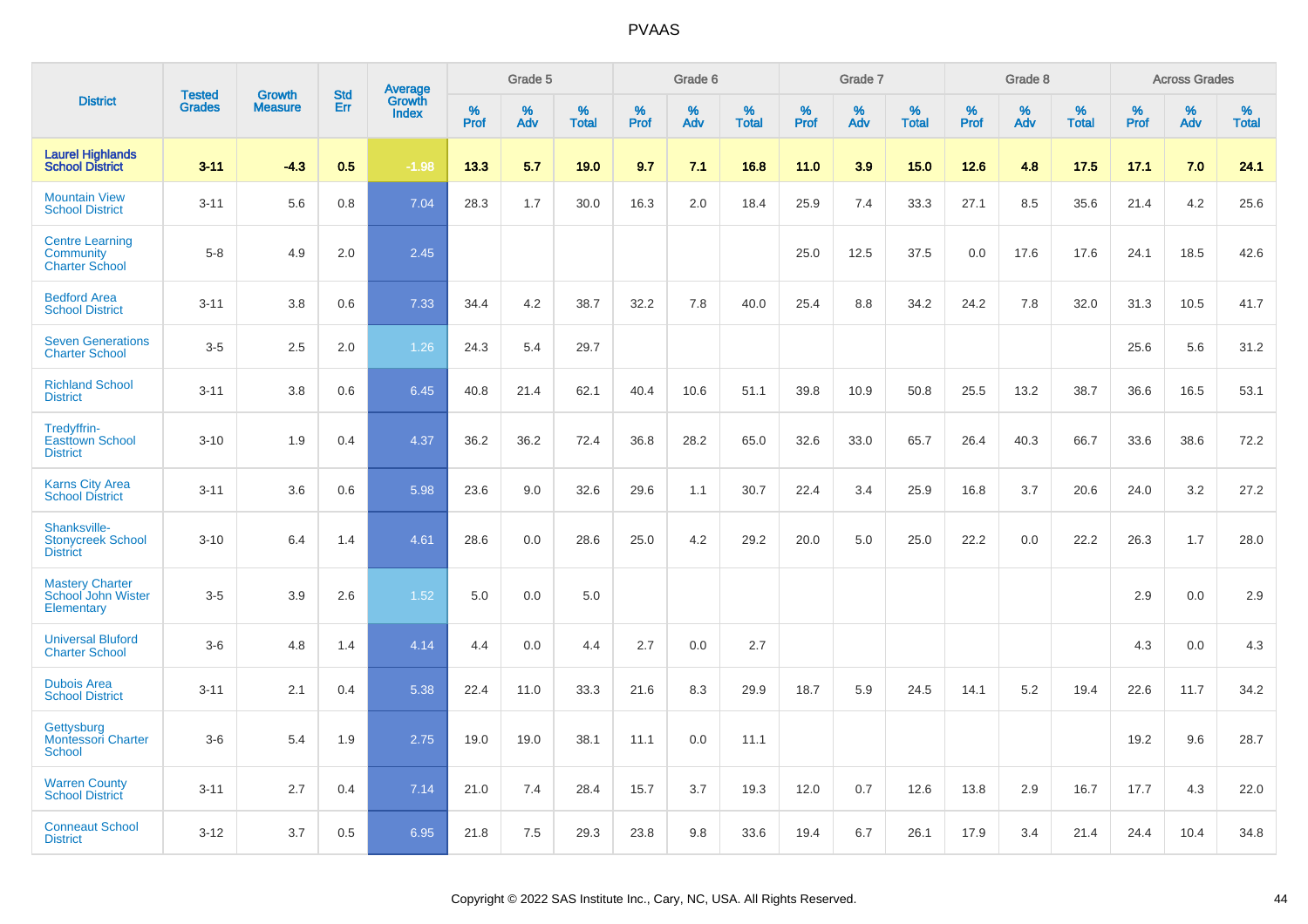|                                                              |                                |                                 | <b>Std</b> |                                   |                     | Grade 5  |                      |                     | Grade 6  |                   |              | Grade 7  |                   |                     | Grade 8  |                   |              | <b>Across Grades</b> |                      |
|--------------------------------------------------------------|--------------------------------|---------------------------------|------------|-----------------------------------|---------------------|----------|----------------------|---------------------|----------|-------------------|--------------|----------|-------------------|---------------------|----------|-------------------|--------------|----------------------|----------------------|
| <b>District</b>                                              | <b>Tested</b><br><b>Grades</b> | <b>Growth</b><br><b>Measure</b> | Err        | Average<br>Growth<br><b>Index</b> | $\%$<br><b>Prof</b> | %<br>Adv | $\%$<br><b>Total</b> | $\%$<br><b>Prof</b> | %<br>Adv | %<br><b>Total</b> | $\%$<br>Prof | %<br>Adv | %<br><b>Total</b> | $\%$<br><b>Prof</b> | %<br>Adv | %<br><b>Total</b> | $\%$<br>Prof | %<br>Adv             | $\%$<br><b>Total</b> |
| <b>Laurel Highlands</b><br><b>School District</b>            | $3 - 11$                       | $-4.3$                          | 0.5        | $-1.98$                           | 13.3                | 5.7      | 19.0                 | 9.7                 | 7.1      | 16.8              | 11.0         | 3.9      | 15.0              | 12.6                | 4.8      | 17.5              | 17.1         | 7.0                  | 24.1                 |
| <b>Mountain View</b><br><b>School District</b>               | $3 - 11$                       | 5.6                             | 0.8        | 7.04                              | 28.3                | 1.7      | 30.0                 | 16.3                | 2.0      | 18.4              | 25.9         | 7.4      | 33.3              | 27.1                | 8.5      | 35.6              | 21.4         | 4.2                  | 25.6                 |
| <b>Centre Learning</b><br>Community<br><b>Charter School</b> | $5 - 8$                        | 4.9                             | 2.0        | 2.45                              |                     |          |                      |                     |          |                   | 25.0         | 12.5     | 37.5              | 0.0                 | 17.6     | 17.6              | 24.1         | 18.5                 | 42.6                 |
| <b>Bedford Area</b><br><b>School District</b>                | $3 - 11$                       | 3.8                             | 0.6        | 7.33                              | 34.4                | 4.2      | 38.7                 | 32.2                | 7.8      | 40.0              | 25.4         | 8.8      | 34.2              | 24.2                | 7.8      | 32.0              | 31.3         | 10.5                 | 41.7                 |
| <b>Seven Generations</b><br><b>Charter School</b>            | $3-5$                          | 2.5                             | 2.0        | 1.26                              | 24.3                | 5.4      | 29.7                 |                     |          |                   |              |          |                   |                     |          |                   | 25.6         | 5.6                  | 31.2                 |
| <b>Richland School</b><br><b>District</b>                    | $3 - 11$                       | 3.8                             | 0.6        | 6.45                              | 40.8                | 21.4     | 62.1                 | 40.4                | 10.6     | 51.1              | 39.8         | 10.9     | 50.8              | 25.5                | 13.2     | 38.7              | 36.6         | 16.5                 | 53.1                 |
| Tredyffrin-<br><b>Easttown School</b><br><b>District</b>     | $3 - 10$                       | 1.9                             | 0.4        | 4.37                              | 36.2                | 36.2     | 72.4                 | 36.8                | 28.2     | 65.0              | 32.6         | 33.0     | 65.7              | 26.4                | 40.3     | 66.7              | 33.6         | 38.6                 | 72.2                 |
| <b>Karns City Area</b><br><b>School District</b>             | $3 - 11$                       | 3.6                             | 0.6        | 5.98                              | 23.6                | 9.0      | 32.6                 | 29.6                | 1.1      | 30.7              | 22.4         | 3.4      | 25.9              | 16.8                | 3.7      | 20.6              | 24.0         | 3.2                  | 27.2                 |
| Shanksville-<br><b>Stonycreek School</b><br><b>District</b>  | $3 - 10$                       | 6.4                             | 1.4        | 4.61                              | 28.6                | 0.0      | 28.6                 | 25.0                | 4.2      | 29.2              | 20.0         | 5.0      | 25.0              | 22.2                | 0.0      | 22.2              | 26.3         | 1.7                  | 28.0                 |
| <b>Mastery Charter</b><br>School John Wister<br>Elementary   | $3-5$                          | 3.9                             | 2.6        | 1.52                              | 5.0                 | 0.0      | 5.0                  |                     |          |                   |              |          |                   |                     |          |                   | 2.9          | 0.0                  | 2.9                  |
| <b>Universal Bluford</b><br><b>Charter School</b>            | $3-6$                          | 4.8                             | 1.4        | 4.14                              | 4.4                 | 0.0      | 4.4                  | 2.7                 | 0.0      | 2.7               |              |          |                   |                     |          |                   | 4.3          | 0.0                  | 4.3                  |
| <b>Dubois Area</b><br><b>School District</b>                 | $3 - 11$                       | 2.1                             | 0.4        | 5.38                              | 22.4                | 11.0     | 33.3                 | 21.6                | 8.3      | 29.9              | 18.7         | 5.9      | 24.5              | 14.1                | 5.2      | 19.4              | 22.6         | 11.7                 | 34.2                 |
| Gettysburg<br><b>Montessori Charter</b><br>School            | $3-6$                          | 5.4                             | 1.9        | 2.75                              | 19.0                | 19.0     | 38.1                 | 11.1                | 0.0      | 11.1              |              |          |                   |                     |          |                   | 19.2         | 9.6                  | 28.7                 |
| <b>Warren County</b><br><b>School District</b>               | $3 - 11$                       | 2.7                             | 0.4        | 7.14                              | 21.0                | 7.4      | 28.4                 | 15.7                | 3.7      | 19.3              | 12.0         | 0.7      | 12.6              | 13.8                | 2.9      | 16.7              | 17.7         | 4.3                  | 22.0                 |
| <b>Conneaut School</b><br><b>District</b>                    | $3 - 12$                       | 3.7                             | 0.5        | 6.95                              | 21.8                | 7.5      | 29.3                 | 23.8                | 9.8      | 33.6              | 19.4         | 6.7      | 26.1              | 17.9                | 3.4      | 21.4              | 24.4         | 10.4                 | 34.8                 |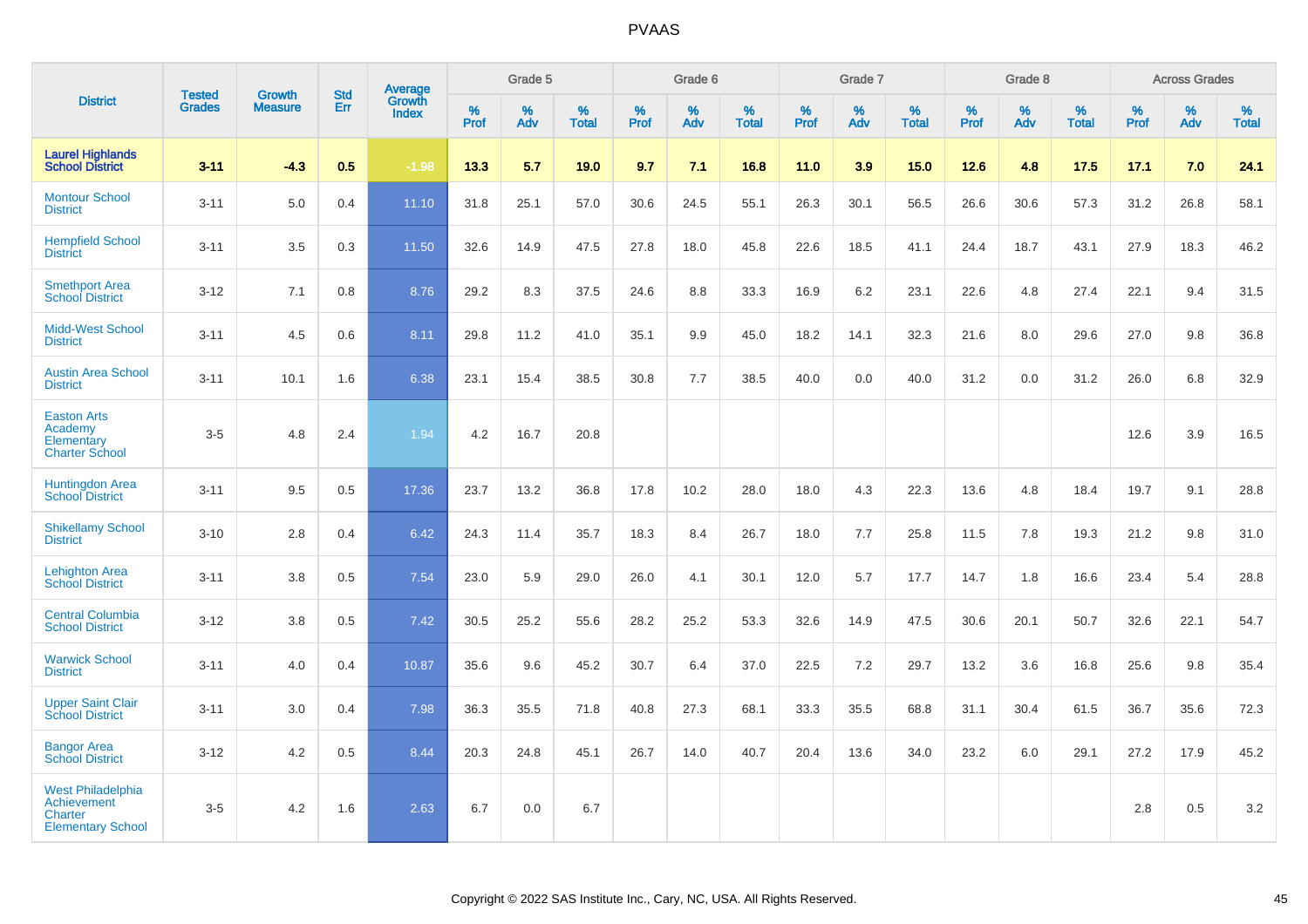|                                                                                |                                |                                 |                   | Average                |              | Grade 5  |                   |           | Grade 6  |                   |           | Grade 7  |                   |           | Grade 8  |                   |           | <b>Across Grades</b> |                   |
|--------------------------------------------------------------------------------|--------------------------------|---------------------------------|-------------------|------------------------|--------------|----------|-------------------|-----------|----------|-------------------|-----------|----------|-------------------|-----------|----------|-------------------|-----------|----------------------|-------------------|
| <b>District</b>                                                                | <b>Tested</b><br><b>Grades</b> | <b>Growth</b><br><b>Measure</b> | <b>Std</b><br>Err | Growth<br><b>Index</b> | $\%$<br>Prof | %<br>Adv | %<br><b>Total</b> | %<br>Prof | %<br>Adv | %<br><b>Total</b> | %<br>Prof | %<br>Adv | %<br><b>Total</b> | %<br>Prof | %<br>Adv | %<br><b>Total</b> | %<br>Prof | %<br>Adv             | %<br><b>Total</b> |
| <b>Laurel Highlands</b><br><b>School District</b>                              | $3 - 11$                       | $-4.3$                          | 0.5               | $-1.98$                | 13.3         | 5.7      | 19.0              | 9.7       | 7.1      | 16.8              | 11.0      | 3.9      | 15.0              | 12.6      | 4.8      | 17.5              | 17.1      | 7.0                  | 24.1              |
| <b>Montour School</b><br><b>District</b>                                       | $3 - 11$                       | 5.0                             | 0.4               | 11.10                  | 31.8         | 25.1     | 57.0              | 30.6      | 24.5     | 55.1              | 26.3      | 30.1     | 56.5              | 26.6      | 30.6     | 57.3              | 31.2      | 26.8                 | 58.1              |
| <b>Hempfield School</b><br><b>District</b>                                     | $3 - 11$                       | 3.5                             | 0.3               | 11.50                  | 32.6         | 14.9     | 47.5              | 27.8      | 18.0     | 45.8              | 22.6      | 18.5     | 41.1              | 24.4      | 18.7     | 43.1              | 27.9      | 18.3                 | 46.2              |
| <b>Smethport Area</b><br><b>School District</b>                                | $3 - 12$                       | 7.1                             | 0.8               | 8.76                   | 29.2         | 8.3      | 37.5              | 24.6      | 8.8      | 33.3              | 16.9      | $6.2\,$  | 23.1              | 22.6      | 4.8      | 27.4              | 22.1      | 9.4                  | 31.5              |
| Midd-West School<br><b>District</b>                                            | $3 - 11$                       | 4.5                             | 0.6               | 8.11                   | 29.8         | 11.2     | 41.0              | 35.1      | 9.9      | 45.0              | 18.2      | 14.1     | 32.3              | 21.6      | 8.0      | 29.6              | 27.0      | 9.8                  | 36.8              |
| <b>Austin Area School</b><br><b>District</b>                                   | $3 - 11$                       | 10.1                            | 1.6               | 6.38                   | 23.1         | 15.4     | 38.5              | 30.8      | 7.7      | 38.5              | 40.0      | 0.0      | 40.0              | 31.2      | 0.0      | 31.2              | 26.0      | 6.8                  | 32.9              |
| <b>Easton Arts</b><br>Academy<br>Elementary<br><b>Charter School</b>           | $3-5$                          | 4.8                             | 2.4               | 1.94                   | 4.2          | 16.7     | 20.8              |           |          |                   |           |          |                   |           |          |                   | 12.6      | 3.9                  | 16.5              |
| <b>Huntingdon Area</b><br><b>School District</b>                               | $3 - 11$                       | 9.5                             | 0.5               | 17.36                  | 23.7         | 13.2     | 36.8              | 17.8      | 10.2     | 28.0              | 18.0      | 4.3      | 22.3              | 13.6      | 4.8      | 18.4              | 19.7      | 9.1                  | 28.8              |
| <b>Shikellamy School</b><br><b>District</b>                                    | $3 - 10$                       | 2.8                             | 0.4               | 6.42                   | 24.3         | 11.4     | 35.7              | 18.3      | 8.4      | 26.7              | 18.0      | 7.7      | 25.8              | 11.5      | 7.8      | 19.3              | 21.2      | 9.8                  | 31.0              |
| <b>Lehighton Area</b><br><b>School District</b>                                | $3 - 11$                       | 3.8                             | 0.5               | 7.54                   | 23.0         | 5.9      | 29.0              | 26.0      | 4.1      | 30.1              | 12.0      | 5.7      | 17.7              | 14.7      | 1.8      | 16.6              | 23.4      | 5.4                  | 28.8              |
| <b>Central Columbia</b><br><b>School District</b>                              | $3 - 12$                       | 3.8                             | 0.5               | 7.42                   | 30.5         | 25.2     | 55.6              | 28.2      | 25.2     | 53.3              | 32.6      | 14.9     | 47.5              | 30.6      | 20.1     | 50.7              | 32.6      | 22.1                 | 54.7              |
| <b>Warwick School</b><br><b>District</b>                                       | $3 - 11$                       | 4.0                             | 0.4               | 10.87                  | 35.6         | 9.6      | 45.2              | 30.7      | 6.4      | 37.0              | 22.5      | 7.2      | 29.7              | 13.2      | 3.6      | 16.8              | 25.6      | 9.8                  | 35.4              |
| <b>Upper Saint Clair</b><br><b>School District</b>                             | $3 - 11$                       | 3.0                             | 0.4               | 7.98                   | 36.3         | 35.5     | 71.8              | 40.8      | 27.3     | 68.1              | 33.3      | 35.5     | 68.8              | 31.1      | 30.4     | 61.5              | 36.7      | 35.6                 | 72.3              |
| <b>Bangor Area</b><br><b>School District</b>                                   | $3 - 12$                       | 4.2                             | 0.5               | 8.44                   | 20.3         | 24.8     | 45.1              | 26.7      | 14.0     | 40.7              | 20.4      | 13.6     | 34.0              | 23.2      | 6.0      | 29.1              | 27.2      | 17.9                 | 45.2              |
| West Philadelphia<br>Achievement<br><b>Charter</b><br><b>Elementary School</b> | $3-5$                          | 4.2                             | 1.6               | 2.63                   | 6.7          | 0.0      | 6.7               |           |          |                   |           |          |                   |           |          |                   | 2.8       | 0.5                  | 3.2               |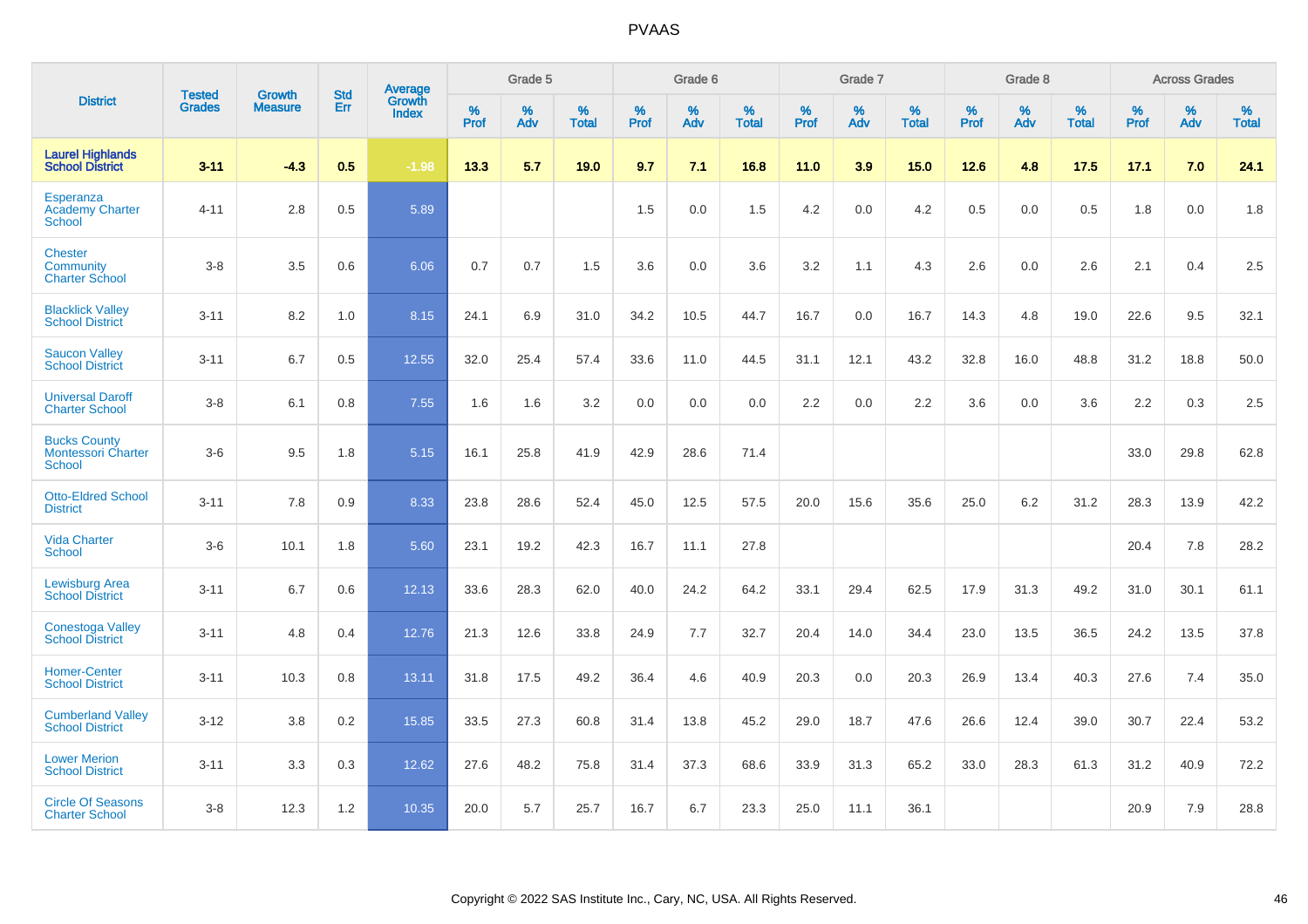|                                                                   | <b>Tested</b> | <b>Growth</b>  | <b>Std</b> | Average                       |           | Grade 5  |                   |           | Grade 6  |                   |           | Grade 7  |                   |           | Grade 8  |                   |           | <b>Across Grades</b> |                   |
|-------------------------------------------------------------------|---------------|----------------|------------|-------------------------------|-----------|----------|-------------------|-----------|----------|-------------------|-----------|----------|-------------------|-----------|----------|-------------------|-----------|----------------------|-------------------|
| <b>District</b>                                                   | <b>Grades</b> | <b>Measure</b> | Err        | <b>Growth</b><br><b>Index</b> | %<br>Prof | %<br>Adv | %<br><b>Total</b> | %<br>Prof | %<br>Adv | %<br><b>Total</b> | %<br>Prof | %<br>Adv | %<br><b>Total</b> | %<br>Prof | %<br>Adv | %<br><b>Total</b> | %<br>Prof | %<br>Adv             | %<br><b>Total</b> |
| <b>Laurel Highlands</b><br><b>School District</b>                 | $3 - 11$      | $-4.3$         | 0.5        | $-1.98$                       | 13.3      | 5.7      | 19.0              | 9.7       | 7.1      | 16.8              | 11.0      | 3.9      | 15.0              | 12.6      | 4.8      | 17.5              | 17.1      | 7.0                  | 24.1              |
| Esperanza<br><b>Academy Charter</b><br><b>School</b>              | $4 - 11$      | 2.8            | 0.5        | 5.89                          |           |          |                   | 1.5       | 0.0      | 1.5               | 4.2       | 0.0      | 4.2               | 0.5       | 0.0      | 0.5               | 1.8       | 0.0                  | 1.8               |
| <b>Chester</b><br>Community<br><b>Charter School</b>              | $3 - 8$       | 3.5            | 0.6        | 6.06                          | 0.7       | 0.7      | 1.5               | 3.6       | 0.0      | 3.6               | 3.2       | 1.1      | 4.3               | 2.6       | 0.0      | 2.6               | 2.1       | 0.4                  | 2.5               |
| <b>Blacklick Valley</b><br><b>School District</b>                 | $3 - 11$      | 8.2            | 1.0        | 8.15                          | 24.1      | 6.9      | 31.0              | 34.2      | 10.5     | 44.7              | 16.7      | 0.0      | 16.7              | 14.3      | 4.8      | 19.0              | 22.6      | 9.5                  | 32.1              |
| <b>Saucon Valley</b><br><b>School District</b>                    | $3 - 11$      | 6.7            | 0.5        | 12.55                         | 32.0      | 25.4     | 57.4              | 33.6      | 11.0     | 44.5              | 31.1      | 12.1     | 43.2              | 32.8      | 16.0     | 48.8              | 31.2      | 18.8                 | 50.0              |
| <b>Universal Daroff</b><br><b>Charter School</b>                  | $3 - 8$       | 6.1            | 0.8        | 7.55                          | 1.6       | 1.6      | 3.2               | 0.0       | 0.0      | 0.0               | 2.2       | 0.0      | 2.2               | 3.6       | 0.0      | 3.6               | 2.2       | 0.3                  | 2.5               |
| <b>Bucks County</b><br><b>Montessori Charter</b><br><b>School</b> | $3-6$         | 9.5            | 1.8        | 5.15                          | 16.1      | 25.8     | 41.9              | 42.9      | 28.6     | 71.4              |           |          |                   |           |          |                   | 33.0      | 29.8                 | 62.8              |
| <b>Otto-Eldred School</b><br><b>District</b>                      | $3 - 11$      | 7.8            | 0.9        | 8.33                          | 23.8      | 28.6     | 52.4              | 45.0      | 12.5     | 57.5              | 20.0      | 15.6     | 35.6              | 25.0      | 6.2      | 31.2              | 28.3      | 13.9                 | 42.2              |
| <b>Vida Charter</b><br><b>School</b>                              | $3-6$         | 10.1           | 1.8        | 5.60                          | 23.1      | 19.2     | 42.3              | 16.7      | 11.1     | 27.8              |           |          |                   |           |          |                   | 20.4      | 7.8                  | 28.2              |
| <b>Lewisburg Area</b><br><b>School District</b>                   | $3 - 11$      | 6.7            | 0.6        | 12.13                         | 33.6      | 28.3     | 62.0              | 40.0      | 24.2     | 64.2              | 33.1      | 29.4     | 62.5              | 17.9      | 31.3     | 49.2              | 31.0      | 30.1                 | 61.1              |
| <b>Conestoga Valley</b><br><b>School District</b>                 | $3 - 11$      | 4.8            | 0.4        | 12.76                         | 21.3      | 12.6     | 33.8              | 24.9      | 7.7      | 32.7              | 20.4      | 14.0     | 34.4              | 23.0      | 13.5     | 36.5              | 24.2      | 13.5                 | 37.8              |
| <b>Homer-Center</b><br><b>School District</b>                     | $3 - 11$      | 10.3           | 0.8        | 13.11                         | 31.8      | 17.5     | 49.2              | 36.4      | 4.6      | 40.9              | 20.3      | 0.0      | 20.3              | 26.9      | 13.4     | 40.3              | 27.6      | 7.4                  | 35.0              |
| <b>Cumberland Valley</b><br><b>School District</b>                | $3 - 12$      | 3.8            | 0.2        | 15.85                         | 33.5      | 27.3     | 60.8              | 31.4      | 13.8     | 45.2              | 29.0      | 18.7     | 47.6              | 26.6      | 12.4     | 39.0              | 30.7      | 22.4                 | 53.2              |
| <b>Lower Merion</b><br><b>School District</b>                     | $3 - 11$      | 3.3            | 0.3        | 12.62                         | 27.6      | 48.2     | 75.8              | 31.4      | 37.3     | 68.6              | 33.9      | 31.3     | 65.2              | 33.0      | 28.3     | 61.3              | 31.2      | 40.9                 | 72.2              |
| <b>Circle Of Seasons</b><br><b>Charter School</b>                 | $3 - 8$       | 12.3           | 1.2        | 10.35                         | 20.0      | 5.7      | 25.7              | 16.7      | 6.7      | 23.3              | 25.0      | 11.1     | 36.1              |           |          |                   | 20.9      | 7.9                  | 28.8              |